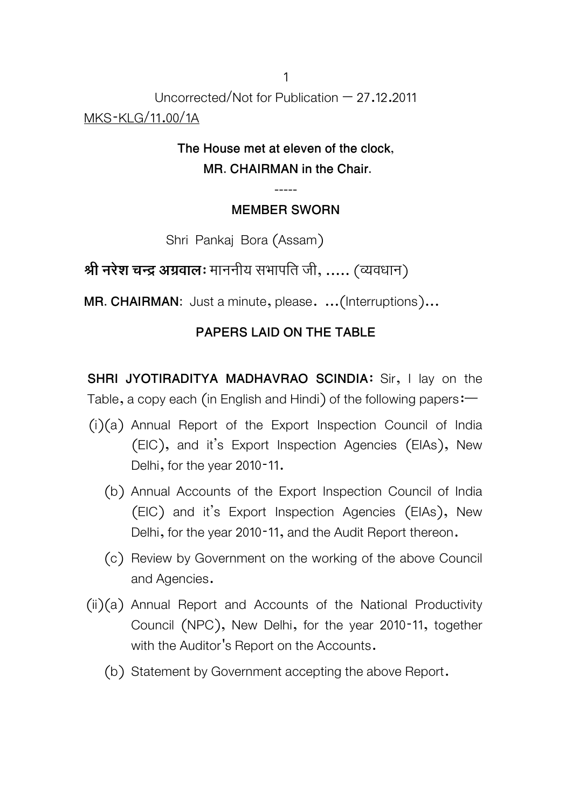Uncorrected/Not for Publication  $-27.12.2011$ MKS-KLG/11.00/1A

## **The House met at eleven of the clock, MR. CHAIRMAN in the Chair.**

### **----- MEMBER SWORN**

Shri Pankaj Bora (Assam)

**Ǜी नरेश चन्दर् अगर्वाल**: माननीय सभापित जी, ..... (Ëयवधान)

**MR. CHAIRMAN:** Just a minute, please. ...(Interruptions)...

### **PAPERS LAID ON THE TABLE**

**SHRI JYOTIRADITYA MADHAVRAO SCINDIA:** Sir, I lay on the Table, a copy each (in English and Hindi) of the following papers:—

- (i)(a) Annual Report of the Export Inspection Council of India (EIC), and it's Export Inspection Agencies (EIAs), New Delhi, for the year 2010-11.
	- (b) Annual Accounts of the Export Inspection Council of India (EIC) and it's Export Inspection Agencies (EIAs), New Delhi, for the year 2010-11, and the Audit Report thereon.
	- (c) Review by Government on the working of the above Council and Agencies.
- $(ii)(a)$  Annual Report and Accounts of the National Productivity Council (NPC), New Delhi, for the year 2010-11, together with the Auditor's Report on the Accounts.
	- (b) Statement by Government accepting the above Report.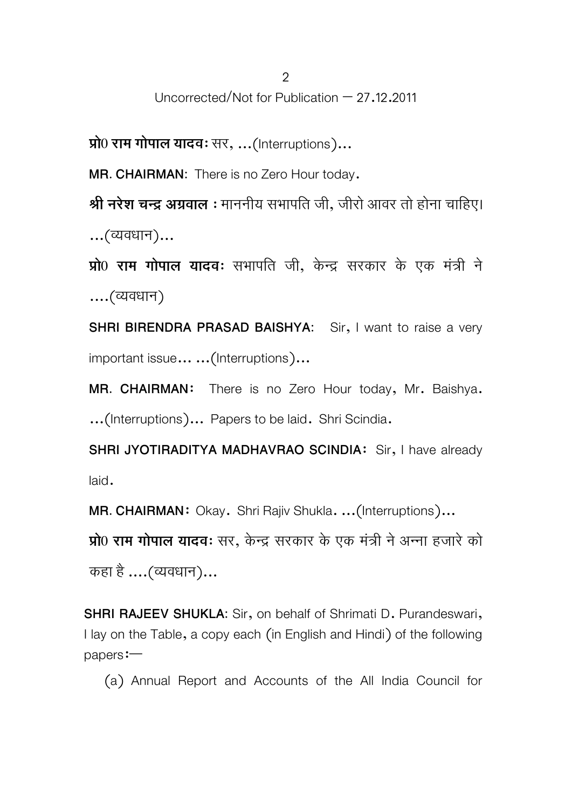**Ģो0 राम गोपाल यादव**: सर, ...(Interruptions)...

**MR. CHAIRMAN:** There is no Zero Hour today.

**Ǜी नरेश चन्दर् अगर्वाल** : माननीय सभापित जी, जीरो आवर तो होना चािहए। ...(Ëयवधान)...

**Ģो0 राम गोपाल यादव**: सभापित जी, केन्दर् सरकार के एक मतर्ी ं ने ....(Ëयवधान)

**SHRI BIRENDRA PRASAD BAISHYA:** Sir, I want to raise a very important issue... ...(Interruptions)...

**MR. CHAIRMAN**: There is no Zero Hour today, Mr. Baishya. ...(Interruptions)... Papers to be laid. Shri Scindia.

**SHRI JYOTIRADITYA MADHAVRAO SCINDIA**: Sir, I have already laid.

**MR. CHAIRMAN**: Okay. Shri Rajiv Shukla. ...(Interruptions)...

**Ģो0 राम गोपाल यादव**: सर, केन्दर् सरकार के एक मतर्ी ं नेअन्ना हजारेको कहा है ....(Ëयवधान)...

**SHRI RAJEEV SHUKLA:** Sir, on behalf of Shrimati D. Purandeswari, I lay on the Table, a copy each (in English and Hindi) of the following papers:—

(a) Annual Report and Accounts of the All India Council for

2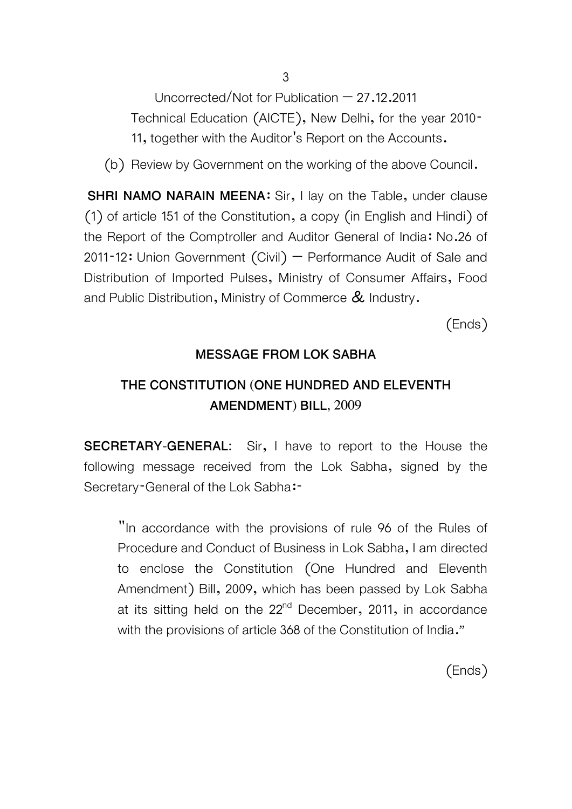Uncorrected/Not for Publication  $-27.12.2011$ Technical Education (AICTE), New Delhi, for the year 2010- 11, together with the Auditor's Report on the Accounts.

(b) Review by Government on the working of the above Council.

**SHRI NAMO NARAIN MEENA:** Sir, I lay on the Table, under clause (1) of article 151 of the Constitution, a copy (in English and Hindi) of the Report of the Comptroller and Auditor General of India: No.26 of  $2011 - 12$ : Union Government (Civil) – Performance Audit of Sale and Distribution of Imported Pulses, Ministry of Consumer Affairs, Food and Public Distribution, Ministry of Commerce  $\&$  Industry.

(Ends)

### **MESSAGE FROM LOK SABHA**

## **THE CONSTITUTION (ONE HUNDRED AND ELEVENTH AMENDMENT) BILL, 2009**

**SECRETARY-GENERAL:** Sir, I have to report to the House the following message received from the Lok Sabha, signed by the Secretary-General of the Lok Sabha:-

"In accordance with the provisions of rule 96 of the Rules of Procedure and Conduct of Business in Lok Sabha, I am directed to enclose the Constitution (One Hundred and Eleventh Amendment) Bill, 2009, which has been passed by Lok Sabha at its sitting held on the  $22<sup>nd</sup>$  December, 2011, in accordance with the provisions of article 368 of the Constitution of India."

(Ends)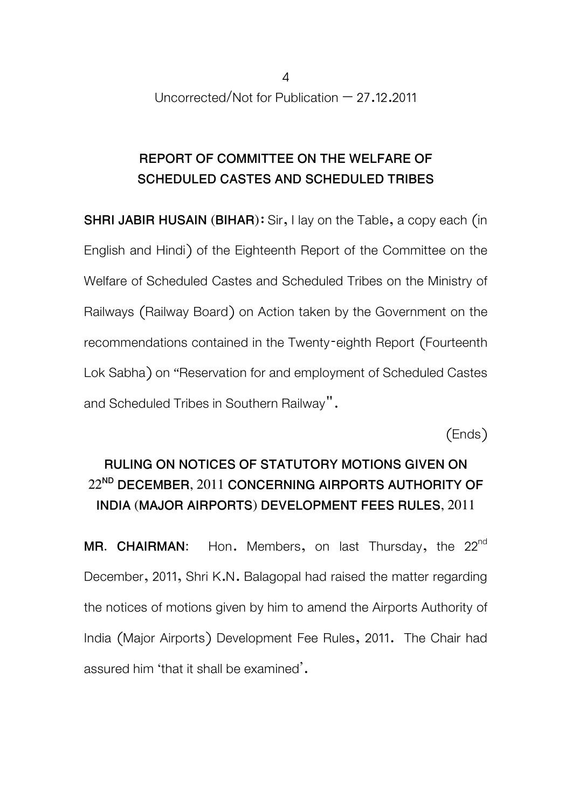## **REPORT OF COMMITTEE ON THE WELFARE OF SCHEDULED CASTES AND SCHEDULED TRIBES**

**SHRI JABIR HUSAIN (BIHAR):** Sir, I lay on the Table, a copy each (in English and Hindi) of the Eighteenth Report of the Committee on the Welfare of Scheduled Castes and Scheduled Tribes on the Ministry of Railways (Railway Board) on Action taken by the Government on the recommendations contained in the Twenty-eighth Report (Fourteenth Lok Sabha) on "Reservation for and employment of Scheduled Castes and Scheduled Tribes in Southern Railway".

(Ends)

# **RULING ON NOTICES OF STATUTORY MOTIONS GIVEN ON 22ND DECEMBER, 2011 CONCERNING AIRPORTS AUTHORITY OF INDIA (MAJOR AIRPORTS) DEVELOPMENT FEES RULES, 2011**

MR. CHAIRMAN: Hon. Members, on last Thursday, the 22<sup>nd</sup> December, 2011, Shri K.N. Balagopal had raised the matter regarding the notices of motions given by him to amend the Airports Authority of India (Major Airports) Development Fee Rules, 2011. The Chair had assured him 'that it shall be examined'.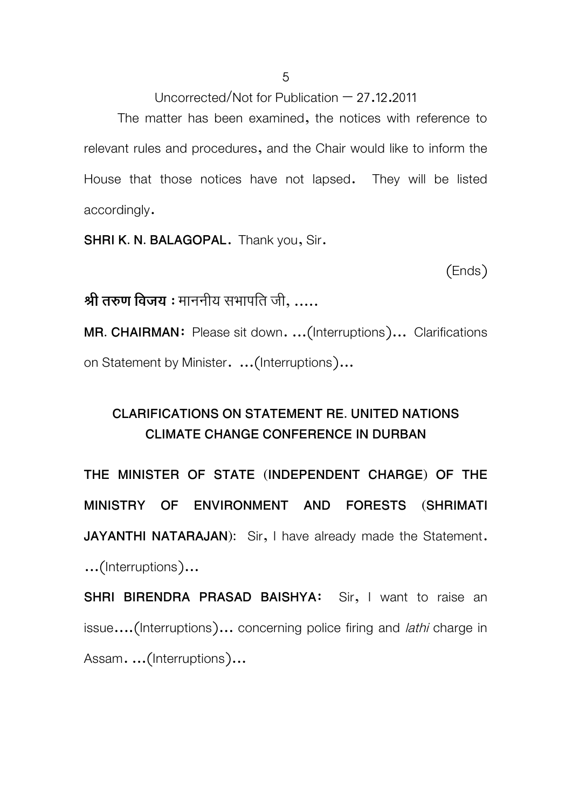The matter has been examined, the notices with reference to relevant rules and procedures, and the Chair would like to inform the House that those notices have not lapsed. They will be listed accordingly.

**SHRI K. N. BALAGOPAL**. Thank you, Sir.

(Ends)

**Ǜी तरुण िवजय** : माननीय सभापित जी, .....

**MR. CHAIRMAN**: Please sit down. ...(Interruptions)... Clarifications on Statement by Minister. ...(Interruptions)...

## **CLARIFICATIONS ON STATEMENT RE. UNITED NATIONS CLIMATE CHANGE CONFERENCE IN DURBAN**

**THE MINISTER OF STATE (INDEPENDENT CHARGE) OF THE MINISTRY OF ENVIRONMENT AND FORESTS (SHRIMATI JAYANTHI NATARAJAN**): Sir, I have already made the Statement. ...(Interruptions)...

**SHRI BIRENDRA PRASAD BAISHYA**: Sir, I want to raise an issue....(Interruptions)... concerning police firing and *lathi* charge in Assam. ...(Interruptions)...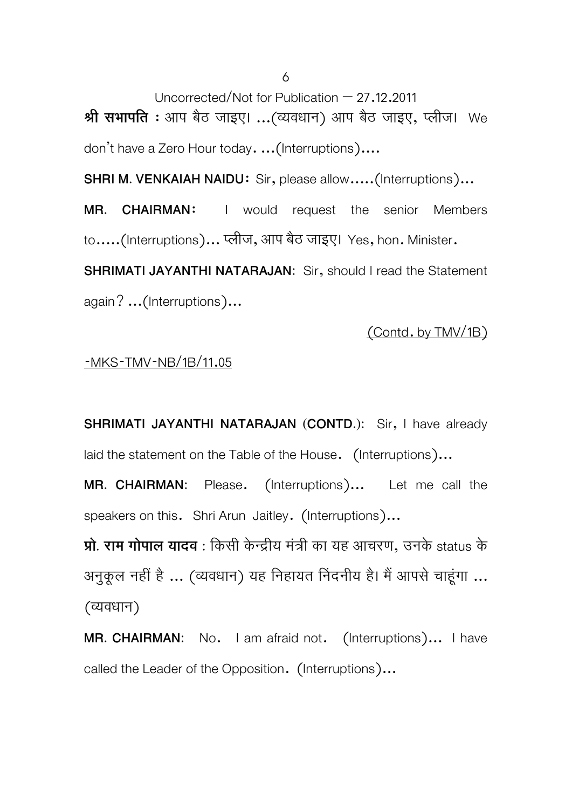Uncorrected/Not for Publication – 27.12.2011 **Ǜी सभापित** : आप बठै जाइए। ...(Ëयवधान) आप बठै जाइए, Ãलीज। We don't have a Zero Hour today. ...(Interruptions)....

**SHRI M. VENKAIAH NAIDU:** Sir, please allow.....(Interruptions)...

**MR. CHAIRMAN**: I would request the senior Members to.....(Interruptions)... प्लीज, आप बैठ जाइए। Yes, hon. Minister.

**SHRIMATI JAYANTHI NATARAJAN:** Sir, should I read the Statement again? ...(Interruptions)...

#### (Contd. by TMV/1B)

## -MKS-TMV-NB/1B/11.05

**SHRIMATI JAYANTHI NATARAJAN (CONTD.):** Sir, I have already laid the statement on the Table of the House. (Interruptions)...

**MR. CHAIRMAN:** Please. (Interruptions)... Let me call the speakers on this. Shri Arun Jaitley. (Interruptions)...

**प्रा. राम गापाल यादव** : किसा केन्द्राय मंत्रा का यह आचरण, उनके status के अनुकूल नहीं है ... (व्यवधान) यह निहायत निंदनीय है। मैं आपसे चाहूंगा ... (Ëयवधान)

**MR. CHAIRMAN:** No. I am afraid not. (Interruptions)... I have called the Leader of the Opposition. (Interruptions)...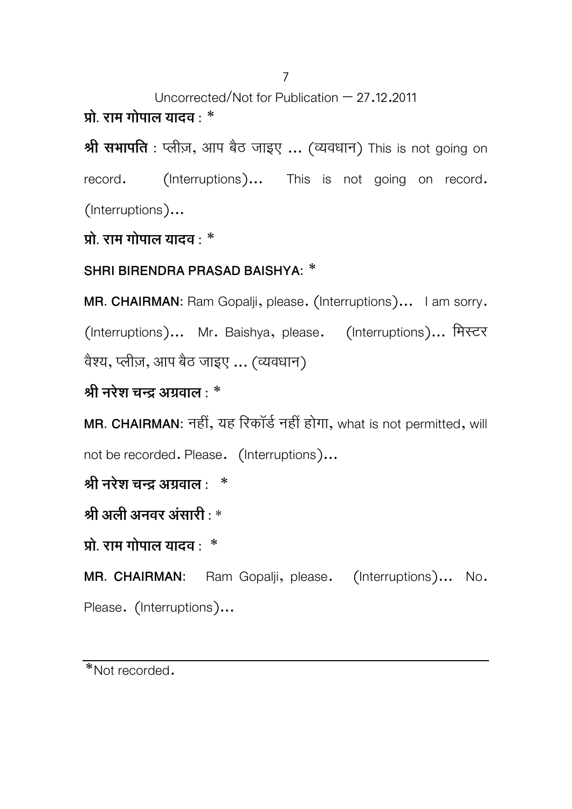7

Uncorrected/Not for Publication – 27.12.2011

**Ģो. राम गोपाल यादव :** \*

**Ǜी सभापित :** Ãलीज़, आप बठै जाइए ... (Ëयवधान) This is not going on record. (Interruptions)... This is not going on record. (Interruptions)...

**Ģो. राम गोपाल यादव :** \*

**SHRI BIRENDRA PRASAD BAISHYA:** \*

**MR. CHAIRMAN:** Ram Gopalji, please. (Interruptions)... I am sorry. (Interruptions)... Mr. Baishya, please. (Interruptions)... मिस्टर वैश्य, प्लीज़, आप बैठ जाइए ... (व्यवधान)

**Ǜी नरेश चन्दर् अगर्वाल :** \*

**MR. CHAIRMAN:** नहीं, यह िरकॉडर्नहीं होगा, what is not permitted, will not be recorded. Please. (Interruptions)...

**Ǜी नरेश चन्दर् अगर्वाल :** \*

**Ǜी अली अनवर अंसारी : \*** 

**Ģो. राम गोपाल यादव :** \*

**MR. CHAIRMAN:** Ram Gopalji, please. (Interruptions)... No. Please. (Interruptions)...

<sup>\*</sup>Not recorded.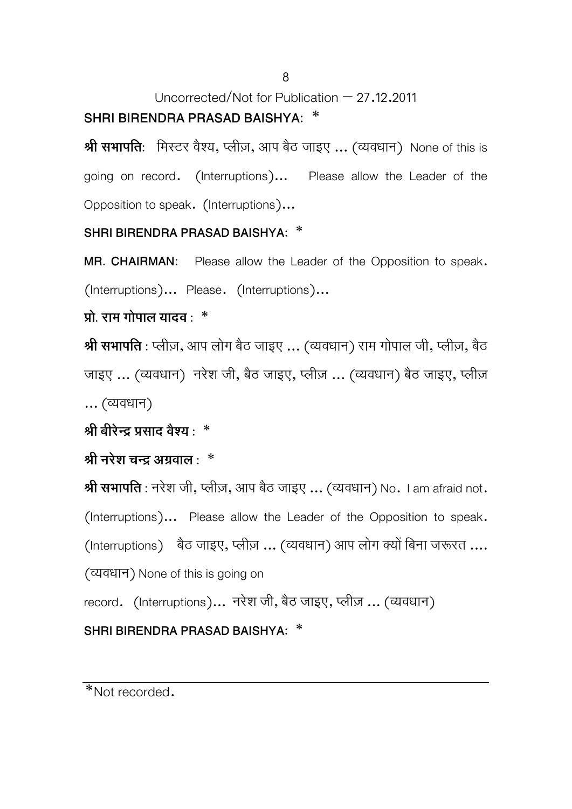# Uncorrected/Not for Publication – 27.12.2011 **SHRI BIRENDRA PRASAD BAISHYA:** \*

**श्री सभापति**: मिस्टर वैश्य, प्लीज़, आप बैठ जाइए ... (व्यवधान) None of this is going on record. (Interruptions)... Please allow the Leader of the Opposition to speak. (Interruptions)...

### **SHRI BIRENDRA PRASAD BAISHYA:** \*

**MR. CHAIRMAN:** Please allow the Leader of the Opposition to speak. (Interruptions)... Please. (Interruptions)...

### **Ģो. राम गोपाल यादव :** \*

**श्री सभापति** : प्लीज़, आप लोग बैठ जाइए ... (व्यवधान) राम गोपाल जी, प्लीज़, बैठ जाइए ... (व्यवधान) नरेश जी, बैठ जाइए, प्लीज़ ... (व्यवधान) बैठ जाइए, प्लीज़ ... (Ëयवधान)

### $\hat{A}$  बीरेन्द प्रसाद वैश्य :  $*$

### **Ǜी नरेश चन्दर् अगर्वाल :** \*

**Ǜी सभापित :** नरेश जी, Ãलीज़, आप बैठ जाइए ... (Ëयवधान) No. I am afraid not.

(Interruptions)... Please allow the Leader of the Opposition to speak.

(Interruptions) बैठ जाइए, प्लीज़ ... (व्यवधान) आप लोग क्यों बिना जरूरत ....

(Ëयवधान) None of this is going on

record. (Interruptions)... नरेश जी, बैठ जाइए, प्लीज़ ... (व्यवधान)

## **SHRI BIRENDRA PRASAD BAISHYA:** \*

\*Not recorded.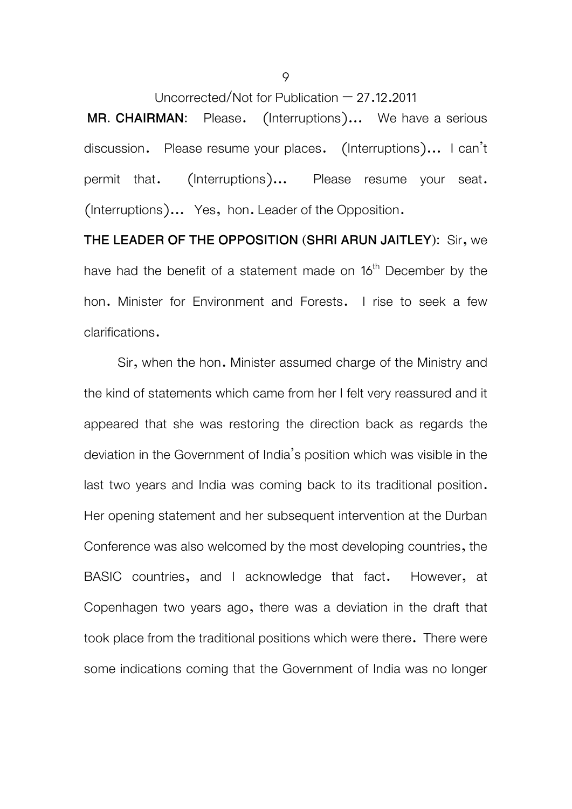**MR. CHAIRMAN:** Please. (Interruptions)... We have a serious discussion. Please resume your places. (Interruptions)... I can't permit that. (Interruptions)... Please resume your seat. (Interruptions)... Yes, hon. Leader of the Opposition.

**THE LEADER OF THE OPPOSITION (SHRI ARUN JAITLEY):** Sir, we have had the benefit of a statement made on 16<sup>th</sup> December by the hon. Minister for Environment and Forests. I rise to seek a few clarifications.

 Sir, when the hon. Minister assumed charge of the Ministry and the kind of statements which came from her I felt very reassured and it appeared that she was restoring the direction back as regards the deviation in the Government of India's position which was visible in the last two years and India was coming back to its traditional position. Her opening statement and her subsequent intervention at the Durban Conference was also welcomed by the most developing countries, the BASIC countries, and I acknowledge that fact. However, at Copenhagen two years ago, there was a deviation in the draft that took place from the traditional positions which were there. There were some indications coming that the Government of India was no longer

9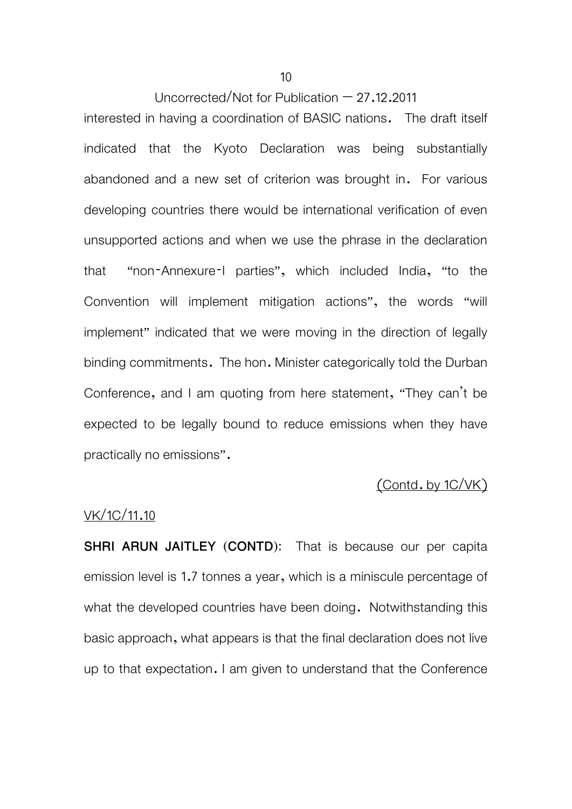interested in having a coordination of BASIC nations. The draft itself indicated that the Kyoto Declaration was being substantially abandoned and a new set of criterion was brought in. For various developing countries there would be international verification of even unsupported actions and when we use the phrase in the declaration that "non-Annexure-I parties", which included India, "to the Convention will implement mitigation actions", the words "will implement" indicated that we were moving in the direction of legally binding commitments. The hon. Minister categorically told the Durban Conference, and I am quoting from here statement, "They can't be expected to be legally bound to reduce emissions when they have practically no emissions".

### (Contd. by 1C/VK)

#### VK/1C/11.10

**SHRI ARUN JAITLEY (CONTD):** That is because our per capita emission level is 1.7 tonnes a year, which is a miniscule percentage of what the developed countries have been doing. Notwithstanding this basic approach, what appears is that the final declaration does not live up to that expectation. I am given to understand that the Conference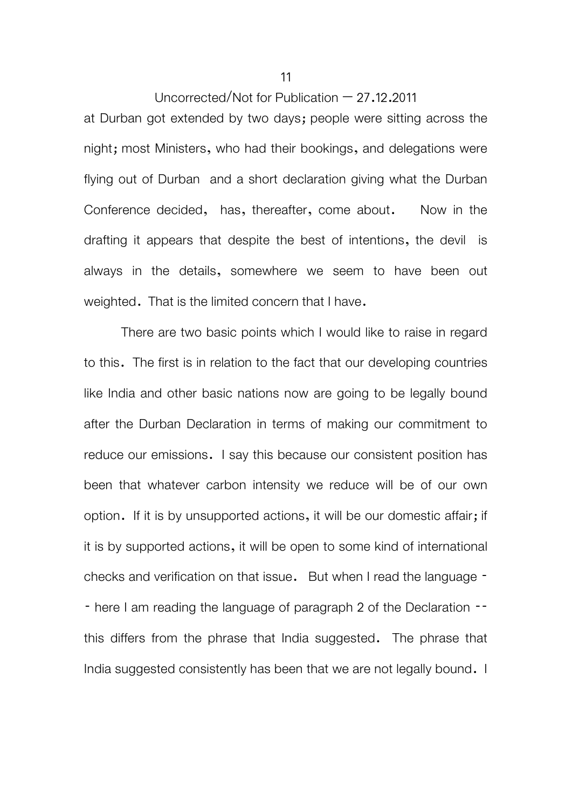at Durban got extended by two days; people were sitting across the night; most Ministers, who had their bookings, and delegations were flying out of Durban and a short declaration giving what the Durban Conference decided, has, thereafter, come about. Now in the drafting it appears that despite the best of intentions, the devil is always in the details, somewhere we seem to have been out weighted. That is the limited concern that I have.

 There are two basic points which I would like to raise in regard to this. The first is in relation to the fact that our developing countries like India and other basic nations now are going to be legally bound after the Durban Declaration in terms of making our commitment to reduce our emissions. I say this because our consistent position has been that whatever carbon intensity we reduce will be of our own option. If it is by unsupported actions, it will be our domestic affair; if it is by supported actions, it will be open to some kind of international checks and verification on that issue. But when I read the language - - here I am reading the language of paragraph 2 of the Declaration -this differs from the phrase that India suggested. The phrase that India suggested consistently has been that we are not legally bound. I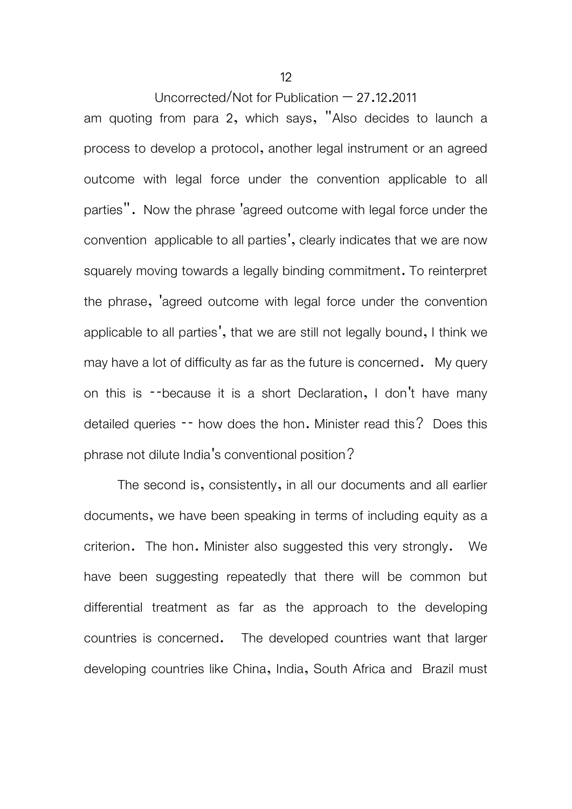am quoting from para 2, which says, "Also decides to launch a process to develop a protocol, another legal instrument or an agreed outcome with legal force under the convention applicable to all parties". Now the phrase 'agreed outcome with legal force under the convention applicable to all parties', clearly indicates that we are now squarely moving towards a legally binding commitment. To reinterpret the phrase, 'agreed outcome with legal force under the convention applicable to all parties', that we are still not legally bound, I think we may have a lot of difficulty as far as the future is concerned. My query on this is --because it is a short Declaration, I don't have many detailed queries -- how does the hon. Minister read this? Does this phrase not dilute India's conventional position?

The second is, consistently, in all our documents and all earlier documents, we have been speaking in terms of including equity as a criterion. The hon. Minister also suggested this very strongly. We have been suggesting repeatedly that there will be common but differential treatment as far as the approach to the developing countries is concerned. The developed countries want that larger developing countries like China, India, South Africa and Brazil must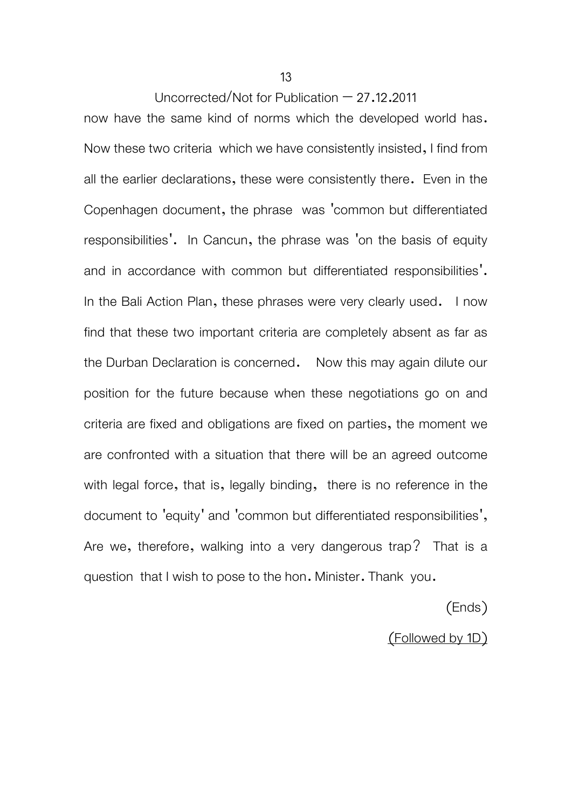now have the same kind of norms which the developed world has. Now these two criteria which we have consistently insisted, I find from all the earlier declarations, these were consistently there. Even in the Copenhagen document, the phrase was 'common but differentiated responsibilities'. In Cancun, the phrase was 'on the basis of equity and in accordance with common but differentiated responsibilities'. In the Bali Action Plan, these phrases were very clearly used. I now find that these two important criteria are completely absent as far as the Durban Declaration is concerned. Now this may again dilute our position for the future because when these negotiations go on and criteria are fixed and obligations are fixed on parties, the moment we are confronted with a situation that there will be an agreed outcome with legal force, that is, legally binding, there is no reference in the document to 'equity' and 'common but differentiated responsibilities', Are we, therefore, walking into a very dangerous trap? That is a question that I wish to pose to the hon. Minister. Thank you.

(Ends)

(Followed by 1D)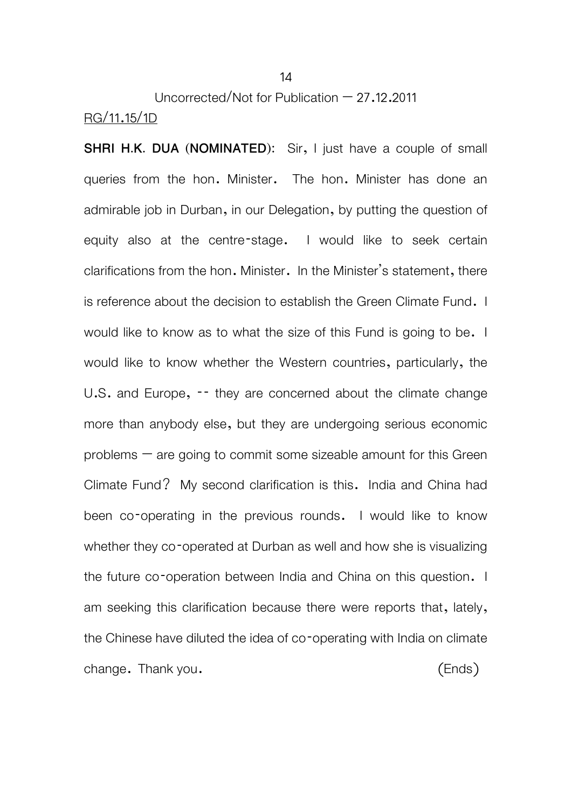Uncorrected/Not for Publication – 27.12.2011 RG/11.15/1D

**SHRI H.K. DUA (NOMINATED):** Sir, I just have a couple of small queries from the hon. Minister. The hon. Minister has done an admirable job in Durban, in our Delegation, by putting the question of equity also at the centre-stage. I would like to seek certain clarifications from the hon. Minister. In the Minister's statement, there is reference about the decision to establish the Green Climate Fund. I would like to know as to what the size of this Fund is going to be. I would like to know whether the Western countries, particularly, the U.S. and Europe, -- they are concerned about the climate change more than anybody else, but they are undergoing serious economic problems  $-$  are going to commit some sizeable amount for this Green Climate Fund? My second clarification is this. India and China had been co-operating in the previous rounds. I would like to know whether they co-operated at Durban as well and how she is visualizing the future co-operation between India and China on this question. I am seeking this clarification because there were reports that, lately, the Chinese have diluted the idea of co-operating with India on climate change. Thank you. (Ends)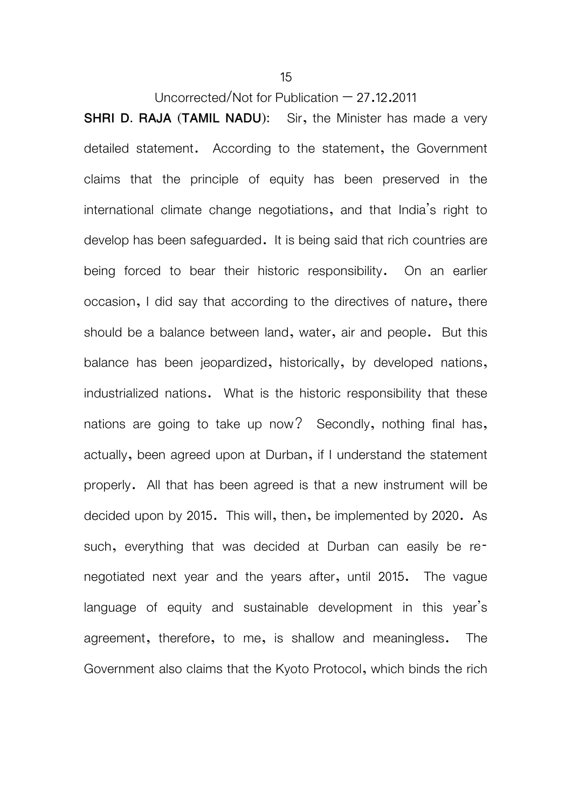**SHRI D. RAJA (TAMIL NADU):** Sir, the Minister has made a very detailed statement. According to the statement, the Government claims that the principle of equity has been preserved in the international climate change negotiations, and that India's right to develop has been safeguarded. It is being said that rich countries are being forced to bear their historic responsibility. On an earlier occasion, I did say that according to the directives of nature, there should be a balance between land, water, air and people. But this balance has been jeopardized, historically, by developed nations, industrialized nations. What is the historic responsibility that these nations are going to take up now? Secondly, nothing final has, actually, been agreed upon at Durban, if I understand the statement properly. All that has been agreed is that a new instrument will be decided upon by 2015. This will, then, be implemented by 2020. As such, everything that was decided at Durban can easily be renegotiated next year and the years after, until 2015. The vague language of equity and sustainable development in this year's agreement, therefore, to me, is shallow and meaningless. The Government also claims that the Kyoto Protocol, which binds the rich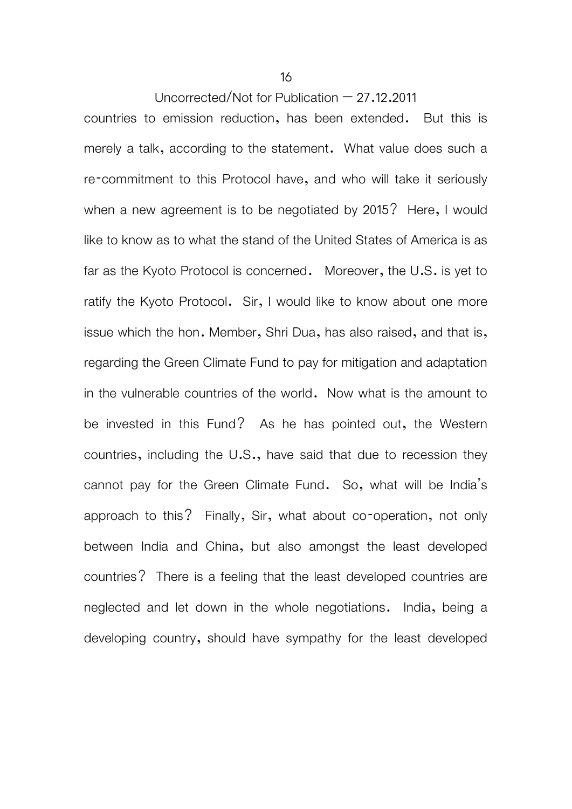countries to emission reduction, has been extended. But this is merely a talk, according to the statement. What value does such a re-commitment to this Protocol have, and who will take it seriously when a new agreement is to be negotiated by 2015? Here, I would like to know as to what the stand of the United States of America is as far as the Kyoto Protocol is concerned. Moreover, the U.S. is yet to ratify the Kyoto Protocol. Sir, I would like to know about one more issue which the hon. Member, Shri Dua, has also raised, and that is, regarding the Green Climate Fund to pay for mitigation and adaptation in the vulnerable countries of the world. Now what is the amount to be invested in this Fund? As he has pointed out, the Western countries, including the U.S., have said that due to recession they cannot pay for the Green Climate Fund. So, what will be India's approach to this? Finally, Sir, what about co-operation, not only between India and China, but also amongst the least developed countries? There is a feeling that the least developed countries are neglected and let down in the whole negotiations. India, being a developing country, should have sympathy for the least developed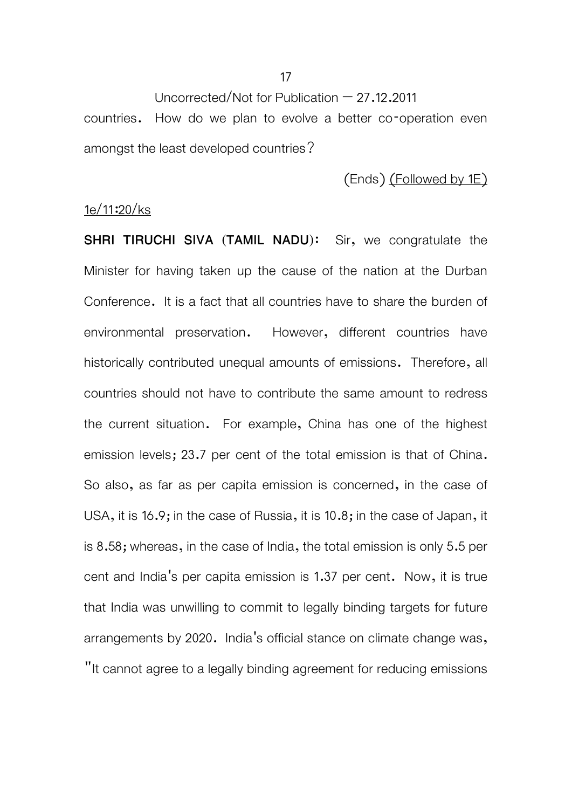Uncorrected/Not for Publication  $-27.12.2011$ countries. How do we plan to evolve a better co-operation even amongst the least developed countries?

(Ends) (Followed by 1E)

#### 1e/11:20/ks

**SHRI TIRUCHI SIVA (TAMIL NADU):** Sir, we congratulate the Minister for having taken up the cause of the nation at the Durban Conference. It is a fact that all countries have to share the burden of environmental preservation. However, different countries have historically contributed unequal amounts of emissions. Therefore, all countries should not have to contribute the same amount to redress the current situation. For example, China has one of the highest emission levels; 23.7 per cent of the total emission is that of China. So also, as far as per capita emission is concerned, in the case of USA, it is 16.9; in the case of Russia, it is 10.8; in the case of Japan, it is 8.58; whereas, in the case of India, the total emission is only 5.5 per cent and India's per capita emission is 1.37 per cent. Now, it is true that India was unwilling to commit to legally binding targets for future arrangements by 2020. India's official stance on climate change was, "It cannot agree to a legally binding agreement for reducing emissions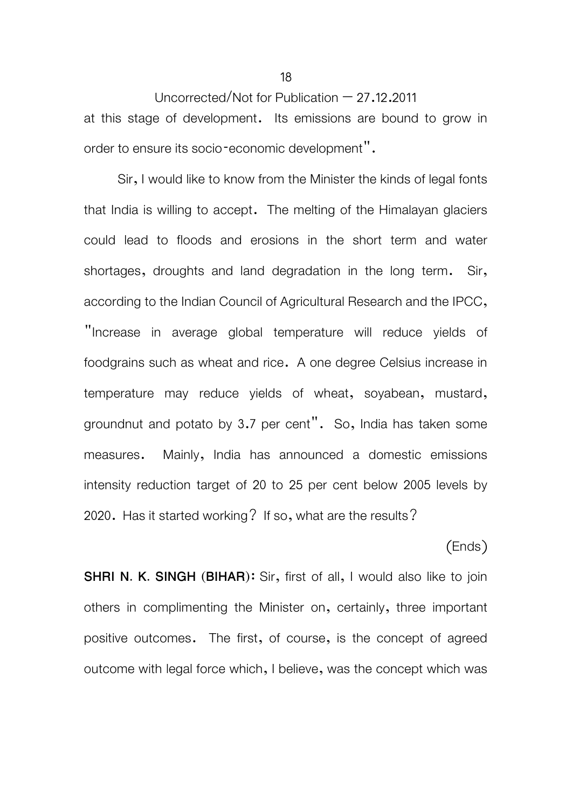Uncorrected/Not for Publication  $-27.12.2011$ at this stage of development. Its emissions are bound to grow in order to ensure its socio-economic development".

 Sir, I would like to know from the Minister the kinds of legal fonts that India is willing to accept. The melting of the Himalayan glaciers could lead to floods and erosions in the short term and water shortages, droughts and land degradation in the long term. Sir, according to the Indian Council of Agricultural Research and the IPCC, "Increase in average global temperature will reduce yields of foodgrains such as wheat and rice. A one degree Celsius increase in temperature may reduce yields of wheat, soyabean, mustard, groundnut and potato by 3.7 per cent". So, India has taken some measures. Mainly, India has announced a domestic emissions intensity reduction target of 20 to 25 per cent below 2005 levels by 2020. Has it started working? If so, what are the results?

#### (Ends)

**SHRI N. K. SINGH (BIHAR):** Sir, first of all, I would also like to join others in complimenting the Minister on, certainly, three important positive outcomes. The first, of course, is the concept of agreed outcome with legal force which, I believe, was the concept which was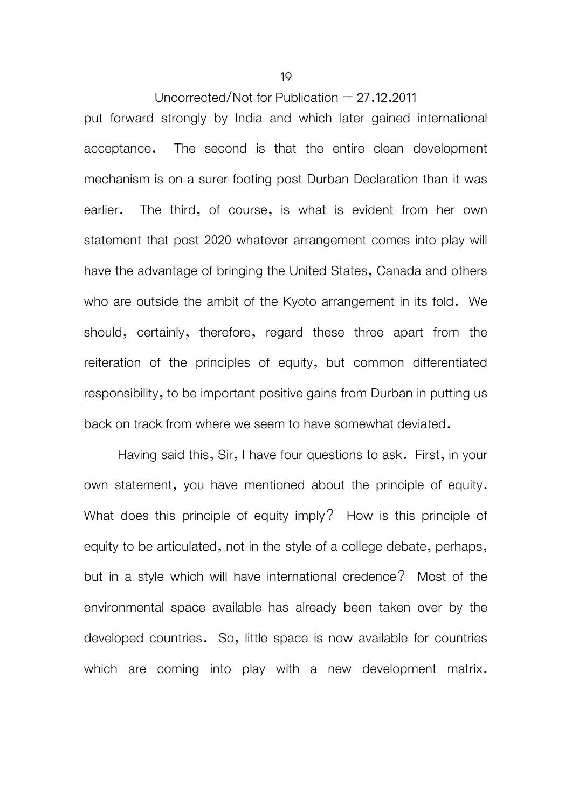put forward strongly by India and which later gained international acceptance. The second is that the entire clean development mechanism is on a surer footing post Durban Declaration than it was earlier. The third, of course, is what is evident from her own statement that post 2020 whatever arrangement comes into play will have the advantage of bringing the United States, Canada and others who are outside the ambit of the Kyoto arrangement in its fold. We should, certainly, therefore, regard these three apart from the reiteration of the principles of equity, but common differentiated responsibility, to be important positive gains from Durban in putting us back on track from where we seem to have somewhat deviated.

Having said this, Sir, I have four questions to ask. First, in your own statement, you have mentioned about the principle of equity. What does this principle of equity imply? How is this principle of equity to be articulated, not in the style of a college debate, perhaps, but in a style which will have international credence? Most of the environmental space available has already been taken over by the developed countries. So, little space is now available for countries which are coming into play with a new development matrix.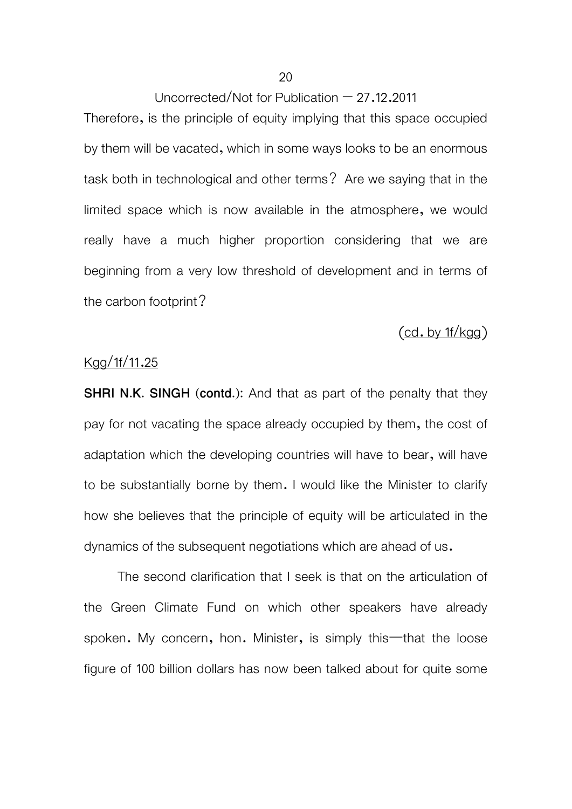Therefore, is the principle of equity implying that this space occupied by them will be vacated, which in some ways looks to be an enormous task both in technological and other terms? Are we saying that in the limited space which is now available in the atmosphere, we would really have a much higher proportion considering that we are beginning from a very low threshold of development and in terms of the carbon footprint?

### $(cd. by 1f/kgg)$

#### Kgg/1f/11.25

**SHRI N.K. SINGH (contd.):** And that as part of the penalty that they pay for not vacating the space already occupied by them, the cost of adaptation which the developing countries will have to bear, will have to be substantially borne by them. I would like the Minister to clarify how she believes that the principle of equity will be articulated in the dynamics of the subsequent negotiations which are ahead of us.

 The second clarification that I seek is that on the articulation of the Green Climate Fund on which other speakers have already spoken. My concern, hon. Minister, is simply this—that the loose figure of 100 billion dollars has now been talked about for quite some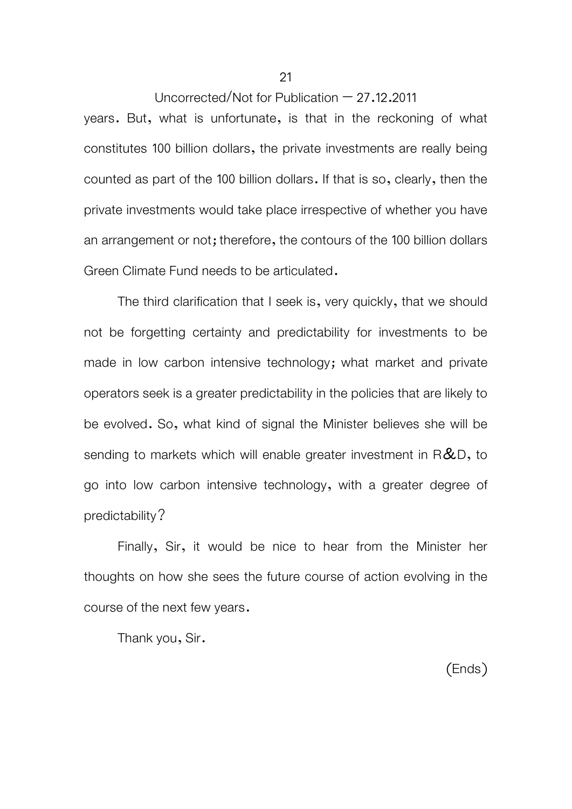years. But, what is unfortunate, is that in the reckoning of what constitutes 100 billion dollars, the private investments are really being counted as part of the 100 billion dollars. If that is so, clearly, then the private investments would take place irrespective of whether you have an arrangement or not; therefore, the contours of the 100 billion dollars Green Climate Fund needs to be articulated.

 The third clarification that I seek is, very quickly, that we should not be forgetting certainty and predictability for investments to be made in low carbon intensive technology; what market and private operators seek is a greater predictability in the policies that are likely to be evolved. So, what kind of signal the Minister believes she will be sending to markets which will enable greater investment in  $R\&D$ , to go into low carbon intensive technology, with a greater degree of predictability?

 Finally, Sir, it would be nice to hear from the Minister her thoughts on how she sees the future course of action evolving in the course of the next few years.

Thank you, Sir.

(Ends)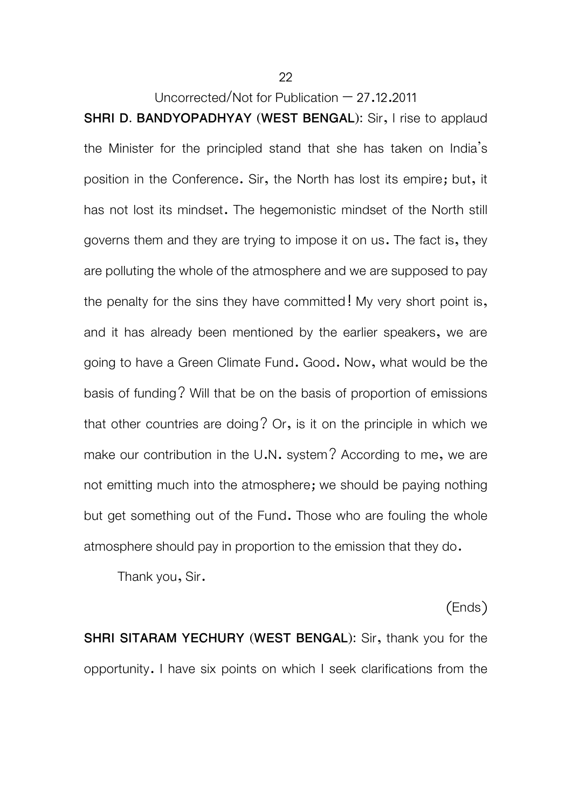**SHRI D. BANDYOPADHYAY (WEST BENGAL):** Sir, I rise to applaud the Minister for the principled stand that she has taken on India's position in the Conference. Sir, the North has lost its empire; but, it has not lost its mindset. The hegemonistic mindset of the North still governs them and they are trying to impose it on us. The fact is, they are polluting the whole of the atmosphere and we are supposed to pay the penalty for the sins they have committed! My very short point is, and it has already been mentioned by the earlier speakers, we are going to have a Green Climate Fund. Good. Now, what would be the basis of funding? Will that be on the basis of proportion of emissions that other countries are doing? Or, is it on the principle in which we make our contribution in the U.N. system? According to me, we are not emitting much into the atmosphere; we should be paying nothing but get something out of the Fund. Those who are fouling the whole atmosphere should pay in proportion to the emission that they do.

Thank you, Sir.

(Ends)

**SHRI SITARAM YECHURY (WEST BENGAL):** Sir, thank you for the opportunity. I have six points on which I seek clarifications from the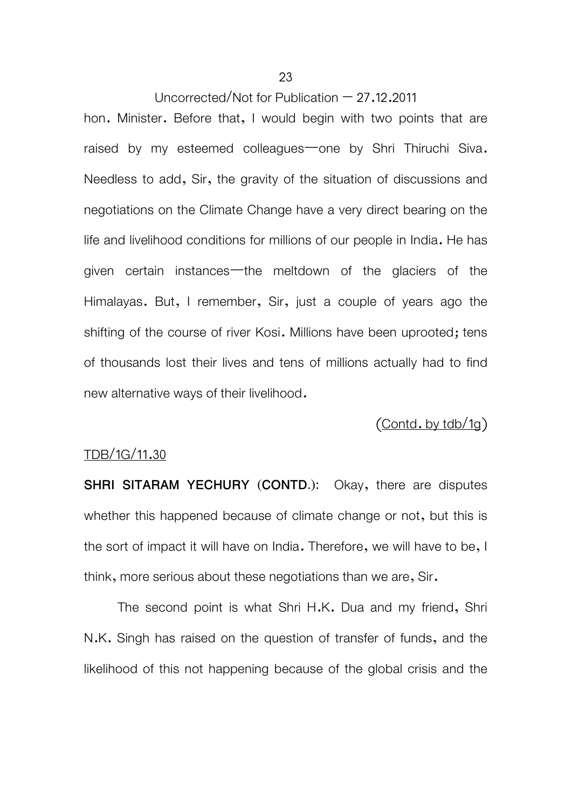hon. Minister. Before that, I would begin with two points that are raised by my esteemed colleagues—one by Shri Thiruchi Siva. Needless to add, Sir, the gravity of the situation of discussions and negotiations on the Climate Change have a very direct bearing on the life and livelihood conditions for millions of our people in India. He has given certain instances—the meltdown of the glaciers of the Himalayas. But, I remember, Sir, just a couple of years ago the shifting of the course of river Kosi. Millions have been uprooted; tens of thousands lost their lives and tens of millions actually had to find new alternative ways of their livelihood.

 $($ Contd. by tdb $/1g$  $)$ 

#### TDB/1G/11.30

**SHRI SITARAM YECHURY (CONTD.):** Okay, there are disputes whether this happened because of climate change or not, but this is the sort of impact it will have on India. Therefore, we will have to be, I think, more serious about these negotiations than we are, Sir.

 The second point is what Shri H.K. Dua and my friend, Shri N.K. Singh has raised on the question of transfer of funds, and the likelihood of this not happening because of the global crisis and the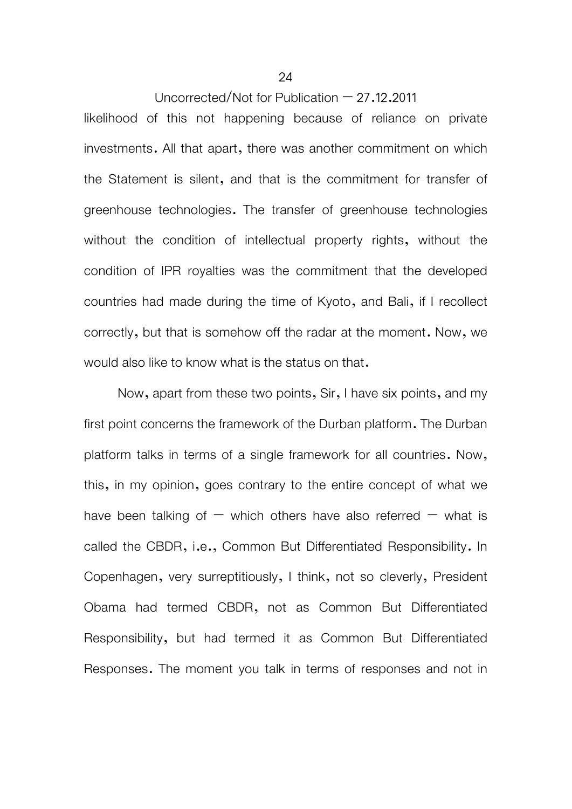likelihood of this not happening because of reliance on private investments. All that apart, there was another commitment on which the Statement is silent, and that is the commitment for transfer of greenhouse technologies. The transfer of greenhouse technologies without the condition of intellectual property rights, without the condition of IPR royalties was the commitment that the developed countries had made during the time of Kyoto, and Bali, if I recollect correctly, but that is somehow off the radar at the moment. Now, we would also like to know what is the status on that.

 Now, apart from these two points, Sir, I have six points, and my first point concerns the framework of the Durban platform. The Durban platform talks in terms of a single framework for all countries. Now, this, in my opinion, goes contrary to the entire concept of what we have been talking of  $-$  which others have also referred  $-$  what is called the CBDR, i.e., Common But Differentiated Responsibility. In Copenhagen, very surreptitiously, I think, not so cleverly, President Obama had termed CBDR, not as Common But Differentiated Responsibility, but had termed it as Common But Differentiated Responses. The moment you talk in terms of responses and not in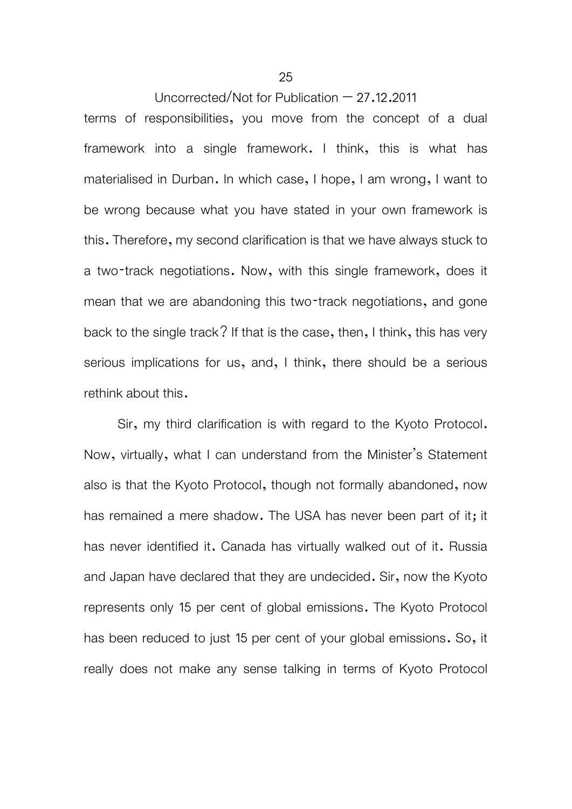terms of responsibilities, you move from the concept of a dual framework into a single framework. I think, this is what has materialised in Durban. In which case, I hope, I am wrong, I want to be wrong because what you have stated in your own framework is this. Therefore, my second clarification is that we have always stuck to a two-track negotiations. Now, with this single framework, does it mean that we are abandoning this two-track negotiations, and gone back to the single track? If that is the case, then, I think, this has very serious implications for us, and, I think, there should be a serious rethink about this.

 Sir, my third clarification is with regard to the Kyoto Protocol. Now, virtually, what I can understand from the Minister's Statement also is that the Kyoto Protocol, though not formally abandoned, now has remained a mere shadow. The USA has never been part of it; it has never identified it. Canada has virtually walked out of it. Russia and Japan have declared that they are undecided. Sir, now the Kyoto represents only 15 per cent of global emissions. The Kyoto Protocol has been reduced to just 15 per cent of your global emissions. So, it really does not make any sense talking in terms of Kyoto Protocol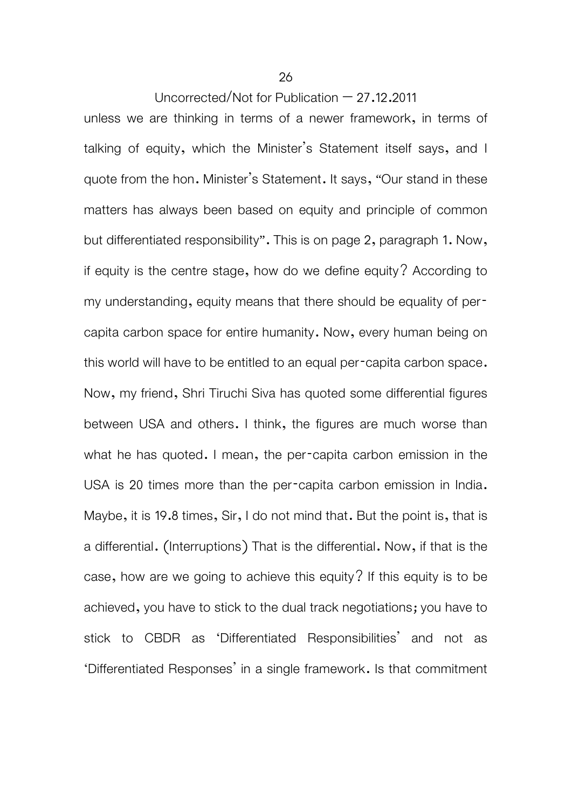unless we are thinking in terms of a newer framework, in terms of talking of equity, which the Minister's Statement itself says, and I quote from the hon. Minister's Statement. It says, "Our stand in these matters has always been based on equity and principle of common but differentiated responsibility". This is on page 2, paragraph 1. Now, if equity is the centre stage, how do we define equity? According to my understanding, equity means that there should be equality of percapita carbon space for entire humanity. Now, every human being on this world will have to be entitled to an equal per-capita carbon space. Now, my friend, Shri Tiruchi Siva has quoted some differential figures between USA and others. I think, the figures are much worse than what he has quoted. I mean, the per-capita carbon emission in the USA is 20 times more than the per-capita carbon emission in India. Maybe, it is 19.8 times, Sir, I do not mind that. But the point is, that is a differential. (Interruptions) That is the differential. Now, if that is the case, how are we going to achieve this equity? If this equity is to be achieved, you have to stick to the dual track negotiations; you have to stick to CBDR as 'Differentiated Responsibilities' and not as 'Differentiated Responses' in a single framework. Is that commitment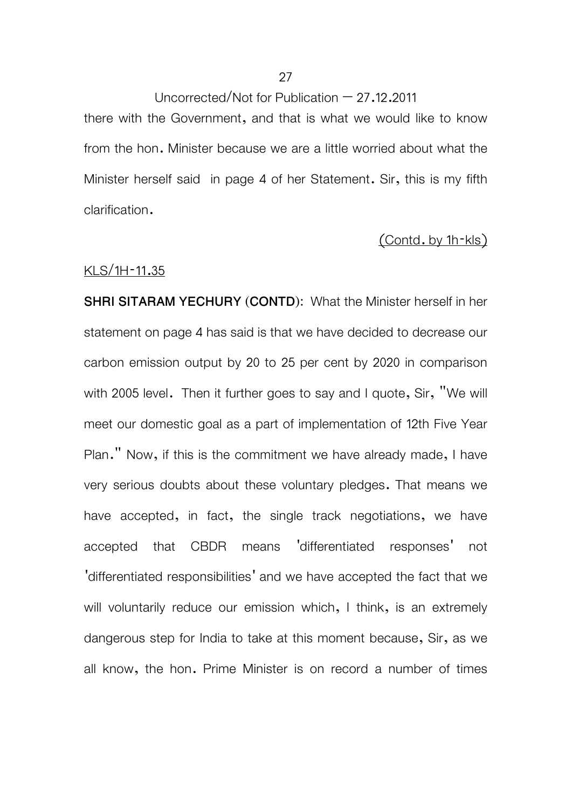Uncorrected/Not for Publication  $-27.12.2011$ there with the Government, and that is what we would like to know from the hon. Minister because we are a little worried about what the Minister herself said in page 4 of her Statement. Sir, this is my fifth

#### (Contd. by 1h-kls)

#### KLS/1H-11.35

clarification.

**SHRI SITARAM YECHURY (CONTD):** What the Minister herself in her statement on page 4 has said is that we have decided to decrease our carbon emission output by 20 to 25 per cent by 2020 in comparison with 2005 level. Then it further goes to say and I quote, Sir, "We will meet our domestic goal as a part of implementation of 12th Five Year Plan." Now, if this is the commitment we have already made, I have very serious doubts about these voluntary pledges. That means we have accepted, in fact, the single track negotiations, we have accepted that CBDR means 'differentiated responses' not 'differentiated responsibilities' and we have accepted the fact that we will voluntarily reduce our emission which, I think, is an extremely dangerous step for India to take at this moment because, Sir, as we all know, the hon. Prime Minister is on record a number of times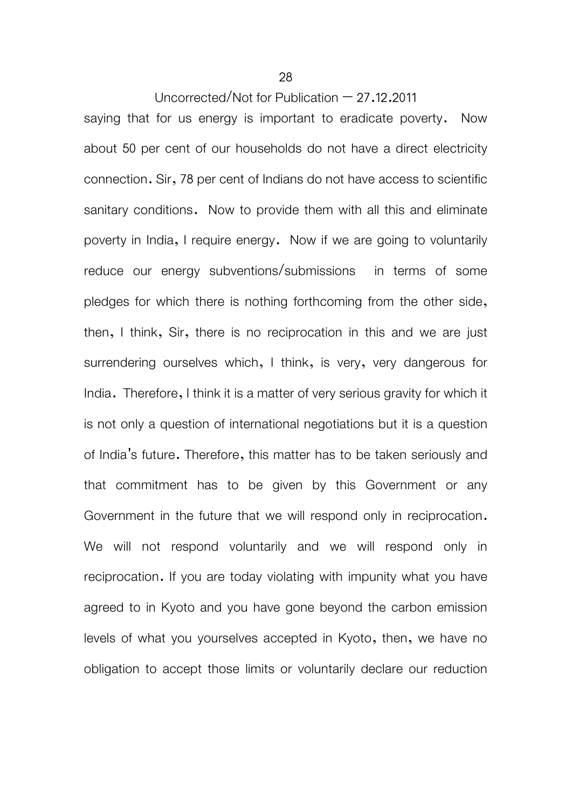saying that for us energy is important to eradicate poverty. Now about 50 per cent of our households do not have a direct electricity connection. Sir, 78 per cent of Indians do not have access to scientific sanitary conditions. Now to provide them with all this and eliminate poverty in India, I require energy. Now if we are going to voluntarily reduce our energy subventions/submissions in terms of some pledges for which there is nothing forthcoming from the other side, then, I think, Sir, there is no reciprocation in this and we are just surrendering ourselves which, I think, is very, very dangerous for India. Therefore, I think it is a matter of very serious gravity for which it is not only a question of international negotiations but it is a question of India's future. Therefore, this matter has to be taken seriously and that commitment has to be given by this Government or any Government in the future that we will respond only in reciprocation. We will not respond voluntarily and we will respond only in reciprocation. If you are today violating with impunity what you have agreed to in Kyoto and you have gone beyond the carbon emission levels of what you yourselves accepted in Kyoto, then, we have no obligation to accept those limits or voluntarily declare our reduction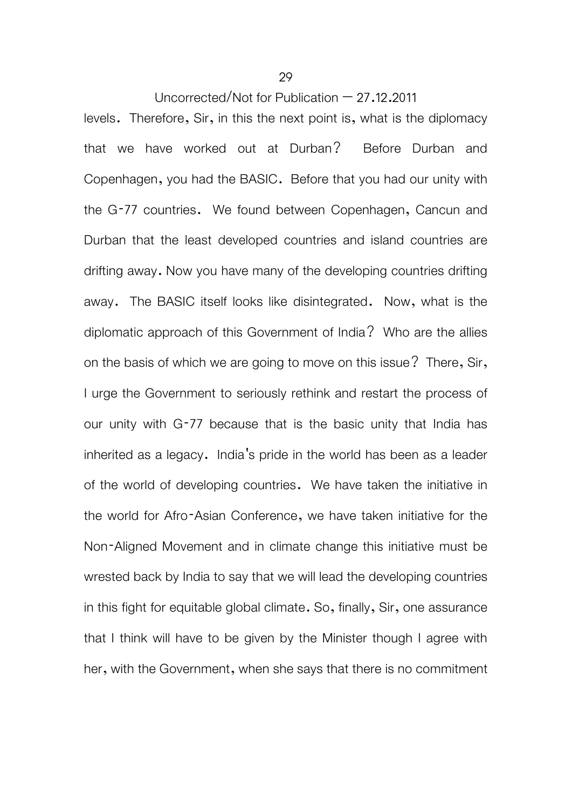levels. Therefore, Sir, in this the next point is, what is the diplomacy that we have worked out at Durban? Before Durban and Copenhagen, you had the BASIC. Before that you had our unity with the G-77 countries. We found between Copenhagen, Cancun and Durban that the least developed countries and island countries are drifting away. Now you have many of the developing countries drifting away. The BASIC itself looks like disintegrated. Now, what is the diplomatic approach of this Government of India? Who are the allies on the basis of which we are going to move on this issue? There, Sir, I urge the Government to seriously rethink and restart the process of our unity with G-77 because that is the basic unity that India has inherited as a legacy. India's pride in the world has been as a leader of the world of developing countries. We have taken the initiative in the world for Afro-Asian Conference, we have taken initiative for the Non-Aligned Movement and in climate change this initiative must be wrested back by India to say that we will lead the developing countries in this fight for equitable global climate. So, finally, Sir, one assurance that I think will have to be given by the Minister though I agree with her, with the Government, when she says that there is no commitment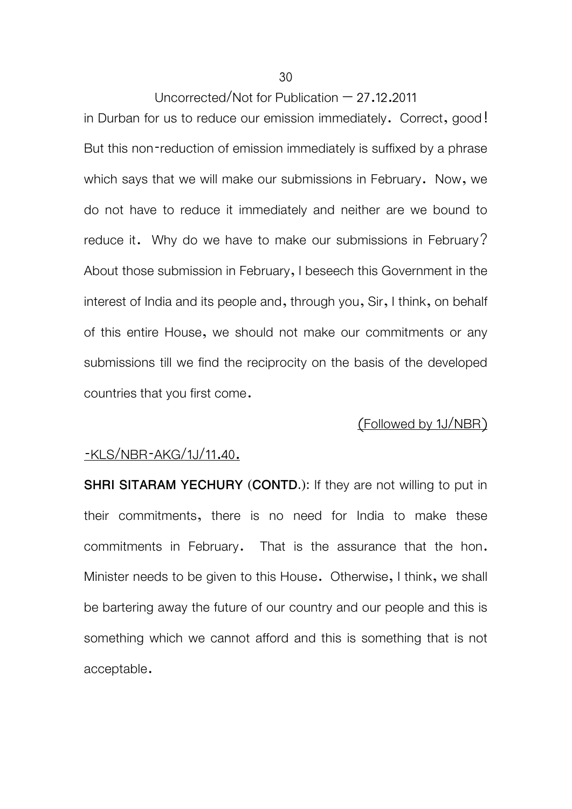in Durban for us to reduce our emission immediately. Correct, good! But this non-reduction of emission immediately is suffixed by a phrase which says that we will make our submissions in February. Now, we do not have to reduce it immediately and neither are we bound to reduce it. Why do we have to make our submissions in February? About those submission in February, I beseech this Government in the interest of India and its people and, through you, Sir, I think, on behalf of this entire House, we should not make our commitments or any submissions till we find the reciprocity on the basis of the developed countries that you first come.

#### (Followed by 1J/NBR)

#### -KLS/NBR-AKG/1J/11.40.

**SHRI SITARAM YECHURY (CONTD.):** If they are not willing to put in their commitments, there is no need for India to make these commitments in February. That is the assurance that the hon. Minister needs to be given to this House. Otherwise, I think, we shall be bartering away the future of our country and our people and this is something which we cannot afford and this is something that is not acceptable.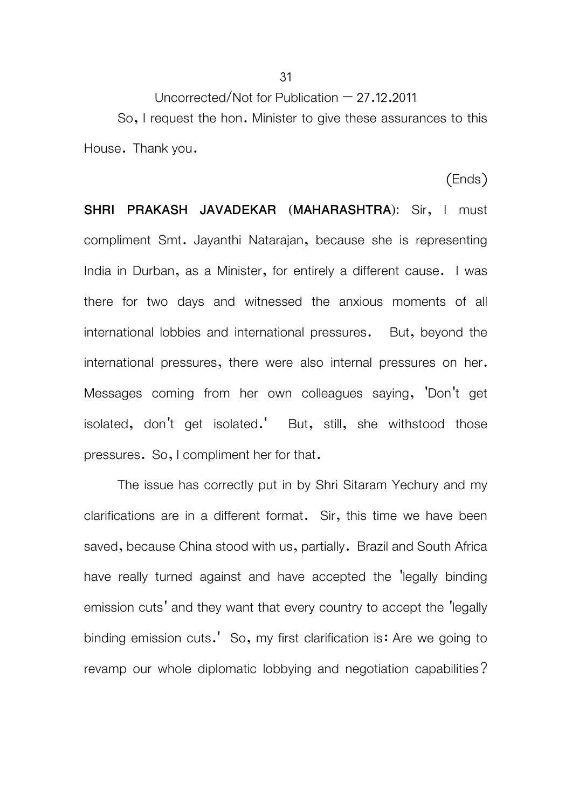So, I request the hon. Minister to give these assurances to this House. Thank you.

(Ends)

**SHRI PRAKASH JAVADEKAR (MAHARASHTRA):** Sir, I must compliment Smt. Jayanthi Natarajan, because she is representing India in Durban, as a Minister, for entirely a different cause. I was there for two days and witnessed the anxious moments of all international lobbies and international pressures. But, beyond the international pressures, there were also internal pressures on her. Messages coming from her own colleagues saying, 'Don't get isolated, don't get isolated.' But, still, she withstood those pressures. So, I compliment her for that.

 The issue has correctly put in by Shri Sitaram Yechury and my clarifications are in a different format. Sir, this time we have been saved, because China stood with us, partially. Brazil and South Africa have really turned against and have accepted the 'legally binding emission cuts' and they want that every country to accept the 'legally binding emission cuts.' So, my first clarification is: Are we going to revamp our whole diplomatic lobbying and negotiation capabilities?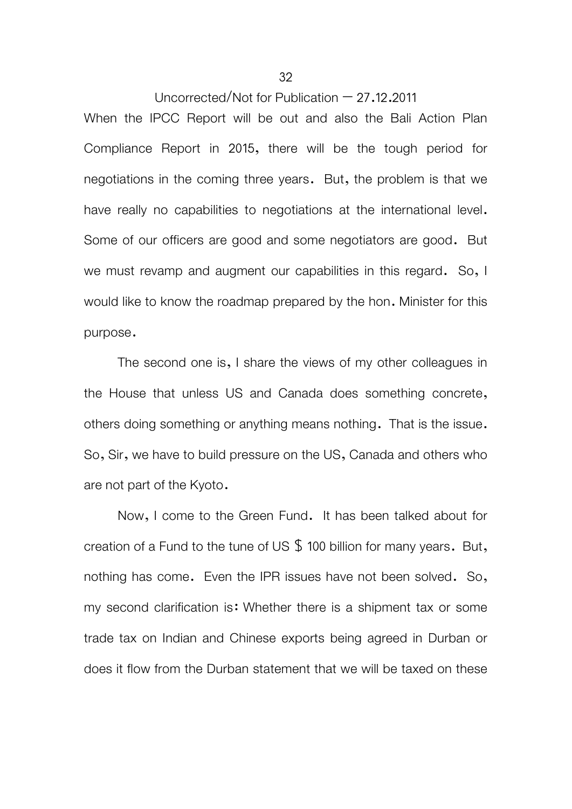When the IPCC Report will be out and also the Bali Action Plan Compliance Report in 2015, there will be the tough period for negotiations in the coming three years. But, the problem is that we have really no capabilities to negotiations at the international level. Some of our officers are good and some negotiators are good. But we must revamp and augment our capabilities in this regard. So, I would like to know the roadmap prepared by the hon. Minister for this purpose.

 The second one is, I share the views of my other colleagues in the House that unless US and Canada does something concrete, others doing something or anything means nothing. That is the issue. So, Sir, we have to build pressure on the US, Canada and others who are not part of the Kyoto.

 Now, I come to the Green Fund. It has been talked about for creation of a Fund to the tune of US  $\frac{6}{3}$  100 billion for many years. But, nothing has come. Even the IPR issues have not been solved. So, my second clarification is: Whether there is a shipment tax or some trade tax on Indian and Chinese exports being agreed in Durban or does it flow from the Durban statement that we will be taxed on these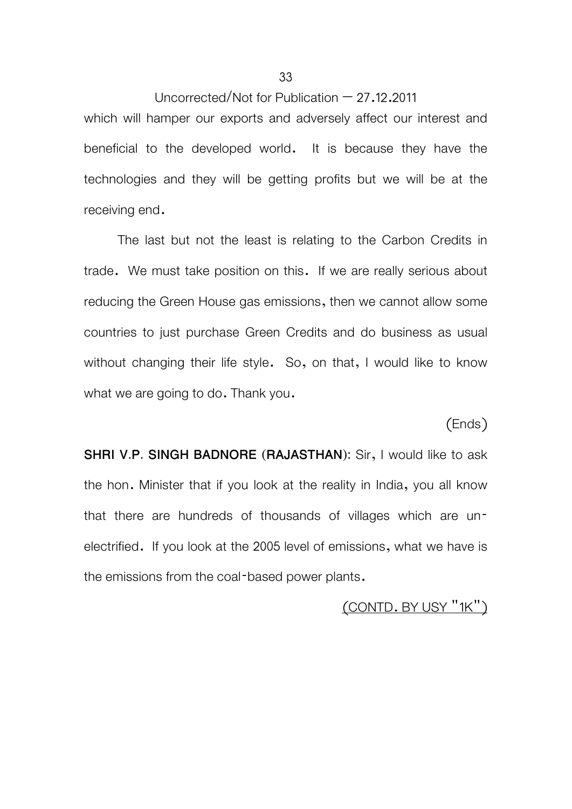which will hamper our exports and adversely affect our interest and beneficial to the developed world. It is because they have the technologies and they will be getting profits but we will be at the receiving end.

 The last but not the least is relating to the Carbon Credits in trade. We must take position on this. If we are really serious about reducing the Green House gas emissions, then we cannot allow some countries to just purchase Green Credits and do business as usual without changing their life style. So, on that, I would like to know what we are going to do. Thank you.

(Ends)

**SHRI V.P. SINGH BADNORE (RAJASTHAN):** Sir, I would like to ask the hon. Minister that if you look at the reality in India, you all know that there are hundreds of thousands of villages which are unelectrified. If you look at the 2005 level of emissions, what we have is the emissions from the coal-based power plants.

(CONTD. BY USY "1K")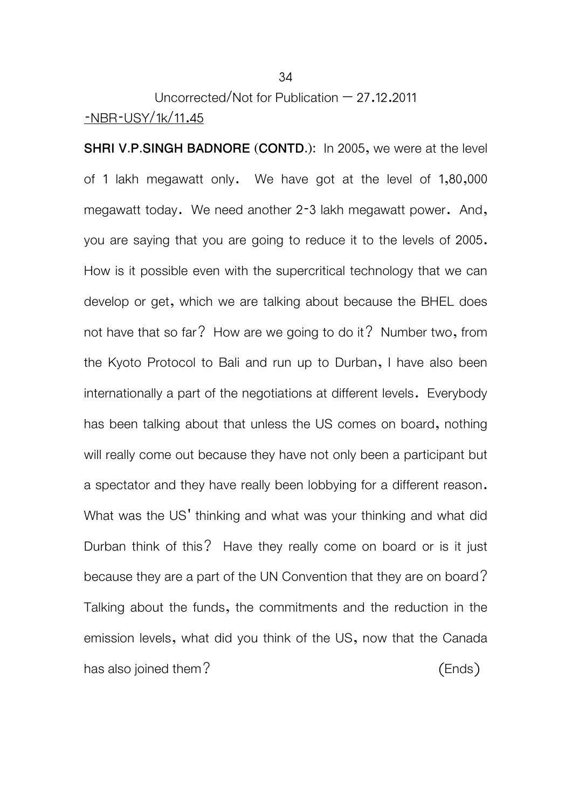## Uncorrected/Not for Publication – 27.12.2011 -NBR-USY/1k/11.45

**SHRI V.P.SINGH BADNORE (CONTD.):** In 2005, we were at the level of 1 lakh megawatt only. We have got at the level of 1,80,000 megawatt today. We need another 2-3 lakh megawatt power. And, you are saying that you are going to reduce it to the levels of 2005. How is it possible even with the supercritical technology that we can develop or get, which we are talking about because the BHEL does not have that so far? How are we going to do it? Number two, from the Kyoto Protocol to Bali and run up to Durban, I have also been internationally a part of the negotiations at different levels. Everybody has been talking about that unless the US comes on board, nothing will really come out because they have not only been a participant but a spectator and they have really been lobbying for a different reason. What was the US' thinking and what was your thinking and what did Durban think of this? Have they really come on board or is it just because they are a part of the UN Convention that they are on board? Talking about the funds, the commitments and the reduction in the emission levels, what did you think of the US, now that the Canada has also joined them? (Ends)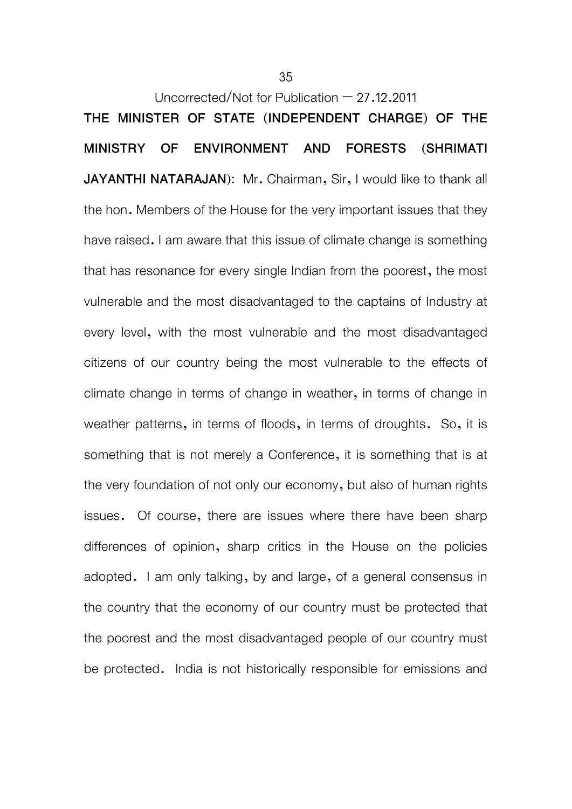Uncorrected/Not for Publication  $-27.12.2011$ **THE MINISTER OF STATE (INDEPENDENT CHARGE) OF THE MINISTRY OF ENVIRONMENT AND FORESTS (SHRIMATI JAYANTHI NATARAJAN**): Mr. Chairman, Sir, I would like to thank all the hon. Members of the House for the very important issues that they have raised. I am aware that this issue of climate change is something that has resonance for every single Indian from the poorest, the most vulnerable and the most disadvantaged to the captains of Industry at every level, with the most vulnerable and the most disadvantaged citizens of our country being the most vulnerable to the effects of climate change in terms of change in weather, in terms of change in weather patterns, in terms of floods, in terms of droughts. So, it is something that is not merely a Conference, it is something that is at the very foundation of not only our economy, but also of human rights issues. Of course, there are issues where there have been sharp differences of opinion, sharp critics in the House on the policies adopted. I am only talking, by and large, of a general consensus in the country that the economy of our country must be protected that the poorest and the most disadvantaged people of our country must be protected. India is not historically responsible for emissions and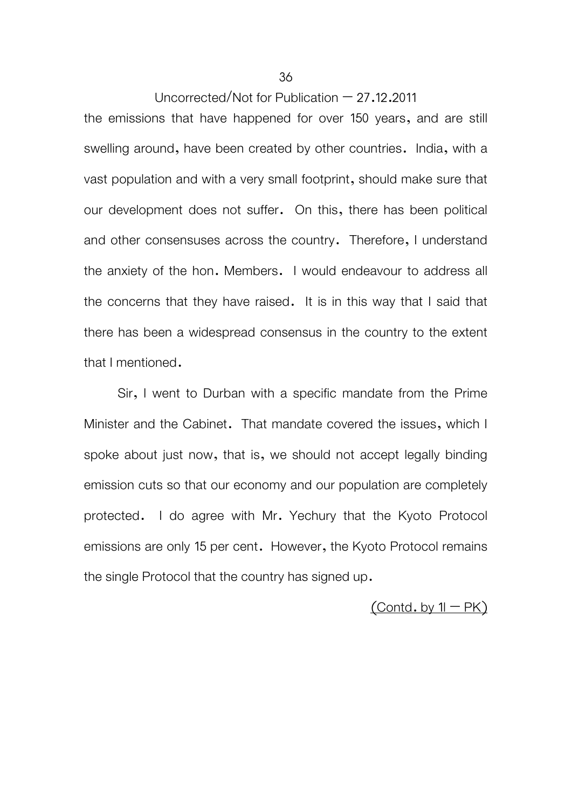the emissions that have happened for over 150 years, and are still swelling around, have been created by other countries. India, with a vast population and with a very small footprint, should make sure that our development does not suffer. On this, there has been political and other consensuses across the country. Therefore, I understand the anxiety of the hon. Members. I would endeavour to address all the concerns that they have raised. It is in this way that I said that there has been a widespread consensus in the country to the extent that I mentioned.

 Sir, I went to Durban with a specific mandate from the Prime Minister and the Cabinet. That mandate covered the issues, which I spoke about just now, that is, we should not accept legally binding emission cuts so that our economy and our population are completely protected. I do agree with Mr. Yechury that the Kyoto Protocol emissions are only 15 per cent. However, the Kyoto Protocol remains the single Protocol that the country has signed up.

 $($ Contd. by  $1I - PK)$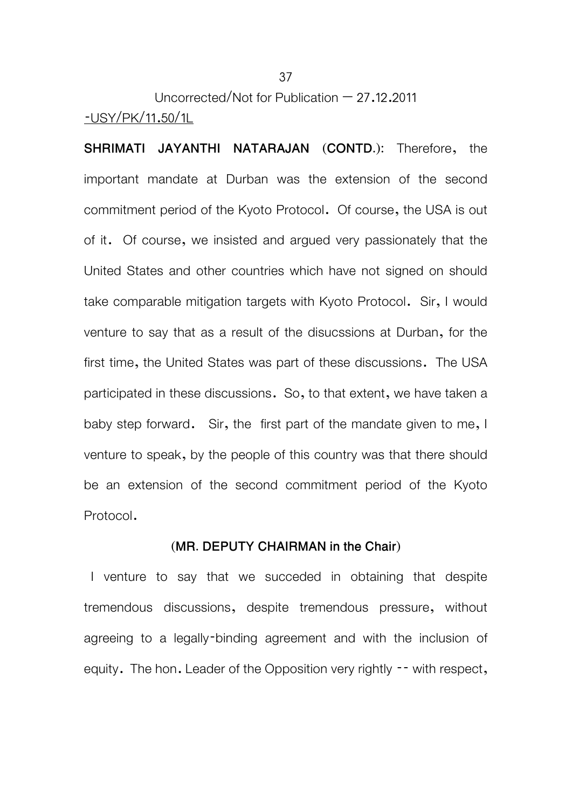Uncorrected/Not for Publication – 27.12.2011 -USY/PK/11.50/1L

**SHRIMATI JAYANTHI NATARAJAN (CONTD.):** Therefore, the important mandate at Durban was the extension of the second commitment period of the Kyoto Protocol. Of course, the USA is out of it. Of course, we insisted and argued very passionately that the United States and other countries which have not signed on should take comparable mitigation targets with Kyoto Protocol. Sir, I would venture to say that as a result of the disucssions at Durban, for the first time, the United States was part of these discussions. The USA participated in these discussions. So, to that extent, we have taken a baby step forward. Sir, the first part of the mandate given to me, I venture to speak, by the people of this country was that there should be an extension of the second commitment period of the Kyoto Protocol.

#### **(MR. DEPUTY CHAIRMAN in the Chair)**

 I venture to say that we succeded in obtaining that despite tremendous discussions, despite tremendous pressure, without agreeing to a legally-binding agreement and with the inclusion of equity. The hon. Leader of the Opposition very rightly -- with respect,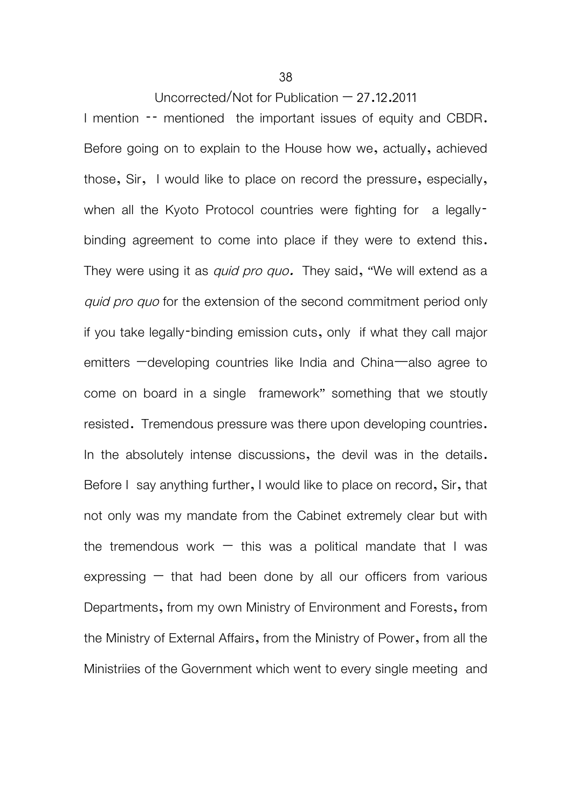I mention  $-$  mentioned the important issues of equity and CBDR. Before going on to explain to the House how we, actually, achieved those, Sir, I would like to place on record the pressure, especially, when all the Kyoto Protocol countries were fighting for a legallybinding agreement to come into place if they were to extend this. They were using it as *quid pro quo.* They said, "We will extend as a *quid pro quo* for the extension of the second commitment period only if you take legally-binding emission cuts, only if what they call major emitters –developing countries like India and China—also agree to come on board in a single framework" something that we stoutly resisted. Tremendous pressure was there upon developing countries. In the absolutely intense discussions, the devil was in the details. Before I say anything further, I would like to place on record, Sir, that not only was my mandate from the Cabinet extremely clear but with the tremendous work  $-$  this was a political mandate that I was expressing  $-$  that had been done by all our officers from various Departments, from my own Ministry of Environment and Forests, from the Ministry of External Affairs, from the Ministry of Power, from all the Ministriies of the Government which went to every single meeting and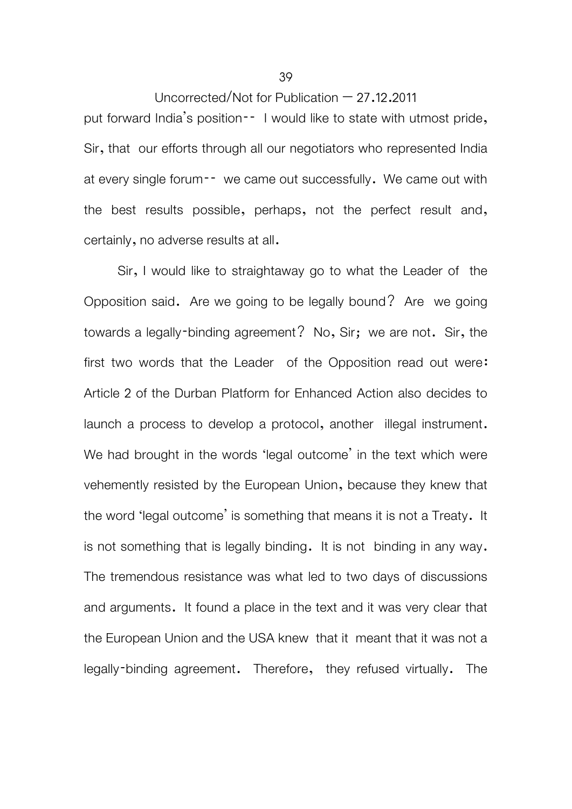put forward India's position-- I would like to state with utmost pride, Sir, that our efforts through all our negotiators who represented India at every single forum<sup>--</sup> we came out successfully. We came out with the best results possible, perhaps, not the perfect result and, certainly, no adverse results at all.

 Sir, I would like to straightaway go to what the Leader of the Opposition said. Are we going to be legally bound? Are we going towards a legally-binding agreement? No, Sir; we are not. Sir, the first two words that the Leader of the Opposition read out were: Article 2 of the Durban Platform for Enhanced Action also decides to launch a process to develop a protocol, another illegal instrument. We had brought in the words 'legal outcome' in the text which were vehemently resisted by the European Union, because they knew that the word 'legal outcome' is something that means it is not a Treaty. It is not something that is legally binding. It is not binding in any way. The tremendous resistance was what led to two days of discussions and arguments. It found a place in the text and it was very clear that the European Union and the USA knew that it meant that it was not a legally-binding agreement. Therefore, they refused virtually. The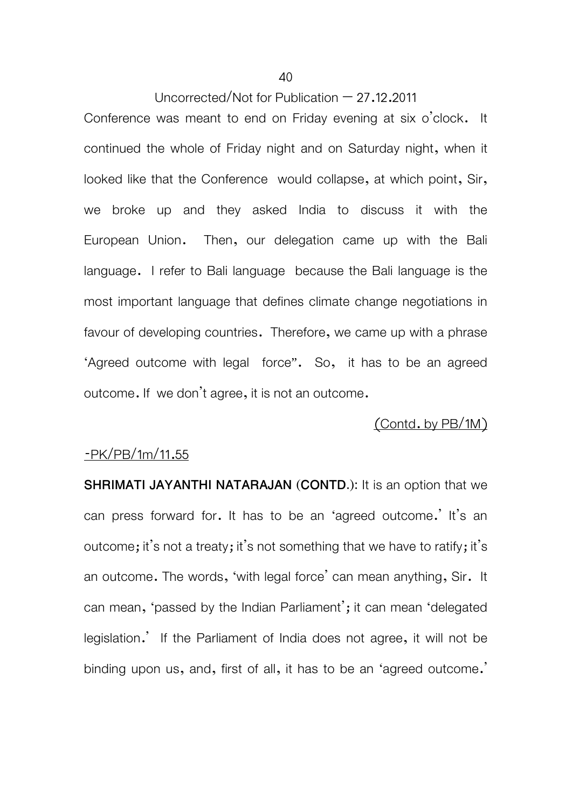Conference was meant to end on Friday evening at six o'clock. It continued the whole of Friday night and on Saturday night, when it looked like that the Conference would collapse, at which point, Sir, we broke up and they asked India to discuss it with the European Union. Then, our delegation came up with the Bali language. I refer to Bali language because the Bali language is the most important language that defines climate change negotiations in favour of developing countries. Therefore, we came up with a phrase 'Agreed outcome with legal force". So, it has to be an agreed outcome. If we don't agree, it is not an outcome.

## (Contd. by PB/1M)

#### -PK/PB/1m/11.55

**SHRIMATI JAYANTHI NATARAJAN (CONTD.):** It is an option that we can press forward for. It has to be an 'agreed outcome.' It's an outcome; it's not a treaty; it's not something that we have to ratify; it's an outcome. The words, 'with legal force' can mean anything, Sir. It can mean, 'passed by the Indian Parliament'; it can mean 'delegated legislation.' If the Parliament of India does not agree, it will not be binding upon us, and, first of all, it has to be an 'agreed outcome.'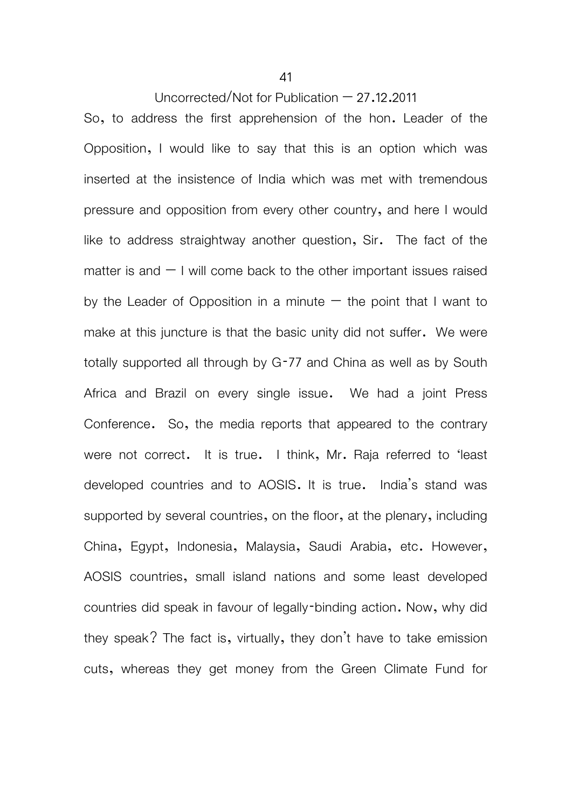So, to address the first apprehension of the hon. Leader of the Opposition, I would like to say that this is an option which was inserted at the insistence of India which was met with tremendous pressure and opposition from every other country, and here I would like to address straightway another question, Sir. The fact of the matter is and  $-1$  will come back to the other important issues raised by the Leader of Opposition in a minute  $-$  the point that I want to make at this juncture is that the basic unity did not suffer. We were totally supported all through by G-77 and China as well as by South Africa and Brazil on every single issue. We had a joint Press Conference. So, the media reports that appeared to the contrary were not correct. It is true. I think, Mr. Raja referred to 'least developed countries and to AOSIS. It is true. India's stand was supported by several countries, on the floor, at the plenary, including China, Egypt, Indonesia, Malaysia, Saudi Arabia, etc. However, AOSIS countries, small island nations and some least developed countries did speak in favour of legally-binding action. Now, why did they speak? The fact is, virtually, they don't have to take emission cuts, whereas they get money from the Green Climate Fund for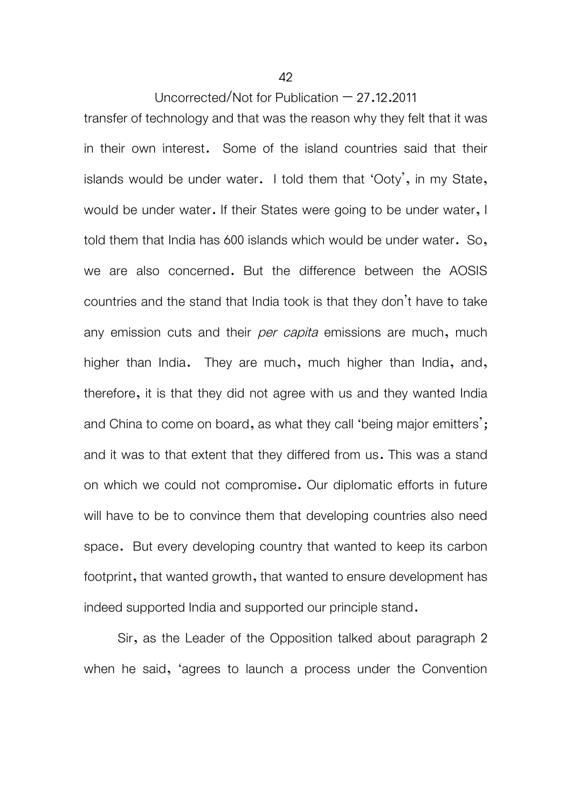transfer of technology and that was the reason why they felt that it was in their own interest. Some of the island countries said that their islands would be under water. I told them that 'Ooty', in my State, would be under water. If their States were going to be under water, I told them that India has 600 islands which would be under water. So, we are also concerned. But the difference between the AOSIS countries and the stand that India took is that they don't have to take any emission cuts and their *per capita* emissions are much, much higher than India. They are much, much higher than India, and, therefore, it is that they did not agree with us and they wanted India and China to come on board, as what they call 'being major emitters'; and it was to that extent that they differed from us. This was a stand on which we could not compromise. Our diplomatic efforts in future will have to be to convince them that developing countries also need space. But every developing country that wanted to keep its carbon footprint, that wanted growth, that wanted to ensure development has indeed supported India and supported our principle stand.

 Sir, as the Leader of the Opposition talked about paragraph 2 when he said, 'agrees to launch a process under the Convention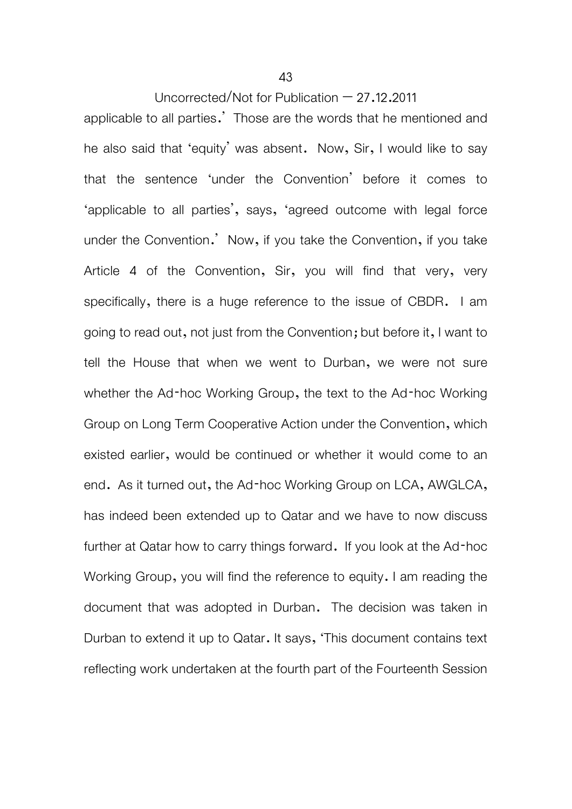applicable to all parties.' Those are the words that he mentioned and he also said that 'equity' was absent. Now, Sir, I would like to say that the sentence 'under the Convention' before it comes to 'applicable to all parties', says, 'agreed outcome with legal force under the Convention.' Now, if you take the Convention, if you take Article 4 of the Convention, Sir, you will find that very, very specifically, there is a huge reference to the issue of CBDR. I am going to read out, not just from the Convention; but before it, I want to tell the House that when we went to Durban, we were not sure whether the Ad-hoc Working Group, the text to the Ad-hoc Working Group on Long Term Cooperative Action under the Convention, which existed earlier, would be continued or whether it would come to an end. As it turned out, the Ad-hoc Working Group on LCA, AWGLCA, has indeed been extended up to Qatar and we have to now discuss further at Qatar how to carry things forward. If you look at the Ad-hoc Working Group, you will find the reference to equity. I am reading the document that was adopted in Durban. The decision was taken in Durban to extend it up to Qatar. It says, 'This document contains text reflecting work undertaken at the fourth part of the Fourteenth Session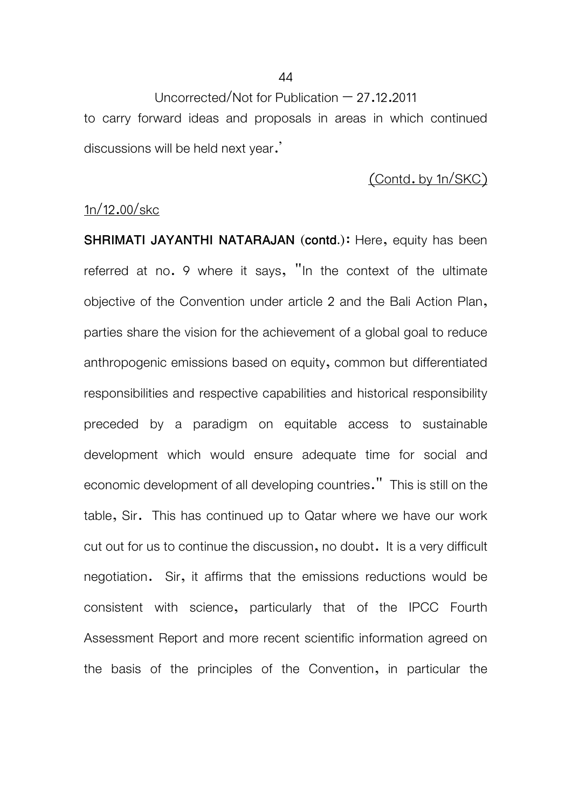Uncorrected/Not for Publication  $-27.12.2011$ to carry forward ideas and proposals in areas in which continued

## (Contd. by 1n/SKC)

## 1n/12.00/skc

discussions will be held next year.'

**SHRIMATI JAYANTHI NATARAJAN (contd.)**: Here, equity has been referred at no. 9 where it says, "In the context of the ultimate objective of the Convention under article 2 and the Bali Action Plan, parties share the vision for the achievement of a global goal to reduce anthropogenic emissions based on equity, common but differentiated responsibilities and respective capabilities and historical responsibility preceded by a paradigm on equitable access to sustainable development which would ensure adequate time for social and economic development of all developing countries." This is still on the table, Sir. This has continued up to Qatar where we have our work cut out for us to continue the discussion, no doubt. It is a very difficult negotiation. Sir, it affirms that the emissions reductions would be consistent with science, particularly that of the IPCC Fourth Assessment Report and more recent scientific information agreed on the basis of the principles of the Convention, in particular the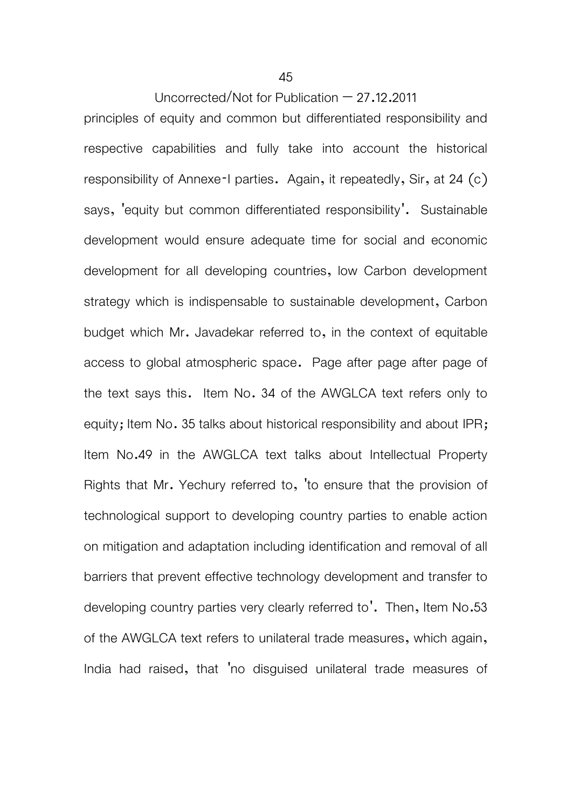principles of equity and common but differentiated responsibility and respective capabilities and fully take into account the historical responsibility of Annexe-I parties. Again, it repeatedly, Sir, at 24 (c) says, 'equity but common differentiated responsibility'. Sustainable development would ensure adequate time for social and economic development for all developing countries, low Carbon development strategy which is indispensable to sustainable development, Carbon budget which Mr. Javadekar referred to, in the context of equitable access to global atmospheric space. Page after page after page of the text says this. Item No. 34 of the AWGLCA text refers only to equity; Item No. 35 talks about historical responsibility and about IPR; Item No.49 in the AWGLCA text talks about Intellectual Property Rights that Mr. Yechury referred to, 'to ensure that the provision of technological support to developing country parties to enable action on mitigation and adaptation including identification and removal of all barriers that prevent effective technology development and transfer to developing country parties very clearly referred to'. Then, Item No.53 of the AWGLCA text refers to unilateral trade measures, which again, India had raised, that 'no disguised unilateral trade measures of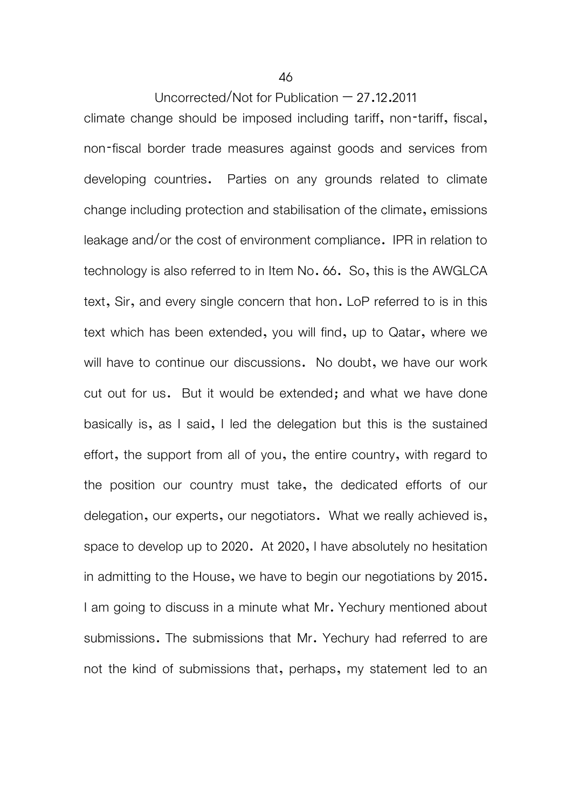climate change should be imposed including tariff, non-tariff, fiscal, non-fiscal border trade measures against goods and services from developing countries. Parties on any grounds related to climate change including protection and stabilisation of the climate, emissions leakage and/or the cost of environment compliance. IPR in relation to technology is also referred to in Item No. 66. So, this is the AWGLCA text, Sir, and every single concern that hon. LoP referred to is in this text which has been extended, you will find, up to Qatar, where we will have to continue our discussions. No doubt, we have our work cut out for us. But it would be extended; and what we have done basically is, as I said, I led the delegation but this is the sustained effort, the support from all of you, the entire country, with regard to the position our country must take, the dedicated efforts of our delegation, our experts, our negotiators. What we really achieved is, space to develop up to 2020. At 2020, I have absolutely no hesitation in admitting to the House, we have to begin our negotiations by 2015. I am going to discuss in a minute what Mr. Yechury mentioned about submissions. The submissions that Mr. Yechury had referred to are not the kind of submissions that, perhaps, my statement led to an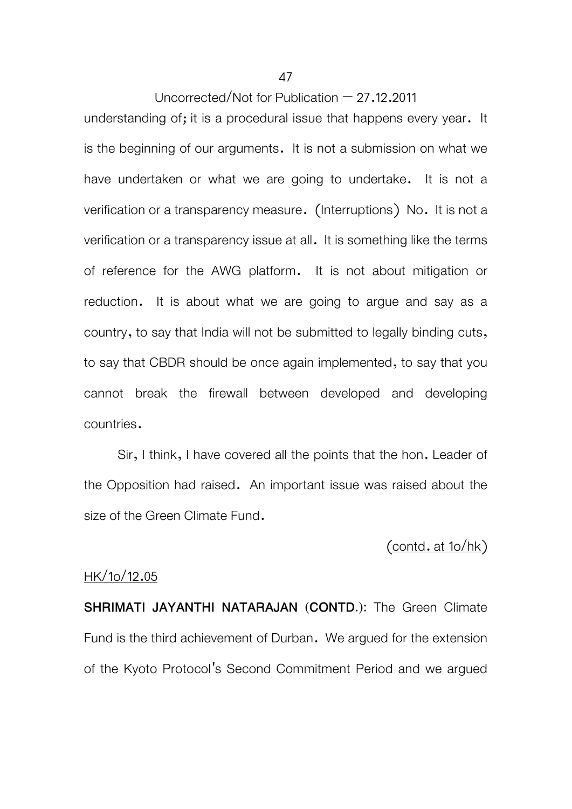understanding of; it is a procedural issue that happens every year. It is the beginning of our arguments. It is not a submission on what we have undertaken or what we are going to undertake. It is not a verification or a transparency measure. (Interruptions) No. It is not a verification or a transparency issue at all. It is something like the terms of reference for the AWG platform. It is not about mitigation or reduction. It is about what we are going to argue and say as a country, to say that India will not be submitted to legally binding cuts, to say that CBDR should be once again implemented, to say that you cannot break the firewall between developed and developing countries.

 Sir, I think, I have covered all the points that the hon. Leader of the Opposition had raised. An important issue was raised about the size of the Green Climate Fund.

(contd. at 1o/hk)

# HK/1o/12.05

**SHRIMATI JAYANTHI NATARAJAN (CONTD.):** The Green Climate Fund is the third achievement of Durban. We argued for the extension of the Kyoto Protocol's Second Commitment Period and we argued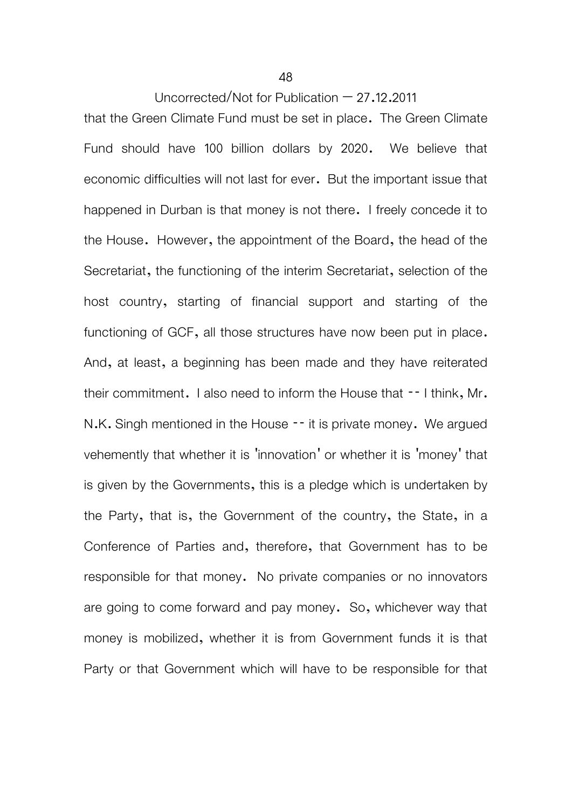that the Green Climate Fund must be set in place. The Green Climate Fund should have 100 billion dollars by 2020. We believe that economic difficulties will not last for ever. But the important issue that happened in Durban is that money is not there. I freely concede it to the House. However, the appointment of the Board, the head of the Secretariat, the functioning of the interim Secretariat, selection of the host country, starting of financial support and starting of the functioning of GCF, all those structures have now been put in place. And, at least, a beginning has been made and they have reiterated their commitment. I also need to inform the House that -- I think, Mr. N.K. Singh mentioned in the House -- it is private money. We argued vehemently that whether it is 'innovation' or whether it is 'money' that is given by the Governments, this is a pledge which is undertaken by the Party, that is, the Government of the country, the State, in a Conference of Parties and, therefore, that Government has to be responsible for that money. No private companies or no innovators are going to come forward and pay money. So, whichever way that money is mobilized, whether it is from Government funds it is that Party or that Government which will have to be responsible for that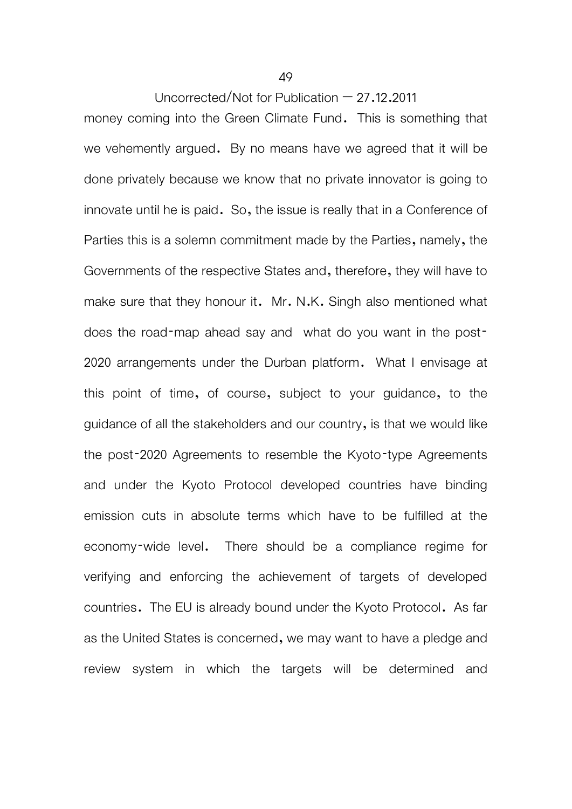49

Uncorrected/Not for Publication  $-27.12.2011$ 

money coming into the Green Climate Fund. This is something that we vehemently argued. By no means have we agreed that it will be done privately because we know that no private innovator is going to innovate until he is paid. So, the issue is really that in a Conference of Parties this is a solemn commitment made by the Parties, namely, the Governments of the respective States and, therefore, they will have to make sure that they honour it. Mr. N.K. Singh also mentioned what does the road-map ahead say and what do you want in the post-2020 arrangements under the Durban platform. What I envisage at this point of time, of course, subject to your guidance, to the guidance of all the stakeholders and our country, is that we would like the post-2020 Agreements to resemble the Kyoto-type Agreements and under the Kyoto Protocol developed countries have binding emission cuts in absolute terms which have to be fulfilled at the economy-wide level. There should be a compliance regime for verifying and enforcing the achievement of targets of developed countries. The EU is already bound under the Kyoto Protocol. As far as the United States is concerned, we may want to have a pledge and review system in which the targets will be determined and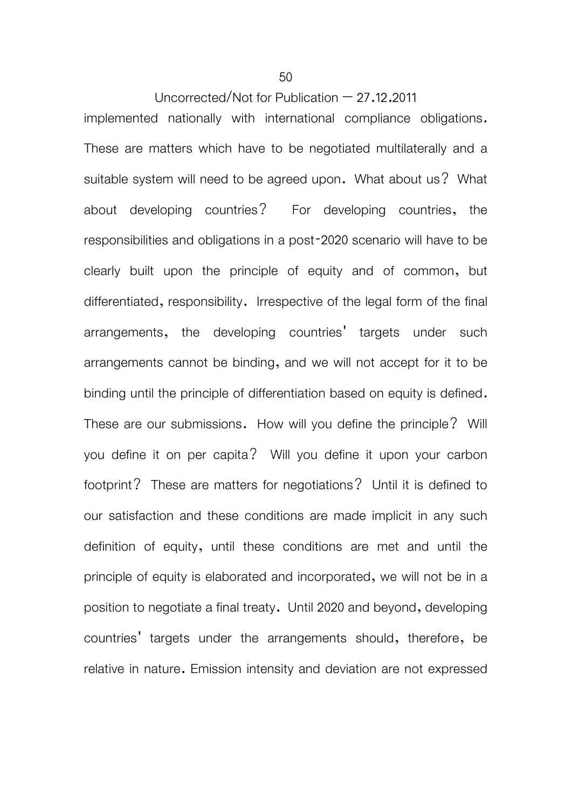implemented nationally with international compliance obligations. These are matters which have to be negotiated multilaterally and a suitable system will need to be agreed upon. What about us? What about developing countries? For developing countries, the responsibilities and obligations in a post-2020 scenario will have to be clearly built upon the principle of equity and of common, but differentiated, responsibility. Irrespective of the legal form of the final arrangements, the developing countries' targets under such arrangements cannot be binding, and we will not accept for it to be binding until the principle of differentiation based on equity is defined. These are our submissions. How will you define the principle? Will you define it on per capita? Will you define it upon your carbon footprint? These are matters for negotiations? Until it is defined to our satisfaction and these conditions are made implicit in any such definition of equity, until these conditions are met and until the principle of equity is elaborated and incorporated, we will not be in a position to negotiate a final treaty. Until 2020 and beyond, developing countries' targets under the arrangements should, therefore, be relative in nature. Emission intensity and deviation are not expressed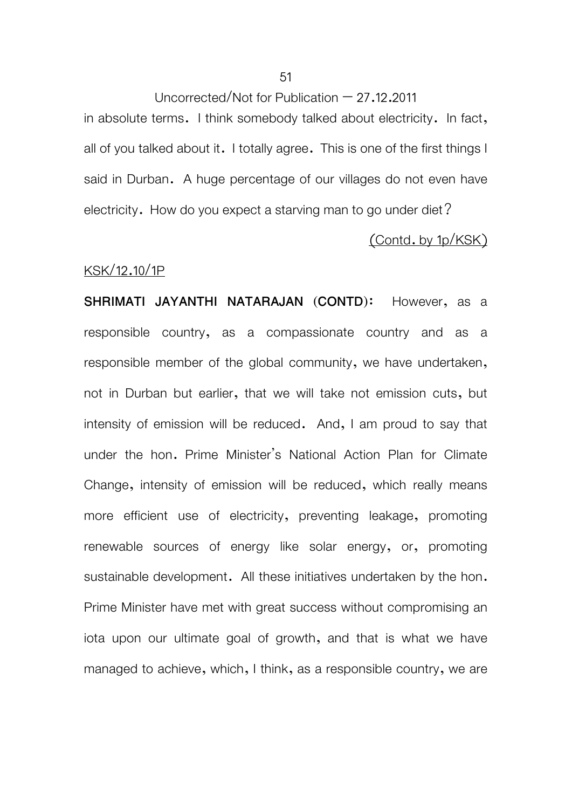in absolute terms. I think somebody talked about electricity. In fact, all of you talked about it. I totally agree. This is one of the first things I said in Durban. A huge percentage of our villages do not even have electricity. How do you expect a starving man to go under diet?

#### (Contd. by 1p/KSK)

#### KSK/12.10/1P

**SHRIMATI JAYANTHI NATARAJAN (CONTD)**: However, as a responsible country, as a compassionate country and as a responsible member of the global community, we have undertaken, not in Durban but earlier, that we will take not emission cuts, but intensity of emission will be reduced. And, I am proud to say that under the hon. Prime Minister's National Action Plan for Climate Change, intensity of emission will be reduced, which really means more efficient use of electricity, preventing leakage, promoting renewable sources of energy like solar energy, or, promoting sustainable development. All these initiatives undertaken by the hon. Prime Minister have met with great success without compromising an iota upon our ultimate goal of growth, and that is what we have managed to achieve, which, I think, as a responsible country, we are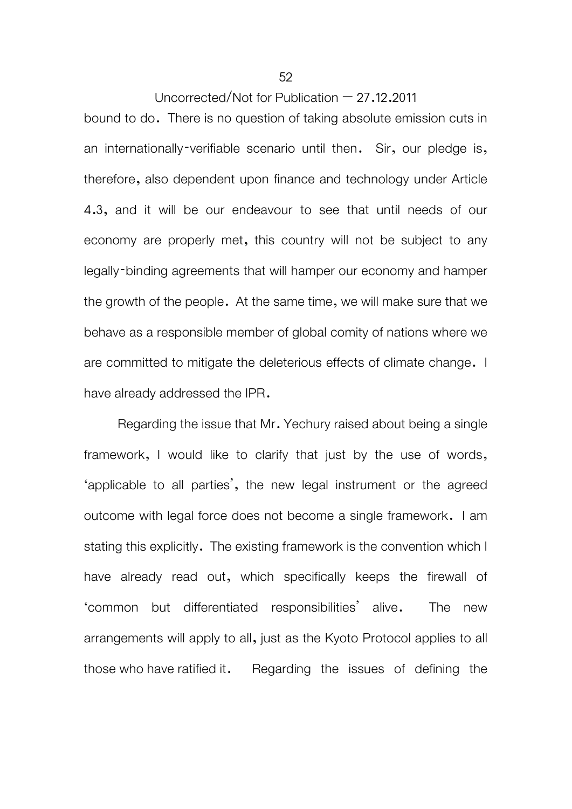bound to do. There is no question of taking absolute emission cuts in an internationally-verifiable scenario until then. Sir, our pledge is, therefore, also dependent upon finance and technology under Article 4.3, and it will be our endeavour to see that until needs of our economy are properly met, this country will not be subject to any legally-binding agreements that will hamper our economy and hamper the growth of the people. At the same time, we will make sure that we behave as a responsible member of global comity of nations where we are committed to mitigate the deleterious effects of climate change. I have already addressed the IPR.

Regarding the issue that Mr. Yechury raised about being a single framework, I would like to clarify that just by the use of words, 'applicable to all parties', the new legal instrument or the agreed outcome with legal force does not become a single framework. I am stating this explicitly. The existing framework is the convention which I have already read out, which specifically keeps the firewall of 'common but differentiated responsibilities' alive. The new arrangements will apply to all, just as the Kyoto Protocol applies to all those who have ratified it. Regarding the issues of defining the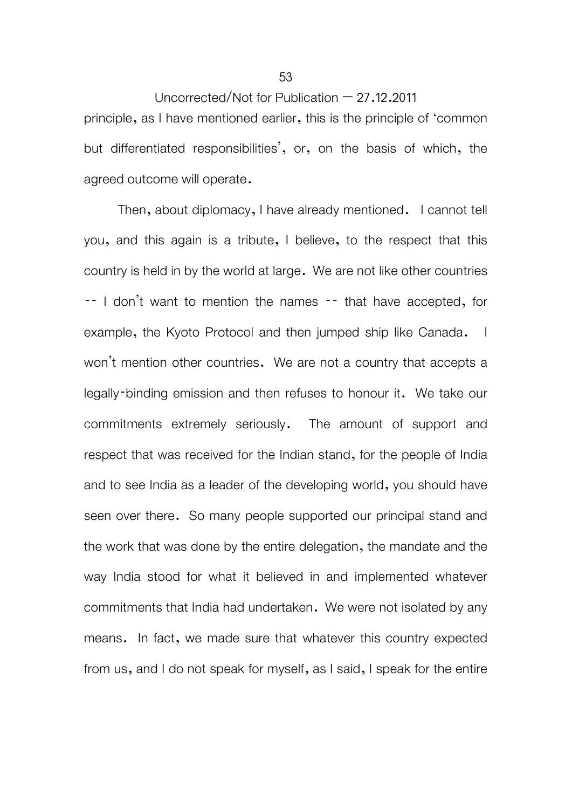Uncorrected/Not for Publication  $-27.12.2011$ principle, as I have mentioned earlier, this is the principle of 'common but differentiated responsibilities', or, on the basis of which, the agreed outcome will operate.

 Then, about diplomacy, I have already mentioned. I cannot tell you, and this again is a tribute, I believe, to the respect that this country is held in by the world at large. We are not like other countries -- I don't want to mention the names -- that have accepted, for example, the Kyoto Protocol and then jumped ship like Canada. I won't mention other countries. We are not a country that accepts a legally-binding emission and then refuses to honour it. We take our commitments extremely seriously. The amount of support and respect that was received for the Indian stand, for the people of India and to see India as a leader of the developing world, you should have seen over there. So many people supported our principal stand and the work that was done by the entire delegation, the mandate and the way India stood for what it believed in and implemented whatever commitments that India had undertaken. We were not isolated by any means. In fact, we made sure that whatever this country expected from us, and I do not speak for myself, as I said, I speak for the entire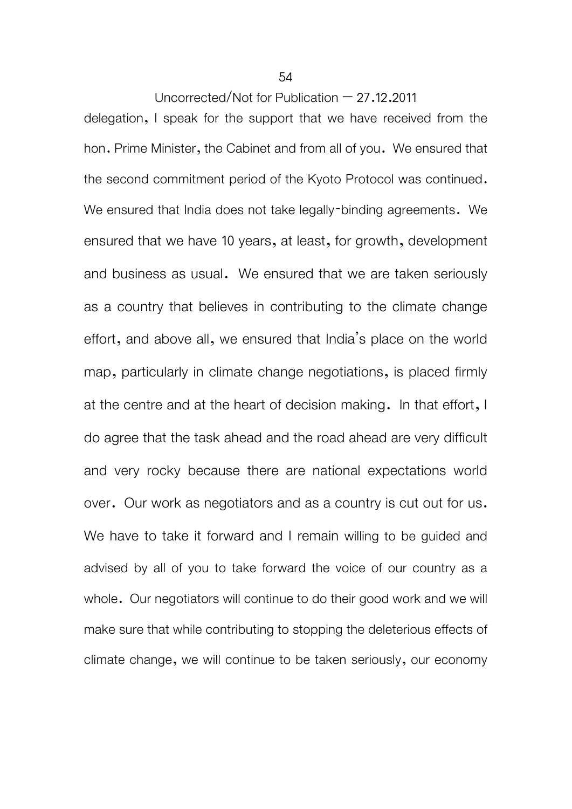delegation, I speak for the support that we have received from the hon. Prime Minister, the Cabinet and from all of you. We ensured that the second commitment period of the Kyoto Protocol was continued. We ensured that India does not take legally-binding agreements. We ensured that we have 10 years, at least, for growth, development and business as usual. We ensured that we are taken seriously as a country that believes in contributing to the climate change effort, and above all, we ensured that India's place on the world map, particularly in climate change negotiations, is placed firmly at the centre and at the heart of decision making. In that effort, I do agree that the task ahead and the road ahead are very difficult and very rocky because there are national expectations world over. Our work as negotiators and as a country is cut out for us. We have to take it forward and I remain willing to be guided and advised by all of you to take forward the voice of our country as a whole. Our negotiators will continue to do their good work and we will make sure that while contributing to stopping the deleterious effects of climate change, we will continue to be taken seriously, our economy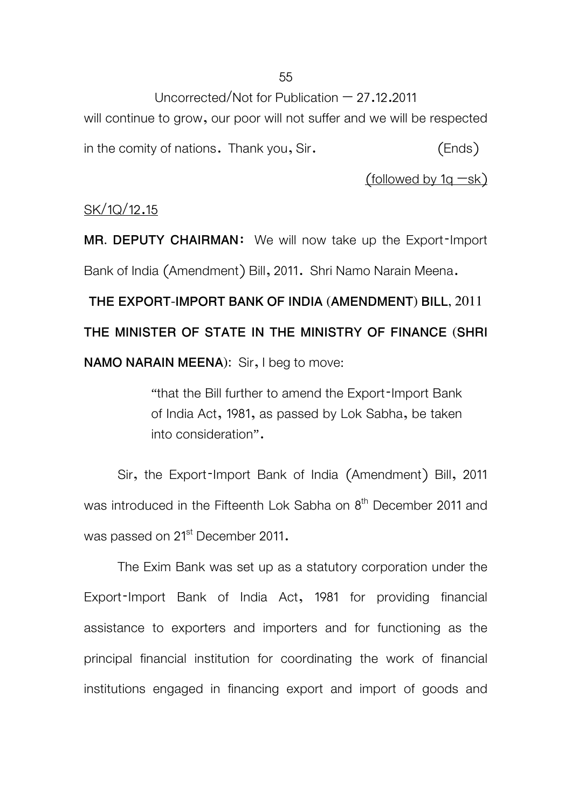will continue to grow, our poor will not suffer and we will be respected in the comity of nations. Thank you, Sir. (Ends)

 $(followed$  by 1g  $-sk)$ 

## SK/1Q/12.15

**MR. DEPUTY CHAIRMAN**: We will now take up the Export-Import Bank of India (Amendment) Bill, 2011. Shri Namo Narain Meena.

**THE EXPORT-IMPORT BANK OF INDIA (AMENDMENT) BILL, 2011 THE MINISTER OF STATE IN THE MINISTRY OF FINANCE (SHRI NAMO NARAIN MEENA):** Sir, I beg to move:

> "that the Bill further to amend the Export-Import Bank of India Act, 1981, as passed by Lok Sabha, be taken into consideration".

 Sir, the Export-Import Bank of India (Amendment) Bill, 2011 was introduced in the Fifteenth Lok Sabha on 8<sup>th</sup> December 2011 and was passed on 21<sup>st</sup> December 2011.

The Exim Bank was set up as a statutory corporation under the Export-Import Bank of India Act, 1981 for providing financial assistance to exporters and importers and for functioning as the principal financial institution for coordinating the work of financial institutions engaged in financing export and import of goods and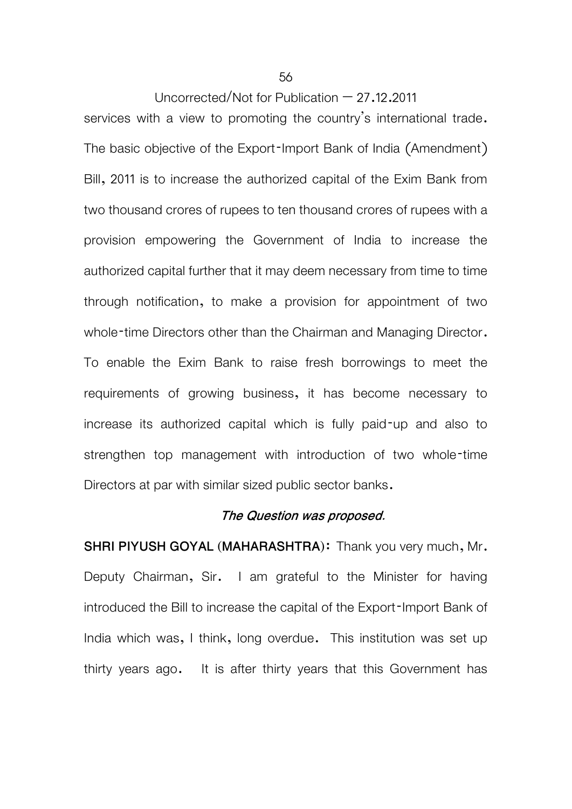services with a view to promoting the country's international trade. The basic objective of the Export-Import Bank of India (Amendment) Bill, 2011 is to increase the authorized capital of the Exim Bank from two thousand crores of rupees to ten thousand crores of rupees with a provision empowering the Government of India to increase the authorized capital further that it may deem necessary from time to time through notification, to make a provision for appointment of two whole-time Directors other than the Chairman and Managing Director. To enable the Exim Bank to raise fresh borrowings to meet the requirements of growing business, it has become necessary to increase its authorized capital which is fully paid-up and also to strengthen top management with introduction of two whole-time Directors at par with similar sized public sector banks.

#### **The Question was proposed.**

**SHRI PIYUSH GOYAL (MAHARASHTRA)**: Thank you very much, Mr. Deputy Chairman, Sir. I am grateful to the Minister for having introduced the Bill to increase the capital of the Export-Import Bank of India which was, I think, long overdue. This institution was set up thirty years ago. It is after thirty years that this Government has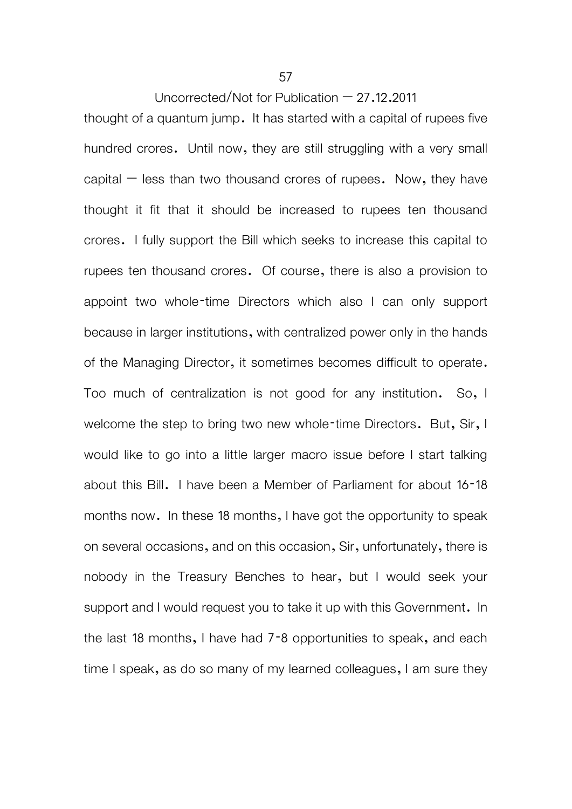thought of a quantum jump. It has started with a capital of rupees five hundred crores. Until now, they are still struggling with a very small capital  $-$  less than two thousand crores of rupees. Now, they have thought it fit that it should be increased to rupees ten thousand crores. I fully support the Bill which seeks to increase this capital to rupees ten thousand crores. Of course, there is also a provision to appoint two whole-time Directors which also I can only support because in larger institutions, with centralized power only in the hands of the Managing Director, it sometimes becomes difficult to operate. Too much of centralization is not good for any institution. So, I welcome the step to bring two new whole-time Directors. But, Sir, I would like to go into a little larger macro issue before I start talking about this Bill. I have been a Member of Parliament for about 16-18 months now. In these 18 months, I have got the opportunity to speak on several occasions, and on this occasion, Sir, unfortunately, there is nobody in the Treasury Benches to hear, but I would seek your support and I would request you to take it up with this Government. In the last 18 months, I have had 7-8 opportunities to speak, and each time I speak, as do so many of my learned colleagues, I am sure they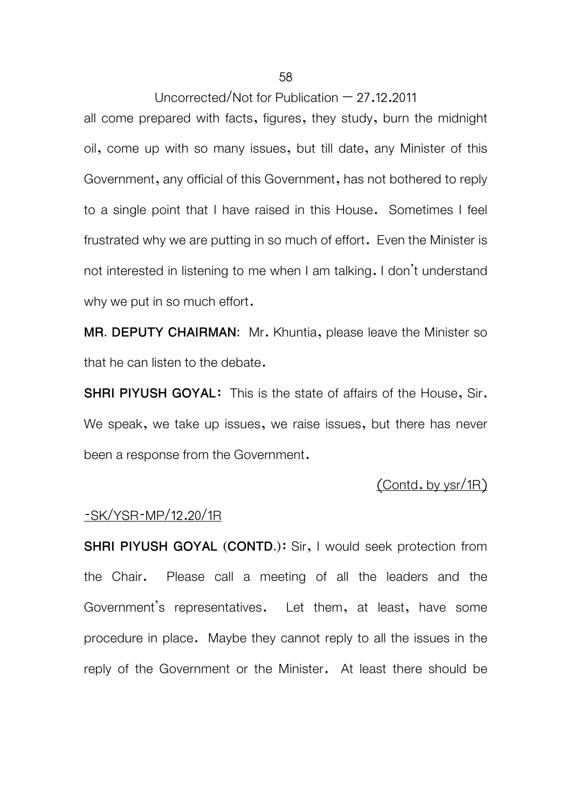all come prepared with facts, figures, they study, burn the midnight oil, come up with so many issues, but till date, any Minister of this Government, any official of this Government, has not bothered to reply to a single point that I have raised in this House. Sometimes I feel frustrated why we are putting in so much of effort. Even the Minister is not interested in listening to me when I am talking. I don't understand why we put in so much effort.

**MR. DEPUTY CHAIRMAN:** Mr. Khuntia, please leave the Minister so that he can listen to the debate.

**SHRI PIYUSH GOYAL**: This is the state of affairs of the House, Sir. We speak, we take up issues, we raise issues, but there has never been a response from the Government.

## (Contd. by ysr/1R)

#### -SK/YSR-MP/12.20/1R

**SHRI PIYUSH GOYAL (CONTD.):** Sir, I would seek protection from the Chair. Please call a meeting of all the leaders and the Government's representatives. Let them, at least, have some procedure in place. Maybe they cannot reply to all the issues in the reply of the Government or the Minister. At least there should be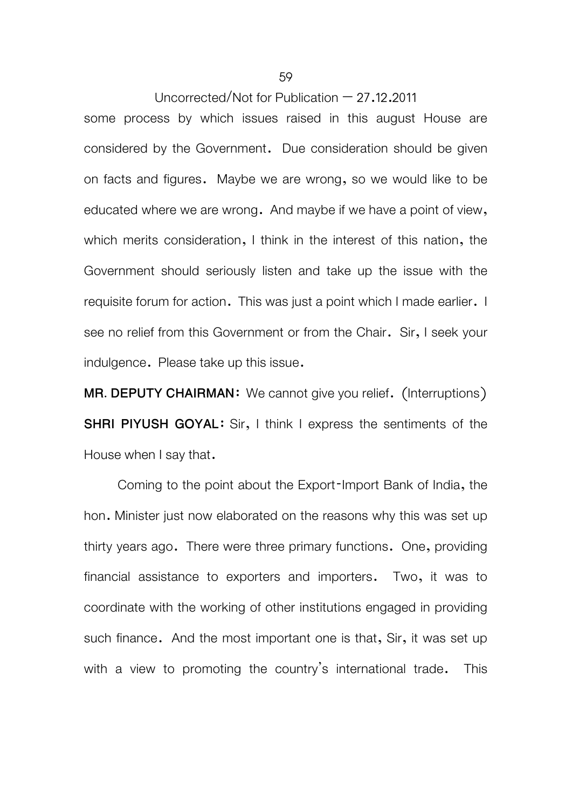some process by which issues raised in this august House are considered by the Government. Due consideration should be given on facts and figures. Maybe we are wrong, so we would like to be educated where we are wrong. And maybe if we have a point of view, which merits consideration, I think in the interest of this nation, the Government should seriously listen and take up the issue with the requisite forum for action. This was just a point which I made earlier. I see no relief from this Government or from the Chair. Sir, I seek your indulgence. Please take up this issue.

**MR. DEPUTY CHAIRMAN:** We cannot give you relief. (Interruptions) **SHRI PIYUSH GOYAL:** Sir, I think I express the sentiments of the House when I say that.

Coming to the point about the Export-Import Bank of India, the hon. Minister just now elaborated on the reasons why this was set up thirty years ago. There were three primary functions. One, providing financial assistance to exporters and importers. Two, it was to coordinate with the working of other institutions engaged in providing such finance. And the most important one is that, Sir, it was set up with a view to promoting the country's international trade. This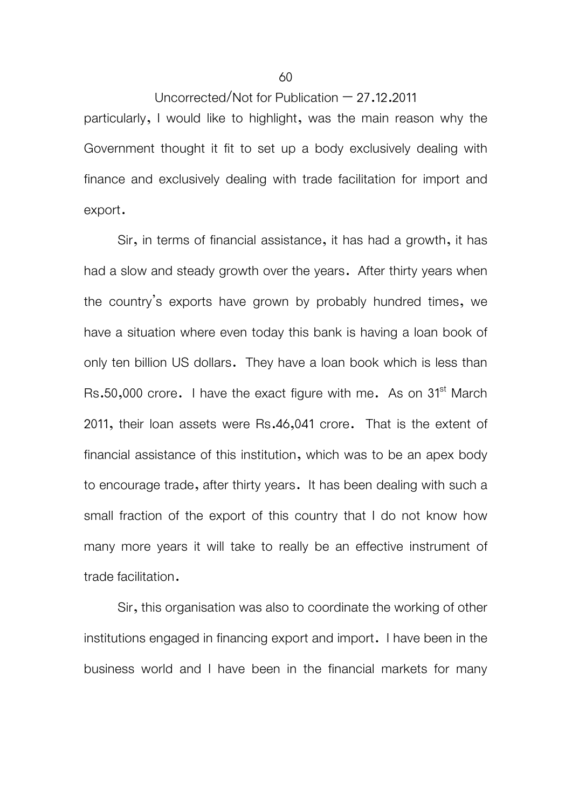particularly, I would like to highlight, was the main reason why the Government thought it fit to set up a body exclusively dealing with finance and exclusively dealing with trade facilitation for import and export.

Sir, in terms of financial assistance, it has had a growth, it has had a slow and steady growth over the years. After thirty years when the country's exports have grown by probably hundred times, we have a situation where even today this bank is having a loan book of only ten billion US dollars. They have a loan book which is less than Rs.50,000 crore. I have the exact figure with me. As on 31<sup>st</sup> March 2011, their loan assets were Rs.46,041 crore. That is the extent of financial assistance of this institution, which was to be an apex body to encourage trade, after thirty years. It has been dealing with such a small fraction of the export of this country that I do not know how many more years it will take to really be an effective instrument of trade facilitation.

Sir, this organisation was also to coordinate the working of other institutions engaged in financing export and import. I have been in the business world and I have been in the financial markets for many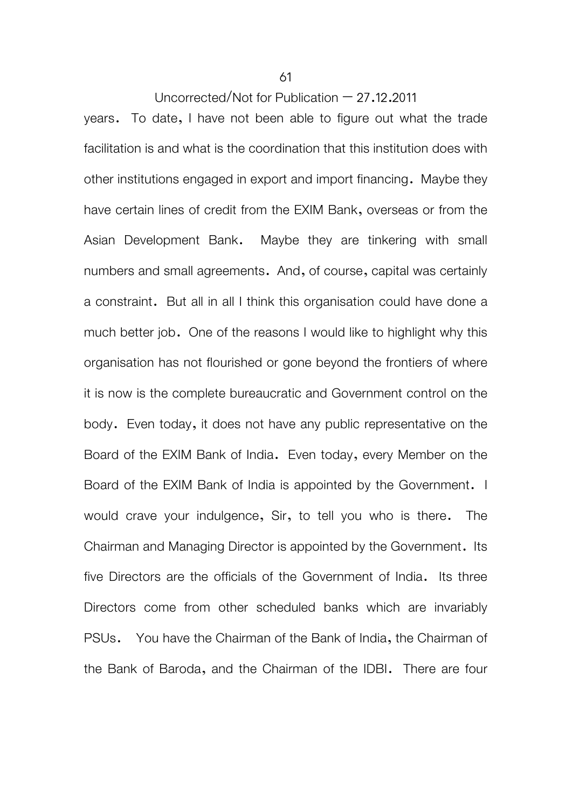years. To date, I have not been able to figure out what the trade facilitation is and what is the coordination that this institution does with other institutions engaged in export and import financing. Maybe they have certain lines of credit from the EXIM Bank, overseas or from the Asian Development Bank. Maybe they are tinkering with small numbers and small agreements. And, of course, capital was certainly a constraint. But all in all I think this organisation could have done a much better job. One of the reasons I would like to highlight why this organisation has not flourished or gone beyond the frontiers of where it is now is the complete bureaucratic and Government control on the body. Even today, it does not have any public representative on the Board of the EXIM Bank of India. Even today, every Member on the Board of the EXIM Bank of India is appointed by the Government. I would crave your indulgence, Sir, to tell you who is there. The Chairman and Managing Director is appointed by the Government. Its five Directors are the officials of the Government of India. Its three Directors come from other scheduled banks which are invariably PSUs. You have the Chairman of the Bank of India, the Chairman of the Bank of Baroda, and the Chairman of the IDBI. There are four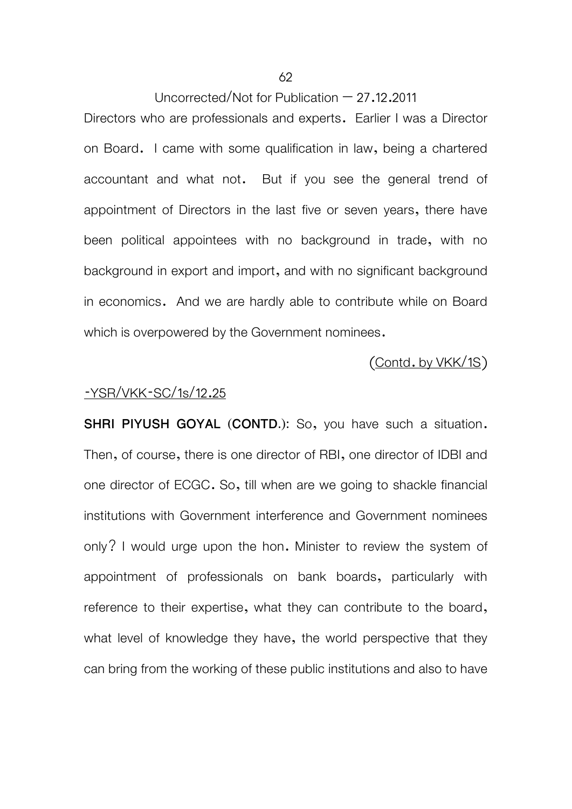# 62

Uncorrected/Not for Publication  $-27.12.2011$ 

Directors who are professionals and experts. Earlier I was a Director on Board. I came with some qualification in law, being a chartered accountant and what not. But if you see the general trend of appointment of Directors in the last five or seven years, there have been political appointees with no background in trade, with no background in export and import, and with no significant background in economics. And we are hardly able to contribute while on Board which is overpowered by the Government nominees.

## (Contd. by VKK/1S)

#### -YSR/VKK-SC/1s/12.25

**SHRI PIYUSH GOYAL (CONTD.):** So, you have such a situation. Then, of course, there is one director of RBI, one director of IDBI and one director of ECGC. So, till when are we going to shackle financial institutions with Government interference and Government nominees only? I would urge upon the hon. Minister to review the system of appointment of professionals on bank boards, particularly with reference to their expertise, what they can contribute to the board, what level of knowledge they have, the world perspective that they can bring from the working of these public institutions and also to have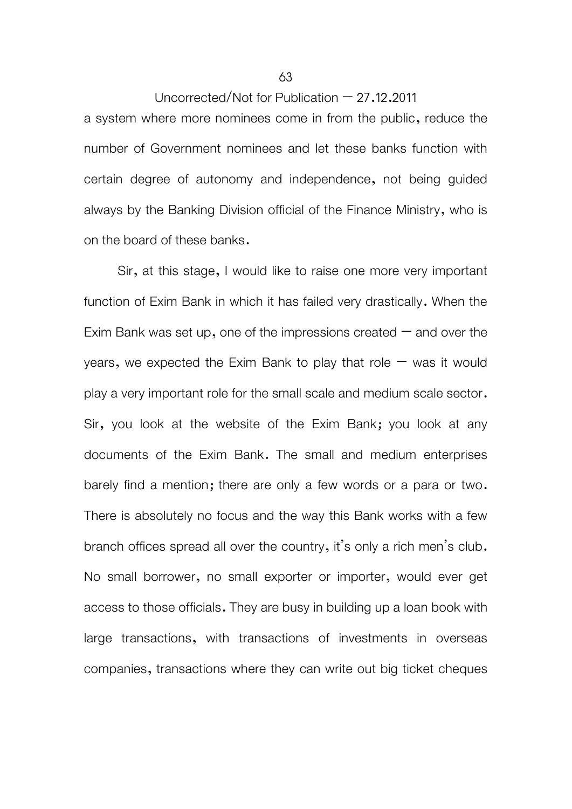a system where more nominees come in from the public, reduce the number of Government nominees and let these banks function with certain degree of autonomy and independence, not being guided always by the Banking Division official of the Finance Ministry, who is on the board of these banks.

 Sir, at this stage, I would like to raise one more very important function of Exim Bank in which it has failed very drastically. When the Exim Bank was set up, one of the impressions created  $-$  and over the years, we expected the Exim Bank to play that role  $-$  was it would play a very important role for the small scale and medium scale sector. Sir, you look at the website of the Exim Bank; you look at any documents of the Exim Bank. The small and medium enterprises barely find a mention; there are only a few words or a para or two. There is absolutely no focus and the way this Bank works with a few branch offices spread all over the country, it's only a rich men's club. No small borrower, no small exporter or importer, would ever get access to those officials. They are busy in building up a loan book with large transactions, with transactions of investments in overseas companies, transactions where they can write out big ticket cheques

#### 63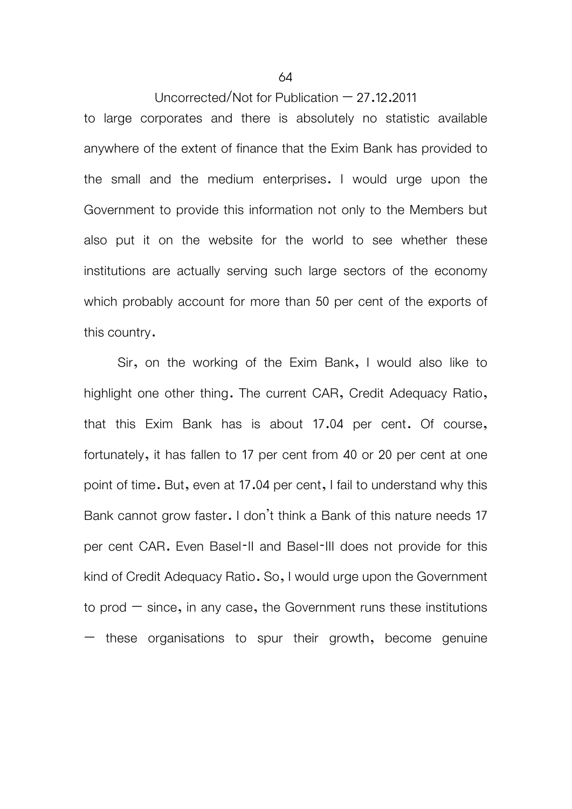to large corporates and there is absolutely no statistic available anywhere of the extent of finance that the Exim Bank has provided to the small and the medium enterprises. I would urge upon the Government to provide this information not only to the Members but also put it on the website for the world to see whether these institutions are actually serving such large sectors of the economy which probably account for more than 50 per cent of the exports of this country.

Sir, on the working of the Exim Bank, I would also like to highlight one other thing. The current CAR, Credit Adequacy Ratio, that this Exim Bank has is about 17.04 per cent. Of course, fortunately, it has fallen to 17 per cent from 40 or 20 per cent at one point of time. But, even at 17.04 per cent, I fail to understand why this Bank cannot grow faster. I don't think a Bank of this nature needs 17 per cent CAR. Even Basel-II and Basel-III does not provide for this kind of Credit Adequacy Ratio. So, I would urge upon the Government to prod  $-$  since, in any case, the Government runs these institutions  $-$  these organisations to spur their growth, become genuine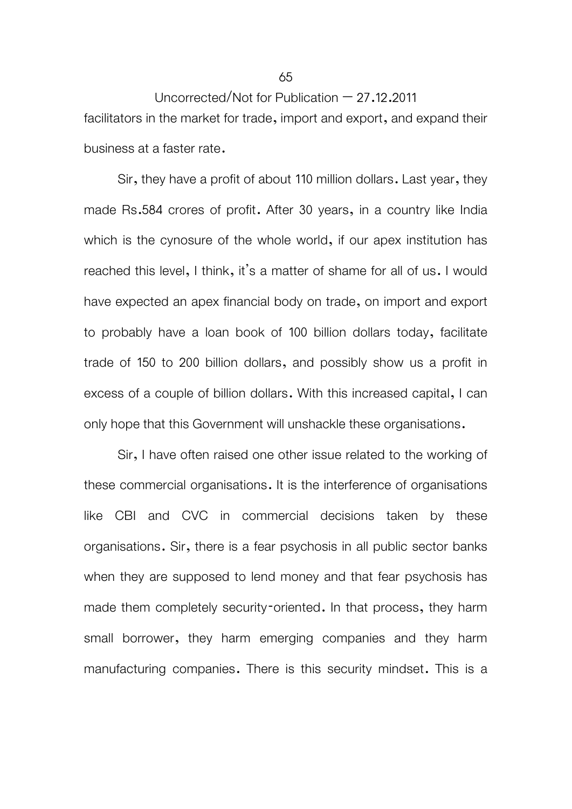Uncorrected/Not for Publication  $-27.12.2011$ facilitators in the market for trade, import and export, and expand their business at a faster rate.

Sir, they have a profit of about 110 million dollars. Last year, they made Rs.584 crores of profit. After 30 years, in a country like India which is the cynosure of the whole world, if our apex institution has reached this level, I think, it's a matter of shame for all of us. I would have expected an apex financial body on trade, on import and export to probably have a loan book of 100 billion dollars today, facilitate trade of 150 to 200 billion dollars, and possibly show us a profit in excess of a couple of billion dollars. With this increased capital, I can only hope that this Government will unshackle these organisations.

Sir, I have often raised one other issue related to the working of these commercial organisations. It is the interference of organisations like CBI and CVC in commercial decisions taken by these organisations. Sir, there is a fear psychosis in all public sector banks when they are supposed to lend money and that fear psychosis has made them completely security-oriented. In that process, they harm small borrower, they harm emerging companies and they harm manufacturing companies. There is this security mindset. This is a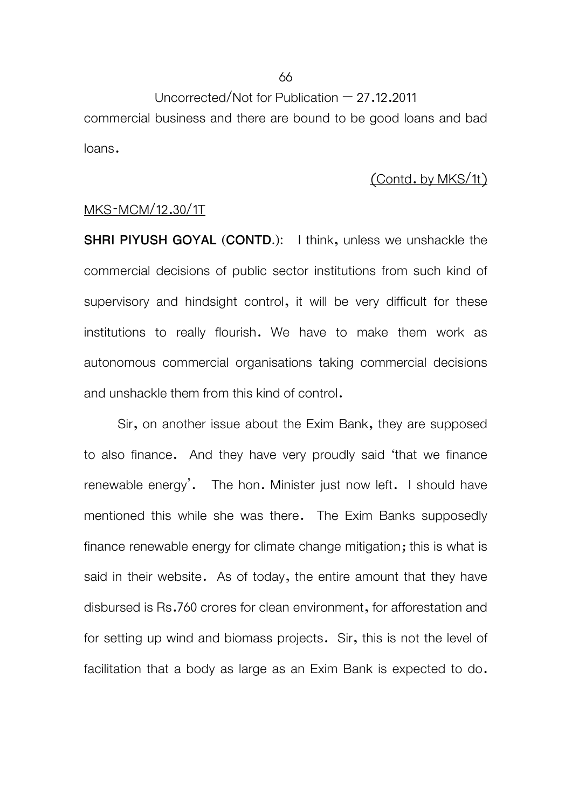commercial business and there are bound to be good loans and bad loans.

## (Contd. by MKS/1t)

## MKS-MCM/12.30/1T

**SHRI PIYUSH GOYAL (CONTD.):** I think, unless we unshackle the commercial decisions of public sector institutions from such kind of supervisory and hindsight control, it will be very difficult for these institutions to really flourish. We have to make them work as autonomous commercial organisations taking commercial decisions and unshackle them from this kind of control.

 Sir, on another issue about the Exim Bank, they are supposed to also finance. And they have very proudly said 'that we finance renewable energy'. The hon. Minister just now left. I should have mentioned this while she was there. The Exim Banks supposedly finance renewable energy for climate change mitigation; this is what is said in their website. As of today, the entire amount that they have disbursed is Rs.760 crores for clean environment, for afforestation and for setting up wind and biomass projects. Sir, this is not the level of facilitation that a body as large as an Exim Bank is expected to do.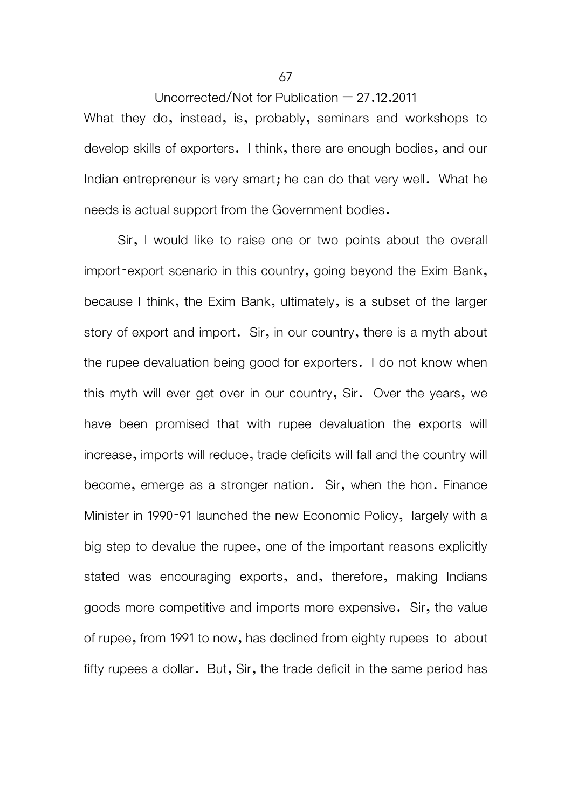Uncorrected/Not for Publication – 27.12.2011 What they do, instead, is, probably, seminars and workshops to develop skills of exporters. I think, there are enough bodies, and our Indian entrepreneur is very smart; he can do that very well. What he needs is actual support from the Government bodies.

 Sir, I would like to raise one or two points about the overall import-export scenario in this country, going beyond the Exim Bank, because I think, the Exim Bank, ultimately, is a subset of the larger story of export and import. Sir, in our country, there is a myth about the rupee devaluation being good for exporters. I do not know when this myth will ever get over in our country, Sir. Over the years, we have been promised that with rupee devaluation the exports will increase, imports will reduce, trade deficits will fall and the country will become, emerge as a stronger nation. Sir, when the hon. Finance Minister in 1990-91 launched the new Economic Policy, largely with a big step to devalue the rupee, one of the important reasons explicitly stated was encouraging exports, and, therefore, making Indians goods more competitive and imports more expensive. Sir, the value of rupee, from 1991 to now, has declined from eighty rupees to about fifty rupees a dollar. But, Sir, the trade deficit in the same period has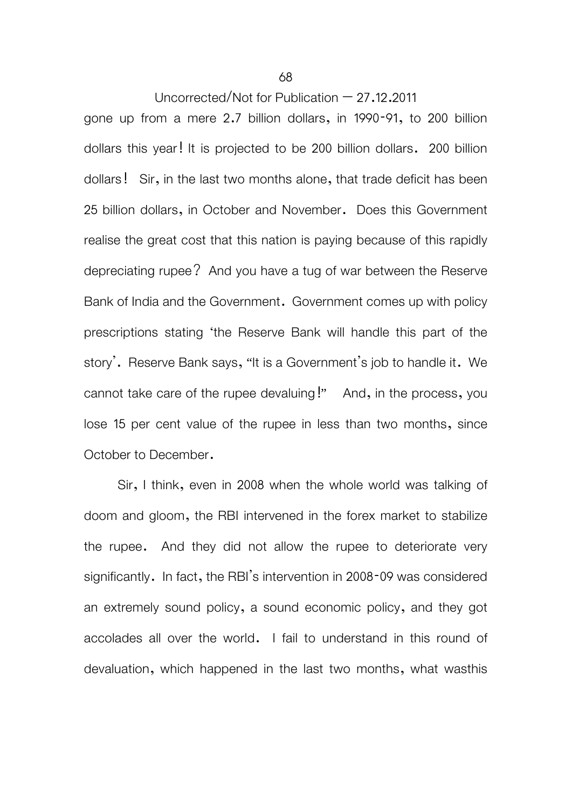gone up from a mere 2.7 billion dollars, in 1990-91, to 200 billion dollars this year! It is projected to be 200 billion dollars. 200 billion dollars! Sir, in the last two months alone, that trade deficit has been 25 billion dollars, in October and November. Does this Government realise the great cost that this nation is paying because of this rapidly depreciating rupee? And you have a tug of war between the Reserve Bank of India and the Government. Government comes up with policy prescriptions stating 'the Reserve Bank will handle this part of the story'. Reserve Bank says, "It is a Government's job to handle it. We cannot take care of the rupee devaluing!" And, in the process, you lose 15 per cent value of the rupee in less than two months, since October to December.

 Sir, I think, even in 2008 when the whole world was talking of doom and gloom, the RBI intervened in the forex market to stabilize the rupee. And they did not allow the rupee to deteriorate very significantly. In fact, the RBI's intervention in 2008-09 was considered an extremely sound policy, a sound economic policy, and they got accolades all over the world. I fail to understand in this round of devaluation, which happened in the last two months, what wasthis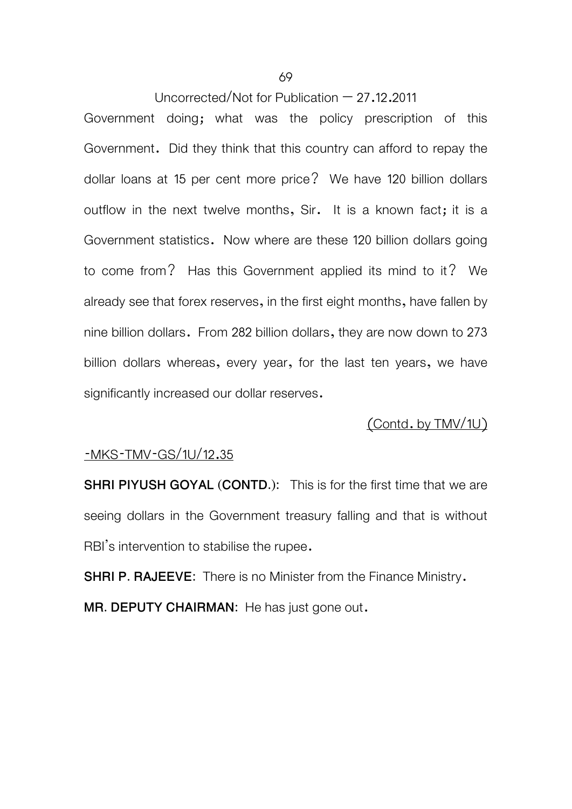Government doing; what was the policy prescription of this Government. Did they think that this country can afford to repay the dollar loans at 15 per cent more price? We have 120 billion dollars outflow in the next twelve months, Sir. It is a known fact; it is a Government statistics. Now where are these 120 billion dollars going to come from? Has this Government applied its mind to it? We already see that forex reserves, in the first eight months, have fallen by nine billion dollars. From 282 billion dollars, they are now down to 273 billion dollars whereas, every year, for the last ten years, we have significantly increased our dollar reserves.

## (Contd. by TMV/1U)

#### -MKS-TMV-GS/1U/12.35

**SHRI PIYUSH GOYAL (CONTD.):** This is for the first time that we are seeing dollars in the Government treasury falling and that is without RBI's intervention to stabilise the rupee.

**SHRI P. RAJEEVE:** There is no Minister from the Finance Ministry. **MR. DEPUTY CHAIRMAN:** He has just gone out.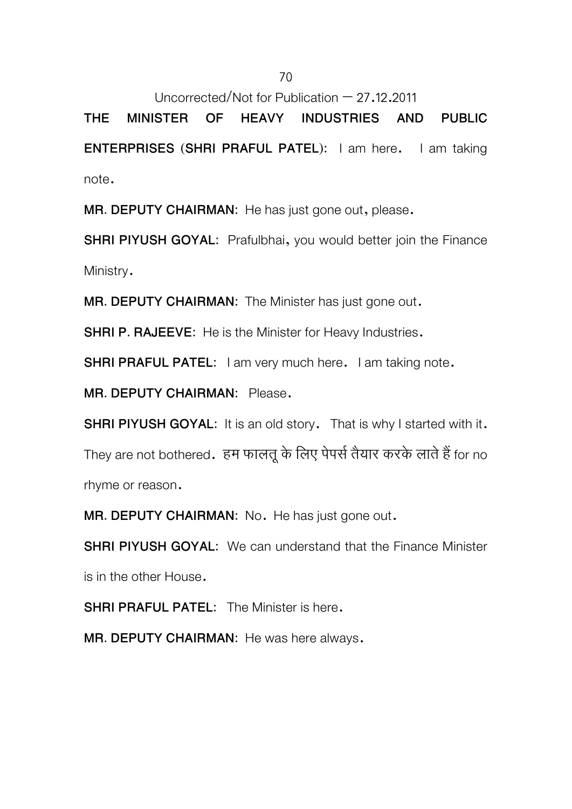**THE MINISTER OF HEAVY INDUSTRIES AND PUBLIC ENTERPRISES (SHRI PRAFUL PATEL):** I am here. I am taking note.

**MR. DEPUTY CHAIRMAN:** He has just gone out, please.

**SHRI PIYUSH GOYAL:** Prafulbhai, you would better join the Finance Ministry.

**MR. DEPUTY CHAIRMAN:** The Minister has just gone out.

**SHRI P. RAJEEVE:** He is the Minister for Heavy Industries.

**SHRI PRAFUL PATEL:** I am very much here. I am taking note.

**MR. DEPUTY CHAIRMAN:** Please.

**SHRI PIYUSH GOYAL:** It is an old story. That is why I started with it. They are not bothered. हम फालतू के लिए पेपर्स तैयार करके लाते हैं for no rhyme or reason.

**MR. DEPUTY CHAIRMAN:** No. He has just gone out.

**SHRI PIYUSH GOYAL:** We can understand that the Finance Minister is in the other House.

**SHRI PRAFUL PATEL:** The Minister is here.

**MR. DEPUTY CHAIRMAN:** He was here always.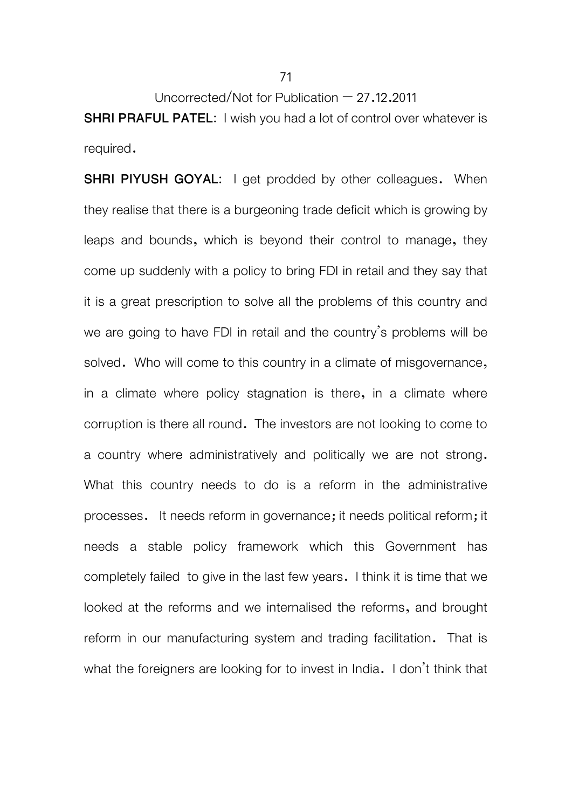**SHRI PRAFUL PATEL:** I wish you had a lot of control over whatever is required.

**SHRI PIYUSH GOYAL:** I get prodded by other colleagues. When they realise that there is a burgeoning trade deficit which is growing by leaps and bounds, which is beyond their control to manage, they come up suddenly with a policy to bring FDI in retail and they say that it is a great prescription to solve all the problems of this country and we are going to have FDI in retail and the country's problems will be solved. Who will come to this country in a climate of misgovernance, in a climate where policy stagnation is there, in a climate where corruption is there all round. The investors are not looking to come to a country where administratively and politically we are not strong. What this country needs to do is a reform in the administrative processes. It needs reform in governance; it needs political reform; it needs a stable policy framework which this Government has completely failed to give in the last few years. I think it is time that we looked at the reforms and we internalised the reforms, and brought reform in our manufacturing system and trading facilitation. That is what the foreigners are looking for to invest in India. I don't think that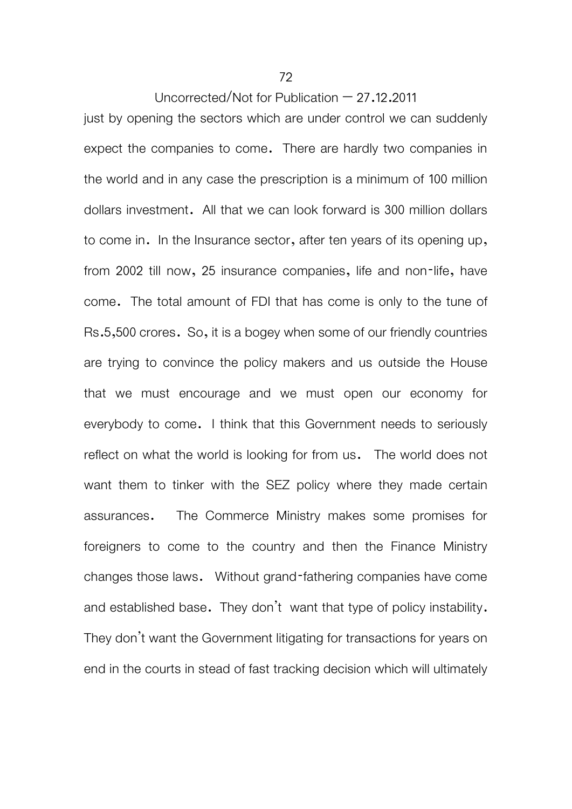just by opening the sectors which are under control we can suddenly expect the companies to come. There are hardly two companies in the world and in any case the prescription is a minimum of 100 million dollars investment. All that we can look forward is 300 million dollars to come in. In the Insurance sector, after ten years of its opening up, from 2002 till now, 25 insurance companies, life and non-life, have come. The total amount of FDI that has come is only to the tune of Rs.5,500 crores. So, it is a bogey when some of our friendly countries are trying to convince the policy makers and us outside the House that we must encourage and we must open our economy for everybody to come. I think that this Government needs to seriously reflect on what the world is looking for from us. The world does not want them to tinker with the SEZ policy where they made certain assurances. The Commerce Ministry makes some promises for foreigners to come to the country and then the Finance Ministry changes those laws. Without grand-fathering companies have come and established base. They don't want that type of policy instability. They don't want the Government litigating for transactions for years on end in the courts in stead of fast tracking decision which will ultimately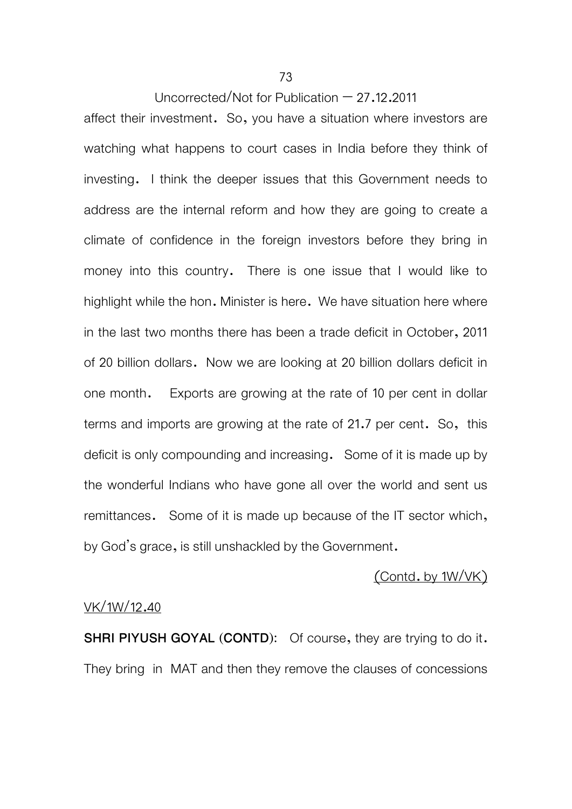affect their investment. So, you have a situation where investors are watching what happens to court cases in India before they think of investing. I think the deeper issues that this Government needs to address are the internal reform and how they are going to create a climate of confidence in the foreign investors before they bring in money into this country. There is one issue that I would like to highlight while the hon. Minister is here. We have situation here where in the last two months there has been a trade deficit in October, 2011 of 20 billion dollars. Now we are looking at 20 billion dollars deficit in one month. Exports are growing at the rate of 10 per cent in dollar terms and imports are growing at the rate of 21.7 per cent. So, this deficit is only compounding and increasing. Some of it is made up by the wonderful Indians who have gone all over the world and sent us remittances. Some of it is made up because of the IT sector which, by God's grace, is still unshackled by the Government.

### (Contd. by 1W/VK)

### VK/1W/12.40

**SHRI PIYUSH GOYAL (CONTD):** Of course, they are trying to do it. They bring in MAT and then they remove the clauses of concessions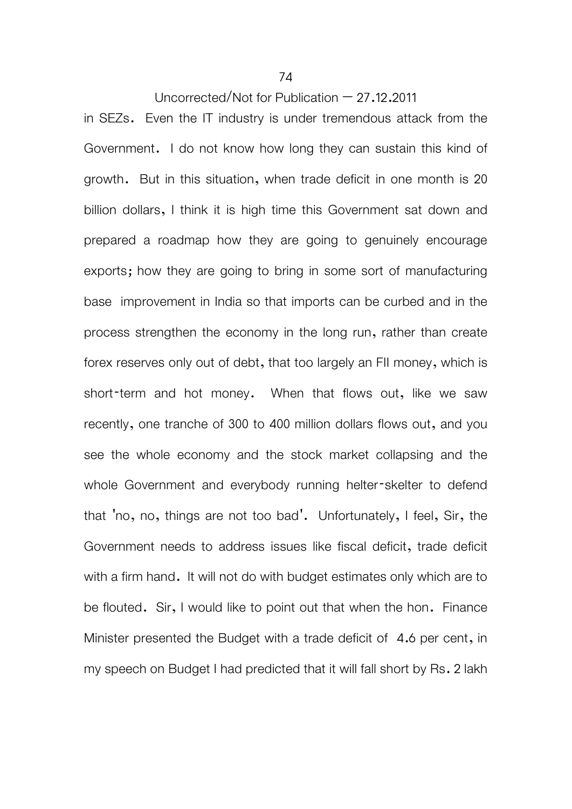in SEZs. Even the IT industry is under tremendous attack from the Government. I do not know how long they can sustain this kind of growth. But in this situation, when trade deficit in one month is 20 billion dollars, I think it is high time this Government sat down and prepared a roadmap how they are going to genuinely encourage exports; how they are going to bring in some sort of manufacturing base improvement in India so that imports can be curbed and in the process strengthen the economy in the long run, rather than create forex reserves only out of debt, that too largely an FII money, which is short-term and hot money. When that flows out, like we saw recently, one tranche of 300 to 400 million dollars flows out, and you see the whole economy and the stock market collapsing and the whole Government and everybody running helter-skelter to defend that 'no, no, things are not too bad'. Unfortunately, I feel, Sir, the Government needs to address issues like fiscal deficit, trade deficit with a firm hand. It will not do with budget estimates only which are to be flouted. Sir, I would like to point out that when the hon. Finance Minister presented the Budget with a trade deficit of 4.6 per cent, in my speech on Budget I had predicted that it will fall short by Rs. 2 lakh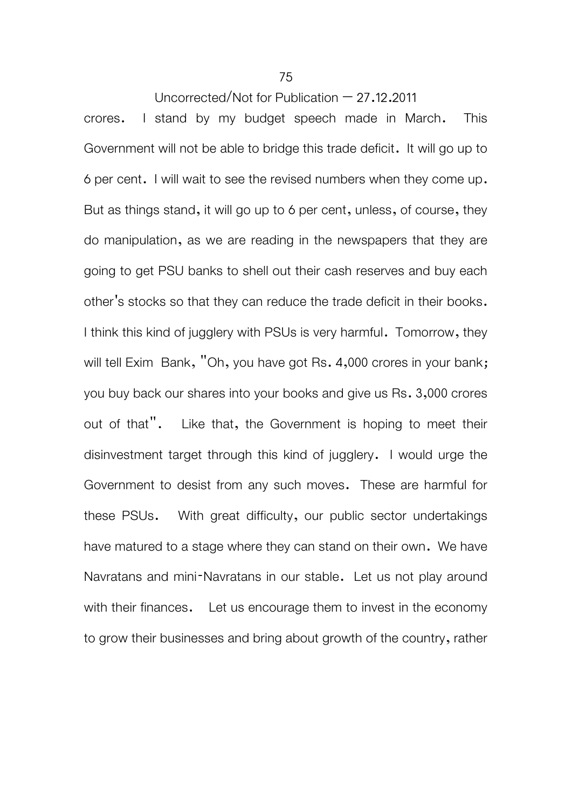crores. I stand by my budget speech made in March. This Government will not be able to bridge this trade deficit. It will go up to 6 per cent. I will wait to see the revised numbers when they come up. But as things stand, it will go up to 6 per cent, unless, of course, they do manipulation, as we are reading in the newspapers that they are going to get PSU banks to shell out their cash reserves and buy each other's stocks so that they can reduce the trade deficit in their books. I think this kind of jugglery with PSUs is very harmful. Tomorrow, they will tell Exim Bank, "Oh, you have got Rs. 4,000 crores in your bank; you buy back our shares into your books and give us Rs. 3,000 crores out of that". Like that, the Government is hoping to meet their disinvestment target through this kind of jugglery. I would urge the Government to desist from any such moves. These are harmful for these PSUs. With great difficulty, our public sector undertakings have matured to a stage where they can stand on their own. We have Navratans and mini-Navratans in our stable. Let us not play around with their finances. Let us encourage them to invest in the economy to grow their businesses and bring about growth of the country, rather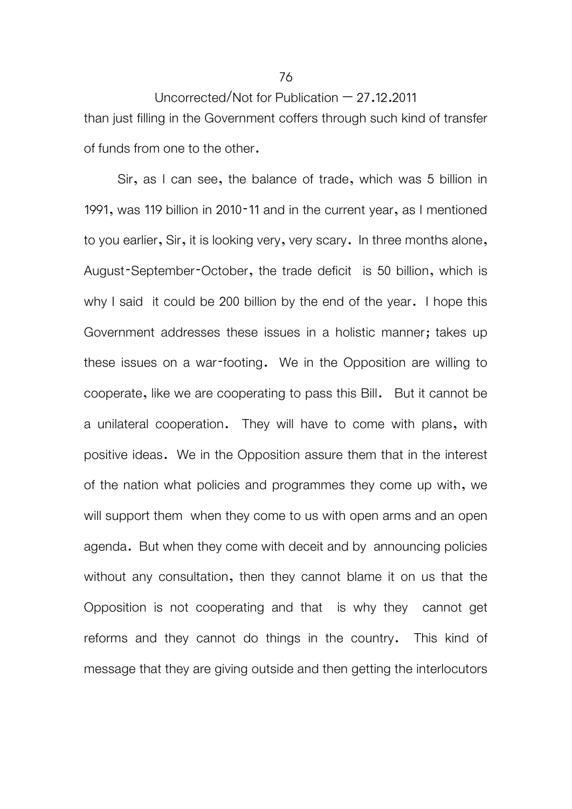Uncorrected/Not for Publication  $-27.12.2011$ than just filling in the Government coffers through such kind of transfer of funds from one to the other.

 Sir, as I can see, the balance of trade, which was 5 billion in 1991, was 119 billion in 2010-11 and in the current year, as I mentioned to you earlier, Sir, it is looking very, very scary. In three months alone, August-September-October, the trade deficit is 50 billion, which is why I said it could be 200 billion by the end of the year. I hope this Government addresses these issues in a holistic manner; takes up these issues on a war-footing. We in the Opposition are willing to cooperate, like we are cooperating to pass this Bill. But it cannot be a unilateral cooperation. They will have to come with plans, with positive ideas. We in the Opposition assure them that in the interest of the nation what policies and programmes they come up with, we will support them when they come to us with open arms and an open agenda. But when they come with deceit and by announcing policies without any consultation, then they cannot blame it on us that the Opposition is not cooperating and that is why they cannot get reforms and they cannot do things in the country. This kind of message that they are giving outside and then getting the interlocutors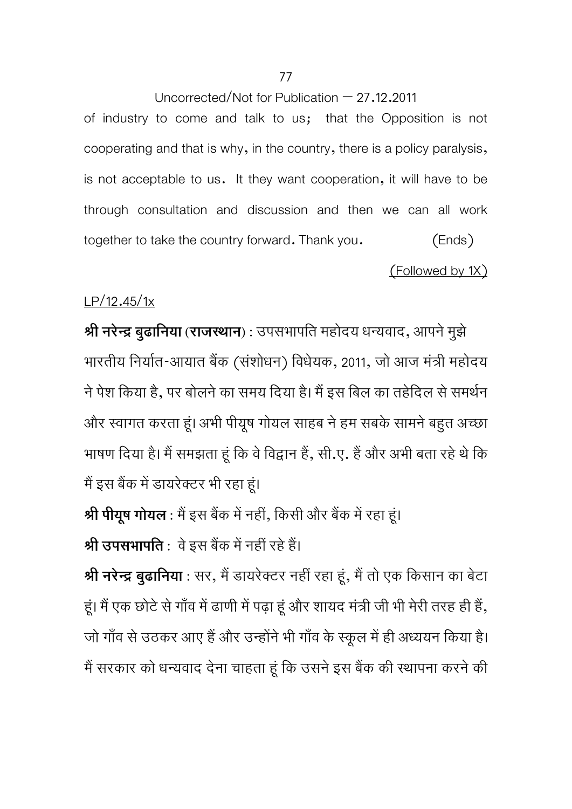of industry to come and talk to us; that the Opposition is not cooperating and that is why, in the country, there is a policy paralysis, is not acceptable to us. It they want cooperation, it will have to be through consultation and discussion and then we can all work together to take the country forward. Thank you. (Ends)

(Followed by 1X)

## LP/12.45/1x

**Ǜी नरेन्दर् बुढािनया (राजÎथान) :** उपसभापित महोदय धन्यवाद, आपनेमुझे भारतीय निर्यात-आयात बैंक (संशोधन) विधेयक, 2011, जो आज मंत्री महोदय ने पेश किया है, पर बोलने का समय दिया है। मैं इस बिल का तहेदिल से समर्थन और स्वागत करता हूं। अभी पीयूष गोयल साहब ने हम सबके सामने बहुत अच्छा भाषण दिया है। मैं समझता हूं कि वे विद्वान हैं, सी.ए. हैं और अभी बता रहे थे कि मैं इस बैंक में डायरेक्टर भी रहा हूं।

**श्री पीयूष गोयल** : मैं इस बैंक में नहीं, किसी और बैंक में रहा हूं।

**श्री उपसभापति** : वे इस बैंक में नहीं रहे हैं।

**श्री नरेन्द्र बुढानिया** : सर, मैं डायरेक्टर नहीं रहा हूं, मैं तो एक किसान का बेटा हूं। मैं एक छोटे से गाँव में ढाणी में पढ़ा हूं और शायद मंत्री जी भी मेरी तरह ही हैं, जो गाँव से उठकर आए हैं और उन्होंने भी गाँव के स्कूल में ही अध्ययन किया है। मैं सरकार को धन्यवाद देना चाहता हूं कि उसने इस बैंक की स्थापना करने की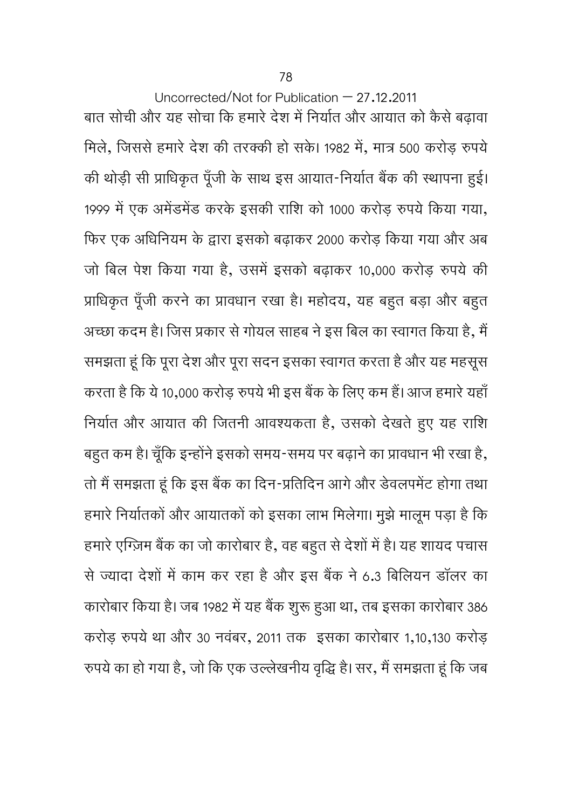Uncorrected/Not for Publication – 27.12.2011 बात सोची और यह सोचा कि हमारे देश में निर्यात और आयात को कैसे बढ़ावा मिले, जिससे हमारे देश की तरक्की हो सके। 1982 में, मात्र 500 करोड़ रुपये की थोड़ी सी प्राधिकृत पूँजी के साथ इस आयात-निर्यात बैंक की स्थापना हुई। 1999 में एक अमेंडमेंड करके इसकी राशि को 1000 करोड़ रुपये किया गया, िफर एक अिधिनयम के ǎारा इसको बढ़ाकर 2000 करोड़ िकया गया और अब जो बिल पेश किया गया है, उसमें इसको बढ़ाकर 10,000 करोड़ रुपये की प्राधिकृत पूँजी करने का प्रावधान रखा है। महोदय, यह बहुत बड़ा और बहुत अच्छा कदम है। जिस प्रकार से गोयल साहब ने इस बिल का स्वागत किया है, मैं समझता हूं कि पूरा देश और पूरा सदन इसका स्वागत करता है और यह महसूस करता है कि ये 10,000 करोड़ रुपये भी इस बैंक के लिए कम हैं। आज हमारे यहाँ निर्यात और आयात की जितनी आवश्यकता है, उसको देखते हुए यह राशि बहुत कम है। चूँकि इन्होंने इसको समय-समय पर बढ़ाने का प्रावधान भी रखा है, तो मैं समझता हूं कि इस बैंक का दिन-प्रतिदिन आगे और डेवलपमेंट होगा तथा हमारे निर्यातकों और आयातकों को इसका लाभ मिलेगा। मुझे मालूम पड़ा है कि हमारे एग्ज़िम बैंक का जो कारोबार है, वह बहुत से देशों में है। यह शायद पचास से ज्यादा देशों में काम कर रहा है और इस बैंक ने 6.3 बिलियन डॉलर का कारोबार किया है। जब 1982 में यह बैंक शुरू हुआ था, तब इसका कारोबार 386 करोड़ रुपये था और 30 नवंबर, 2011 तक इसका कारोबार 1,10,130 करोड़ रुपये का हो गया है, जो कि एक उल्लेखनीय वृद्धि है। सर, मैं समझता हूं कि जब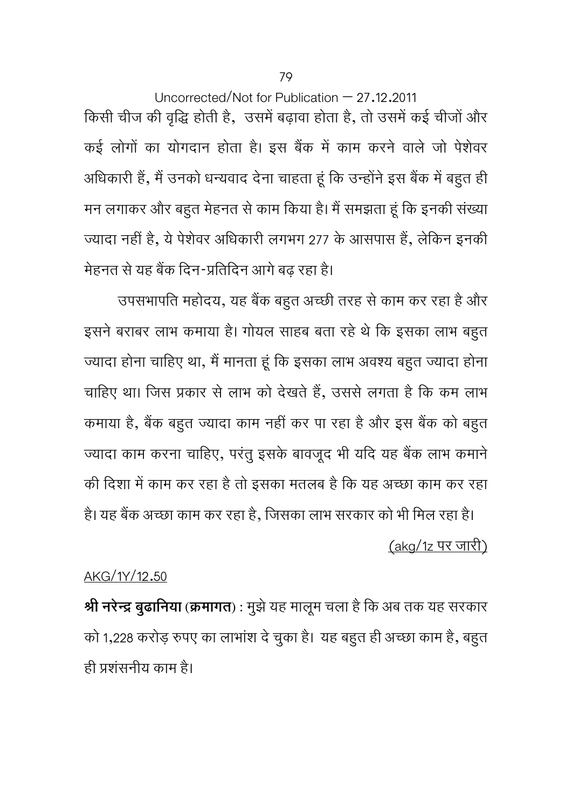Uncorrected/Not for Publication – 27.12.2011 किसी चीज की वृद्धि होती है, उसमें बढ़ावा होता है, तो उसमें कई चीजों और कई लोगों का योगदान होता है। इस बैंक में काम करने वाले जो पेशेवर अधिकारी हैं, मैं उनको धन्यवाद देना चाहता हूं कि उन्होंने इस बैंक में बहुत ही मन लगाकर और बहुत मेहनत से काम किया है। मैं समझता हूं कि इनकी संख्या ज्यादा नहीं है, ये पेशेवर अधिकारी लगभग 277 के आसपास हैं, लेकिन इनकी मेहनत से यह बैंक दिन-प्रतिदिन आगे बढ़ रहा है।

उपसभापति महोदय, यह बैंक बहुत अच्छी तरह से काम कर रहा है और इसने बराबर लाभ कमाया है। गोयल साहब बता रहे थे कि इसका लाभ बहुत ज्यादा होना चाहिए था, मैं मानता हूं कि इसका लाभ अवश्य बहुत ज्यादा होना चाहिए था। जिस प्रकार से लाभ को देखते हैं, उससे लगता है कि कम लाभ कमाया है, बैंक बहुत ज्यादा काम नहीं कर पा रहा है और इस बैंक को बहुत ज्यादा काम करना चाहिए, परंतु इसके बावजूद भी यदि यह बैंक लाभ कमाने की दिशा में काम कर रहा है तो इसका मतलब है कि यह अच्छा काम कर रहा

है। यह बैंक अच्छा काम कर रहा है, जिसका लाभ सरकार को भी मिल रहा है। (akg/1z पर जारी)

## AKG/1Y/12.50

**Ǜी नरेन्दर् बुढािनया (कर्मागत) :** मुझेयह मालमू चला हैिक अब तक यह सरकार को 1,228 करोड़ रुपए का लाभाशं देचुका है। यह बहुत ही अच्छा काम है, बहुत ही Ģशंसनीय काम है।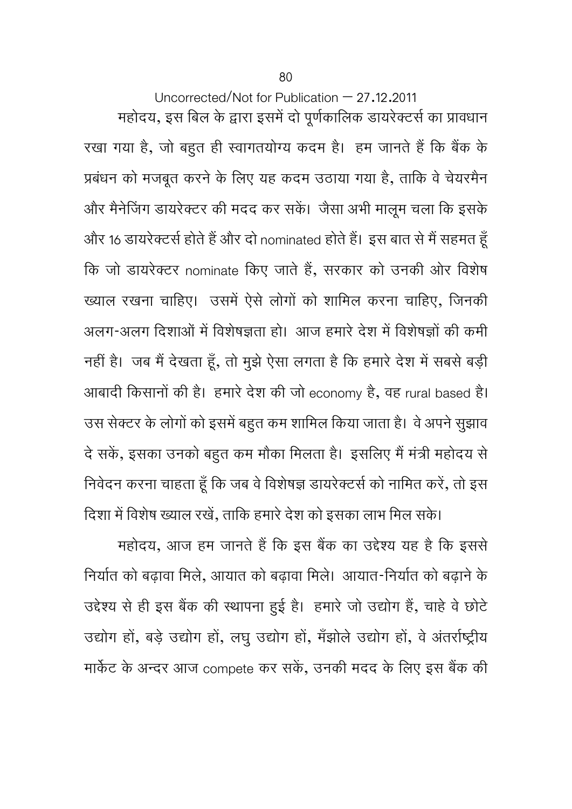महोदय, इस बिल के द्वारा इसमें दो पूर्णकालिक डायरेक्टर्स का प्रावधान रखा गया है, जो बहुत ही स्वागतयोग्य कदम है। हम जानते हैं कि बैंक के प्रबंधन को मजबूत करने के लिए यह कदम उठाया गया है, ताकि वे चेयरमैन और मैनेजिंग डायरेक्टर की मदद कर सकें। जैसा अभी मालूम चला कि इसके और 16 डायरेक्टर्स होते हैं और दो nominated होते हैं। इस बात से मैं सहमत हूँ कि जो डायरेक्टर nominate किए जाते हैं, सरकार को उनकी ओर विशेष ख्याल रखना चाहिए। उसमें ऐसे लोगों को शामिल करना चाहिए, जिनकी अलग-अलग दिशाओं में विशेषज्ञता हो। आज हमारे देश में विशेषज्ञों की कमी नहीं है। जब मैं देखता हूँ, तो मुझे ऐसा लगता है कि हमारे देश में सबसे बड़ी आबादी किसानों की है। हमारे देश की जो economy है, वह rural based है। उस सेक्टर के लोगों को इसमें बहुत कम शामिल किया जाता है। वे अपने सुझाव दे सकें, इसका उनको बहुत कम मौका मिलता है। इसलिए मैं मंत्री महोदय से निवेदन करना चाहता हूँ कि जब वे विशेषज्ञ डायरेक्टर्स को नामित करें, तो इस दिशा में विशेष ख्याल रखें, ताकि हमारे देश को इसका लाभ मिल सके।

महोदय, आज हम जानते हैं कि इस बैंक का उद्देश्य यह है कि इससे निर्यात को बढ़ावा मिले, आयात को बढ़ावा मिले। आयात-निर्यात को बढ़ाने के उद्देश्य से ही इस बैंक की स्थापना हुई है। हमारे जो उद्योग हैं, चाहे वे छोटे उद्योग हों, बड़े उद्योग हों, लघु उद्योग हों, मँझोले उद्योग हों, वे अंतर्राष्ट्रीय मार्केट के अन्दर आज compete कर सकें, उनकी मदद के लिए इस बैंक की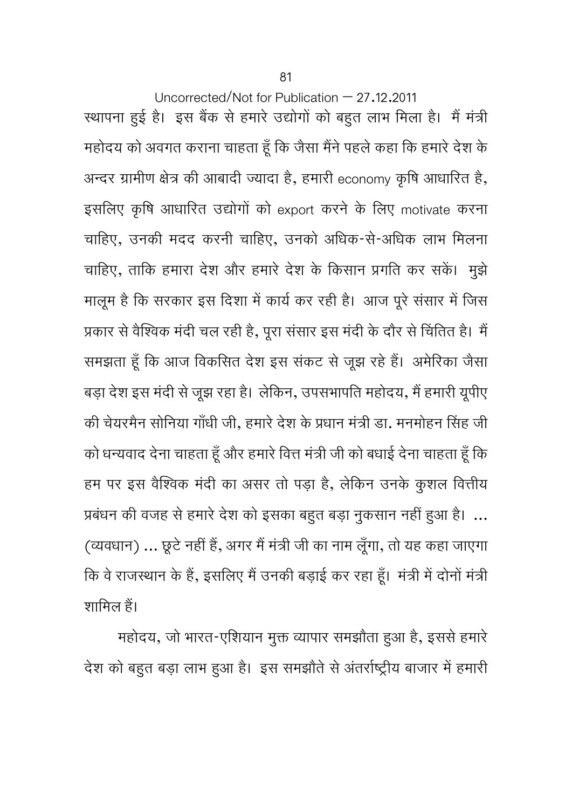स्थापना हुई है। इस बैंक से हमारे उद्योगों को बहुत लाभ मिला है। मैं मंत्री महोदय को अवगत कराना चाहता हूँ कि जैसा मैंने पहले कहा कि हमारे देश के अन्दर ग्रामीण क्षेत्र की आबादी ज्यादा है, हमारी economy कृषि आधारित है, इसलिए कृषि आधारित उद्योगों को export करने के लिए motivate करना चािहए, उनकी मदद करनी चािहए, उनको अिधक-से-अिधक लाभ िमलना चाहिए, ताकि हमारा देश और हमारे देश के किसान प्रगति कर सकें। मुझे मालूम है कि सरकार इस दिशा में कार्य कर रही है। आज पूरे संसार में जिस प्रकार से वैश्विक मंदी चल रही है, पूरा संसार इस मंदी के दौर से चिंतित है। मैं समझता हूँ कि आज विकसित देश इस संकट से जूझ रहे हैं। अमेरिका जैसा बड़ा देश इस मंदी से जूझ रहा है। लेकिन, उपसभापति महोदय, मैं हमारी यूपीए की चेयरमैन सोनिया गाँधी जी, हमारे देश के प्रधान मंत्री डा. मनमोहन सिंह जी को धन्यवाद देना चाहता हूँ और हमारे वित्त मंत्री जी को बधाई देना चाहता हूँ कि हम पर इस वैश्विक मंदी का असर तो पड़ा है, लेकिन उनके कुशल वित्तीय प्रबंधन की वजह से हमारे देश को इसका बहुत बड़ा नुकसान नहीं हुआ है। ... (व्यवधान) ... छूट नहा ह, अगर म मत्रा जा का नाम लूगा, ता यह कहा जाएगा ू कि वे राजस्थान के हैं, इसलिए मैं उनकी बड़ाई कर रहा हूँ। मंत्री में दोनों मंत्री शामिल हैं।

महोदय, जो भारत-एशियान मुक्त व्यापार समझौता हुआ है, इससे हमारे देश को बहुत बड़ा लाभ हुआ है। इस समझौते से अंतर्राष्ट्रीय बाजार में हमारी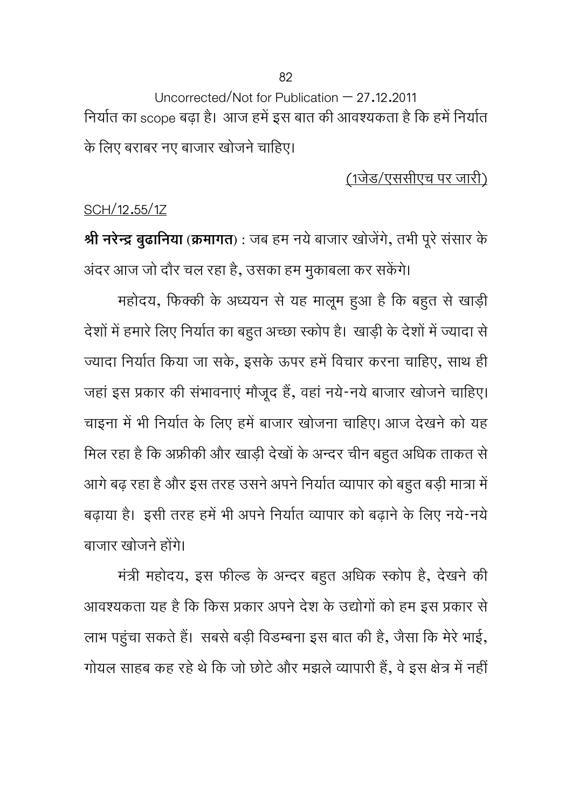Uncorrected/Not for Publication – 27.12.2011 निर्यात का scope बढ़ा है। आज हमें इस बात की आवश्यकता है कि हमें निर्यात के लिए बराबर नए बाजार खोजने चाहिए।

(1जेड/एससीएच पर जारी)

## SCH/12.55/1Z

**श्री नरेन्द्र बुढानिया** (क्रमागत) : जब हम नये बाजार खोजेंगे, तभी पूरे संसार के अंदर आज जो दौर चल रहा है, उसका हम मुकाबला कर सकेंगे।

महोदय, फिक्की के अध्ययन से यह मालूम हुआ है कि बहुत से खाड़ी देशों में हमारे लिए निर्यात का बहुत अच्छा स्कोप है। खाड़ी के देशों में ज्यादा से ज्यादा निर्यात किया जा सके, इसके ऊपर हमें विचार करना चाहिए, साथ ही जहां इस प्रकार की संभावनाएं मौजूद हैं, वहां नये-नये बाजार खोजने चाहिए। चाइना में भी निर्यात के लिए हमें बाजार खोजना चाहिए। आज देखने को यह मिल रहा है कि अफ्रीकी और खाड़ी देखों के अन्दर चीन बहुत अधिक ताकत से आगे बढ़ रहा है और इस तरह उसने अपने निर्यात व्यापार को बहुत बड़ी मात्रा में बढ़ाया है। इसी तरह हमें भी अपने निर्यात व्यापार को बढ़ाने के लिए नये-नये बाजार खोजने होंगे।

मंत्री महोदय, इस फील्ड के अन्दर बहुत अधिक स्कोप है, देखने की आवश्यकता यह है कि किस प्रकार अपने देश के उद्योगों को हम इस प्रकार से लाभ पहुंचा सकते हैं। सबसे बड़ी विडम्बना इस बात की है, जैसा कि मेरे भाई, गोयल साहब कह रहे थे कि जो छोटे और मझले व्यापारी हैं, वे इस क्षेत्र में नहीं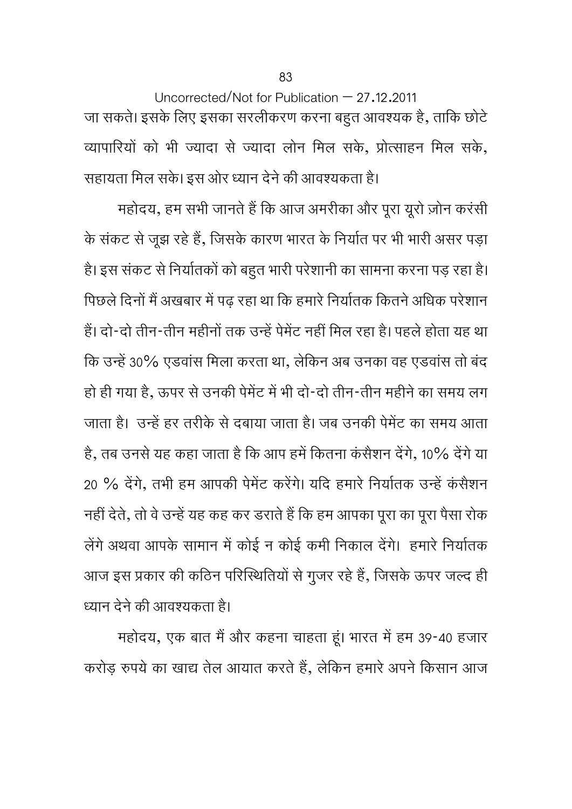Uncorrected/Not for Publication – 27.12.2011 जा सकते। इसके लिए इसका सरलीकरण करना बहुत आवश्यक है, ताकि छोटे व्यापारियों को भी ज्यादा से ज्यादा लोन मिल सके, प्रोत्साहन मिल सके, सहायता मिल सके। इस ओर ध्यान देने की आवश्यकता है।

महोदय, हम सभी जानते हैं कि आज अमरीका और पूरा यूरो ज़ोन करंसी के संकट से जूझ रहे हैं, जिसके कारण भारत के निर्यात पर भी भारी असर पड़ा है। इस संकट से निर्यातकों को बहुत भारी परेशानी का सामना करना पड़ रहा है। पिछले दिनों मैं अखबार में पढ़ रहा था कि हमारे निर्यातक कितने अधिक परेशान हैं। दो-दो तीन-तीन महीनों तक उन्हें पेमेंट नहीं मिल रहा है। पहले होता यह था कि उन्हें 30% एडवांस मिला करता था, लेकिन अब उनका वह एडवांस तो बंद हो ही गया है, ऊपर से उनकी पेमेंट में भी दो-दो तीन-तीन महीने का समय लग जाता है। उन्हें हर तरीके से दबाया जाता है। जब उनकी पेमेंट का समय आता है, तब उनसे यह कहा जाता है कि आप हमें कितना कंसैशन देंगे, 10% देंगे या 20 % देंगे, तभी हम आपकी पेमेंट करेंगे। यदि हमारे निर्यातक उन्हें कंसैशन नहीं देते, तो वे उन्हें यह कह कर डराते हैं कि हम आपका पूरा का पूरा पैसा रोक लेंगे अथवा आपके सामान में कोई न कोई कमी निकाल देंगे। हमारे निर्यातक आज इस प्रकार की कठिन परिस्थितियों से गुजर रहे हैं, जिसके ऊपर जल्द ही ध्यान देने की आवश्यकता है।

महोदय, एक बात मैं और कहना चाहता हूं। भारत में हम 39-40 हजार करोड़ रुपये का खाद्य तेल आयात करते हैं, लेकिन हमारे अपने किसान आज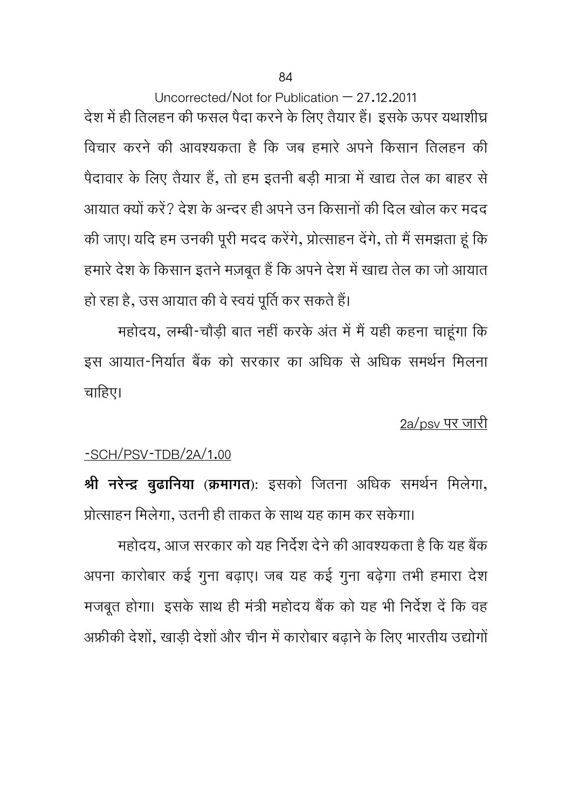Uncorrected/Not for Publication – 27.12.2011 देश में ही तिलहन की फसल पैदा करने के लिए तैयार हैं। इसके ऊपर यथाशीघ्र िवचार करने की आवÌयकता है िक जब हमारे अपने िकसान ितलहन की पैदावार के लिए तैयार हैं, तो हम इतनी बड़ी मात्रा में खाद्य तेल का बाहर से आयात क्यों करें? देश के अन्दर ही अपने उन किसानों की दिल खोल कर मदद की जाए। यदि हम उनकी पूरी मदद करेंगे, प्रोत्साहन देंगे, तो मैं समझता हूं कि हमारे देश के किसान इतने मज़बूत हैं कि अपने देश में खाद्य तेल का जो आयात हो रहा है, उस आयात की वे स्वयं पूर्ति कर सकते हैं।

महोदय, लम्बी-चौड़ी बात नहीं करके अंत में मैं यही कहना चाहूंगा कि इस आयात-निर्यात बैंक को सरकार का अधिक से अधिक समर्थन मिलना चाहिए।

2a/psv पर जारी

## -SCH/PSV-TDB/2A/1.00

**Ǜी नरेन्दर् बुढािनया (कर्मागत):** इसको िजतना अिधक समथर्न िमलेगा, प्रोत्साहन मिलेगा, उतनी ही ताकत के साथ यह काम कर सकेगा।

महोदय, आज सरकार को यह निर्देश देने की आवश्यकता है कि यह बैंक अपना कारोबार कई गुना बढ़ाए। जब यह कई गुना बढ़ेगा तभी हमारा देश मजबूत होगा। इसके साथ ही मंत्री महोदय बैंक को यह भी निर्देश दें कि वह अफ्रीकी देशों, खाड़ी देशों और चीन में कारोबार बढ़ाने के लिए भारतीय उद्योगों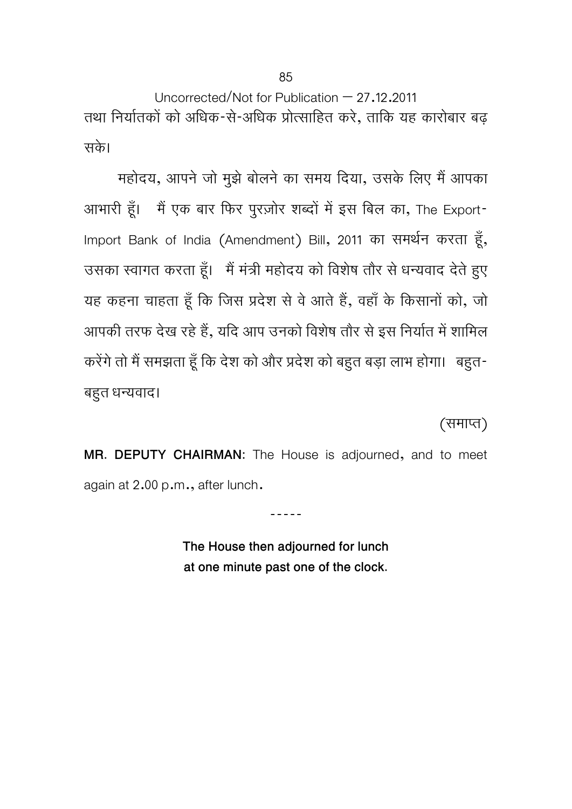Uncorrected/Not for Publication – 27.12.2011 तथा निर्यातकों को अधिक-से-अधिक प्रोत्साहित करे, ताकि यह कारोबार बढ़ सके।

महोदय, आपने जो मुझे बोलने का समय दिया, उसके लिए मैं आपका आभारी हूँ। मैं एक बार फिर पुरज़ोर शब्दों में इस बिल का, The Export-Import Bank of India (Amendment) Bill, 2011 का समर्थन करता हूँ, उसका स्वागत करता हूँ। मैं मंत्री महोदय को विशेष तौर से धन्यवाद देते हुए यह कहना चाहता हूँ कि जिस प्रदेश से वे आते हैं, वहाँ के किसानों को, जो आपकी तरफ देख रहे हैं, यदि आप उनको विशेष तौर से इस निर्यात में शामिल करेंगे तो मैं समझता हूँ कि देश को और प्रदेश को बहुत बड़ा लाभ होगा। बहुत-बहुत धन्यवाद।

(समाप्त)

**MR. DEPUTY CHAIRMAN:** The House is adjourned, and to meet again at 2.00 p.m., after lunch.

-----

**The House then adjourned for lunch at one minute past one of the clock.**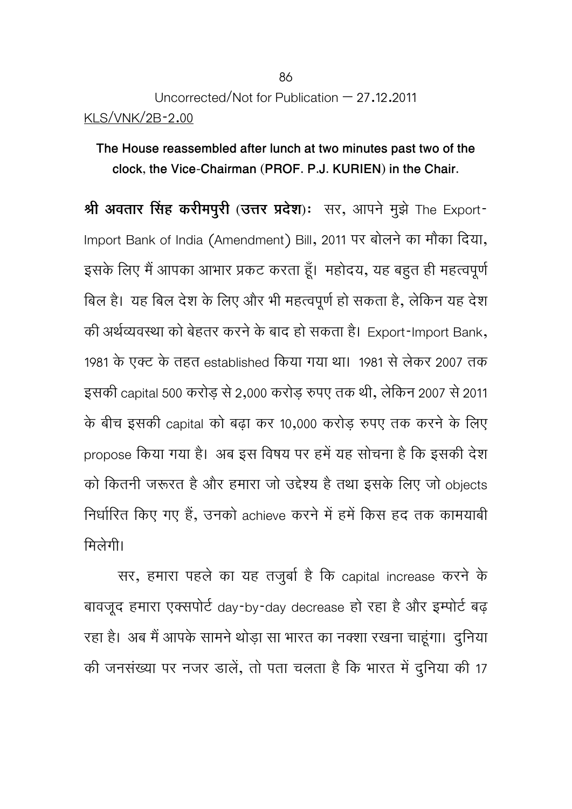# Uncorrected/Not for Publication  $-27.12.2011$ KLS/VNK/2B-2.00

**The House reassembled after lunch at two minutes past two of the clock, the Vice-Chairman (PROF. P.J. KURIEN) in the Chair.** 

**Ǜी अवतार िंसह करीमपुरी (उDŽर Ģदेश)**: सर, आपने मुझे The Export-Import Bank of India (Amendment) Bill, 2011 पर बोलने का मौका दिया, इसके लिए मैं आपका आभार प्रकट करता हूँ। महोदय, यह बहुत ही महत्वपूर्ण िबल है। यह िबल देश के िलए और भी महत्वपूणर्हो सकता है, लेिकन यह देश की अर्थव्यवस्था को बेहतर करने के बाद हो सकता है। Export-Import Bank, 1981 के एक्ट के तहत established किया गया था। 1981 से लेकर 2007 तक इसकी capital 500 करोड़ से 2,000 करोड़ रुपए तक थी, लेिकन 2007 से 2011 के बीच इसकी capital को बढ़ा कर 10,000 करोड़ रुपए तक करनेके िलए propose किया गया है। अब इस विषय पर हमें यह सोचना है कि इसकी देश को कितनी जरूरत है और हमारा जो उद्देश्य है तथा इसके लिए जो objects निर्धारित किए गए हैं, उनको achieve करने में हमें किस हद तक कामयाबी िमलेगी।

सर, हमारा पहले का यह तजुबार् है िक capital increase करने के बावजूद हमारा एक्सपोर्ट day-by-day decrease हो रहा है और इम्पोर्ट बढ़ रहा है। अब मैं आपके सामने थोड़ा सा भारत का नक्शा रखना चाहूंगा। दुनिया की जनसंख्या पर नजर डालें, तो पता चलता है कि भारत में दुनिया की 17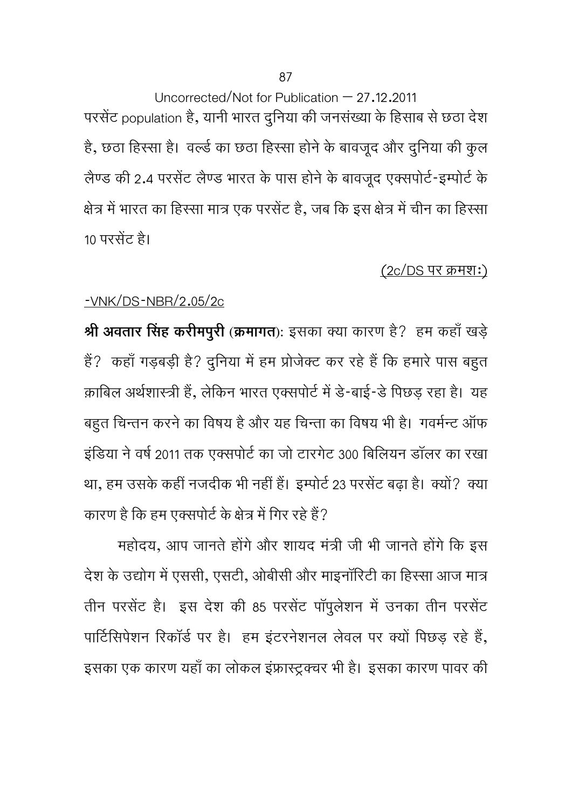Uncorrected/Not for Publication – 27.12.2011 परसेंट population है, यानी भारत दुनिया की जनसंख्या के हिसाब से छठा देश है, छठा हिस्सा है। वर्ल्ड का छठा हिस्सा होने के बावजूद और दुनिया की कुल लैण्ड की 2.4 परसेंट लैण्ड भारत के पास होने के बावजूद एक्सपोर्ट-इम्पोर्ट के क्षेत्र में भारत का हिस्सा मात्र एक परसेंट है, जब कि इस क्षेत्र में चीन का हिस्सा 10 परसेंट है।

## $(2c/DS$  पर क्रमश:)

## -VNK/DS-NBR/2.05/2c

**Ǜी अवतार िंसह करीमपुरी (कर्मागत):** इसका क्या कारण है? हम कहाँखड़े हैं? कहाँ गड़बड़ी है? दुनिया में हम प्रोजेक्ट कर रहे हैं कि हमारे पास बहुत क़ाबिल अर्थशास्त्री हैं, लेकिन भारत एक्सपोर्ट में डे-बाई-डे पिछड़ रहा है। यह बहुत चिन्तन करने का विषय है और यह चिन्ता का विषय भी है। गवर्मन्ट ऑफ इंडिया ने वर्ष 2011 तक एक्सपोर्ट का जो टारगेट 300 बिलियन डॉलर का रखा था, हम उसके कहीं नजदीक भी नहीं हैं। इम्पोर्ट 23 परसेंट बढ़ा है। क्यों? क्या कारण है कि हम एक्सपोर्ट के क्षेत्र में गिर रहे हैं?

महोदय, आप जानते होंगे और शायद मंत्री जी भी जानते होंगे कि इस देश के उद्योग में एससी, एसटी, ओबीसी और माइनॉरिटी का हिस्सा आज मात्र तीन परसेंट है। इस देश की 85 परसेंट पॉपूलेशन में उनका तीन परसेंट पार्टिसिपेशन रिकॉर्ड पर है। हम इंटरनेशनल लेवल पर क्यों पिछड़ रहे हैं, इसका एक कारण यहाँ का लोकल इंफ्रास्ट्रक्चर भी है। इसका कारण पावर की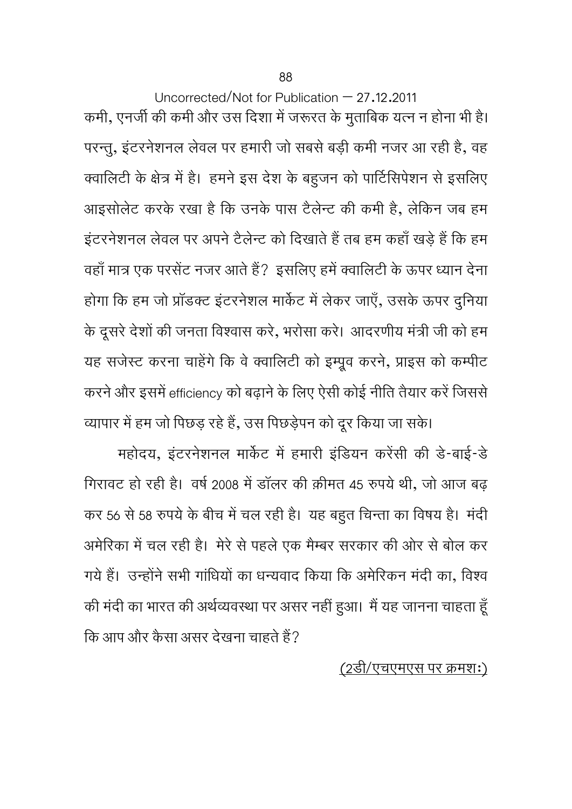Uncorrected/Not for Publication – 27.12.2011 कमी, एनर्जी की कमी और उस दिशा में जरूरत के मुताबिक यत्न न होना भी है। परन्तु, इंटरनेशनल लेवल पर हमारी जो सबसेबड़ी कमी नजर आ रही है, वह क्वालिटी के क्षेत्र में है। हमने इस देश के बहुजन को पार्टिसिपेशन से इसलिए आइसोलेट करके रखा है कि उनके पास टैलेन्ट की कमी है, लेकिन जब हम इंटरनेशनल लेवल पर अपने टैलेन्ट को दिखाते हैं तब हम कहाँ खड़े हैं कि हम वहाँ मात्र एक परसेंट नजर आते हैं? इसलिए हमें क्वालिटी के ऊपर ध्यान देना होगा कि हम जो प्रॉडक्ट इंटरनेशल मार्केट में लेकर जाएँ, उसके ऊपर दुनिया के दूसरे देशों की जनता विश्वास करे, भरोसा करे। आदरणीय मंत्री जी को हम यह सजेस्ट करना चाहेंगे कि वे क्वालिटी को इम्प्रूव करने, प्राइस को कम्पीट करने और इसमें efficiency को बढ़ाने के लिए ऐसी कोई नीति तैयार करें जिससे व्यापार में हम जो पिछड़ रहे हैं, उस पिछड़ेपन को दूर किया जा सके।

महोदय, इंटरनेशनल मार्केट में हमारी इंडियन करेंसी की डे-बाई-डे गिरावट हो रही है। वर्ष 2008 में डॉलर की क़ीमत 45 रुपये थी, जो आज बढ़ कर 56 से 58 रुपये के बीच में चल रही है। यह बहुत चिन्ता का विषय है। मंदी अमेरिका में चल रही है। मेरे से पहले एक मैम्बर सरकार की ओर से बोल कर गये हैं। उन्होंने सभी गांधियों का धन्यवाद किया कि अमेरिकन मंदी का, विश्व की मंदी का भारत की अर्थव्यवस्था पर असर नहीं हुआ। मैं यह जानना चाहता हूँ कि आप और कैसा असर देखना चाहते हैं?

## (2डी/एचएमएस पर कर्मश:)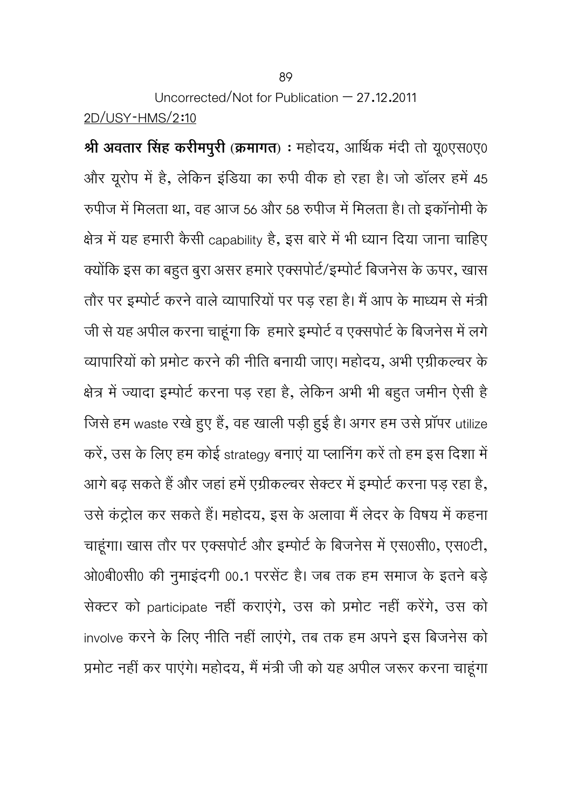Uncorrected/Not for Publication  $-27.12.2011$ 2D/USY-HMS/2:10

**Ǜी अवतार िंसह करीमपुरी (कर्मागत)** : महोदय, आिर्थक मंदी तो य0ूएस0ए0 और यूरोप में है, लेकिन इंडिया का रुपी वीक हो रहा है। जो डॉलर हमें 45 रुपीज में मिलता था, वह आज 56 और 58 रुपीज में मिलता है। तो इकॉनोमी के क्षेत्र में यह हमारी कैसी capability है, इस बारे में भी ध्यान दिया जाना चाहिए क्योंकि इस का बहुत बुरा असर हमारे एक्सपोर्ट/इम्पोर्ट बिजनेस के ऊपर, खास तौर पर इम्पोर्ट करने वाले व्यापारियों पर पड़ रहा है। मैं आप के माध्यम से मंत्री जी से यह अपील करना चाहूंगा कि हमारे इम्पोर्ट व एक्सपोर्ट के बिजनेस में लगे व्यापारियों को प्रमोट करने की नीति बनायी जाए। महोदय, अभी एग्रीकल्चर के क्षेत्र में ज्यादा इम्पोर्ट करना पड़ रहा है, लेकिन अभी भी बहुत जमीन ऐसी है जिसे हम waste रखे हुए हैं, वह खाली पड़ी हुई है। अगर हम उसे प्रॉपर utilize करें, उस के लिए हम कोई strategy बनाएं या प्लानिंग करें तो हम इस दिशा में आगे बढ़ सकते हैं और जहां हमें एग्रीकल्चर सेक्टर में इम्पोर्ट करना पड़ रहा है, उसे कंट्रोल कर सकते हैं। महोदय, इस के अलावा मैं लेदर के विषय में कहना चाहूंगा। खास तौर पर एक्सपोर्ट और इम्पोर्ट के बिजनेस में एस0सी0, एस0टी, ओ0बी0सी0 की नुमाइंदगी 00.1 परसेंट है। जब तक हम समाज के इतने बड़े सेक्टर को participate नहीं कराएंगे, उस को प्रमोट नहीं करेंगे, उस को involve करने के लिए नीति नहीं लाएंगे, तब तक हम अपने इस बिजनेस को प्रमोट नहीं कर पाएंगे। महोदय, मैं मंत्री जी को यह अपील जरूर करना चाहूंगा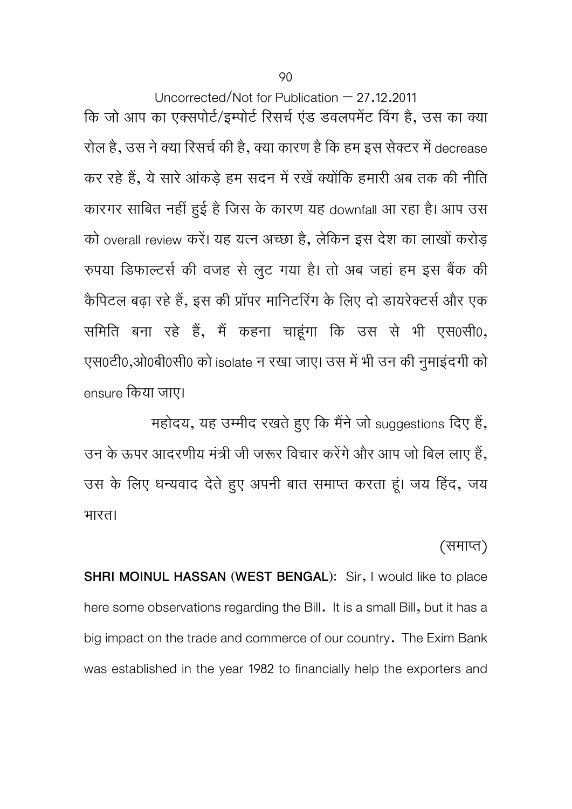90

Uncorrected/Not for Publication – 27.12.2011 कि जो आप का एक्सपोर्ट/इम्पोर्ट रिसर्च एंड डवलपमेंट विंग है, उस का क्या रोल है, उस ने क्या रिसर्च की है, क्या कारण है कि हम इस सेक्टर में decrease कर रहे हैं, ये सारे आंकड़े हम सदन में रखें क्योंकि हमारी अब तक की नीति कारगर साबित नहीं हुई है जिस के कारण यह downfall आ रहा है। आप उस को overall review करें। यह यत्न अच्छा है, लेकिन इस देश का लाखों करोड़ रुपया डिफाल्टर्स की वजह से लुट गया है। तो अब जहां हम इस बैंक की कैपिटल बढ़ा रहे हैं, इस की प्रॉपर मानिटरिंग के लिए दो डायरेक्टर्स और एक समिति बना रहे हैं, मैं कहना चाहूंगा कि उस से भी एस0सी0, एस0टी0,ओ0बी0सी0 को isolate न रखा जाए। उस में भी उन की नुमाइंदगी को ensure िकया जाए।

महोदय, यह उम्मीद रखते हुए कि मैंने जो suggestions दिए हैं, उन के ऊपर आदरणीय मंत्री जी जरूर विचार करेंगे और आप जो बिल लाए हैं, उस के लिए धन्यवाद देते हुए अपनी बात समाप्त करता हूं। जय हिंद, जय भारत।

## (समाप्त)

**SHRI MOINUL HASSAN (WEST BENGAL):** Sir, I would like to place here some observations regarding the Bill. It is a small Bill, but it has a big impact on the trade and commerce of our country. The Exim Bank was established in the year 1982 to financially help the exporters and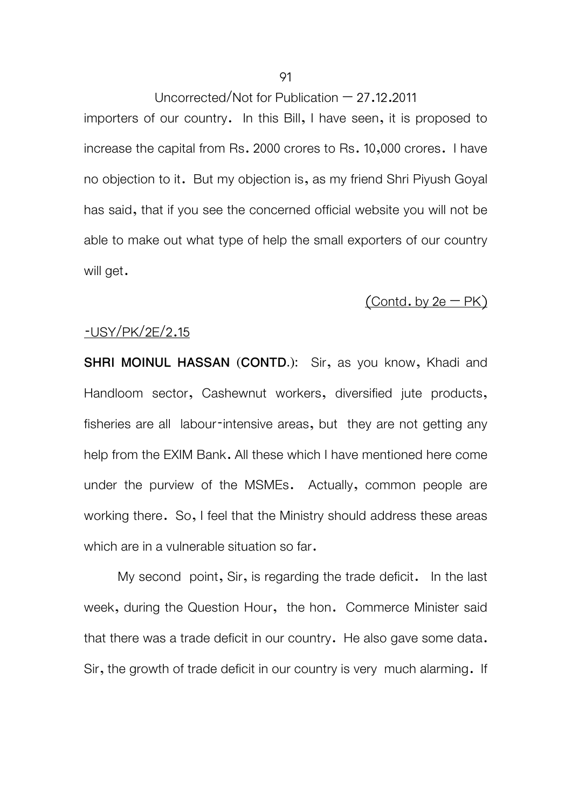importers of our country. In this Bill, I have seen, it is proposed to increase the capital from Rs. 2000 crores to Rs. 10,000 crores. I have no objection to it. But my objection is, as my friend Shri Piyush Goyal has said, that if you see the concerned official website you will not be able to make out what type of help the small exporters of our country will get.

### $($ Contd. by 2e – PK $)$

### -USY/PK/2E/2.15

**SHRI MOINUL HASSAN (CONTD.):** Sir, as you know, Khadi and Handloom sector, Cashewnut workers, diversified jute products, fisheries are all labour-intensive areas, but they are not getting any help from the EXIM Bank. All these which I have mentioned here come under the purview of the MSMEs. Actually, common people are working there. So, I feel that the Ministry should address these areas which are in a vulnerable situation so far.

 My second point, Sir, is regarding the trade deficit. In the last week, during the Question Hour, the hon. Commerce Minister said that there was a trade deficit in our country. He also gave some data. Sir, the growth of trade deficit in our country is very much alarming. If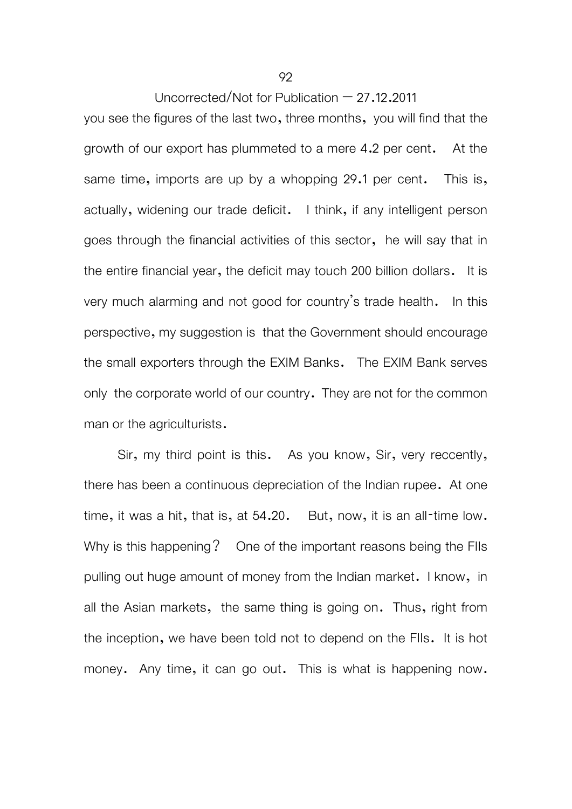you see the figures of the last two, three months, you will find that the growth of our export has plummeted to a mere 4.2 per cent. At the same time, imports are up by a whopping 29.1 per cent. This is, actually, widening our trade deficit. I think, if any intelligent person goes through the financial activities of this sector, he will say that in the entire financial year, the deficit may touch 200 billion dollars. It is very much alarming and not good for country's trade health. In this perspective, my suggestion is that the Government should encourage the small exporters through the EXIM Banks. The EXIM Bank serves only the corporate world of our country. They are not for the common man or the agriculturists.

 Sir, my third point is this. As you know, Sir, very reccently, there has been a continuous depreciation of the Indian rupee. At one time, it was a hit, that is, at 54.20. But, now, it is an all-time low. Why is this happening? One of the important reasons being the FIIs pulling out huge amount of money from the Indian market. I know, in all the Asian markets, the same thing is going on. Thus, right from the inception, we have been told not to depend on the FIIs. It is hot money. Any time, it can go out. This is what is happening now.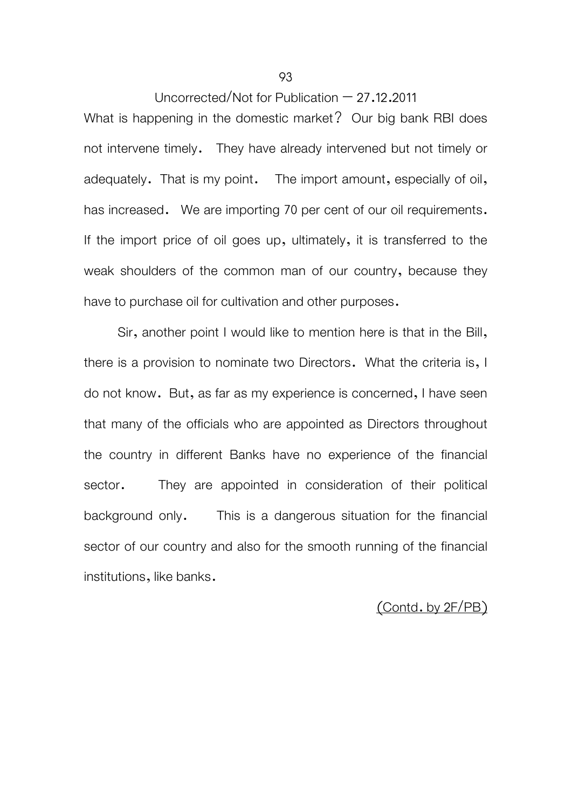What is happening in the domestic market? Our big bank RBI does not intervene timely. They have already intervened but not timely or adequately. That is my point. The import amount, especially of oil, has increased. We are importing 70 per cent of our oil requirements. If the import price of oil goes up, ultimately, it is transferred to the weak shoulders of the common man of our country, because they have to purchase oil for cultivation and other purposes.

 Sir, another point I would like to mention here is that in the Bill, there is a provision to nominate two Directors. What the criteria is, I do not know. But, as far as my experience is concerned, I have seen that many of the officials who are appointed as Directors throughout the country in different Banks have no experience of the financial sector. They are appointed in consideration of their political background only. This is a dangerous situation for the financial sector of our country and also for the smooth running of the financial institutions, like banks.

## (Contd. by 2F/PB)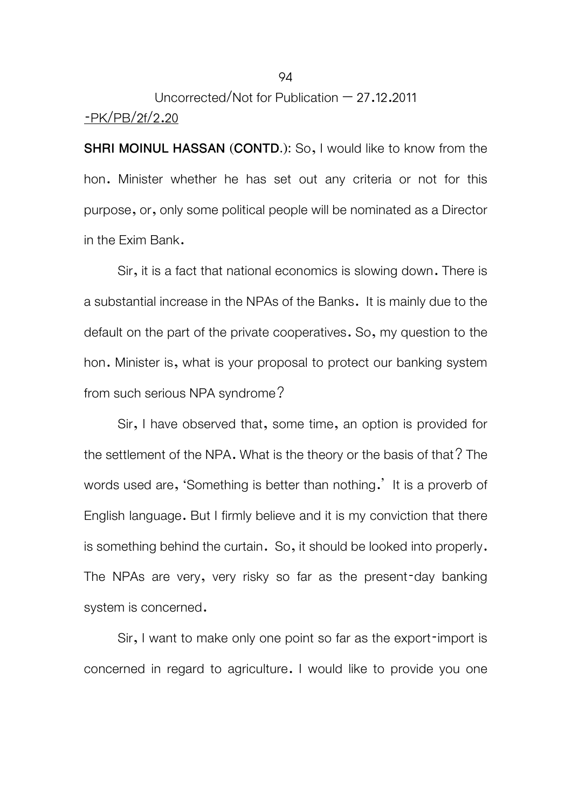## Uncorrected/Not for Publication – 27.12.2011 -PK/PB/2f/2.20

**SHRI MOINUL HASSAN (CONTD.):** So, I would like to know from the hon. Minister whether he has set out any criteria or not for this purpose, or, only some political people will be nominated as a Director in the Exim Bank.

 Sir, it is a fact that national economics is slowing down. There is a substantial increase in the NPAs of the Banks. It is mainly due to the default on the part of the private cooperatives. So, my question to the hon. Minister is, what is your proposal to protect our banking system from such serious NPA syndrome?

 Sir, I have observed that, some time, an option is provided for the settlement of the NPA. What is the theory or the basis of that? The words used are, 'Something is better than nothing.' It is a proverb of English language. But I firmly believe and it is my conviction that there is something behind the curtain. So, it should be looked into properly. The NPAs are very, very risky so far as the present-day banking system is concerned.

 Sir, I want to make only one point so far as the export-import is concerned in regard to agriculture. I would like to provide you one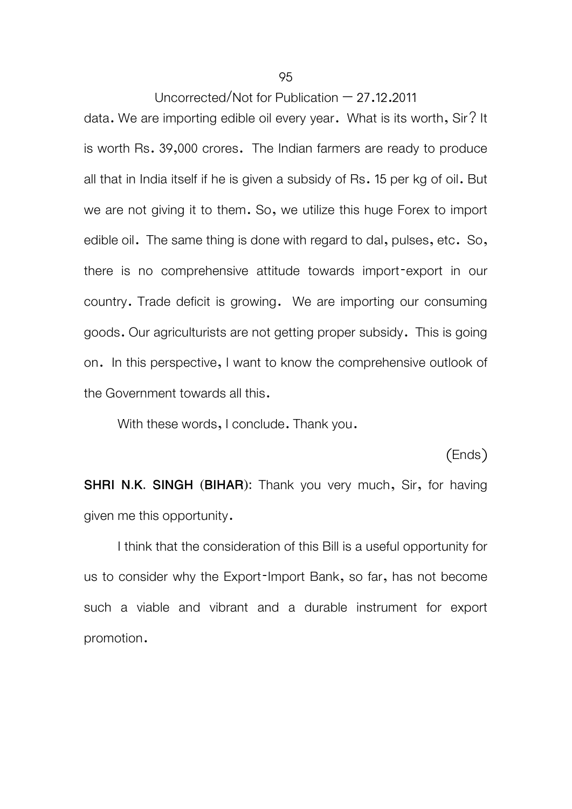data. We are importing edible oil every year. What is its worth, Sir? It is worth Rs. 39,000 crores. The Indian farmers are ready to produce all that in India itself if he is given a subsidy of Rs. 15 per kg of oil. But we are not giving it to them. So, we utilize this huge Forex to import edible oil. The same thing is done with regard to dal, pulses, etc. So, there is no comprehensive attitude towards import-export in our country. Trade deficit is growing. We are importing our consuming goods. Our agriculturists are not getting proper subsidy. This is going on. In this perspective, I want to know the comprehensive outlook of the Government towards all this.

With these words, I conclude. Thank you.

### (Ends)

**SHRI N.K. SINGH (BIHAR):** Thank you very much, Sir, for having given me this opportunity.

 I think that the consideration of this Bill is a useful opportunity for us to consider why the Export-Import Bank, so far, has not become such a viable and vibrant and a durable instrument for export promotion.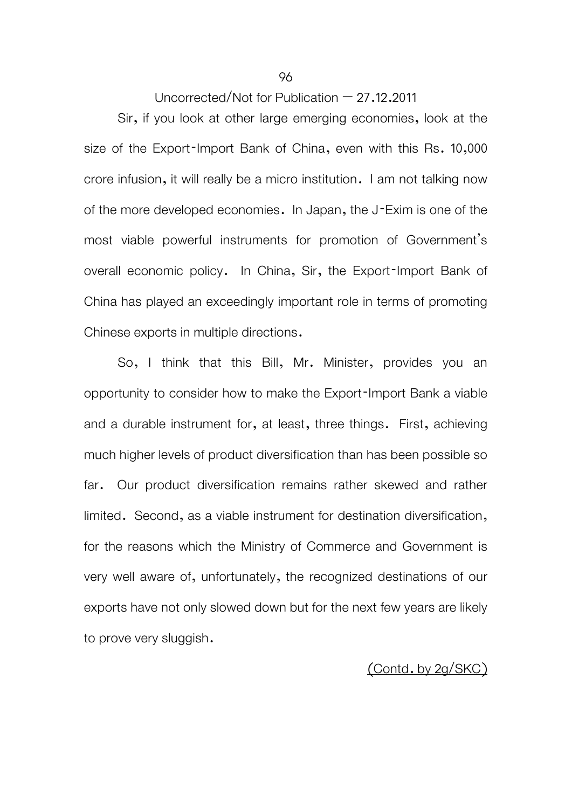Sir, if you look at other large emerging economies, look at the size of the Export-Import Bank of China, even with this Rs. 10,000 crore infusion, it will really be a micro institution. I am not talking now of the more developed economies. In Japan, the J-Exim is one of the most viable powerful instruments for promotion of Government's overall economic policy. In China, Sir, the Export-Import Bank of China has played an exceedingly important role in terms of promoting Chinese exports in multiple directions.

So, I think that this Bill, Mr. Minister, provides you an opportunity to consider how to make the Export-Import Bank a viable and a durable instrument for, at least, three things. First, achieving much higher levels of product diversification than has been possible so far. Our product diversification remains rather skewed and rather limited. Second, as a viable instrument for destination diversification, for the reasons which the Ministry of Commerce and Government is very well aware of, unfortunately, the recognized destinations of our exports have not only slowed down but for the next few years are likely to prove very sluggish.

## (Contd. by 2g/SKC)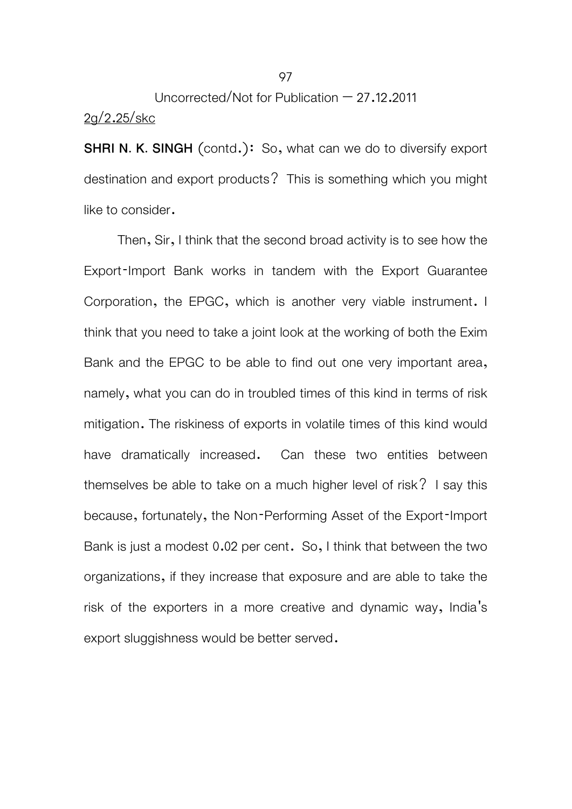## Uncorrected/Not for Publication – 27.12.2011 2g/2.25/skc

**SHRI N. K. SINGH** (contd.): So, what can we do to diversify export destination and export products? This is something which you might like to consider.

 Then, Sir, I think that the second broad activity is to see how the Export-Import Bank works in tandem with the Export Guarantee Corporation, the EPGC, which is another very viable instrument. I think that you need to take a joint look at the working of both the Exim Bank and the EPGC to be able to find out one very important area, namely, what you can do in troubled times of this kind in terms of risk mitigation. The riskiness of exports in volatile times of this kind would have dramatically increased. Can these two entities between themselves be able to take on a much higher level of risk? I say this because, fortunately, the Non-Performing Asset of the Export-Import Bank is just a modest 0.02 per cent. So, I think that between the two organizations, if they increase that exposure and are able to take the risk of the exporters in a more creative and dynamic way, India's export sluggishness would be better served.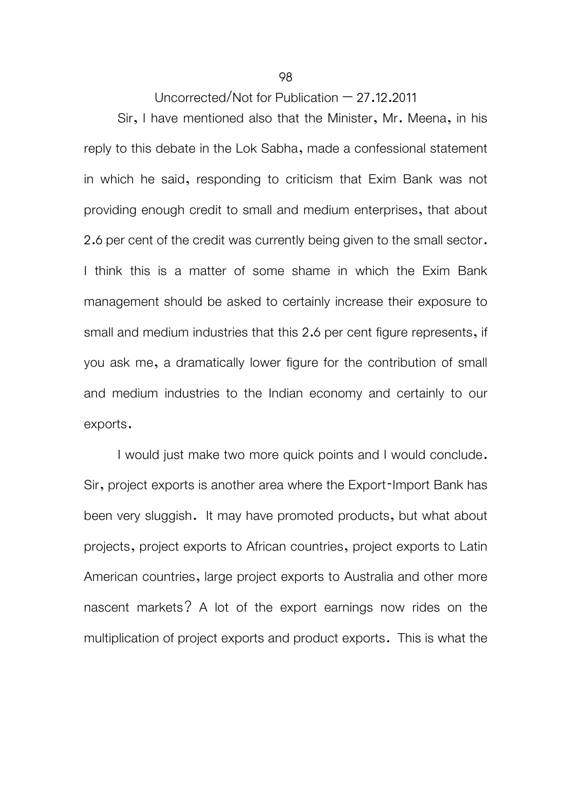Sir, I have mentioned also that the Minister, Mr. Meena, in his reply to this debate in the Lok Sabha, made a confessional statement in which he said, responding to criticism that Exim Bank was not providing enough credit to small and medium enterprises, that about 2.6 per cent of the credit was currently being given to the small sector. I think this is a matter of some shame in which the Exim Bank management should be asked to certainly increase their exposure to small and medium industries that this 2.6 per cent figure represents, if you ask me, a dramatically lower figure for the contribution of small and medium industries to the Indian economy and certainly to our exports.

I would just make two more quick points and I would conclude. Sir, project exports is another area where the Export-Import Bank has been very sluggish. It may have promoted products, but what about projects, project exports to African countries, project exports to Latin American countries, large project exports to Australia and other more nascent markets? A lot of the export earnings now rides on the multiplication of project exports and product exports. This is what the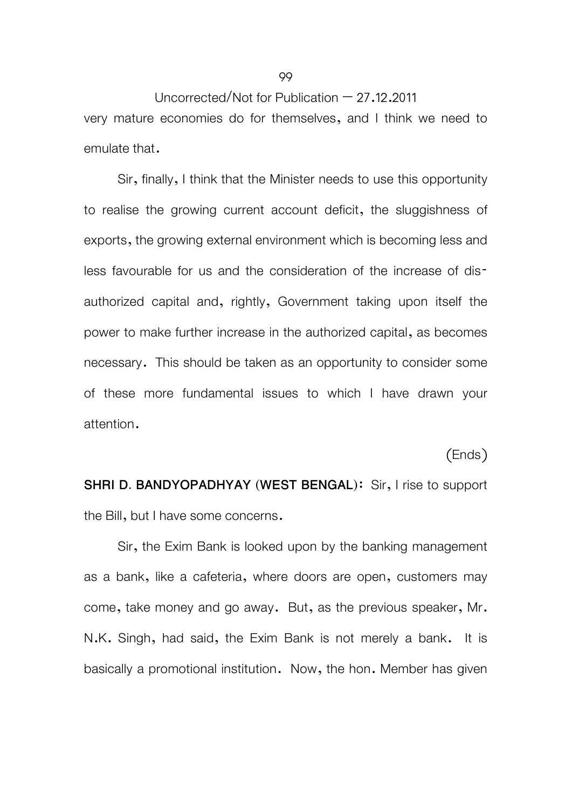Uncorrected/Not for Publication  $-27.12.2011$ very mature economies do for themselves, and I think we need to emulate that.

Sir, finally, I think that the Minister needs to use this opportunity to realise the growing current account deficit, the sluggishness of exports, the growing external environment which is becoming less and less favourable for us and the consideration of the increase of disauthorized capital and, rightly, Government taking upon itself the power to make further increase in the authorized capital, as becomes necessary. This should be taken as an opportunity to consider some of these more fundamental issues to which I have drawn your attention.

(Ends)

**SHRI D. BANDYOPADHYAY (WEST BENGAL):** Sir, I rise to support the Bill, but I have some concerns.

Sir, the Exim Bank is looked upon by the banking management as a bank, like a cafeteria, where doors are open, customers may come, take money and go away. But, as the previous speaker, Mr. N.K. Singh, had said, the Exim Bank is not merely a bank. It is basically a promotional institution. Now, the hon. Member has given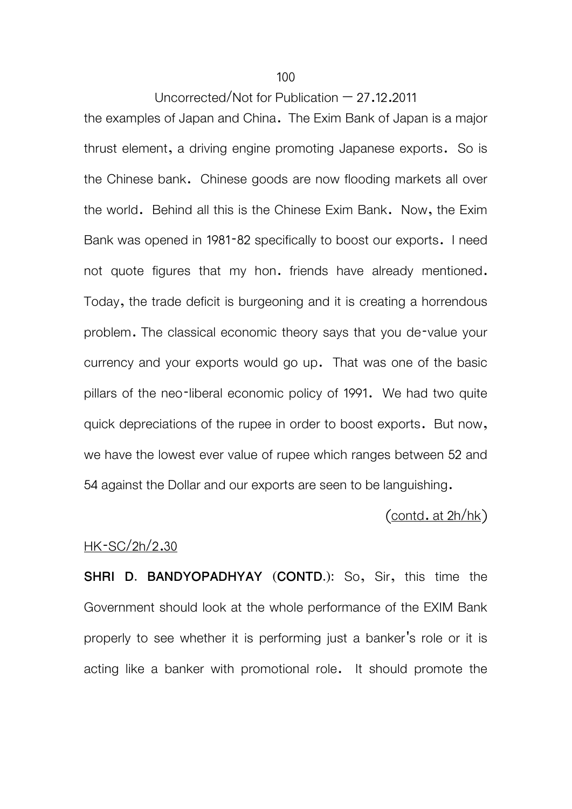100

### Uncorrected/Not for Publication – 27.12.2011

the examples of Japan and China. The Exim Bank of Japan is a major thrust element, a driving engine promoting Japanese exports. So is the Chinese bank. Chinese goods are now flooding markets all over the world. Behind all this is the Chinese Exim Bank. Now, the Exim Bank was opened in 1981-82 specifically to boost our exports. I need not quote figures that my hon. friends have already mentioned. Today, the trade deficit is burgeoning and it is creating a horrendous problem. The classical economic theory says that you de-value your currency and your exports would go up. That was one of the basic pillars of the neo-liberal economic policy of 1991. We had two quite quick depreciations of the rupee in order to boost exports. But now, we have the lowest ever value of rupee which ranges between 52 and 54 against the Dollar and our exports are seen to be languishing.

### $($  contd. at  $2h/hk)$

### HK-SC/2h/2.30

**SHRI D. BANDYOPADHYAY (CONTD.):** So, Sir, this time the Government should look at the whole performance of the EXIM Bank properly to see whether it is performing just a banker's role or it is acting like a banker with promotional role. It should promote the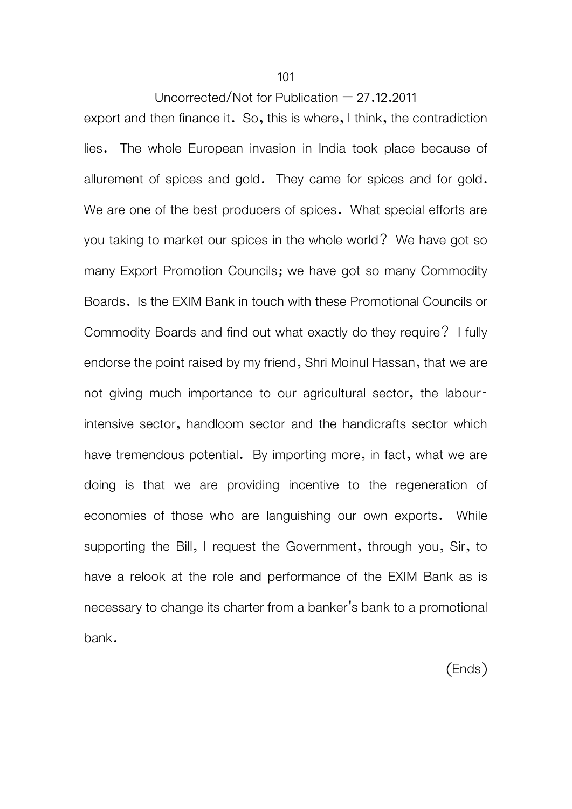export and then finance it. So, this is where, I think, the contradiction lies. The whole European invasion in India took place because of allurement of spices and gold. They came for spices and for gold. We are one of the best producers of spices. What special efforts are you taking to market our spices in the whole world? We have got so many Export Promotion Councils; we have got so many Commodity Boards. Is the EXIM Bank in touch with these Promotional Councils or Commodity Boards and find out what exactly do they require? I fully endorse the point raised by my friend, Shri Moinul Hassan, that we are not giving much importance to our agricultural sector, the labourintensive sector, handloom sector and the handicrafts sector which have tremendous potential. By importing more, in fact, what we are doing is that we are providing incentive to the regeneration of economies of those who are languishing our own exports. While supporting the Bill, I request the Government, through you, Sir, to have a relook at the role and performance of the EXIM Bank as is necessary to change its charter from a banker's bank to a promotional bank.

(Ends)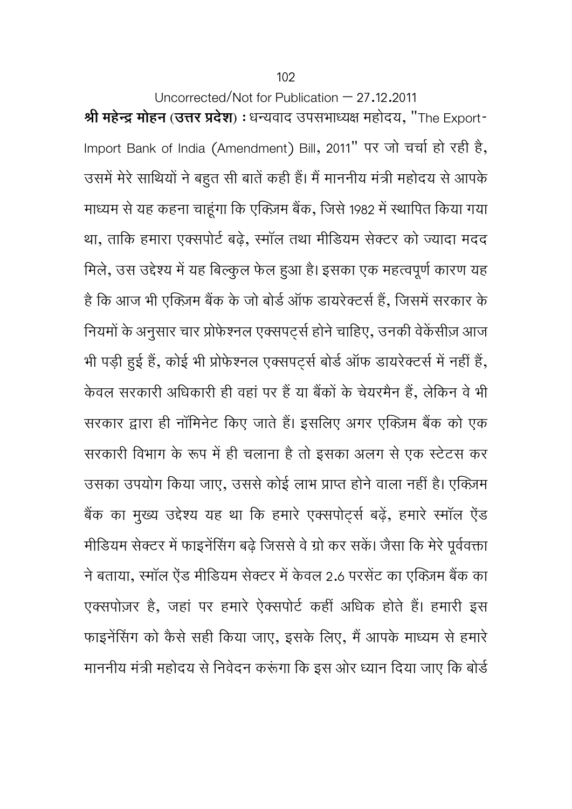Uncorrected/Not for Publication  $-27.12.2011$ **Ǜी महेन्दर् मोहन (उDŽर Ģदेश)** : धन्यवाद उपसभाध्यक्ष महोदय, "The Export-Import Bank of India (Amendment) Bill, 2011" पर जो चचार् हो रही है, उसमें मेरे साथियों ने बहुत सी बातें कही हैं। मैं माननीय मंत्री महोदय से आपके माध्यम से यह कहना चाहूंगा कि एक्ज़िम बैंक, जिसे 1982 में स्थापित किया गया था, ताकि हमारा एक्सपोर्ट बढ़े, स्मॉल तथा मीडियम सेक्टर को ज्यादा मदद मिले, उस उद्देश्य में यह बिल्कुल फेल हुआ है। इसका एक महत्वपूर्ण कारण यह है कि आज भी एक्ज़िम बैंक के जो बोर्ड ऑफ डायरेक्टर्स हैं, जिसमें सरकार के नियमों के अनुसार चार प्रोफेश्नल एक्सपट्स होने चाहिए, उनकी वेकेंसीज़ आज भी पड़ी हुई हैं, कोई भी प्रोफेश्नल एक्सपट्स बोर्ड ऑफ डायरेक्टर्स में नहीं हैं, केवल सरकारी अधिकारी ही वहां पर हैं या बैंकों के चेयरमैन हैं, लेकिन वे भी सरकार द्वारा ही नॉमिनेट किए जाते हैं। इसलिए अगर एक्ज़िम बैंक को एक सरकारी विभाग के रूप में ही चलाना है तो इसका अलग से एक स्टेटस कर उसका उपयोग किया जाए, उससे कोई लाभ प्राप्त होने वाला नहीं है। एक्ज़िम बैंक का मुख्य उद्देश्य यह था कि हमारे एक्सपोट्स बढ़ें, हमारे स्मॉल ऐंड मीडियम सेक्टर में फाइनेंसिंग बढ़े जिससे वे ग्रो कर सकें। जैसा कि मेरे पूर्ववक्ता ने बताया, स्मॉल ऐंड मीडियम सेक्टर में केवल 2.6 परसेंट का एक्ज़िम बैंक का एक्सपोज़र है, जहां पर हमारे ऐक्सपोर्ट कहीं अधिक होते हैं। हमारी इस फाइनेंसिंग को कैसे सही किया जाए, इसके लिए, मैं आपके माध्यम से हमारे माननीय मंत्री महोदय से निवेदन करूंगा कि इस ओर ध्यान दिया जाए कि बोर्ड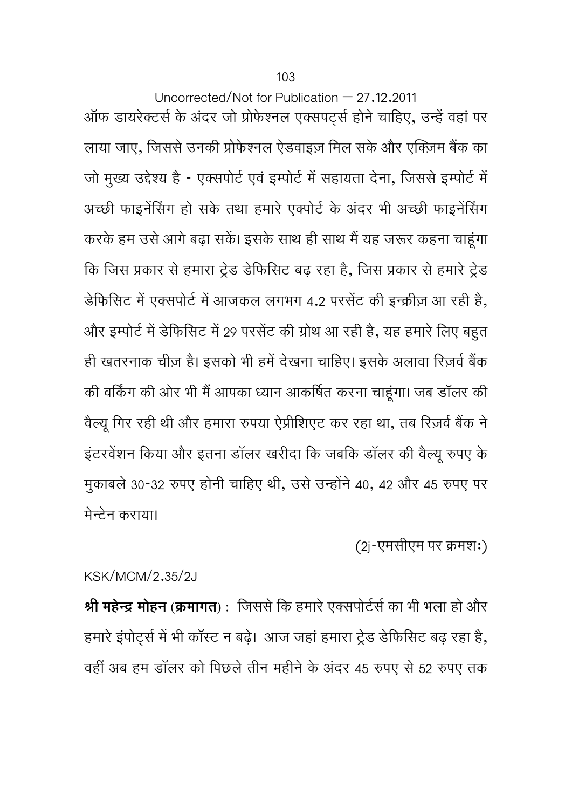Uncorrected/Not for Publication  $-27.12.2011$ ऑफ डायरेक्टर्स के अंदर जो प्रोफेश्नल एक्सपर्ट्स होने चाहिए, उन्हें वहां पर लाया जाए, जिससे उनकी प्रोफेश्नल ऐडवाइज़ मिल सके और एक्ज़िम बैंक का जा मुख्य उद्दश्य है - एक्सपाट एवं इम्पाट म सहायता देना, जिससे इम्पाट म अच्छी फाइनेंसिंग हो सके तथा हमारे एक्पोर्ट के अंदर भी अच्छी फाइनेंसिंग करके हम उसे आगे बढ़ा सकें। इसके साथ ही साथ मैं यह जरूर कहना चाहूंगा कि जिस प्रकार से हमारा ट्रेड डेफिसिट बढ़ रहा है, जिस प्रकार से हमारे ट्रेड डेफिसिट में एक्सपोर्ट में आजकल लगभग 4.2 परसेंट की इन्क्रीज़ आ रही है, और इम्पोर्ट में डेफिसिट में 29 परसेंट की ग्रोथ आ रही है, यह हमारे लिए बहुत ही खतरनाक चीज़ है। इसको भी हमें देखना चाहिए। इसके अलावा रिज़र्व बैंक की वर्किंग की ओर भी मैं आपका ध्यान आकर्षित करना चाहूंगा। जब डॉलर की वैल्यू गिर रही थी और हमारा रुपया ऐप्रीशिएट कर रहा था, तब रिज़र्व बैंक ने इंटरवेंशन किया और इतना डॉलर खरीदा कि जबकि डॉलर की वैल्यू रुपए के मुकाबले 30-32 रुपए होनी चाहिए थी, उसे उन्होंने 40, 42 और 45 रुपए पर मेन्टेन कराया।

## <u>(२j-एमसीएम पर क्रमशः)</u>

## KSK/MCM/2.35/2J

**Ǜी महेन्दर् मोहन (कर्मागत) :** िजससेिक हमारेएक्सपोटर्सर्का भी भला हो और हमारे इंपोर्ट्स में भी कॉस्ट न बढ़े। आज जहां हमारा ट्रेड डेफिसिट बढ़ रहा है, वहीं अब हम डॉलर को िपछलेतीन महीनेके अंदर 45 रुपए से 52 रुपए तक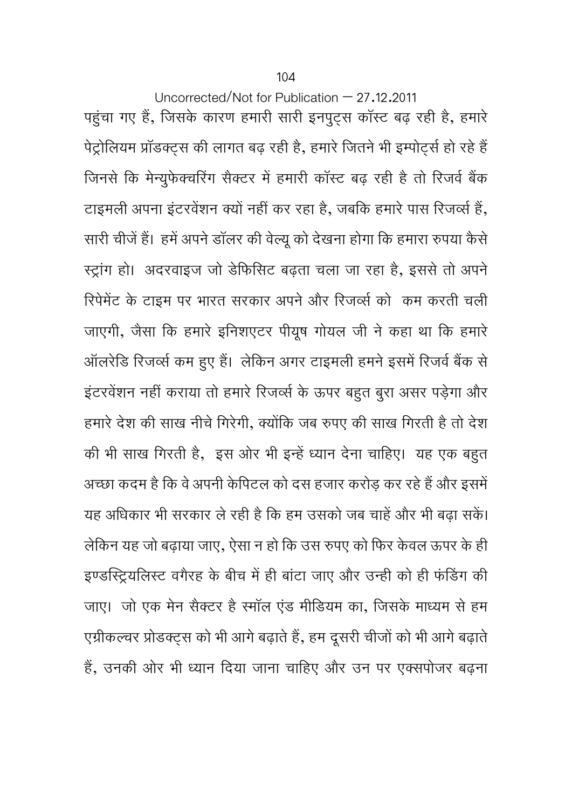Uncorrected/Not for Publication – 27.12.2011 पहुंचा गए हैं, जिसके कारण हमारी सारी इनपुट्स कॉस्ट बढ़ रही है, हमारे पेट्रोलियम प्रॉडक्ट्स की लागत बढ़ रही है, हमारे जितने भी इम्पोर्ट्स हो रहे हैं जिनसे कि मेन्युफेक्चरिंग सैक्टर में हमारी कॉस्ट बढ़ रही है तो रिजर्व बैंक टाइमली अपना इंटरवेंशन क्यों नहीं कर रहा है, जबकि हमारे पास रिजर्व्स हैं, सारी चीजें हैं। हमें अपने डॉलर की वेल्यू को देखना होगा कि हमारा रुपया कैसे Îटर्ागं हो। अदरवाइज जो डेिफिसट बढ़ता चला जा रहा है, इससेतो अपने रिपेमेंट के टाइम पर भारत सरकार अपने और रिजर्व्स को कम करती चली जाएगी, जैसा िक हमारे इिनशएटर पीयषू गोयल जी ने कहा था िक हमारे ऑलरेडि रिजर्व्स कम हुए हैं। लेकिन अगर टाइमली हमने इसमें रिजर्व बैंक से इंटरवेंशन नहीं कराया तो हमारे रिजर्व्स के ऊपर बहुत बुरा असर पड़ेगा और हमारे देश की साख नीचे गिरेगी, क्योंकि जब रुपए की साख गिरती है तो देश की भी साख गिरती है, इस ओर भी इन्हें ध्यान देना चाहिए। यह एक बहुत अच्छा कदम है कि वे अपनी केपिटल को दस हजार करोड़ कर रहे हैं और इसमें यह अधिकार भी सरकार ले रही है कि हम उसको जब चाहें और भी बढ़ा सकें। लेिकन यह जो बढ़ाया जाए, ऐसा न हो िक उस रुपए को िफर केवल ऊपर के ही इण्डस्ट्रियलिस्ट वगैरह के बीच में ही बांटा जाए और उन्ही को ही फंडिंग की जाए। जो एक मेन सैक्टर है स्मॉल एंड मीडियम का, जिसके माध्यम से हम एग्रीकल्चर प्रोडक्ट्स को भी आगे बढ़ाते हैं, हम दूसरी चीजों को भी आगे बढ़ाते हैं, उनकी ओर भी ध्यान दिया जाना चाहिए और उन पर एक्सपोजर बढ़ना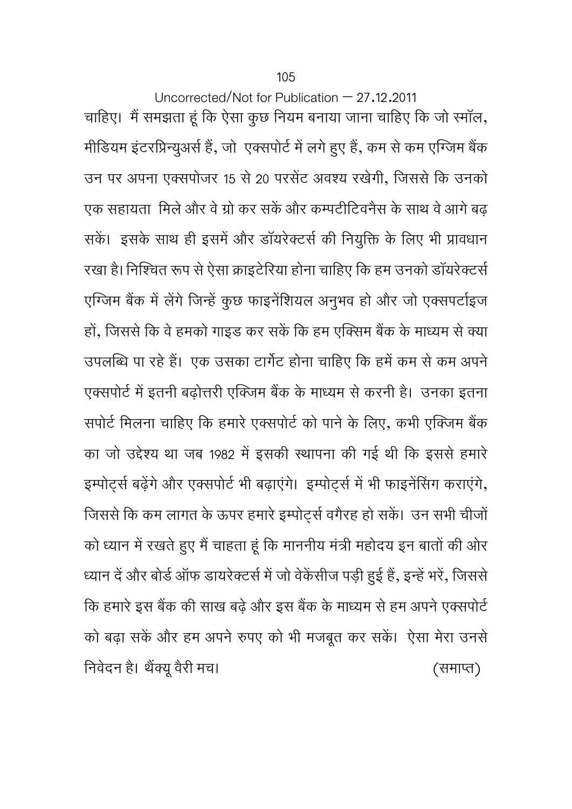Uncorrected/Not for Publication – 27.12.2011 चाहिए। मैं समझता हूं कि ऐसा कुछ नियम बनाया जाना चाहिए कि जो स्मॉल, मीडियम इंटरप्रिन्यूअर्स हैं, जो एक्सपोर्ट में लगे हुए हैं, कम से कम एग्जिम बैंक उन पर अपना एक्सपोजर 15 से 20 परसेंट अवश्य रखेगी, जिससे कि उनको एक सहायता) मिले और वे ग्रो कर सकें और कम्पटीटिवनैस के साथ वे आगे बढ सकें। इसके साथ ही इसमें और डॉयरेक्टर्स की नियुक्ति के लिए भी प्रावधान रखा है। निश्चित रूप से ऐसा क्राइटेरिया होना चाहिए कि हम उनको डॉयरेक्टर्स एग्जिम बैंक में लेंगे जिन्हें कुछ फाइनेंशियल अनुभव हो और जो एक्सपर्टाइज हों, जिससे कि वे हमको गाइड कर सकें कि हम एक्सिम बैंक के माध्यम से क्या उपलब्धि पा रहे हैं। एक उसका टार्गेट होना चाहिए कि हमें कम से कम अपने एक्सपोर्ट में इतनी बढ़ोत्तरी एक्जिम बैंक के माध्यम से करनी है। उनका इतना सपोर्ट मिलना चाहिए कि हमारे एक्सपोर्ट को पाने के लिए, कभी एक्जिम बैंक का जो उद्देश्य था जब 1982 में इसकी स्थापना की गई थी कि इससे हमारे इम्पोर्ट्स बढ़ेंगे और एक्सपोर्ट भी बढ़ाएंगे। इम्पोर्ट्स में भी फाइनेंसिंग कराएंगे, जिससे कि कम लागत के ऊपर हमारे इम्पोर्ट्स वगैरह हो सकें। उन सभी चीजों को ध्यान में रखते हुए मैं चाहता हूं कि माननीय मंत्री महोदय इन बातों की ओर ध्यान दें और बोर्ड ऑफ डायरेक्टर्स में जो वेकेंसीज पड़ी हुई हैं, इन्हें भरें, जिससे कि हमारे इस बैंक की साख बढ़े और इस बैंक के माध्यम से हम अपने एक्सपोर्ट को बढ़ा सकें और हम अपने रुपए को भी मजबूत कर सकें। ऐसा मेरा उनसे निवेदन है। थैंक्यू वैरी मच। त्री कार्यालय करने के लियेदन है। थैंक्यू वैरी मच।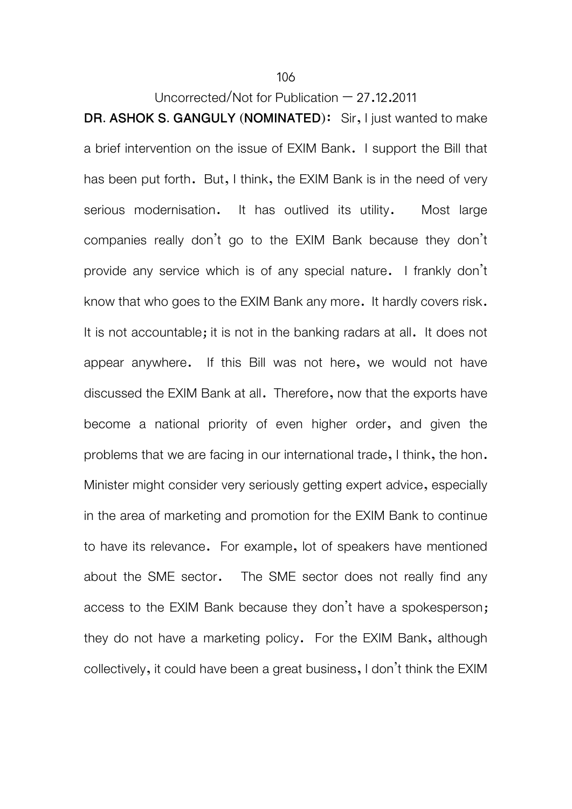106

Uncorrected/Not for Publication  $-27.12.2011$ 

**DR. ASHOK S. GANGULY (NOMINATED)**: Sir, I just wanted to make a brief intervention on the issue of EXIM Bank. I support the Bill that has been put forth. But, I think, the EXIM Bank is in the need of very serious modernisation. It has outlived its utility. Most large companies really don't go to the EXIM Bank because they don't provide any service which is of any special nature. I frankly don't know that who goes to the EXIM Bank any more. It hardly covers risk. It is not accountable; it is not in the banking radars at all. It does not appear anywhere. If this Bill was not here, we would not have discussed the EXIM Bank at all. Therefore, now that the exports have become a national priority of even higher order, and given the problems that we are facing in our international trade, I think, the hon. Minister might consider very seriously getting expert advice, especially in the area of marketing and promotion for the EXIM Bank to continue to have its relevance. For example, lot of speakers have mentioned about the SME sector. The SME sector does not really find any access to the EXIM Bank because they don't have a spokesperson; they do not have a marketing policy. For the EXIM Bank, although collectively, it could have been a great business, I don't think the EXIM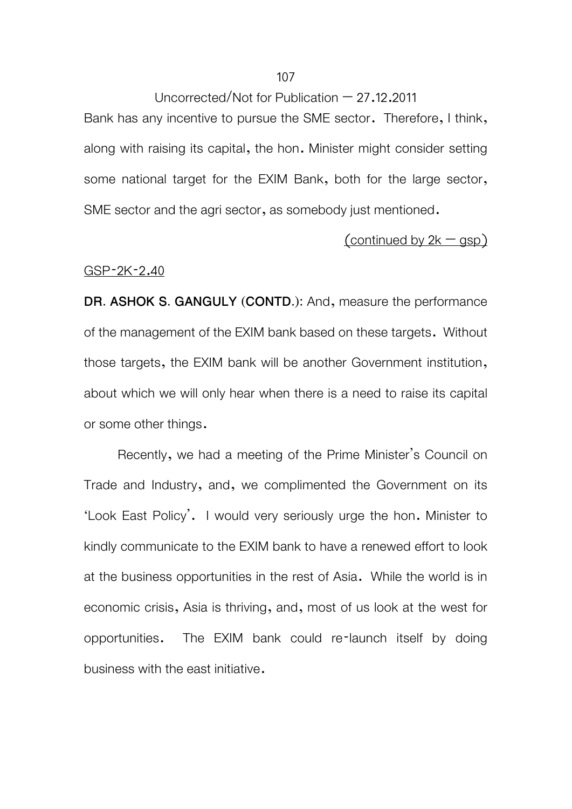Bank has any incentive to pursue the SME sector. Therefore, I think, along with raising its capital, the hon. Minister might consider setting some national target for the EXIM Bank, both for the large sector, SME sector and the agri sector, as somebody just mentioned.

### $(continued by 2k - gsp)$

#### GSP-2K-2.40

**DR. ASHOK S. GANGULY (CONTD.):** And, measure the performance of the management of the EXIM bank based on these targets. Without those targets, the EXIM bank will be another Government institution, about which we will only hear when there is a need to raise its capital or some other things.

Recently, we had a meeting of the Prime Minister's Council on Trade and Industry, and, we complimented the Government on its 'Look East Policy'. I would very seriously urge the hon. Minister to kindly communicate to the EXIM bank to have a renewed effort to look at the business opportunities in the rest of Asia. While the world is in economic crisis, Asia is thriving, and, most of us look at the west for opportunities. The EXIM bank could re-launch itself by doing business with the east initiative.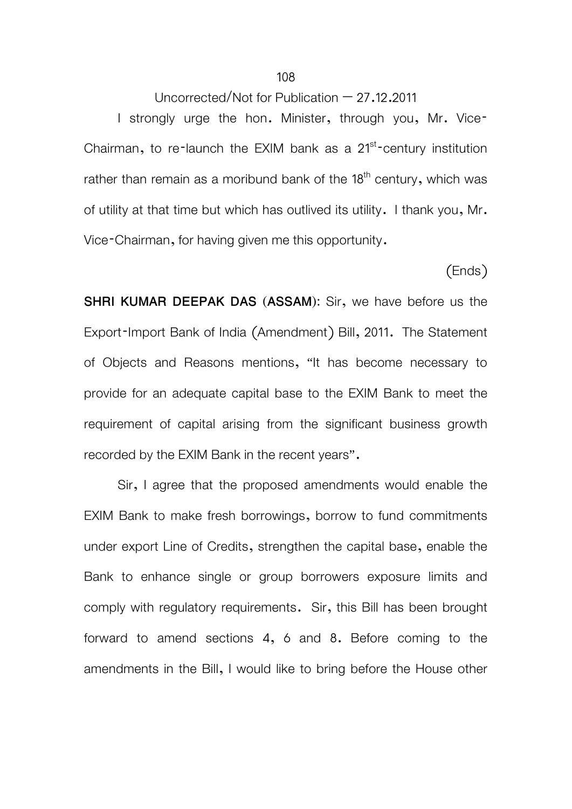I strongly urge the hon. Minister, through you, Mr. Vice-Chairman, to re-launch the EXIM bank as a  $21<sup>st</sup>$ -century institution rather than remain as a moribund bank of the  $18<sup>th</sup>$  century, which was of utility at that time but which has outlived its utility. I thank you, Mr. Vice-Chairman, for having given me this opportunity.

(Ends)

**SHRI KUMAR DEEPAK DAS (ASSAM):** Sir, we have before us the Export-Import Bank of India (Amendment) Bill, 2011. The Statement of Objects and Reasons mentions, "It has become necessary to provide for an adequate capital base to the EXIM Bank to meet the requirement of capital arising from the significant business growth recorded by the EXIM Bank in the recent years".

Sir, I agree that the proposed amendments would enable the EXIM Bank to make fresh borrowings, borrow to fund commitments under export Line of Credits, strengthen the capital base, enable the Bank to enhance single or group borrowers exposure limits and comply with regulatory requirements. Sir, this Bill has been brought forward to amend sections 4, 6 and 8. Before coming to the amendments in the Bill, I would like to bring before the House other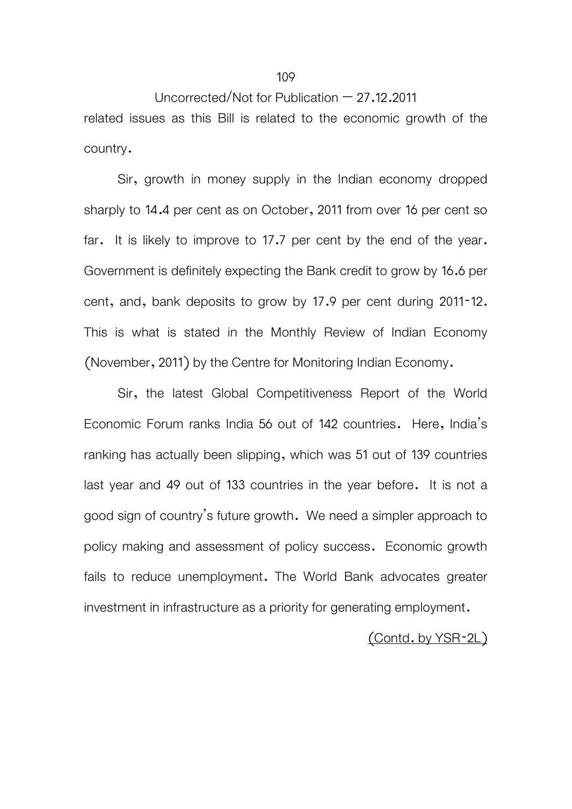Uncorrected/Not for Publication – 27.12.2011 related issues as this Bill is related to the economic growth of the country.

 Sir, growth in money supply in the Indian economy dropped sharply to 14.4 per cent as on October, 2011 from over 16 per cent so far. It is likely to improve to 17.7 per cent by the end of the year. Government is definitely expecting the Bank credit to grow by 16.6 per cent, and, bank deposits to grow by 17.9 per cent during 2011-12. This is what is stated in the Monthly Review of Indian Economy (November, 2011) by the Centre for Monitoring Indian Economy.

 Sir, the latest Global Competitiveness Report of the World Economic Forum ranks India 56 out of 142 countries. Here, India's ranking has actually been slipping, which was 51 out of 139 countries last year and 49 out of 133 countries in the year before. It is not a good sign of country's future growth. We need a simpler approach to policy making and assessment of policy success. Economic growth fails to reduce unemployment. The World Bank advocates greater investment in infrastructure as a priority for generating employment.

## (Contd. by YSR-2L)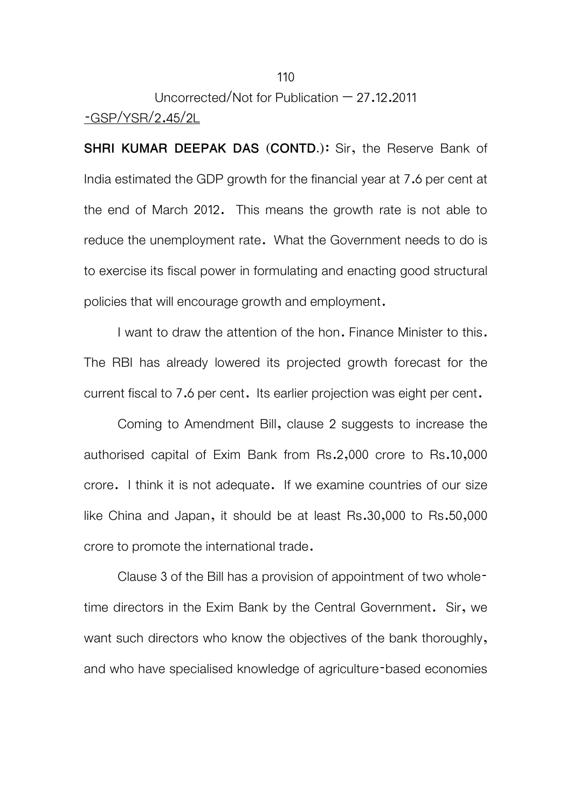# Uncorrected/Not for Publication – 27.12.2011 -GSP/YSR/2.45/2L

**SHRI KUMAR DEEPAK DAS (CONTD.):** Sir, the Reserve Bank of India estimated the GDP growth for the financial year at 7.6 per cent at the end of March 2012. This means the growth rate is not able to reduce the unemployment rate. What the Government needs to do is to exercise its fiscal power in formulating and enacting good structural policies that will encourage growth and employment.

I want to draw the attention of the hon. Finance Minister to this. The RBI has already lowered its projected growth forecast for the current fiscal to 7.6 per cent. Its earlier projection was eight per cent.

 Coming to Amendment Bill, clause 2 suggests to increase the authorised capital of Exim Bank from Rs.2,000 crore to Rs.10,000 crore. I think it is not adequate. If we examine countries of our size like China and Japan, it should be at least Rs.30,000 to Rs.50,000 crore to promote the international trade.

 Clause 3 of the Bill has a provision of appointment of two wholetime directors in the Exim Bank by the Central Government. Sir, we want such directors who know the objectives of the bank thoroughly, and who have specialised knowledge of agriculture-based economies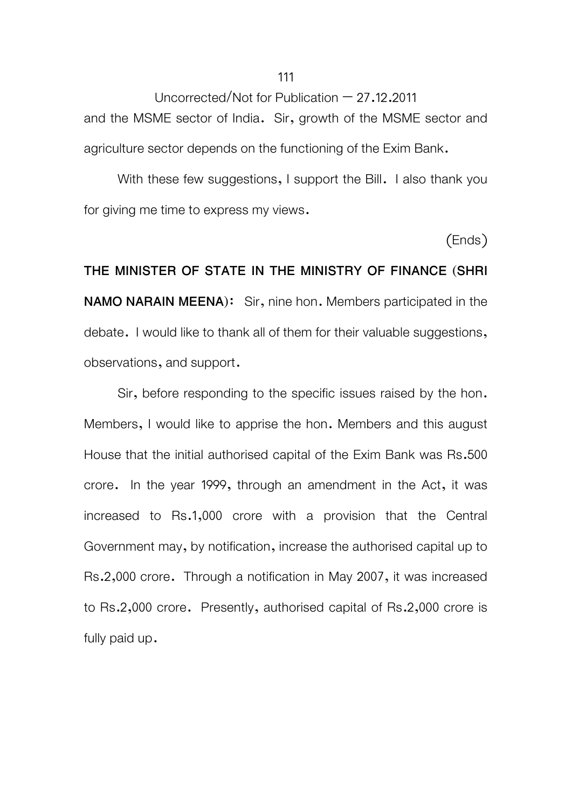Uncorrected/Not for Publication  $-27.12.2011$ and the MSME sector of India. Sir, growth of the MSME sector and agriculture sector depends on the functioning of the Exim Bank.

With these few suggestions, I support the Bill. I also thank you for giving me time to express my views.

(Ends)

**THE MINISTER OF STATE IN THE MINISTRY OF FINANCE (SHRI NAMO NARAIN MEENA)**: Sir, nine hon. Members participated in the debate. I would like to thank all of them for their valuable suggestions, observations, and support.

 Sir, before responding to the specific issues raised by the hon. Members, I would like to apprise the hon. Members and this august House that the initial authorised capital of the Exim Bank was Rs.500 crore. In the year 1999, through an amendment in the Act, it was increased to Rs.1,000 crore with a provision that the Central Government may, by notification, increase the authorised capital up to Rs.2,000 crore. Through a notification in May 2007, it was increased to Rs.2,000 crore. Presently, authorised capital of Rs.2,000 crore is fully paid up.

111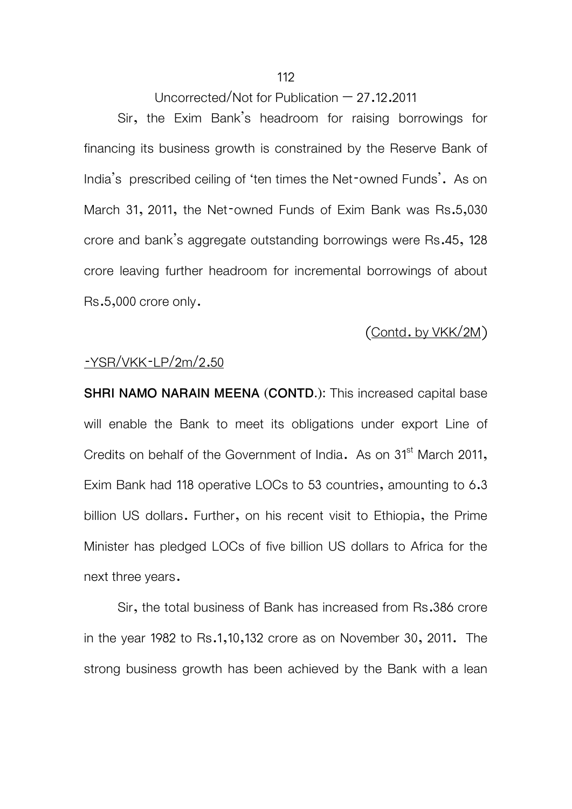Sir, the Exim Bank's headroom for raising borrowings for financing its business growth is constrained by the Reserve Bank of India's prescribed ceiling of 'ten times the Net-owned Funds'. As on March 31, 2011, the Net-owned Funds of Exim Bank was Rs.5,030 crore and bank's aggregate outstanding borrowings were Rs.45, 128 crore leaving further headroom for incremental borrowings of about Rs.5,000 crore only.

#### (Contd. by VKK/2M)

#### -YSR/VKK-LP/2m/2.50

**SHRI NAMO NARAIN MEENA (CONTD.):** This increased capital base will enable the Bank to meet its obligations under export Line of Credits on behalf of the Government of India. As on 31<sup>st</sup> March 2011, Exim Bank had 118 operative LOCs to 53 countries, amounting to 6.3 billion US dollars. Further, on his recent visit to Ethiopia, the Prime Minister has pledged LOCs of five billion US dollars to Africa for the next three years.

Sir, the total business of Bank has increased from Rs.386 crore in the year 1982 to Rs.1,10,132 crore as on November 30, 2011. The strong business growth has been achieved by the Bank with a lean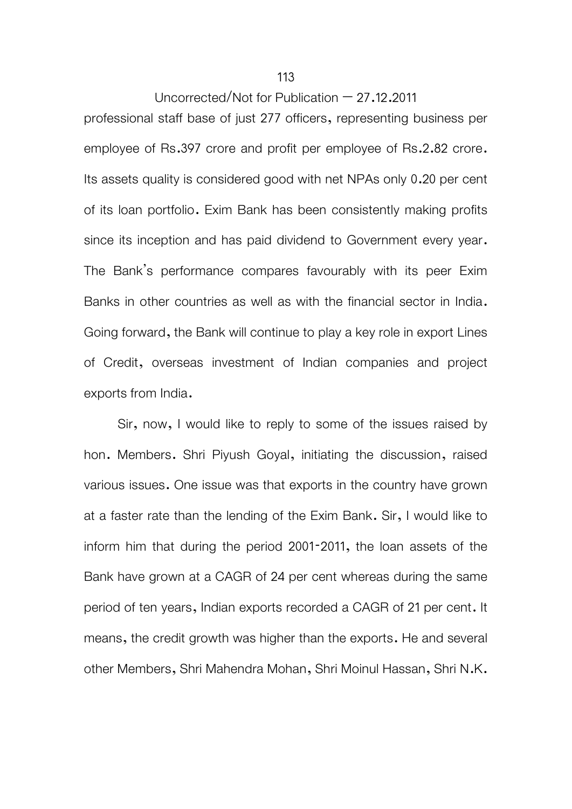professional staff base of just 277 officers, representing business per employee of Rs.397 crore and profit per employee of Rs.2.82 crore. Its assets quality is considered good with net NPAs only 0.20 per cent of its loan portfolio. Exim Bank has been consistently making profits since its inception and has paid dividend to Government every year. The Bank's performance compares favourably with its peer Exim Banks in other countries as well as with the financial sector in India. Going forward, the Bank will continue to play a key role in export Lines of Credit, overseas investment of Indian companies and project exports from India.

 Sir, now, I would like to reply to some of the issues raised by hon. Members. Shri Piyush Goyal, initiating the discussion, raised various issues. One issue was that exports in the country have grown at a faster rate than the lending of the Exim Bank. Sir, I would like to inform him that during the period 2001-2011, the loan assets of the Bank have grown at a CAGR of 24 per cent whereas during the same period of ten years, Indian exports recorded a CAGR of 21 per cent. It means, the credit growth was higher than the exports. He and several other Members, Shri Mahendra Mohan, Shri Moinul Hassan, Shri N.K.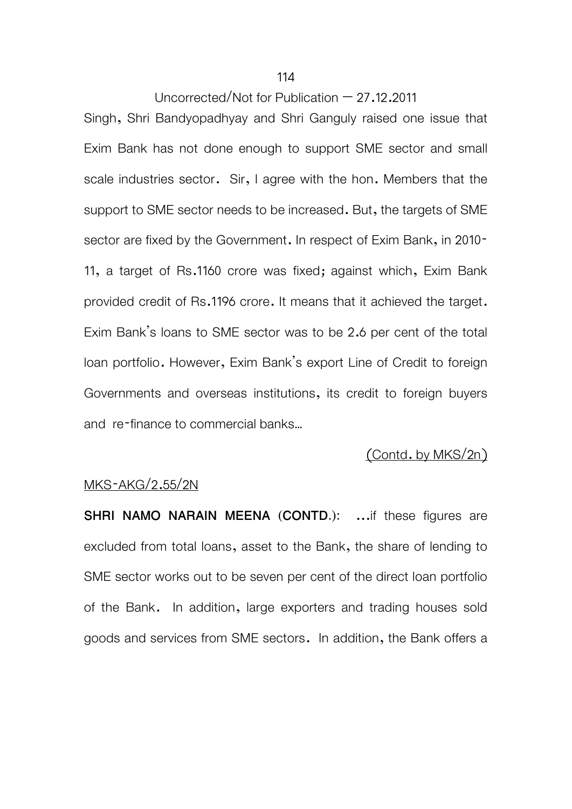Singh, Shri Bandyopadhyay and Shri Ganguly raised one issue that Exim Bank has not done enough to support SME sector and small scale industries sector. Sir, I agree with the hon. Members that the support to SME sector needs to be increased. But, the targets of SME sector are fixed by the Government. In respect of Exim Bank, in 2010-11, a target of Rs.1160 crore was fixed; against which, Exim Bank provided credit of Rs.1196 crore. It means that it achieved the target. Exim Bank's loans to SME sector was to be 2.6 per cent of the total loan portfolio. However, Exim Bank's export Line of Credit to foreign Governments and overseas institutions, its credit to foreign buyers and re-finance to commercial banks…

# (Contd. by MKS/2n)

#### MKS-AKG/2.55/2N

**SHRI NAMO NARAIN MEENA (CONTD.): ...if these figures are** excluded from total loans, asset to the Bank, the share of lending to SME sector works out to be seven per cent of the direct loan portfolio of the Bank. In addition, large exporters and trading houses sold goods and services from SME sectors. In addition, the Bank offers a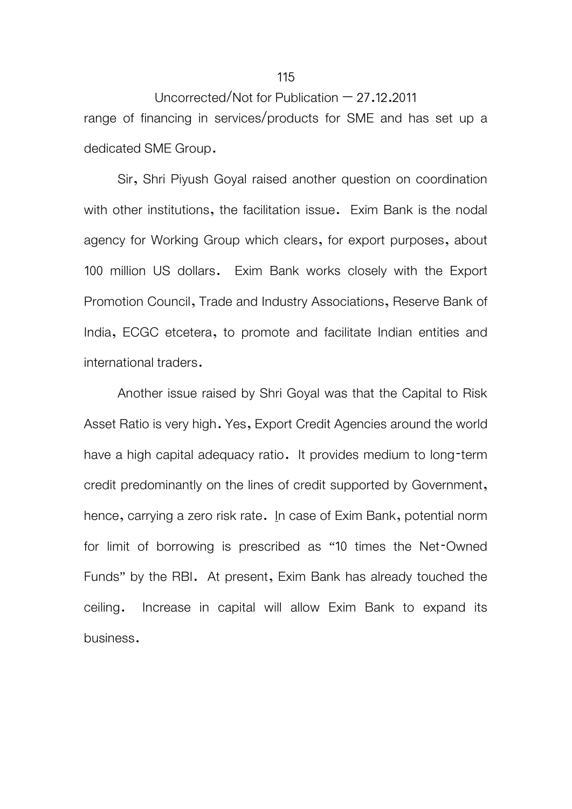# Uncorrected/Not for Publication  $-27.12.2011$ range of financing in services/products for SME and has set up a

dedicated SME Group.

Sir, Shri Piyush Goyal raised another question on coordination with other institutions, the facilitation issue. Exim Bank is the nodal agency for Working Group which clears, for export purposes, about 100 million US dollars. Exim Bank works closely with the Export Promotion Council, Trade and Industry Associations, Reserve Bank of India, ECGC etcetera, to promote and facilitate Indian entities and international traders.

 Another issue raised by Shri Goyal was that the Capital to Risk Asset Ratio is very high. Yes, Export Credit Agencies around the world have a high capital adequacy ratio. It provides medium to long-term credit predominantly on the lines of credit supported by Government, hence, carrying a zero risk rate. In case of Exim Bank, potential norm for limit of borrowing is prescribed as "10 times the Net-Owned Funds" by the RBI. At present, Exim Bank has already touched the ceiling. Increase in capital will allow Exim Bank to expand its business.

#### 115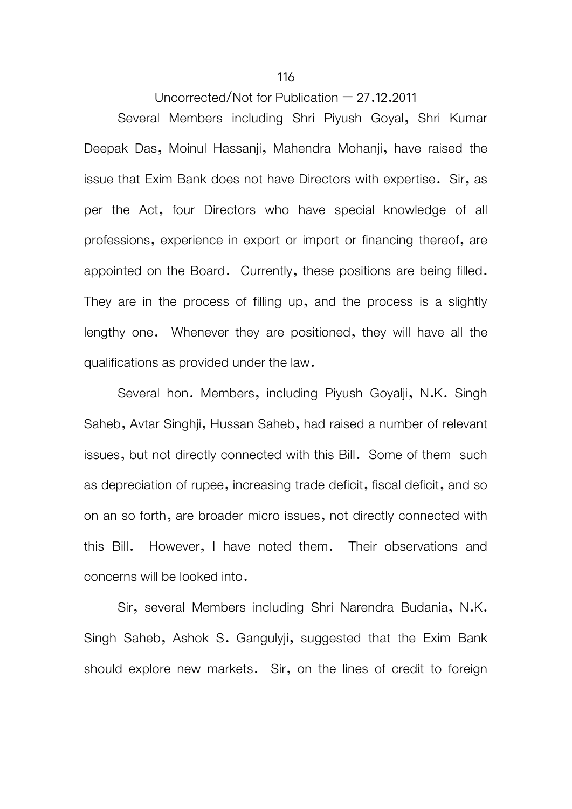Several Members including Shri Piyush Goyal, Shri Kumar Deepak Das, Moinul Hassanji, Mahendra Mohanji, have raised the issue that Exim Bank does not have Directors with expertise. Sir, as per the Act, four Directors who have special knowledge of all professions, experience in export or import or financing thereof, are appointed on the Board. Currently, these positions are being filled. They are in the process of filling up, and the process is a slightly lengthy one. Whenever they are positioned, they will have all the qualifications as provided under the law.

 Several hon. Members, including Piyush Goyalji, N.K. Singh Saheb, Avtar Singhji, Hussan Saheb, had raised a number of relevant issues, but not directly connected with this Bill. Some of them such as depreciation of rupee, increasing trade deficit, fiscal deficit, and so on an so forth, are broader micro issues, not directly connected with this Bill. However, I have noted them. Their observations and concerns will be looked into.

 Sir, several Members including Shri Narendra Budania, N.K. Singh Saheb, Ashok S. Gangulyji, suggested that the Exim Bank should explore new markets. Sir, on the lines of credit to foreign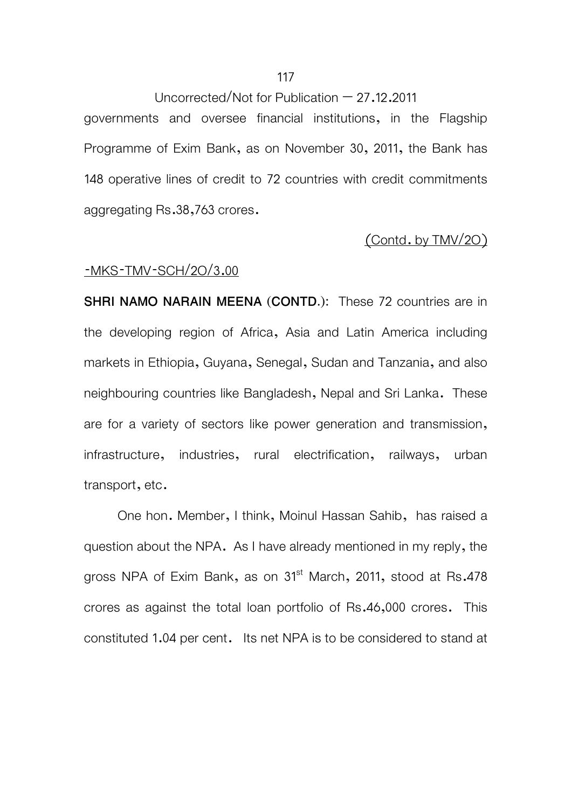governments and oversee financial institutions, in the Flagship Programme of Exim Bank, as on November 30, 2011, the Bank has 148 operative lines of credit to 72 countries with credit commitments aggregating Rs.38,763 crores.

### (Contd. by TMV/2O)

#### -MKS-TMV-SCH/2O/3.00

**SHRI NAMO NARAIN MEENA (CONTD.):** These 72 countries are in the developing region of Africa, Asia and Latin America including markets in Ethiopia, Guyana, Senegal, Sudan and Tanzania, and also neighbouring countries like Bangladesh, Nepal and Sri Lanka. These are for a variety of sectors like power generation and transmission, infrastructure, industries, rural electrification, railways, urban transport, etc.

One hon. Member, I think, Moinul Hassan Sahib, has raised a question about the NPA. As I have already mentioned in my reply, the gross NPA of Exim Bank, as on 31<sup>st</sup> March, 2011, stood at Rs.478 crores as against the total loan portfolio of Rs.46,000 crores. This constituted 1.04 per cent. Its net NPA is to be considered to stand at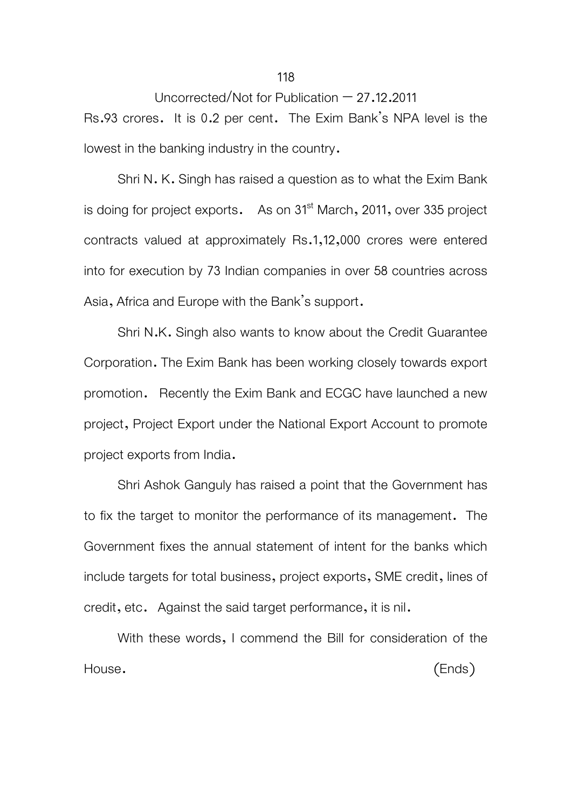Rs.93 crores. It is 0.2 per cent. The Exim Bank's NPA level is the lowest in the banking industry in the country.

Shri N. K. Singh has raised a question as to what the Exim Bank is doing for project exports. As on 31<sup>st</sup> March, 2011, over 335 project contracts valued at approximately Rs.1,12,000 crores were entered into for execution by 73 Indian companies in over 58 countries across Asia, Africa and Europe with the Bank's support.

Shri N.K. Singh also wants to know about the Credit Guarantee Corporation. The Exim Bank has been working closely towards export promotion. Recently the Exim Bank and ECGC have launched a new project, Project Export under the National Export Account to promote project exports from India.

Shri Ashok Ganguly has raised a point that the Government has to fix the target to monitor the performance of its management. The Government fixes the annual statement of intent for the banks which include targets for total business, project exports, SME credit, lines of credit, etc. Against the said target performance, it is nil.

With these words, I commend the Bill for consideration of the House. (Ends)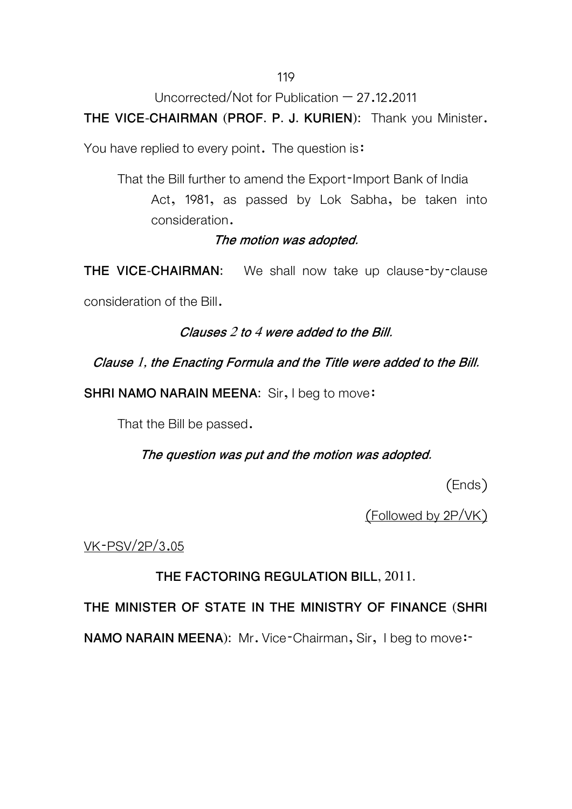# 119

Uncorrected/Not for Publication  $-27.12.2011$ 

**THE VICE-CHAIRMAN (PROF. P. J. KURIEN):** Thank you Minister.

You have replied to every point. The question is:

 That the Bill further to amend the Export-Import Bank of India Act, 1981, as passed by Lok Sabha, be taken into consideration.

# **The motion was adopted.**

**THE VICE-CHAIRMAN:** We shall now take up clause-by-clause

consideration of the Bill.

**Clauses 2 to 4 were added to the Bill.** 

**Clause 1, the Enacting Formula and the Title were added to the Bill.** 

**SHRI NAMO NARAIN MEENA:** Sir, I beg to move:

That the Bill be passed.

**The question was put and the motion was adopted.** 

(Ends)

(Followed by 2P/VK)

VK-PSV/2P/3.05

**THE FACTORING REGULATION BILL, 2011.** 

**THE MINISTER OF STATE IN THE MINISTRY OF FINANCE (SHRI** 

**NAMO NARAIN MEENA):** Mr. Vice-Chairman, Sir, I beg to move:-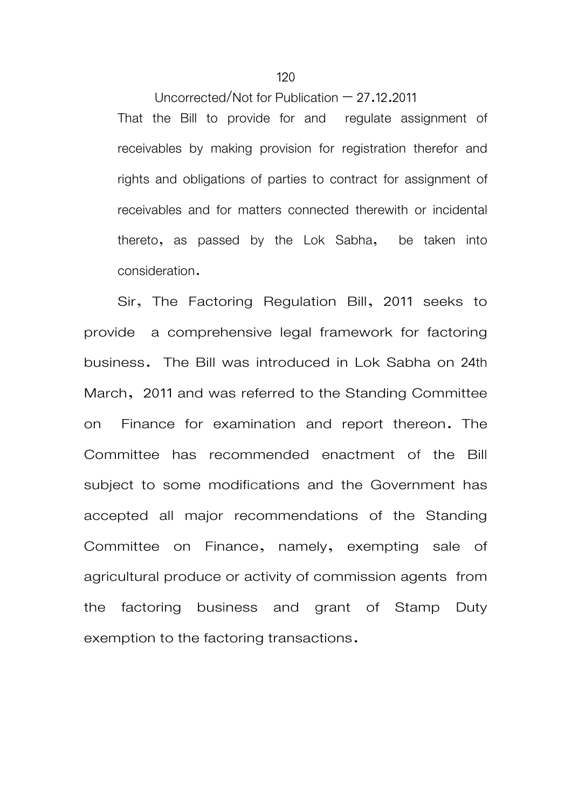Uncorrected/Not for Publication  $-27.12.2011$ That the Bill to provide for and regulate assignment of receivables by making provision for registration therefor and rights and obligations of parties to contract for assignment of receivables and for matters connected therewith or incidental thereto, as passed by the Lok Sabha, be taken into consideration.

Sir, The Factoring Regulation Bill, 2011 seeks to provide a comprehensive legal framework for factoring business. The Bill was introduced in Lok Sabha on 24th March, 2011 and was referred to the Standing Committee on Finance for examination and report thereon. The Committee has recommended enactment of the Bill subject to some modifications and the Government has accepted all major recommendations of the Standing Committee on Finance, namely, exempting sale of agricultural produce or activity of commission agents from the factoring business and grant of Stamp Duty exemption to the factoring transactions.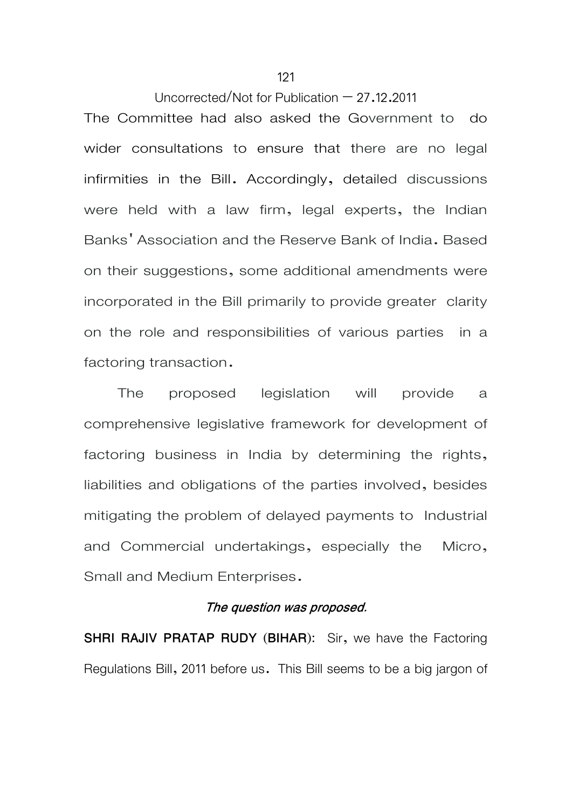The Committee had also asked the Government to do wider consultations to ensure that there are no legal infirmities in the Bill. Accordingly, detailed discussions were held with a law firm, legal experts, the Indian Banks' Association and the Reserve Bank of India. Based on their suggestions, some additional amendments were incorporated in the Bill primarily to provide greater clarity on the role and responsibilities of various parties in a factoring transaction.

 The proposed legislation will provide a comprehensive legislative framework for development of factoring business in India by determining the rights, liabilities and obligations of the parties involved, besides mitigating the problem of delayed payments to Industrial and Commercial undertakings, especially the Micro, Small and Medium Enterprises.

#### **The question was proposed.**

**SHRI RAJIV PRATAP RUDY (BIHAR):** Sir, we have the Factoring Regulations Bill, 2011 before us. This Bill seems to be a big jargon of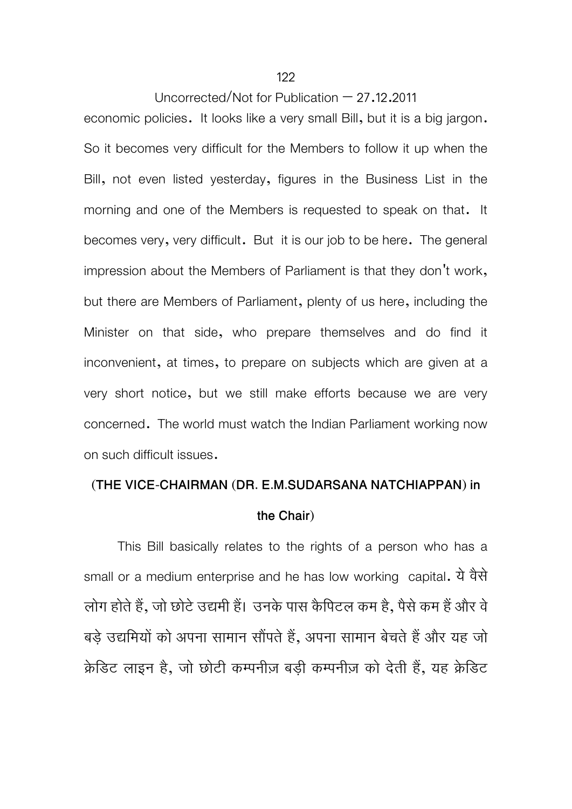economic policies. It looks like a very small Bill, but it is a big jargon. So it becomes very difficult for the Members to follow it up when the Bill, not even listed yesterday, figures in the Business List in the morning and one of the Members is requested to speak on that. It becomes very, very difficult. But it is our job to be here. The general impression about the Members of Parliament is that they don't work, but there are Members of Parliament, plenty of us here, including the Minister on that side, who prepare themselves and do find it inconvenient, at times, to prepare on subjects which are given at a very short notice, but we still make efforts because we are very concerned. The world must watch the Indian Parliament working now on such difficult issues.

# **(THE VICE-CHAIRMAN (DR. E.M.SUDARSANA NATCHIAPPAN) in the Chair)**

 This Bill basically relates to the rights of a person who has a small or a medium enterprise and he has low working capital. येवैसे लोग होते हैं, जो छोटे उद्यमी हैं। उनके पास कैपिटल कम है, पैसे कम हैं और वे बड़े उद्यमियों को अपना सामान सौंपते हैं, अपना सामान बेचते हैं और यह जो क्रेडिट लाइन है, जो छोटी कम्पनीज़ बड़ी कम्पनीज़ को देती हैं, यह क्रेडिट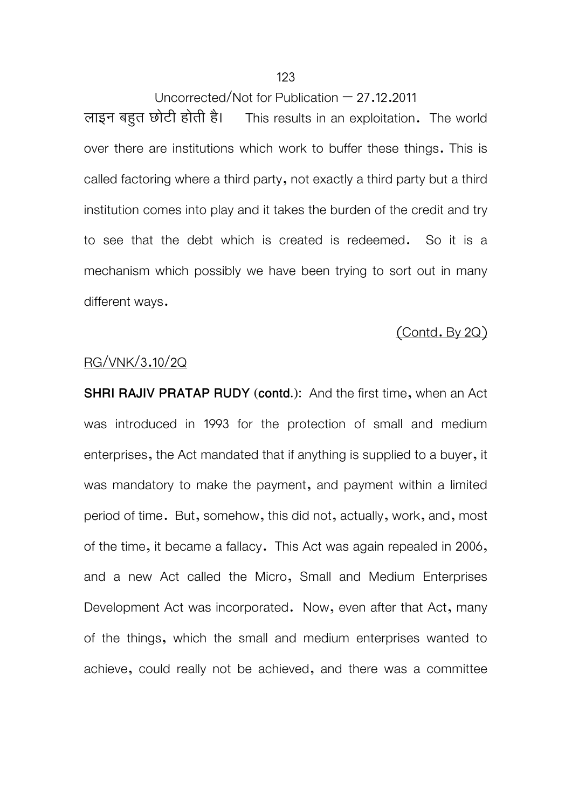#### 123

Uncorrected/Not for Publication – 27.12.2011

लाइन बहुत छोटी होती है। This results in an exploitation. The world over there are institutions which work to buffer these things. This is called factoring where a third party, not exactly a third party but a third institution comes into play and it takes the burden of the credit and try to see that the debt which is created is redeemed. So it is a mechanism which possibly we have been trying to sort out in many different ways.

# (Contd. By 2Q)

#### RG/VNK/3.10/2Q

**SHRI RAJIV PRATAP RUDY (contd.):** And the first time, when an Act was introduced in 1993 for the protection of small and medium enterprises, the Act mandated that if anything is supplied to a buyer, it was mandatory to make the payment, and payment within a limited period of time. But, somehow, this did not, actually, work, and, most of the time, it became a fallacy. This Act was again repealed in 2006, and a new Act called the Micro, Small and Medium Enterprises Development Act was incorporated. Now, even after that Act, many of the things, which the small and medium enterprises wanted to achieve, could really not be achieved, and there was a committee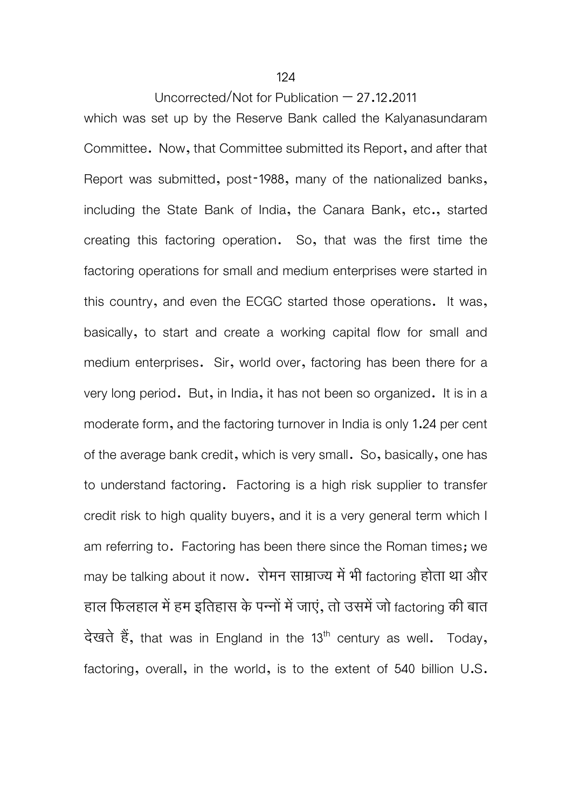#### 124

### Uncorrected/Not for Publication  $-27.12.2011$

which was set up by the Reserve Bank called the Kalyanasundaram Committee. Now, that Committee submitted its Report, and after that Report was submitted, post-1988, many of the nationalized banks, including the State Bank of India, the Canara Bank, etc., started creating this factoring operation. So, that was the first time the factoring operations for small and medium enterprises were started in this country, and even the ECGC started those operations. It was, basically, to start and create a working capital flow for small and medium enterprises. Sir, world over, factoring has been there for a very long period. But, in India, it has not been so organized. It is in a moderate form, and the factoring turnover in India is only 1.24 per cent of the average bank credit, which is very small. So, basically, one has to understand factoring. Factoring is a high risk supplier to transfer credit risk to high quality buyers, and it is a very general term which I am referring to. Factoring has been there since the Roman times; we may be talking about it now. रोमन साम्राज्य में भी factoring होता था और हाल फिलहाल में हम इतिहास के पन्नों में जाएं, तो उसमें जो factoring की बात देखते हैं, that was in England in the 13<sup>th</sup> century as well. Today, factoring, overall, in the world, is to the extent of 540 billion U.S.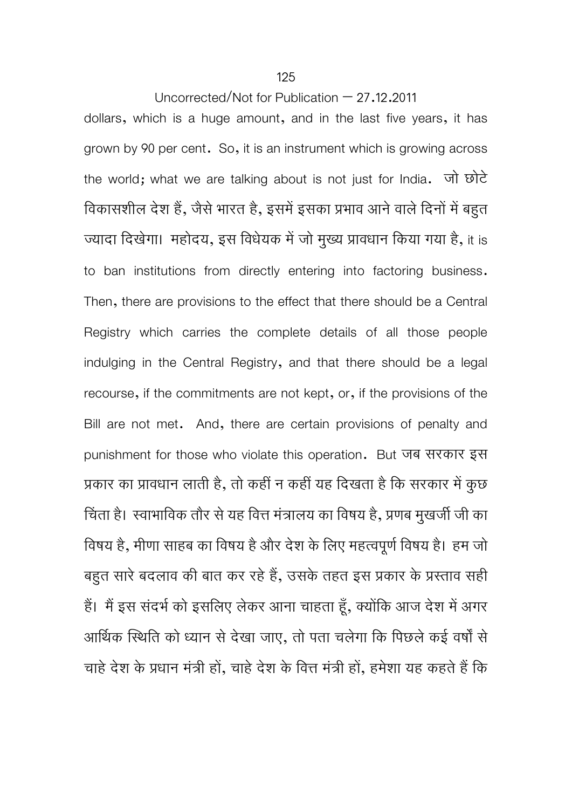dollars, which is a huge amount, and in the last five years, it has grown by 90 per cent. So, it is an instrument which is growing across the world; what we are talking about is not just for India. जो छोटे विकासशील देश हैं, जैसे भारत है, इसमें इसका प्रभाव आने वाले दिनों में बहुत ज्यादा दिखेगा। महोदय, इस विधेयक में जो मुख्य प्रावधान किया गया है, it is to ban institutions from directly entering into factoring business. Then, there are provisions to the effect that there should be a Central Registry which carries the complete details of all those people indulging in the Central Registry, and that there should be a legal recourse, if the commitments are not kept, or, if the provisions of the Bill are not met. And, there are certain provisions of penalty and punishment for those who violate this operation. But जब सरकार इस प्रकार का प्रावधान लाती है, तो कहीं न कहीं यह दिखता है कि सरकार में कुछ चिंता है। स्वाभाविक तौर से यह वित्त मंत्रालय का विषय है, प्रणब मुखर्जी जी का िवषय है, मीणा साहब का िवषय हैऔर देश के िलए महत्वपूणर्िवषय है। हम जो बहुत सारे बदलाव की बात कर रहे हैं, उसके तहत इस प्रकार के प्रस्ताव सही हैं। मैं इस संदर्भ को इसलिए लेकर आना चाहता हूँ, क्योंकि आज देश में अगर आर्थिक स्थिति को ध्यान से देखा जाए, तो पता चलेगा कि पिछले कई वर्षों से चाहे देश के प्रधान मंत्री हों, चाहे देश के वित्त मंत्री हों, हमेशा यह कहते हैं कि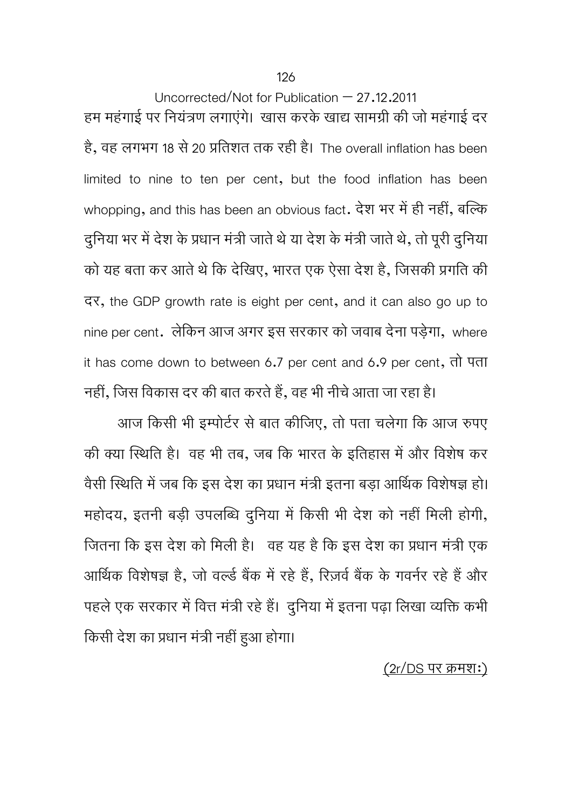126

Uncorrected/Not for Publication – 27.12.2011 हम महंगाई पर नियंत्रण लगाएंगे। खास करके खाद्य सामग्री की जो महंगाई दर है, वह लगभग 18 से 20 प्रतिशत तक रही है। The overall inflation has been limited to nine to ten per cent, but the food inflation has been whopping, and this has been an obvious fact. देश भर में ही नहीं, बल्कि दुनिया भर में देश के प्रधान मंत्री जाते थे या देश के मंत्री जाते थे, तो पूरी दुनिया को यह बता कर आते थे कि देखिए, भारत एक ऐसा देश है, जिसकी प्रगति की दर, the GDP growth rate is eight per cent, and it can also go up to nine per cent. लेिकन आज अगर इस सरकार को जवाब देना पड़ेगा, where it has come down to between 6.7 per cent and 6.9 per cent, तो पता नहीं, जिस विकास दर की बात करते हैं, वह भी नीचे आता जा रहा है।

आज किसी भी इम्पोर्टर से बात कीजिए, तो पता चलेगा कि आज रुपए की क्या स्थिति है। वह भी तब, जब कि भारत के इतिहास में और विशेष कर वैसी स्थिति में जब कि इस देश का प्रधान मंत्री इतना बड़ा आर्थिक विशेषज्ञ हो। महोदय, इतनी बड़ी उपलब्धि दुनिया में किसी भी देश को नहीं मिली होगी, जितना कि इस देश को मिली है। वह यह है कि इस देश का प्रधान मंत्री एक आर्थिक विशेषज्ञ है, जो वर्ल्ड बैंक में रहे हैं, रिज़र्व बैंक के गवर्नर रहे हैं और पहले एक सरकार में वित्त मंत्री रहे हैं। दुनिया में इतना पढ़ा लिखा व्यक्ति कभी किसी देश का प्रधान मंत्री नहीं हुआ होगा।

(2r/DS पर कर्मश:)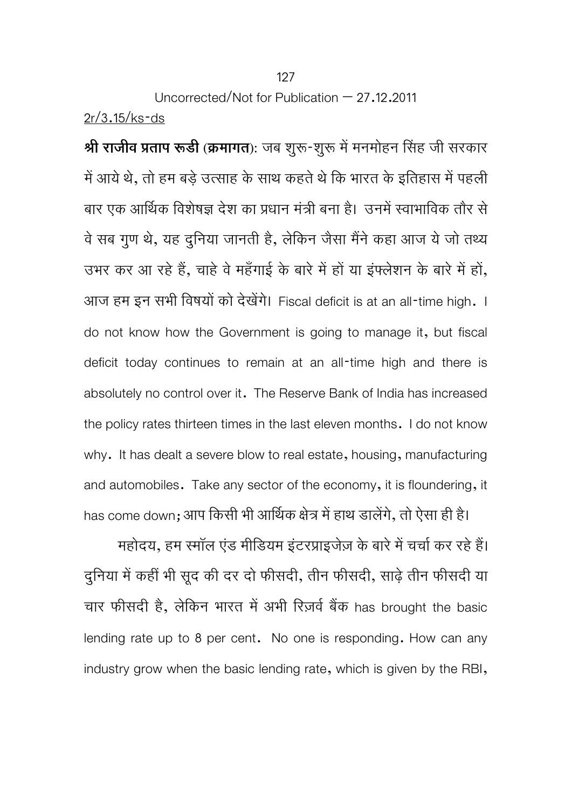$\hat{P}$  **श्री राजीव प्रताप रूडी** (क्रमागत): जब शुरू-शुरू में मनमोहन सिंह जी सरकार में आये थे, तो हम बड़े उत्साह के साथ कहते थे कि भारत के इतिहास में पहली बार एक आर्थिक विशेषज्ञ देश का प्रधान मंत्री बना है। उनमें स्वाभाविक तौर से वे सब गुण थे, यह दुनिया जानती है, लेकिन जैसा मैंने कहा आज ये जो तथ्य उभर कर आ रहे हैं, चाहे वे महँगाई के बारे में हों या इंफ्लेशन के बारे में हों, आज हम इन सभी विषयों को देखेंगे। Fiscal deficit is at an all-time high. I do not know how the Government is going to manage it, but fiscal deficit today continues to remain at an all-time high and there is absolutely no control over it. The Reserve Bank of India has increased the policy rates thirteen times in the last eleven months. I do not know why. It has dealt a severe blow to real estate, housing, manufacturing and automobiles. Take any sector of the economy, it is floundering, it has come down; आप किसी भी आर्थिक क्षेत्र में हाथ डालेंगे, तो ऐसा ही है।

महोदय, हम स्मॉल एंड मीडियम इंटरप्राइजेज़ के बारे में चर्चा कर रहे हैं। दुनिया में कहीं भी सूद की दर दो फीसदी, तीन फीसदी, साढ़े तीन फीसदी या चार फीसदी है, लेकिन भारत में अभी रिज़र्व बैंक has brought the basic lending rate up to 8 per cent. No one is responding. How can any industry grow when the basic lending rate, which is given by the RBI,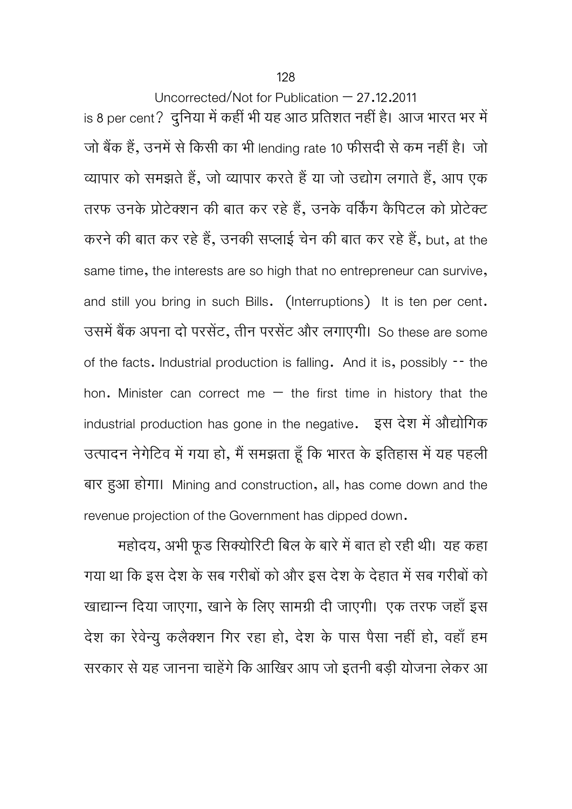is 8 per cent? दुनिया में कहीं भी यह आठ प्रतिशत नहीं है। आज भारत भर में जो बैंक हैं, उनमें से किसी का भी lending rate 10 फीसदी से कम नहीं है। जो व्यापार को समझते हैं, जो व्यापार करते हैं या जो उद्योग लगाते हैं, आप एक तरफ उनके प्रोटेक्शन की बात कर रहे हैं, उनके वर्किंग कैपिटल को प्रोटेक्ट करने की बात कर रहे हैं, उनकी सप्लाई चेन की बात कर रहे हैं, but, at the same time, the interests are so high that no entrepreneur can survive, and still you bring in such Bills. (Interruptions) It is ten per cent. उसमें बैंक अपना दो परसेंट, तीन परसेंट और लगाएगी। So these are some of the facts. Industrial production is falling. And it is, possibly -- the hon. Minister can correct me  $-$  the first time in history that the industrial production has gone in the negative. इस देश में औद्योगिक उत्पादन नेगेटिव में गया हो, मैं समझता हूँ कि भारत के इतिहास में यह पहली बार हुआ होगा। Mining and construction, all, has come down and the revenue projection of the Government has dipped down.

महादय, अभा फूड सिक्यारिटी बिल के बार में बात हो रही थी। यह कहा गया था कि इस देश के सब गरीबों को और इस देश के देहात में सब गरीबों को खाद्यान्न दिया जाएगा, खाने के लिए सामग्री दी जाएगी। एक तरफ जहाँ इस देश का रेवेन्यू कलैक्शन गिर रहा हो, देश के पास पैसा नहीं हो, वहाँ हम सरकार से यह जानना चाहेंगे कि आखिर आप जो इतनी बड़ी योजना लेकर आ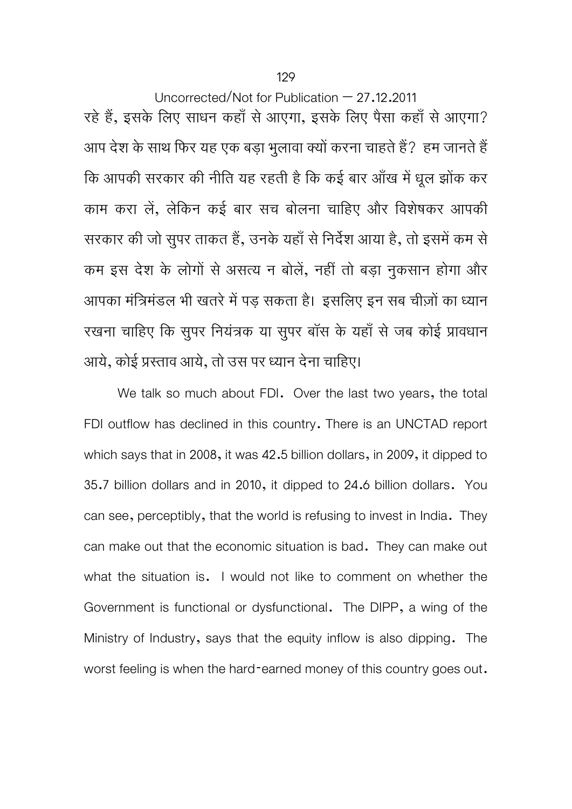Uncorrected/Not for Publication – 27.12.2011 रहे हैं, इसके लिए साधन कहाँ से आएगा, इसके लिए पैसा कहाँ से आएगा? आप देश के साथ फिर यह एक बड़ा भूलावा क्यों करना चाहते हैं? हम जानते हैं कि आपकी सरकार की नीति यह रहती है कि कई बार आँख में धूल झोंक कर काम करा लें, लेकिन कई बार सच बोलना चाहिए और विशेषकर आपकी सरकार की जो सुपर ताकत हैं, उनके यहाँ से निर्देश आया है, तो इसमें कम से कम इस देश के लोगों से असत्य न बोलें, नहीं तो बड़ा नुकसान होगा और आपका मंत्रिमंडल भी खतरे में पड़ सकता है। इसलिए इन सब चीज़ों का ध्यान रखना चाहिए कि सूपर नियंत्रक या सुपर बॉस के यहाँ से जब कोई प्रावधान आये, कोई प्रस्ताव आये, तो उस पर ध्यान देना चाहिए।

We talk so much about FDI. Over the last two years, the total FDI outflow has declined in this country. There is an UNCTAD report which says that in 2008, it was 42.5 billion dollars, in 2009, it dipped to 35.7 billion dollars and in 2010, it dipped to 24.6 billion dollars. You can see, perceptibly, that the world is refusing to invest in India. They can make out that the economic situation is bad. They can make out what the situation is. I would not like to comment on whether the Government is functional or dysfunctional. The DIPP, a wing of the Ministry of Industry, says that the equity inflow is also dipping. The worst feeling is when the hard-earned money of this country goes out.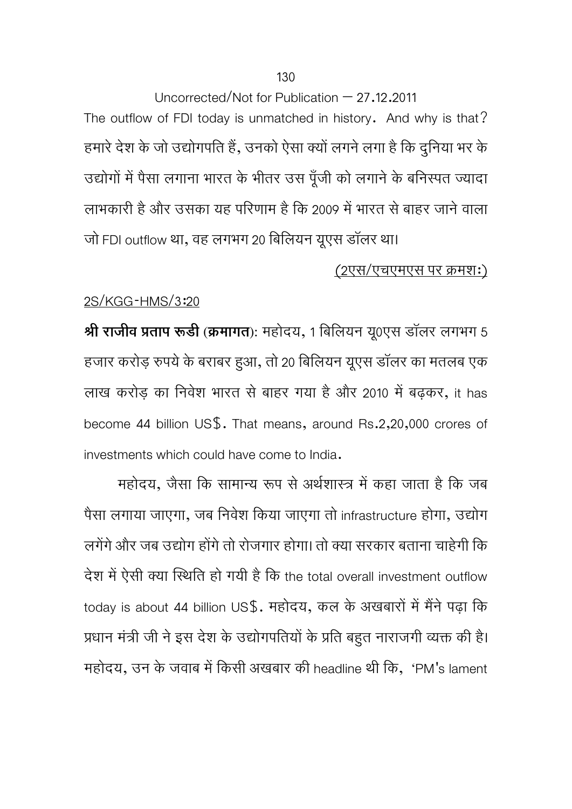Uncorrected/Not for Publication – 27.12.2011 The outflow of FDI today is unmatched in history. And why is that? हमारे देश के जो उद्योगपति हैं, उनको ऐसा क्यों लगने लगा है कि दुनिया भर के उद्योगों में पैसा लगाना भारत के भीतर उस पूँजी को लगाने के बनिस्पत ज्यादा लाभकारी है और उसका यह परिणाम है कि 2009 में भारत से बाहर जाने वाला जो FDI outflow था, वह लगभग 20 बिलियन यूएस डॉलर था।

# (2एस/एचएमएस पर कर्मश:)

# 2S/KGG-HMS/3:20

**Ǜी राजीव Ģताप रूडी (कर्मागत):** महोदय, 1 िबिलयन य0ूएस डॉलर लगभग 5 हजार करोड़ रुपये के बराबर हुआ, तो 20 बिलियन यूएस डॉलर का मतलब एक लाख करोड़ का निवेश भारत से बाहर गया है और 2010 में बढ़कर, it has become 44 billion US\$. That means, around Rs.2,20,000 crores of investments which could have come to India.

महोदय, जैसा कि सामान्य रूप से अर्थशास्त्र में कहा जाता है कि जब पैसा लगाया जाएगा, जब निवेश किया जाएगा तो infrastructure होगा, उद्योग लगेंगे और जब उद्योग होंगे तो रोजगार होगा। तो क्या सरकार बताना चाहेगी कि देश में ऐसी क्या स्थिति हो गयी है कि the total overall investment outflow today is about 44 billion US\$. महोदय, कल के अखबारों में मैंने पढ़ा कि प्रधान मंत्री जी ने इस देश के उद्योगपतियों के प्रति बहुत नाराजगी व्यक्त की है। महोदय, उन के जवाब में किसी अखबार की headline थी कि, 'PM's lament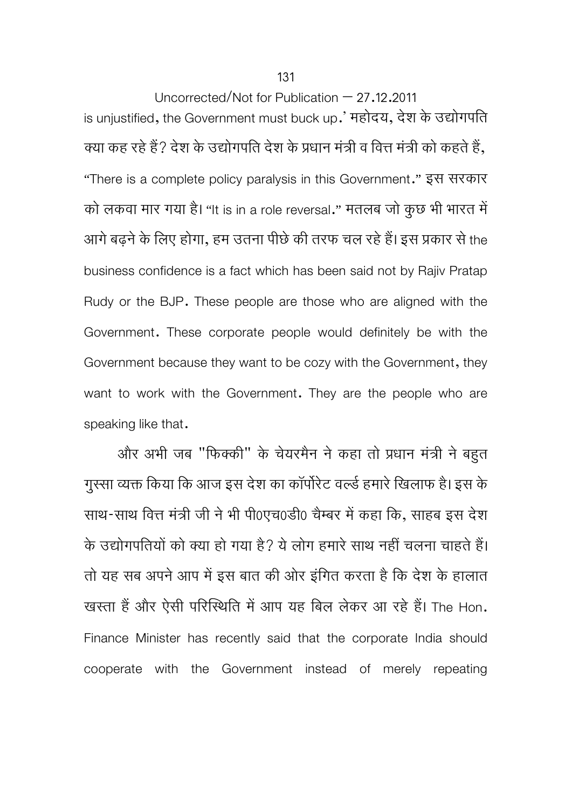Uncorrected/Not for Publication – 27.12.2011 is unjustified, the Government must buck up.' महोदय, देश के उद्योगपति क्या कह रहे हैं? देश के उद्योगपति देश के प्रधान मंत्री व वित्त मंत्री को कहते हैं, "There is a complete policy paralysis in this Government." इस सरकार को लकवा मार गया है। "It is in a role reversal." मतलब जो कुछ भी भारत में आगे बढ़ने के लिए होगा, हम उतना पीछे की तरफ चल रहे हैं। इस प्रकार से the business confidence is a fact which has been said not by Rajiv Pratap Rudy or the BJP. These people are those who are aligned with the Government. These corporate people would definitely be with the Government because they want to be cozy with the Government, they want to work with the Government. They are the people who are speaking like that.

और अभी जब "फिक्की" के चेयरमैन ने कहा तो प्रधान मंत्री ने बहुत गुस्सा व्यक्त किया कि आज इस देश का कॉर्पोरेट वर्ल्ड हमारे खिलाफ है। इस के साथ-साथ वित्त मंत्री जी ने भी पी0एच0डी0 चैम्बर में कहा कि, साहब इस देश के उद्योगपतियों को क्या हो गया है? ये लोग हमारे साथ नहीं चलना चाहते हैं। तो यह सब अपने आप में इस बात की ओर इंगित करता है कि देश के हालात खस्ता हैं और ऐसी परिस्थिति में आप यह बिल लेकर आ रहे हैं। The Hon. Finance Minister has recently said that the corporate India should cooperate with the Government instead of merely repeating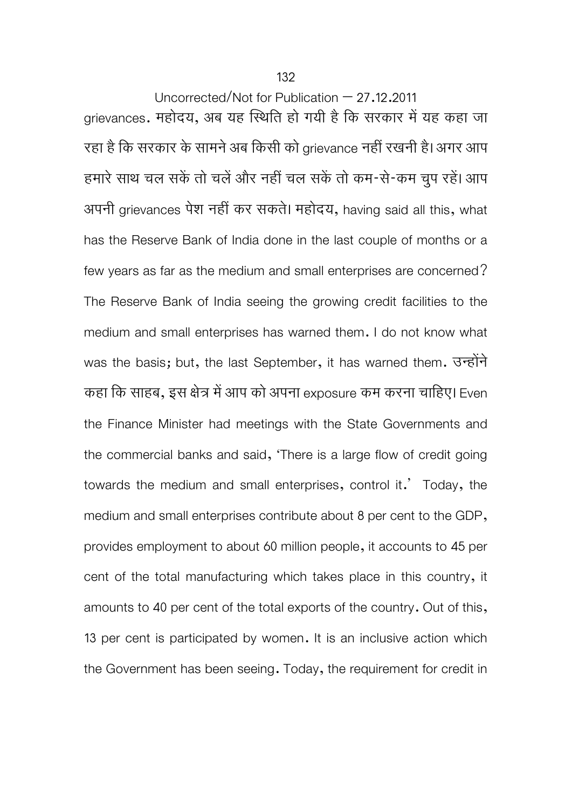132

Uncorrected/Not for Publication – 27.12.2011 grievances. महोदय, अब यह स्थिति हो गयी है कि सरकार में यह कहा जा रहा है कि सरकार के सामने अब किसी को grievance नहीं रखनी है। अगर आप हमारे साथ चल सकें तो चलें और नहीं चल सकें तो कम-से-कम चुप रहें। आप अपनी grievances पेश नहीं कर सकते। महोदय, having said all this, what has the Reserve Bank of India done in the last couple of months or a few years as far as the medium and small enterprises are concerned? The Reserve Bank of India seeing the growing credit facilities to the medium and small enterprises has warned them. I do not know what was the basis; but, the last September, it has warned them. उन्होंने कहा कि साहब, इस क्षेत्र में आप को अपना exposure कम करना चाहिए। Even the Finance Minister had meetings with the State Governments and the commercial banks and said, 'There is a large flow of credit going towards the medium and small enterprises, control it.' Today, the medium and small enterprises contribute about 8 per cent to the GDP, provides employment to about 60 million people, it accounts to 45 per cent of the total manufacturing which takes place in this country, it amounts to 40 per cent of the total exports of the country. Out of this, 13 per cent is participated by women. It is an inclusive action which the Government has been seeing. Today, the requirement for credit in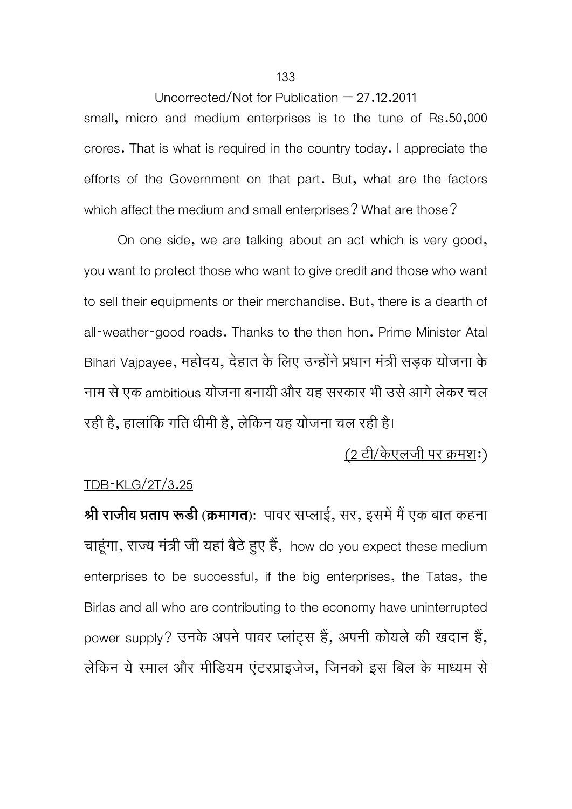Uncorrected/Not for Publication – 27.12.2011 small, micro and medium enterprises is to the tune of Rs.50,000 crores. That is what is required in the country today. I appreciate the efforts of the Government on that part. But, what are the factors which affect the medium and small enterprises? What are those?

 On one side, we are talking about an act which is very good, you want to protect those who want to give credit and those who want to sell their equipments or their merchandise. But, there is a dearth of all-weather-good roads. Thanks to the then hon. Prime Minister Atal Bihari Vaipayee, महोदय, देहात के लिए उन्होंने प्रधान मंत्री सड़क योजना के नाम से एक ambitious योजना बनायी और यह सरकार भी उसे आगे लेकर चल रही है, हालािकं गित धीमी है, लेिकन यह योजना चल रही है।

# (2 टी/केएलजी पर कर्मश:)

## TDB-KLG/2T/3.25

 $\hat{P}$  **श्री राजीव प्रताप रूडी (क्रमागत**): पावर सप्लाई, सर, इसमें मैं एक बात कहना चाहूंगा, राज्य मंत्री जी यहां बैठे हुए हैं, how do you expect these medium enterprises to be successful, if the big enterprises, the Tatas, the Birlas and all who are contributing to the economy have uninterrupted power supply? उनके अपने पावर प्लांटस हैं, अपनी कोयले की खदान हैं, लेकिन ये स्माल और मीडियम एंटरप्राइजेज, जिनको इस बिल के माध्यम से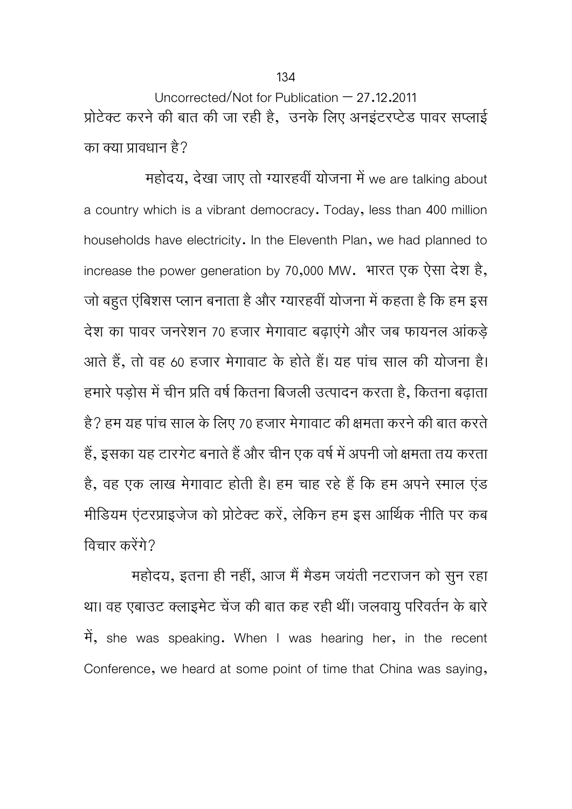Uncorrected/Not for Publication – 27.12.2011 प्रोटेक्ट करने की बात की जा रही है, उनके लिए अनइंटरप्टेड पावर सप्लाई का क्या प्रावधान है?

महोदय, देखा जाए तो ग्यारहवीं योजना में we are talking about a country which is a vibrant democracy. Today, less than 400 million households have electricity. In the Eleventh Plan, we had planned to increase the power generation by 70,000 MW. भारत एक ऐसा देश है, जो बहुत एंबिशस प्लान बनाता है और ग्यारहवीं योजना में कहता है कि हम इस देश का पावर जनरेशन 70 हजार मेगावाट बढ़ाएंगेऔर जब फायनल आंकड़े आते हैं, तो वह 60 हजार मेगावाट के होते हैं। यह पांच साल की योजना है। हमारे पड़ोस में चीन प्रति वर्ष कितना बिजली उत्पादन करता है, कितना बढ़ाता है? हम यह पांच साल के लिए 70 हजार मेगावाट की क्षमता करने की बात करते हैं, इसका यह टारगेट बनाते हैं और चीन एक वर्ष में अपनी जो क्षमता तय करता है, वह एक लाख मेगावाट होती है। हम चाह रहे हैं कि हम अपने स्माल एंड मीडियम एंटरप्राइजेज को प्रोटेक्ट करें, लेकिन हम इस आर्थिक नीति पर कब विचार करेंगे?

महोदय, इतना ही नहीं, आज मैं मैडम जयंती नटराजन को सुन रहा था। वह एबाउट क्लाइमेट चेंज की बात कह रही थीं। जलवायु परिवर्तन के बारे में, she was speaking. When I was hearing her, in the recent Conference, we heard at some point of time that China was saying,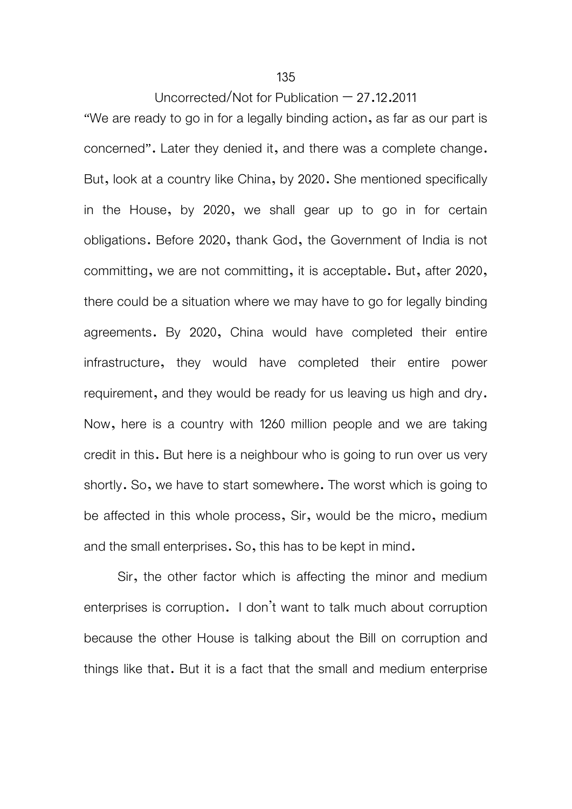135

Uncorrected/Not for Publication  $-27.12.2011$ 

"We are ready to go in for a legally binding action, as far as our part is concerned". Later they denied it, and there was a complete change. But, look at a country like China, by 2020. She mentioned specifically in the House, by 2020, we shall gear up to go in for certain obligations. Before 2020, thank God, the Government of India is not committing, we are not committing, it is acceptable. But, after 2020, there could be a situation where we may have to go for legally binding agreements. By 2020, China would have completed their entire infrastructure, they would have completed their entire power requirement, and they would be ready for us leaving us high and dry. Now, here is a country with 1260 million people and we are taking credit in this. But here is a neighbour who is going to run over us very shortly. So, we have to start somewhere. The worst which is going to be affected in this whole process, Sir, would be the micro, medium and the small enterprises. So, this has to be kept in mind.

 Sir, the other factor which is affecting the minor and medium enterprises is corruption. I don't want to talk much about corruption because the other House is talking about the Bill on corruption and things like that. But it is a fact that the small and medium enterprise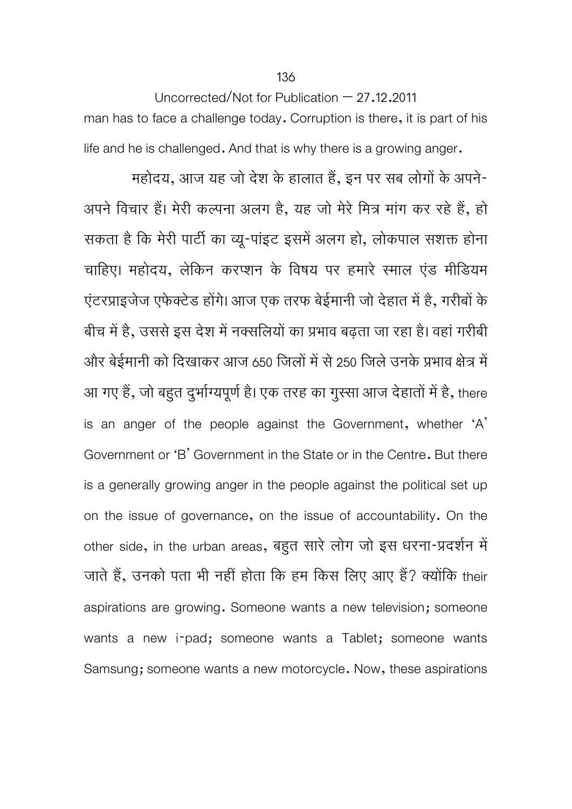Uncorrected/Not for Publication – 27.12.2011 man has to face a challenge today. Corruption is there, it is part of his life and he is challenged. And that is why there is a growing anger.

महोदय, आज यह जो देश के हालात हैं, इन पर सब लोगों के अपने-अपने विचार हैं। मेरी कल्पना अलग है, यह जो मेरे मित्र मांग कर रहे हैं, हो सकता है कि मेरी पार्टी का व्यू-पांइट इसमें अलग हो, लोकपाल सशक्त होना चाहिए। महोदय, लेकिन करप्शन के विषय पर हमारे स्माल एंड मीडियम एंटरप्राइजेज एफेक्टेड होंगे। आज एक तरफ बेईमानी जो देहात में है, गरीबों के बीच में है, उससे इस देश में नक्सलियों का प्रभाव बढ़ता जा रहा है। वहां गरीबी और बेईमानी को दिखाकर आज 650 जिलों में से 250 जिले उनके प्रभाव क्षेत्र में आ गए हैं, जो बहुत दुर्भाग्यपूर्ण है। एक तरह का गुस्सा आज देहातों में है, there is an anger of the people against the Government, whether 'A' Government or 'B' Government in the State or in the Centre. But there is a generally growing anger in the people against the political set up on the issue of governance, on the issue of accountability. On the other side, in the urban areas, बहुत सारे लोग जो इस धरना-प्रदर्शन में जाते हैं, उनको पता भी नहीं होता कि हम किस लिए आए हैं? क्योंकि their aspirations are growing. Someone wants a new television; someone wants a new i-pad; someone wants a Tablet; someone wants Samsung; someone wants a new motorcycle. Now, these aspirations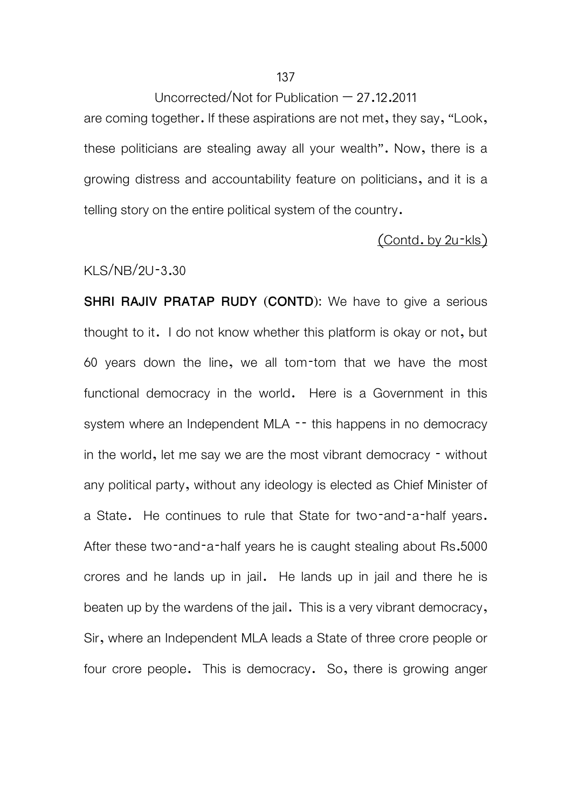are coming together. If these aspirations are not met, they say, "Look, these politicians are stealing away all your wealth". Now, there is a growing distress and accountability feature on politicians, and it is a telling story on the entire political system of the country.

#### (Contd. by 2u-kls)

#### KLS/NB/2U-3.30

**SHRI RAJIV PRATAP RUDY (CONTD):** We have to give a serious thought to it. I do not know whether this platform is okay or not, but 60 years down the line, we all tom-tom that we have the most functional democracy in the world. Here is a Government in this system where an Independent MLA -- this happens in no democracy in the world, let me say we are the most vibrant democracy - without any political party, without any ideology is elected as Chief Minister of a State. He continues to rule that State for two-and-a-half years. After these two-and-a-half years he is caught stealing about Rs.5000 crores and he lands up in jail. He lands up in jail and there he is beaten up by the wardens of the jail. This is a very vibrant democracy, Sir, where an Independent MLA leads a State of three crore people or four crore people. This is democracy. So, there is growing anger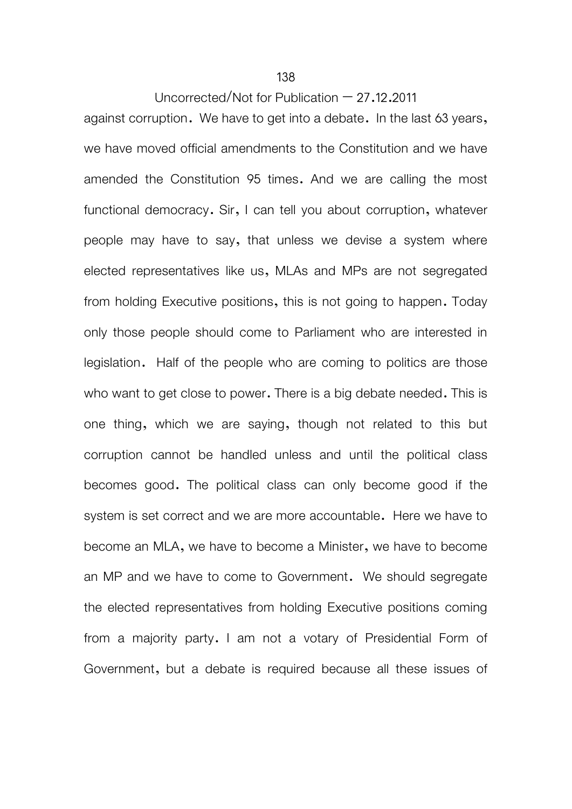against corruption. We have to get into a debate. In the last 63 years, we have moved official amendments to the Constitution and we have amended the Constitution 95 times. And we are calling the most functional democracy. Sir, I can tell you about corruption, whatever people may have to say, that unless we devise a system where elected representatives like us, MLAs and MPs are not segregated from holding Executive positions, this is not going to happen. Today only those people should come to Parliament who are interested in legislation. Half of the people who are coming to politics are those who want to get close to power. There is a big debate needed. This is one thing, which we are saying, though not related to this but corruption cannot be handled unless and until the political class becomes good. The political class can only become good if the system is set correct and we are more accountable. Here we have to become an MLA, we have to become a Minister, we have to become an MP and we have to come to Government. We should segregate the elected representatives from holding Executive positions coming from a majority party. I am not a votary of Presidential Form of Government, but a debate is required because all these issues of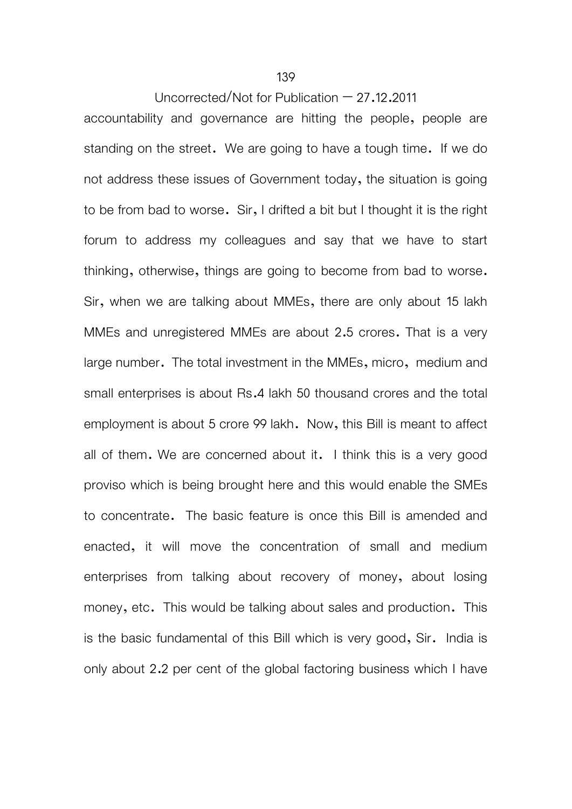accountability and governance are hitting the people, people are standing on the street. We are going to have a tough time. If we do not address these issues of Government today, the situation is going to be from bad to worse. Sir, I drifted a bit but I thought it is the right forum to address my colleagues and say that we have to start thinking, otherwise, things are going to become from bad to worse. Sir, when we are talking about MMEs, there are only about 15 lakh MMEs and unregistered MMEs are about 2.5 crores. That is a very large number. The total investment in the MMEs, micro, medium and small enterprises is about Rs.4 lakh 50 thousand crores and the total employment is about 5 crore 99 lakh. Now, this Bill is meant to affect all of them. We are concerned about it. I think this is a very good proviso which is being brought here and this would enable the SMEs to concentrate. The basic feature is once this Bill is amended and enacted, it will move the concentration of small and medium enterprises from talking about recovery of money, about losing money, etc. This would be talking about sales and production. This is the basic fundamental of this Bill which is very good, Sir. India is only about 2.2 per cent of the global factoring business which I have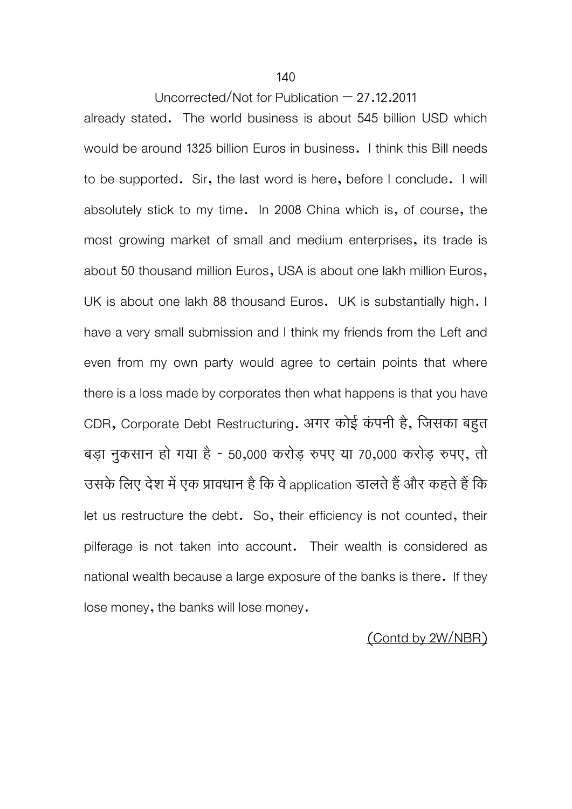already stated. The world business is about 545 billion USD which would be around 1325 billion Euros in business. I think this Bill needs to be supported. Sir, the last word is here, before I conclude. I will absolutely stick to my time. In 2008 China which is, of course, the most growing market of small and medium enterprises, its trade is about 50 thousand million Euros, USA is about one lakh million Euros, UK is about one lakh 88 thousand Euros. UK is substantially high. I have a very small submission and I think my friends from the Left and even from my own party would agree to certain points that where there is a loss made by corporates then what happens is that you have CDR, Corporate Debt Restructuring. अगर कोई कंपनी है, जिसका बहुत बड़ा नुकसान हो गया है - 50,000 करोड़ रुपए या 70,000 करोड़ रुपए, तो उसके लिए देश में एक प्रावधान है कि वे application डालते हैं और कहते हैं कि let us restructure the debt. So, their efficiency is not counted, their pilferage is not taken into account. Their wealth is considered as national wealth because a large exposure of the banks is there. If they lose money, the banks will lose money.

(Contd by 2W/NBR)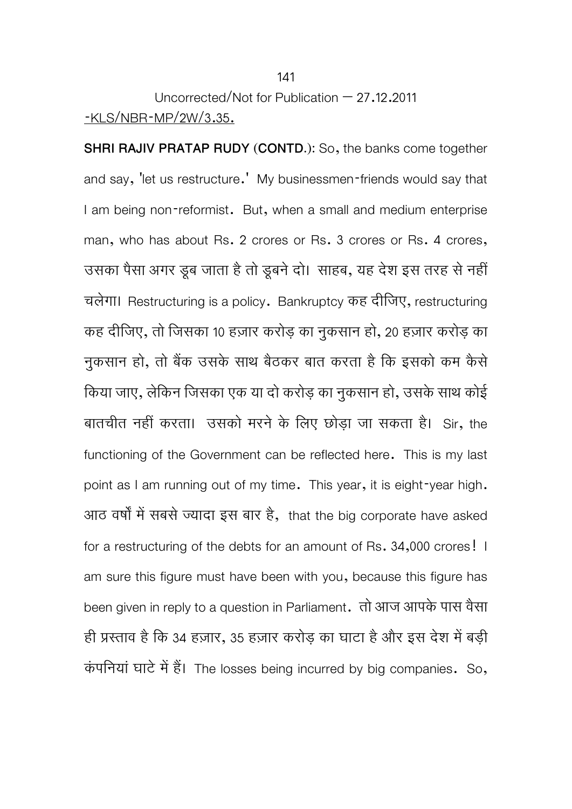# Uncorrected/Not for Publication – 27.12.2011 -KLS/NBR-MP/2W/3.35.

**SHRI RAJIV PRATAP RUDY (CONTD.):** So, the banks come together and say, 'let us restructure.' My businessmen-friends would say that I am being non-reformist. But, when a small and medium enterprise man, who has about Rs. 2 crores or Rs. 3 crores or Rs. 4 crores, उसका पसा अगर डूब जाता है ता डूबन दा। साहब, यह दश इस तरह से नहा चलेगा। Restructuring is a policy. Bankruptcy कह दीिजए, restructuring कह दीिजए, तो िजसका 10 हज़ार करोड़ का नुकसान हो, 20 हज़ार करोड़ का नुकसान हो, तो बैंक उसके साथ बैठकर बात करता है कि इसको कम कैसे िकया जाए, लेिकन िजसका एक या दो करोड़ का नुकसान हो, उसके साथ कोई बातचीत नहीं करता। उसको मरने के िलए छोड़ा जा सकता है। Sir, the functioning of the Government can be reflected here. This is my last point as I am running out of my time. This year, it is eight-year high. आठ वर्षों में सबसे ज्यादा इस बार है, that the big corporate have asked for a restructuring of the debts for an amount of Rs. 34,000 crores! I am sure this figure must have been with you, because this figure has been given in reply to a question in Parliament. तो आज आपके पास वैसा ही प्रस्ताव है कि 34 हज़ार, 35 हज़ार करोड़ का घाटा है और इस देश में बड़ी कंपनियां घाटे में हैं। The losses being incurred by big companies. So,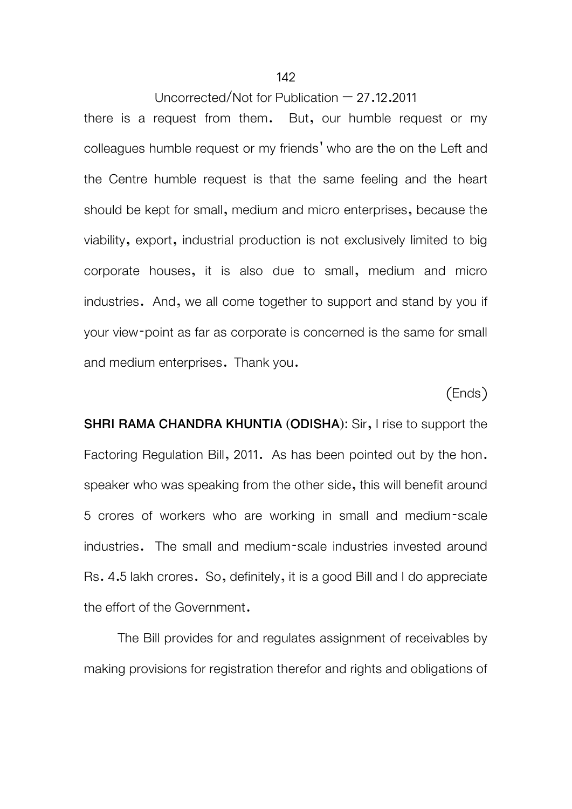there is a request from them. But, our humble request or my colleagues humble request or my friends' who are the on the Left and the Centre humble request is that the same feeling and the heart should be kept for small, medium and micro enterprises, because the viability, export, industrial production is not exclusively limited to big corporate houses, it is also due to small, medium and micro industries. And, we all come together to support and stand by you if your view-point as far as corporate is concerned is the same for small and medium enterprises. Thank you.

# (Ends)

**SHRI RAMA CHANDRA KHUNTIA (ODISHA):** Sir, I rise to support the Factoring Regulation Bill, 2011. As has been pointed out by the hon. speaker who was speaking from the other side, this will benefit around 5 crores of workers who are working in small and medium-scale industries. The small and medium-scale industries invested around Rs. 4.5 lakh crores. So, definitely, it is a good Bill and I do appreciate the effort of the Government.

 The Bill provides for and regulates assignment of receivables by making provisions for registration therefor and rights and obligations of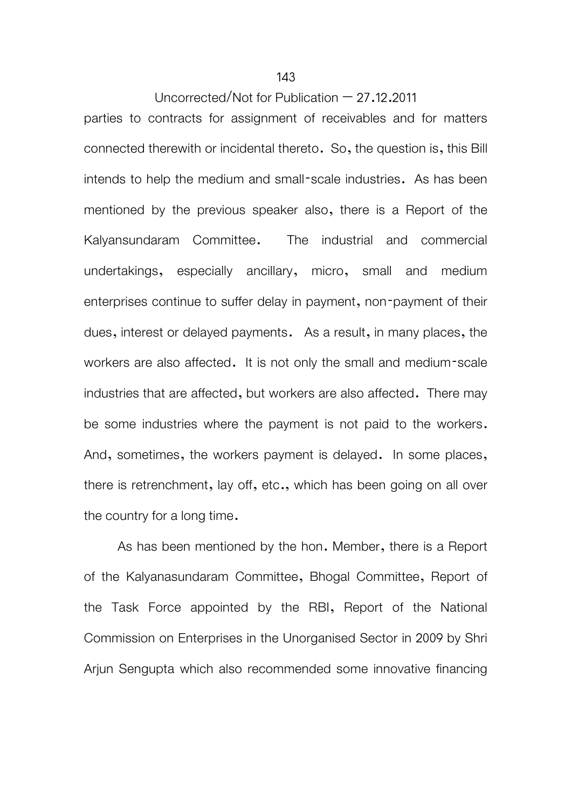parties to contracts for assignment of receivables and for matters connected therewith or incidental thereto. So, the question is, this Bill intends to help the medium and small-scale industries. As has been mentioned by the previous speaker also, there is a Report of the Kalyansundaram Committee. The industrial and commercial undertakings, especially ancillary, micro, small and medium enterprises continue to suffer delay in payment, non-payment of their dues, interest or delayed payments. As a result, in many places, the workers are also affected. It is not only the small and medium-scale industries that are affected, but workers are also affected. There may be some industries where the payment is not paid to the workers. And, sometimes, the workers payment is delayed. In some places, there is retrenchment, lay off, etc., which has been going on all over the country for a long time.

 As has been mentioned by the hon. Member, there is a Report of the Kalyanasundaram Committee, Bhogal Committee, Report of the Task Force appointed by the RBI, Report of the National Commission on Enterprises in the Unorganised Sector in 2009 by Shri Ariun Sengupta which also recommended some innovative financing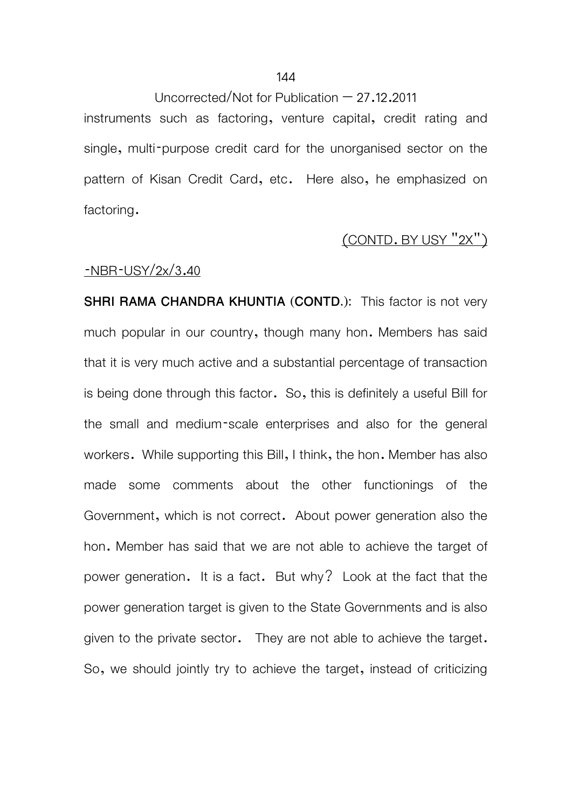instruments such as factoring, venture capital, credit rating and single, multi-purpose credit card for the unorganised sector on the pattern of Kisan Credit Card, etc. Here also, he emphasized on factoring.

## (CONTD. BY USY "2X")

## -NBR-USY/2x/3.40

**SHRI RAMA CHANDRA KHUNTIA (CONTD.):** This factor is not very much popular in our country, though many hon. Members has said that it is very much active and a substantial percentage of transaction is being done through this factor. So, this is definitely a useful Bill for the small and medium-scale enterprises and also for the general workers. While supporting this Bill, I think, the hon. Member has also made some comments about the other functionings of the Government, which is not correct. About power generation also the hon. Member has said that we are not able to achieve the target of power generation. It is a fact. But why? Look at the fact that the power generation target is given to the State Governments and is also given to the private sector. They are not able to achieve the target. So, we should jointly try to achieve the target, instead of criticizing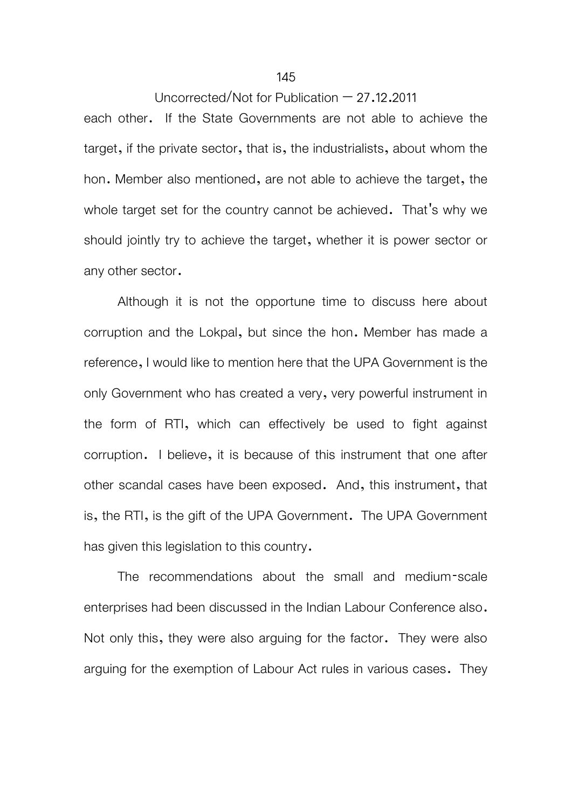each other. If the State Governments are not able to achieve the target, if the private sector, that is, the industrialists, about whom the hon. Member also mentioned, are not able to achieve the target, the whole target set for the country cannot be achieved. That's why we should jointly try to achieve the target, whether it is power sector or any other sector.

 Although it is not the opportune time to discuss here about corruption and the Lokpal, but since the hon. Member has made a reference, I would like to mention here that the UPA Government is the only Government who has created a very, very powerful instrument in the form of RTI, which can effectively be used to fight against corruption. I believe, it is because of this instrument that one after other scandal cases have been exposed. And, this instrument, that is, the RTI, is the gift of the UPA Government. The UPA Government has given this legislation to this country.

 The recommendations about the small and medium-scale enterprises had been discussed in the Indian Labour Conference also. Not only this, they were also arguing for the factor. They were also arguing for the exemption of Labour Act rules in various cases. They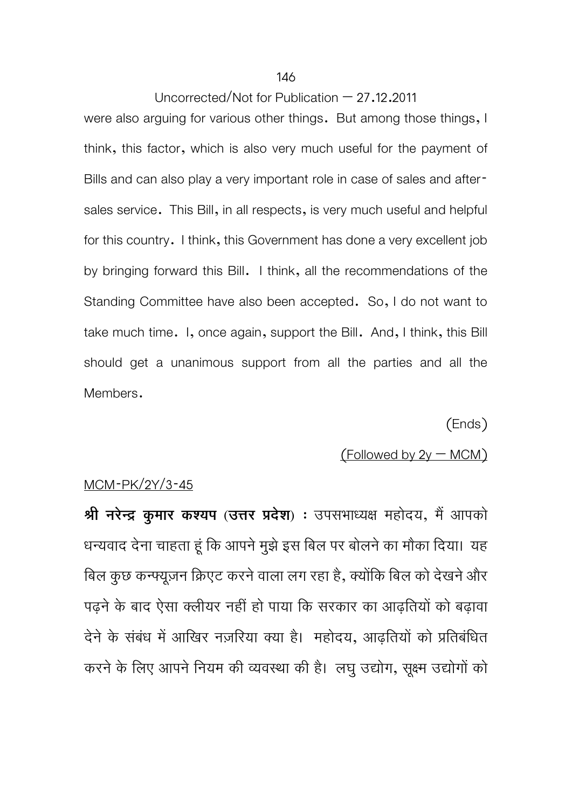#### 146

## Uncorrected/Not for Publication  $-27.12.2011$

were also arguing for various other things. But among those things, I think, this factor, which is also very much useful for the payment of Bills and can also play a very important role in case of sales and aftersales service. This Bill, in all respects, is very much useful and helpful for this country. I think, this Government has done a very excellent job by bringing forward this Bill. I think, all the recommendations of the Standing Committee have also been accepted. So, I do not want to take much time. I, once again, support the Bill. And, I think, this Bill should get a unanimous support from all the parties and all the Members.

(Ends)

# $($  Followed by  $2y - MCM$ )

#### MCM-PK/2Y/3-45

**श्री नरेन्द्र कुमार कश्यप** (उत्तर प्रदेश) : उपसभाध्यक्ष महोदय, मैं आपको धन्यवाद देना चाहता हूं कि आपने मुझे इस बिल पर बोलने का मौका दिया। यह बिल कुछ कन्फ्यूज़न क्रिएट करने वाला लग रहा है, क्योंकि बिल को देखने और पढ़ने के बाद ऐसा क्लीयर नहीं हो पाया कि सरकार का आढ़तियों को बढ़ावा देने के संबंध में आखिर नज़रिया क्या है। महोदय, आढ़तियों को प्रतिबंधित करने के लिए आपने नियम की व्यवस्था की है। लघु उद्योग, सूक्ष्म उद्योगों को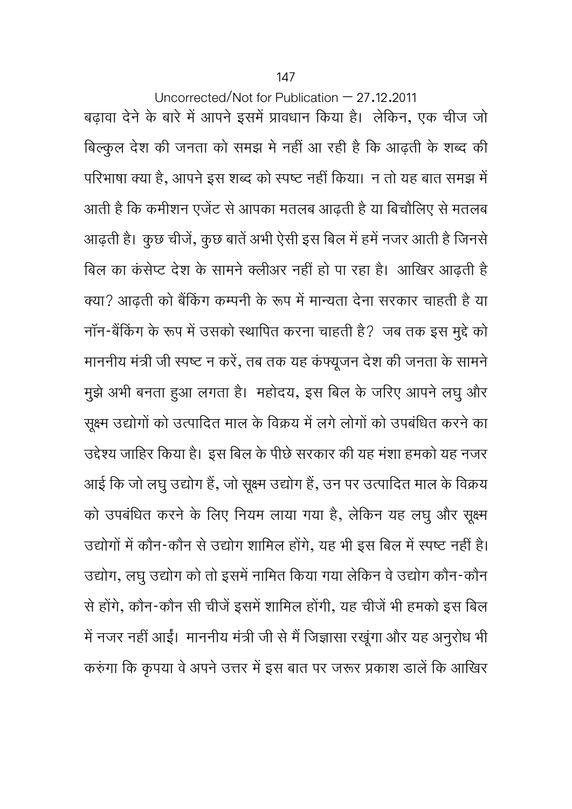Uncorrected/Not for Publication  $-27.12.2011$ बढ़ावा देने के बारे में आपने इसमें प्रावधान किया है। लेकिन, एक चीज जो बिल्कुल देश की जनता को समझ मे नहीं आ रही है कि आढ़ती के शब्द की परिभाषा क्या है, आपने इस शब्द को स्पष्ट नहीं किया। न तो यह बात समझ में आती है कि कमीशन एजेंट से आपका मतलब आढती है या बिचौलिए से मतलब आढ़ती है। कुछ चीजें, कुछ बातें अभी ऐसी इस बिल में हमें नजर आती है जिनसे बिल का कंसेप्ट देश के सामने क्लीअर नहीं हो पा रहा है। आखिर आढ़ती है क्या? आढ़ती को बैंकिंग कम्पनी के रूप में मान्यता देना सरकार चाहती है या नॉन-बैंकिंग के रूप में उसको स्थापित करना चाहती है? जब तक इस मुद्दे को माननीय मंत्री जी स्पष्ट न करें, तब तक यह कंफ्यूजन देश की जनता के सामने मुझे अभी बनता हुआ लगता है। महोदय, इस बिल के जरिए आपने लघु और सूक्ष्म उद्योगों को उत्पादित माल के विक्रय में लगे लोगों को उपबंधित करने का उद्देश्य जाहिर किया है। इस बिल के पीछे सरकार की यह मंशा हमको यह नजर आई कि जो लघु उद्योग हैं, जो सूक्ष्म उद्योग हैं, उन पर उत्पादित माल के विक्रय को उपबंधित करने के लिए नियम लाया गया है, लेकिन यह लघु और सूक्ष्म उद्योगों में कौन-कौन से उद्योग शामिल होंगे, यह भी इस बिल में स्पष्ट नहीं है। उद्योग, लघु उद्योग को तो इसमें नामित किया गया लेकिन वे उद्योग कौन-कौन से होंगे, कौन-कौन सी चीजें इसमें शामिल होंगी, यह चीजें भी हमको इस बिल में नजर नहीं आईं। माननीय मंत्री जी से मैं जिज्ञासा रखूंगा और यह अनुरोध भी करुंगा कि कृपया वे अपने उत्तर में इस बात पर जरूर प्रकाश डालें कि आखिर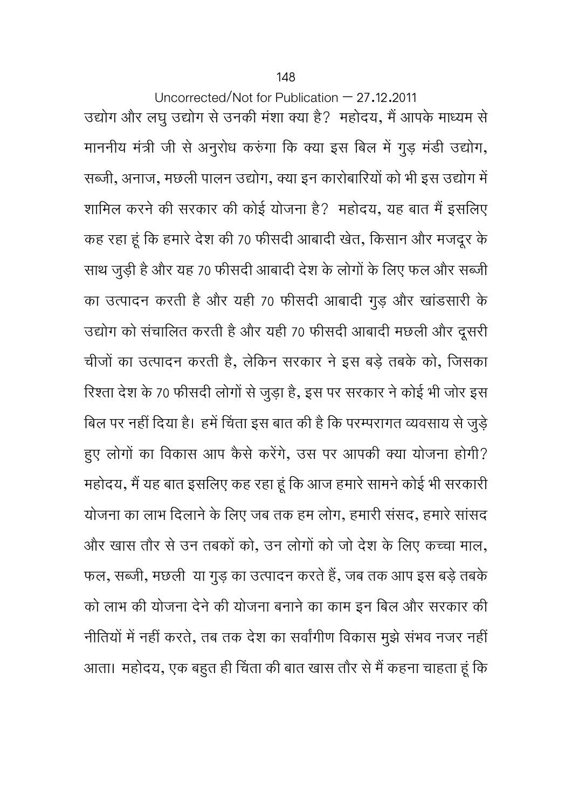Uncorrected/Not for Publication  $-27.12.2011$ उद्योग और लघु उद्योग से उनकी मंशा क्या है? महोदय, मैं आपके माध्यम से माननीय मंत्री जी से अनूरोध करुंगा कि क्या इस बिल में गुड़ मंडी उद्योग, सब्जी, अनाज, मछली पालन उद्योग, क्या इन कारोबारियों को भी इस उद्योग में शामिल करने की सरकार की कोई योजना है? महोदय, यह बात मैं इसलिए कह रहा हूं िक हमारेदेश की 70 फीसदी आबादी खेत, िकसान और मजदूर के साथ जुड़ी है और यह 70 फीसदी आबादी देश के लोगों के लिए फल और सब्जी का उत्पादन करती हैऔर यही 70 फीसदी आबादी गुड़ और खाडसारी ं के उद्योग को संचालित करती है और यही 70 फीसदी आबादी मछली और दूसरी चीजों का उत्पादन करती है, लेकिन सरकार ने इस बड़े तबके को, जिसका रिश्ता देश के 70 फीसदी लोगों से जुड़ा है, इस पर सरकार ने कोई भी जोर इस बिल पर नहीं दिया है। हमें चिंता इस बात की है कि परम्परागत व्यवसाय से जुड़े हुए लोगों का विकास आप कैसे करेंगे, उस पर आपकी क्या योजना होगी? महोदय, मैं यह बात इसलिए कह रहा हूं कि आज हमारे सामने कोई भी सरकारी योजना का लाभ दिलाने के लिए जब तक हम लोग, हमारी संसद, हमारे सांसद और खास तौर से उन तबकों को, उन लोगों को जो देश के लिए कच्चा माल, फल, सब्जी, मछली या गुड़ का उत्पादन करते हैं, जब तक आप इस बड़े तबके को लाभ की योजना देने की योजना बनाने का काम इन बिल और सरकार की नीतियों में नहीं करते, तब तक देश का सर्वांगीण विकास मुझे संभव नजर नहीं आता। महोदय, एक बहुत ही चिंता की बात खास तौर से मैं कहना चाहता हूं कि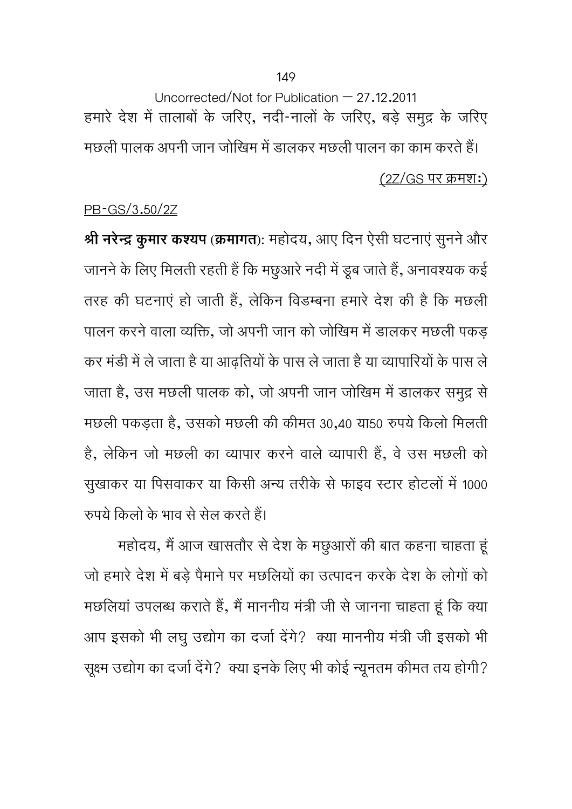Uncorrected/Not for Publication – 27.12.2011 हमारे देश में तालाबों के जरिए, नदी-नालों के जरिए, बड़े समुद्र के जरिए मछली पालक अपनी जान जोरिवम में डालकर मछली पालन का काम करते हैं। (2Z/GS पर कर्मश:)

# PB-GS/3.50/2Z

**Ǜी नरेन्दर् कुमार कÌयप (कर्मागत):** महोदय, आए िदन ऐसी घटनाएं सुननेऔर जानने के लिए मिलता रहती है कि मछुआरे नदी में डूब जाते हैं, अनावश्यक कई तरह की घटनाएं हो जाती हैं, लेकिन विडम्बना हमारे देश की है कि मछली पालन करने वाला व्यक्ति, जो अपनी जान को जोखिम में डालकर मछली पकड़ कर मंडी में ले जाता है या आढ़तियों के पास ले जाता है या व्यापारियों के पास ले जाता है, उस मछली पालक को, जो अपनी जान जोखिम में डालकर समुद्र से मछली पकड़ता है, उसको मछली की कीमत 30,40 या50 रुपये किलो मिलती है, लेकिन जो मछली का व्यापार करने वाले व्यापारी हैं, वे उस मछली को सुखाकर या पिसवाकर या किसी अन्य तरीके से फाइव स्टार होटलों में 1000 रुपये किलो के भाव से सेल करते हैं।

महोदय, मैं आज खासतौर से देश के मछुआरों की बात कहना चाहता हूं जो हमारे देश में बड़े पैमाने पर मछलियों का उत्पादन करके देश के लोगों को मछलियां उपलब्ध कराते हैं, मैं माननीय मंत्री जी से जानना चाहता हूं कि क्या आप इसको भी लघु उद्योग का दर्जा देंगे? क्या माननीय मंत्री जी इसको भी सूक्ष्म उद्योग का दर्जा देंगे? क्या इनके लिए भी कोई न्यूनतम कीमत तय होगी?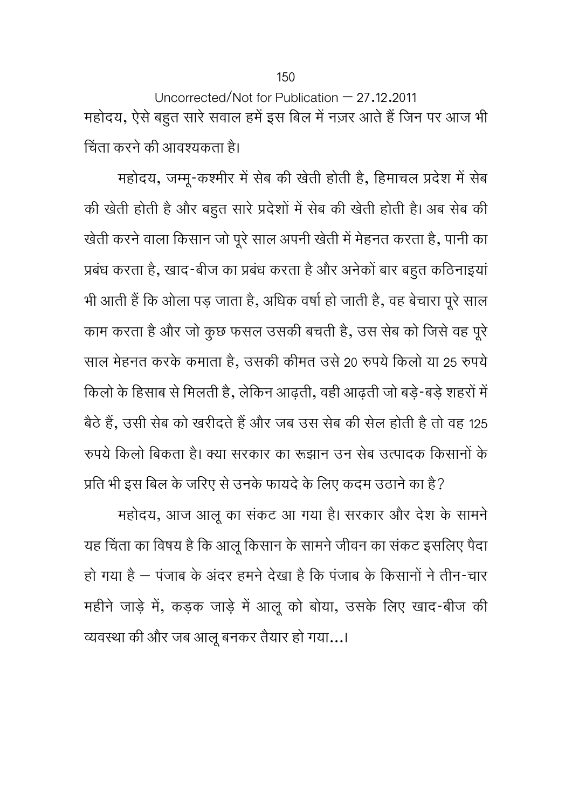Uncorrected/Not for Publication – 27.12.2011 महोदय, ऐसे बहुत सारे सवाल हमें इस बिल में नज़र आते हैं जिन पर आज भी चिंता करने की आवश्यकता है।

महोदय, जम्मू-कश्मीर में सेब की खेती होती है, हिमाचल प्रदेश में सेब की खेती होती है और बहुत सारे प्रदेशों में सेब की खेती होती है। अब सेब की खेती करने वाला किसान जो पूरे साल अपनी खेती में मेहनत करता है, पानी का प्रबंध करता है, खाद-बीज का प्रबंध करता है और अनेकों बार बहुत कठिनाइयां भी आती हैं कि ओला पड़ जाता है, अधिक वर्षा हो जाती है, वह बेचारा पूरे साल काम करता हैऔर जो कुछ फसल उसकी बचती है, उस सेब को िजसेवह पूरे साल मेहनत करके कमाता है, उसकी कीमत उसे 20 रुपये किलो या 25 रुपये किलो के हिसाब से मिलती है, लेकिन आढ़ती, वही आढ़ती जो बड़े-बड़े शहरों में बैठे हैं, उसी सेब को खरीदते हैं और जब उस सेब की सेल होती है तो वह 125 रुपये किलो बिकता है। क्या सरकार का रूझान उन सेब उत्पादक किसानों के

प्रति भी इस बिल के जरिए से उनके फायदे के लिए कदम उठाने का है? महोदय, आज आलू का संकट आ गया है। सरकार और देश के सामने यह चिंता का विषय है कि आलू किसान के सामने जीवन का संकट इसलिए पैदा हा गया है — पंजाब के अंदर हमने देखा है कि पंजाब के किसाना ने तान-चार महीने जाड़े में, कड़क जाड़े में आलू को बोया, उसके लिए खाद-बीज की व्यवस्था की और जब आलू बनकर तैयार हो गया...।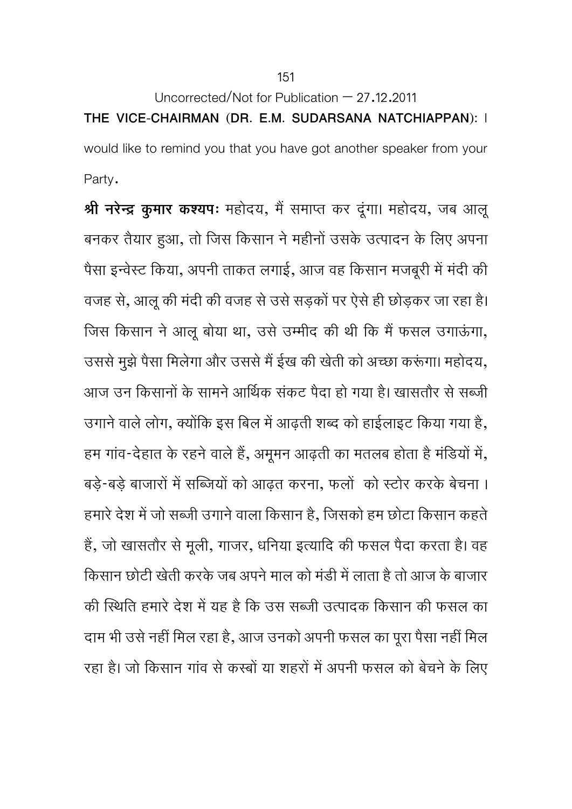**THE VICE-CHAIRMAN (DR. E.M. SUDARSANA NATCHIAPPAN):** I would like to remind you that you have got another speaker from your Party.

**श्री नरेन्द्र कुमार कश्यप:** महोदय, मैं समाप्त कर दूंगा। महोदय, जब आलू बनकर तैयार हुआ, तो जिस किसान ने महीनों उसके उत्पादन के लिए अपना पैसा इन्वेस्ट किया, अपनी ताकत लगाई, आज वह किसान मजबूरी में मंदी की वजह से, आलू की मंदी की वजह से उसे सड़कों पर ऐसे ही छोड़कर जा रहा है। जिस किसान ने आलू बोया था, उसे उम्मीद की थी कि मैं फसल उगाऊंगा, उससे मुझे पैसा मिलेगा और उससे मैं ईख की खेती को अच्छा करूंगा। महोदय, आज उन किसानों के सामने आर्थिक संकट पैदा हो गया है। खासतौर से सब्जी उगाने वाले लोग, क्योंकि इस बिल में आढ़ती शब्द को हाईलाइट किया गया है, हम गांव-देहात के रहने वाले हैं, अमूमन आढ़ती का मतलब होता है मंडियों में, बड़े-बड़े बाजारों में सब्जियों को आढ़त करना, फलों को स्टोर करके बेचना । हमारे देश में जो सब्जी उगाने वाला किसान है, जिसको हम छोटा किसान कहते हैं, जो खासतौर से मूली, गाजर, धनिया इत्यादि की फसल पैदा करता है। वह किसान छोटी खेती करके जब अपने माल को मंडी में लाता है तो आज के बाजार की स्थिति हमारे देश में यह है कि उस सब्जी उत्पादक किसान की फसल का दाम भी उसे नहीं मिल रहा है, आज उनको अपनी फसल का पूरा पैसा नहीं मिल रहा है। जो किसान गांव से कस्बों या शहरों में अपनी फसल को बेचने के लिए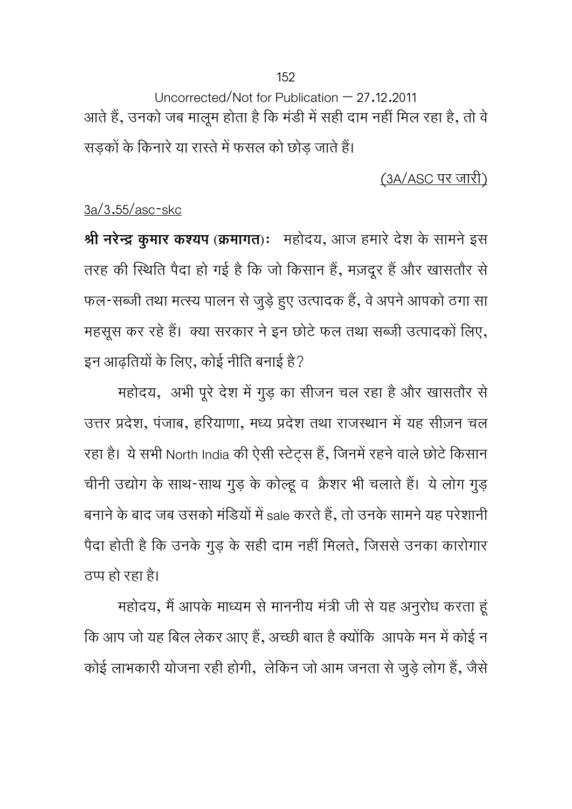Uncorrected/Not for Publication  $-27.12.2011$ आते हैं, उनको जब मालूम होता है कि मंडी में सही दाम नहीं मिल रहा है, तो वे सड़कों के किनारे या रास्ते में फसल को छोड़ जाते हैं।

(3A/ASC पर जारी)

# 3a/3.55/asc-skc

**श्री नरेन्द्र कुमार कश्यप** (क्रमागत): महोदय, आज हमारे देश के सामने इस तरह की स्थिति पैदा हो गई है कि जो किसान हैं, मज़दूर हैं और खासतौर से फल-सब्जी तथा मत्स्य पालन से जुड़े हुए उत्पादक हैं, वे अपने आपको ठगा सा महसूस कर रहे हैं। क्या सरकार ने इन छोटे फल तथा सब्जी उत्पादकों लिए, इन आढ़तियों के लिए, कोई नीति बनाई है?

महोदय, अभी पूरे देश में गुड़ का सीजन चल रहा है और खासतौर से उत्तर प्रदेश, पंजाब, हरियाणा, मध्य प्रदेश तथा राजस्थान में यह सीज़न चल रहा है। ये सभी North India की ऐसी स्टेट्स हैं, जिनमें रहने वाले छोटे किसान चीनी उद्योग के साथ-साथ गुड़ के कोल्हू व क्रैशर भी चलाते हैं। ये लोग गुड़ बनाने के बाद जब उसको मंडियों में sale करते हैं, तो उनके सामने यह परेशानी पैदा होती है कि उनके गुड़ के सही दाम नहीं मिलते, जिससे उनका कारोगार ठप्प हो रहा है।

महोदय, मैं आपके माध्यम से माननीय मंत्री जी से यह अनुरोध करता हूं कि आप जो यह बिल लेकर आए हैं, अच्छी बात है क्योंकि आपके मन में कोई न कोई लाभकारी योजना रही होगी, लेकिन जो आम जनता से जुड़े लोग हैं, जैसे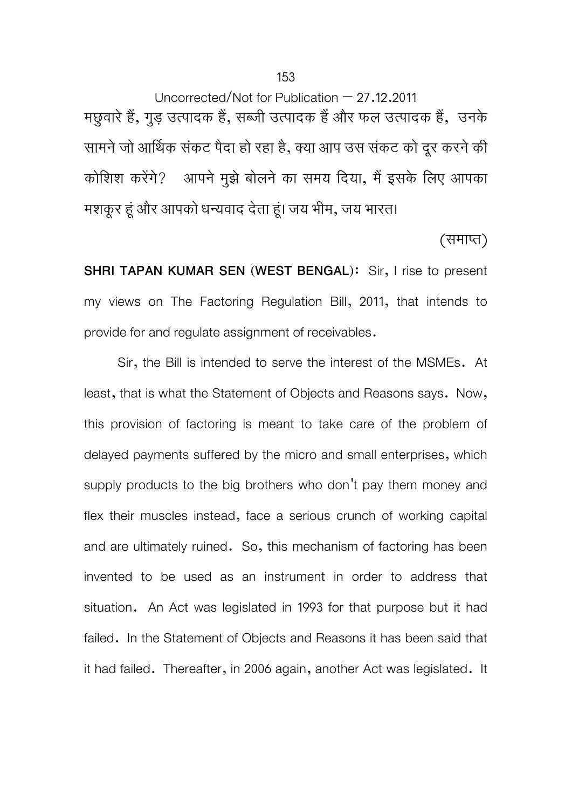Uncorrected/Not for Publication – 27.12.2011 मछुवारे हैं, गुड़ उत्पादक हैं, सब्जी उत्पादक हैं और फल उत्पादक हैं, उनके सामने जो आर्थिक संकट पैदा हो रहा है, क्या आप उस संकट को दूर करने की कोशिश करेंगे? आपने मुझे बोलने का समय दिया, मैं इसके लिए आपका मशकूर हूं और आपको धन्यवाद देता हूं। जय भीम, जय भारत।

(समाप्त)

**SHRI TAPAN KUMAR SEN (WEST BENGAL):** Sir, I rise to present my views on The Factoring Regulation Bill, 2011, that intends to provide for and regulate assignment of receivables.

Sir, the Bill is intended to serve the interest of the MSMEs. At least, that is what the Statement of Objects and Reasons says. Now, this provision of factoring is meant to take care of the problem of delayed payments suffered by the micro and small enterprises, which supply products to the big brothers who don't pay them money and flex their muscles instead, face a serious crunch of working capital and are ultimately ruined. So, this mechanism of factoring has been invented to be used as an instrument in order to address that situation. An Act was legislated in 1993 for that purpose but it had failed. In the Statement of Objects and Reasons it has been said that it had failed. Thereafter, in 2006 again, another Act was legislated. It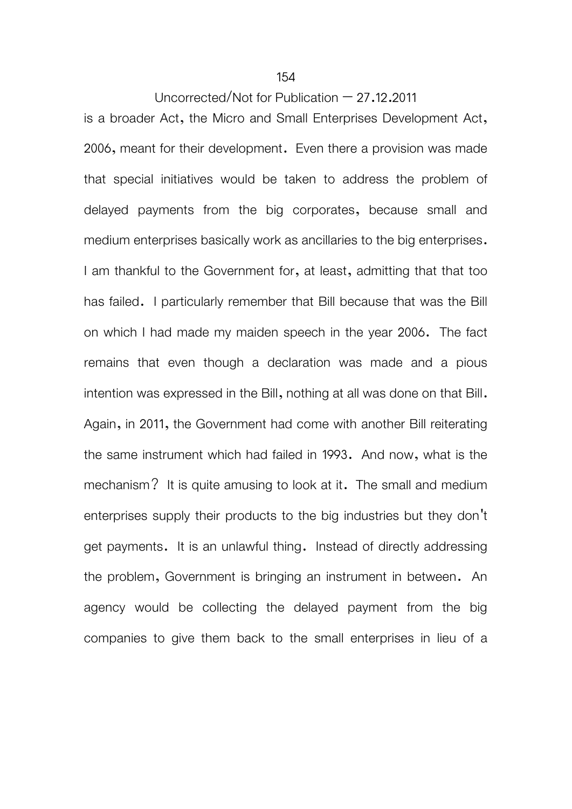#### 154

# Uncorrected/Not for Publication – 27.12.2011

is a broader Act, the Micro and Small Enterprises Development Act, 2006, meant for their development. Even there a provision was made that special initiatives would be taken to address the problem of delayed payments from the big corporates, because small and medium enterprises basically work as ancillaries to the big enterprises. I am thankful to the Government for, at least, admitting that that too has failed. I particularly remember that Bill because that was the Bill on which I had made my maiden speech in the year 2006. The fact remains that even though a declaration was made and a pious intention was expressed in the Bill, nothing at all was done on that Bill. Again, in 2011, the Government had come with another Bill reiterating the same instrument which had failed in 1993. And now, what is the mechanism? It is quite amusing to look at it. The small and medium enterprises supply their products to the big industries but they don't get payments. It is an unlawful thing. Instead of directly addressing the problem, Government is bringing an instrument in between. An agency would be collecting the delayed payment from the big companies to give them back to the small enterprises in lieu of a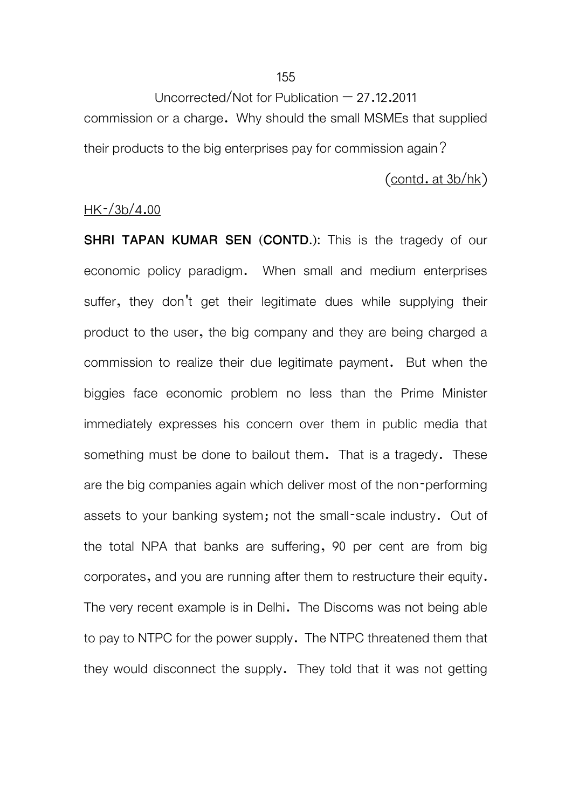Uncorrected/Not for Publication – 27.12.2011 commission or a charge. Why should the small MSMEs that supplied their products to the big enterprises pay for commission again?

 $($ contd. at  $3b/hk)$ 

# $HK - /3b/4.00$

**SHRI TAPAN KUMAR SEN (CONTD.):** This is the tragedy of our economic policy paradigm. When small and medium enterprises suffer, they don't get their legitimate dues while supplying their product to the user, the big company and they are being charged a commission to realize their due legitimate payment. But when the biggies face economic problem no less than the Prime Minister immediately expresses his concern over them in public media that something must be done to bailout them. That is a tragedy. These are the big companies again which deliver most of the non-performing assets to your banking system; not the small-scale industry. Out of the total NPA that banks are suffering, 90 per cent are from big corporates, and you are running after them to restructure their equity. The very recent example is in Delhi. The Discoms was not being able to pay to NTPC for the power supply. The NTPC threatened them that they would disconnect the supply. They told that it was not getting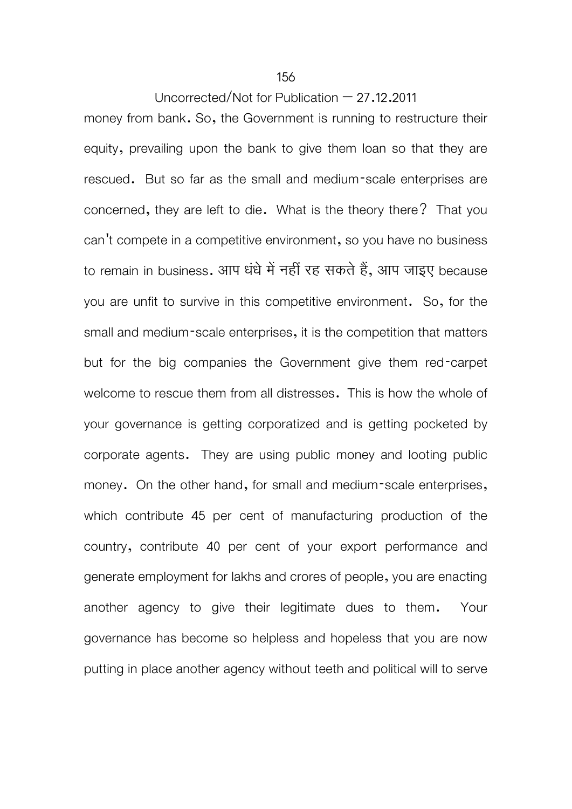money from bank. So, the Government is running to restructure their equity, prevailing upon the bank to give them loan so that they are rescued. But so far as the small and medium-scale enterprises are concerned, they are left to die. What is the theory there? That you can't compete in a competitive environment, so you have no business to remain in business. आप धंधे में नहीं रह सकते हैं, आप जाइए because you are unfit to survive in this competitive environment. So, for the small and medium-scale enterprises, it is the competition that matters but for the big companies the Government give them red-carpet welcome to rescue them from all distresses. This is how the whole of your governance is getting corporatized and is getting pocketed by corporate agents. They are using public money and looting public money. On the other hand, for small and medium-scale enterprises, which contribute 45 per cent of manufacturing production of the country, contribute 40 per cent of your export performance and generate employment for lakhs and crores of people, you are enacting another agency to give their legitimate dues to them. Your governance has become so helpless and hopeless that you are now putting in place another agency without teeth and political will to serve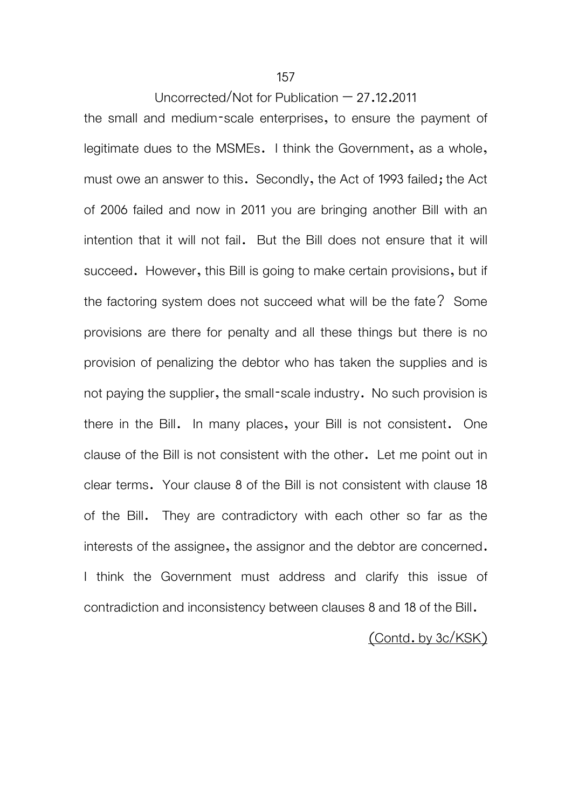the small and medium-scale enterprises, to ensure the payment of legitimate dues to the MSMEs. I think the Government, as a whole, must owe an answer to this. Secondly, the Act of 1993 failed; the Act of 2006 failed and now in 2011 you are bringing another Bill with an intention that it will not fail. But the Bill does not ensure that it will succeed. However, this Bill is going to make certain provisions, but if the factoring system does not succeed what will be the fate? Some provisions are there for penalty and all these things but there is no provision of penalizing the debtor who has taken the supplies and is not paying the supplier, the small-scale industry. No such provision is there in the Bill. In many places, your Bill is not consistent. One clause of the Bill is not consistent with the other. Let me point out in clear terms. Your clause 8 of the Bill is not consistent with clause 18 of the Bill. They are contradictory with each other so far as the interests of the assignee, the assignor and the debtor are concerned. I think the Government must address and clarify this issue of contradiction and inconsistency between clauses 8 and 18 of the Bill.

# (Contd. by 3c/KSK)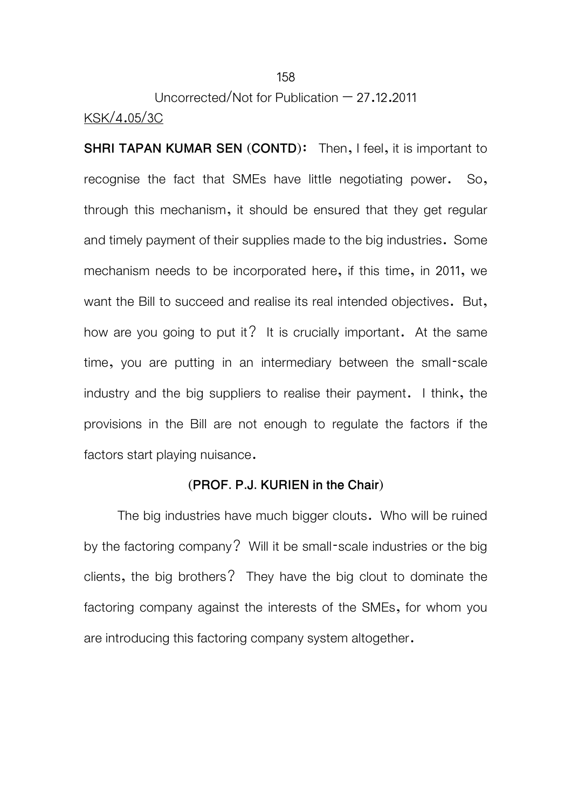# Uncorrected/Not for Publication – 27.12.2011 KSK/4.05/3C

**SHRI TAPAN KUMAR SEN (CONTD):** Then, I feel, it is important to recognise the fact that SMEs have little negotiating power. So, through this mechanism, it should be ensured that they get regular and timely payment of their supplies made to the big industries. Some mechanism needs to be incorporated here, if this time, in 2011, we want the Bill to succeed and realise its real intended objectives. But, how are you going to put it? It is crucially important. At the same time, you are putting in an intermediary between the small-scale industry and the big suppliers to realise their payment. I think, the provisions in the Bill are not enough to regulate the factors if the factors start playing nuisance.

#### **(PROF. P.J. KURIEN in the Chair)**

 The big industries have much bigger clouts. Who will be ruined by the factoring company? Will it be small-scale industries or the big clients, the big brothers? They have the big clout to dominate the factoring company against the interests of the SMEs, for whom you are introducing this factoring company system altogether.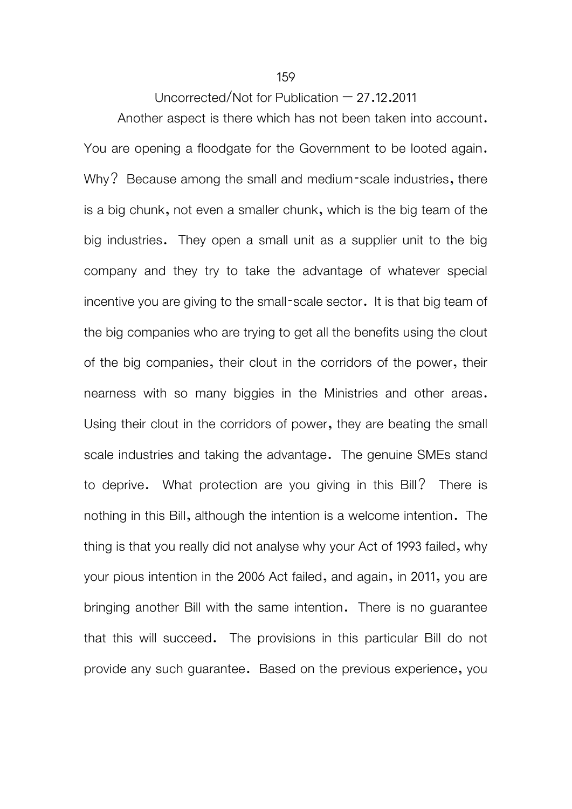Another aspect is there which has not been taken into account. You are opening a floodgate for the Government to be looted again. Why? Because among the small and medium-scale industries, there is a big chunk, not even a smaller chunk, which is the big team of the big industries. They open a small unit as a supplier unit to the big company and they try to take the advantage of whatever special incentive you are giving to the small-scale sector. It is that big team of the big companies who are trying to get all the benefits using the clout of the big companies, their clout in the corridors of the power, their nearness with so many biggies in the Ministries and other areas. Using their clout in the corridors of power, they are beating the small scale industries and taking the advantage. The genuine SMEs stand to deprive. What protection are you giving in this Bill? There is nothing in this Bill, although the intention is a welcome intention. The thing is that you really did not analyse why your Act of 1993 failed, why your pious intention in the 2006 Act failed, and again, in 2011, you are bringing another Bill with the same intention. There is no guarantee that this will succeed. The provisions in this particular Bill do not provide any such guarantee. Based on the previous experience, you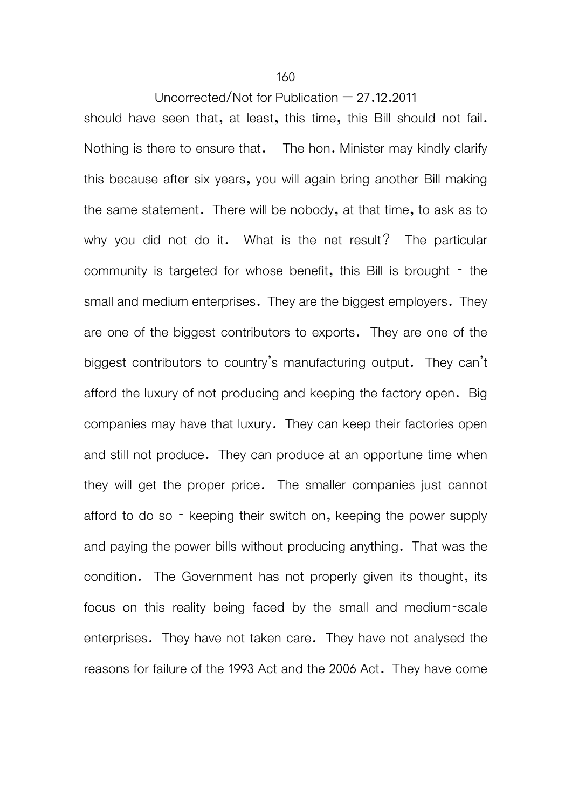should have seen that, at least, this time, this Bill should not fail. Nothing is there to ensure that. The hon. Minister may kindly clarify this because after six years, you will again bring another Bill making the same statement. There will be nobody, at that time, to ask as to why you did not do it. What is the net result? The particular community is targeted for whose benefit, this Bill is brought - the small and medium enterprises. They are the biggest employers. They are one of the biggest contributors to exports. They are one of the biggest contributors to country's manufacturing output. They can't afford the luxury of not producing and keeping the factory open. Big companies may have that luxury. They can keep their factories open and still not produce. They can produce at an opportune time when they will get the proper price. The smaller companies just cannot afford to do so - keeping their switch on, keeping the power supply and paying the power bills without producing anything. That was the condition. The Government has not properly given its thought, its focus on this reality being faced by the small and medium-scale enterprises. They have not taken care. They have not analysed the reasons for failure of the 1993 Act and the 2006 Act. They have come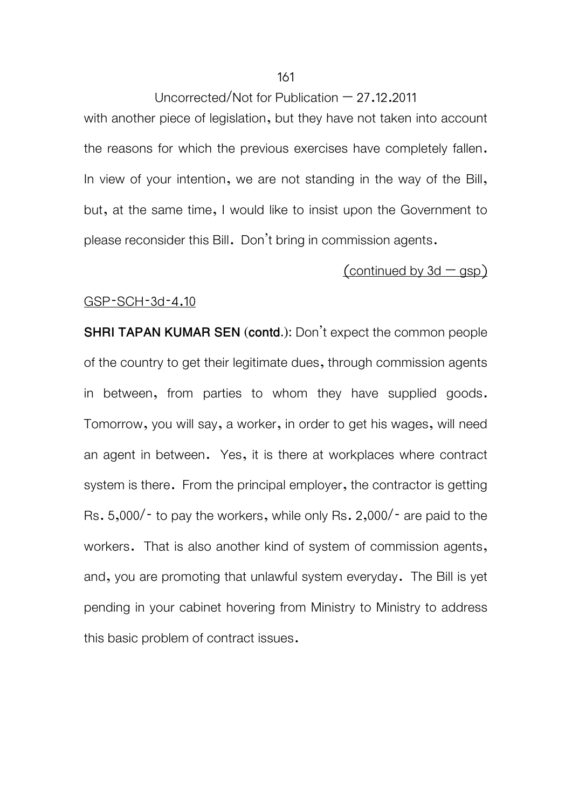with another piece of legislation, but they have not taken into account the reasons for which the previous exercises have completely fallen. In view of your intention, we are not standing in the way of the Bill, but, at the same time, I would like to insist upon the Government to please reconsider this Bill. Don't bring in commission agents.

# (continued by  $3d - qsp$ )

#### GSP-SCH-3d-4.10

**SHRI TAPAN KUMAR SEN (contd.):** Don't expect the common people of the country to get their legitimate dues, through commission agents in between, from parties to whom they have supplied goods. Tomorrow, you will say, a worker, in order to get his wages, will need an agent in between. Yes, it is there at workplaces where contract system is there. From the principal employer, the contractor is getting Rs. 5,000/- to pay the workers, while only Rs. 2,000/- are paid to the workers. That is also another kind of system of commission agents, and, you are promoting that unlawful system everyday. The Bill is yet pending in your cabinet hovering from Ministry to Ministry to address this basic problem of contract issues.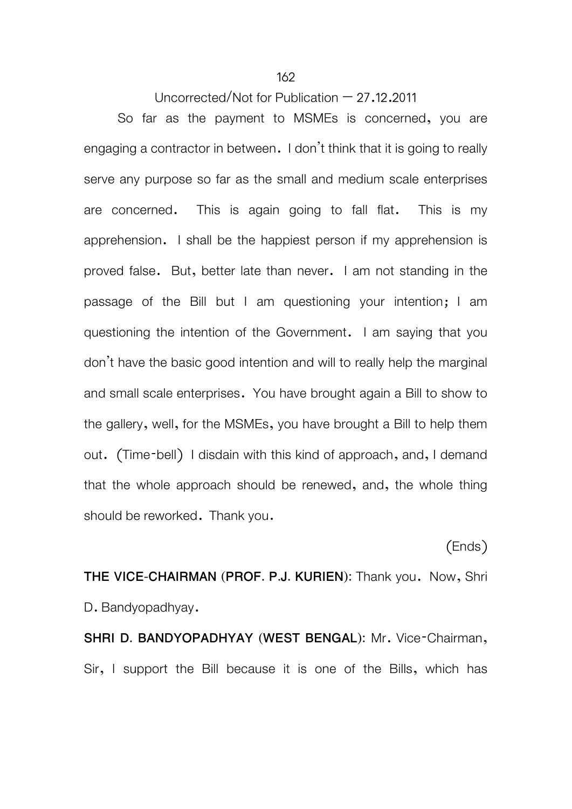So far as the payment to MSMEs is concerned, you are engaging a contractor in between. I don't think that it is going to really serve any purpose so far as the small and medium scale enterprises are concerned. This is again going to fall flat. This is my apprehension. I shall be the happiest person if my apprehension is proved false. But, better late than never. I am not standing in the passage of the Bill but I am questioning your intention; I am questioning the intention of the Government. I am saying that you don't have the basic good intention and will to really help the marginal and small scale enterprises. You have brought again a Bill to show to the gallery, well, for the MSMEs, you have brought a Bill to help them out. (Time-bell) I disdain with this kind of approach, and, I demand that the whole approach should be renewed, and, the whole thing should be reworked. Thank you.

(Ends)

**THE VICE-CHAIRMAN (PROF. P.J. KURIEN):** Thank you. Now, Shri D. Bandyopadhyay.

**SHRI D. BANDYOPADHYAY (WEST BENGAL):** Mr. Vice-Chairman, Sir, I support the Bill because it is one of the Bills, which has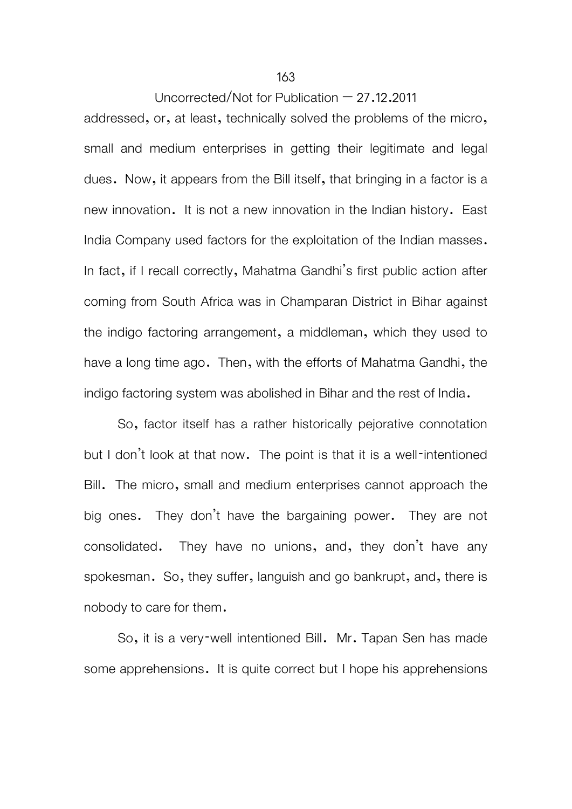addressed, or, at least, technically solved the problems of the micro, small and medium enterprises in getting their legitimate and legal dues. Now, it appears from the Bill itself, that bringing in a factor is a new innovation. It is not a new innovation in the Indian history. East India Company used factors for the exploitation of the Indian masses. In fact, if I recall correctly, Mahatma Gandhi's first public action after coming from South Africa was in Champaran District in Bihar against the indigo factoring arrangement, a middleman, which they used to have a long time ago. Then, with the efforts of Mahatma Gandhi, the indigo factoring system was abolished in Bihar and the rest of India.

 So, factor itself has a rather historically pejorative connotation but I don't look at that now. The point is that it is a well-intentioned Bill. The micro, small and medium enterprises cannot approach the big ones. They don't have the bargaining power. They are not consolidated. They have no unions, and, they don't have any spokesman. So, they suffer, languish and go bankrupt, and, there is nobody to care for them.

 So, it is a very-well intentioned Bill. Mr. Tapan Sen has made some apprehensions. It is quite correct but I hope his apprehensions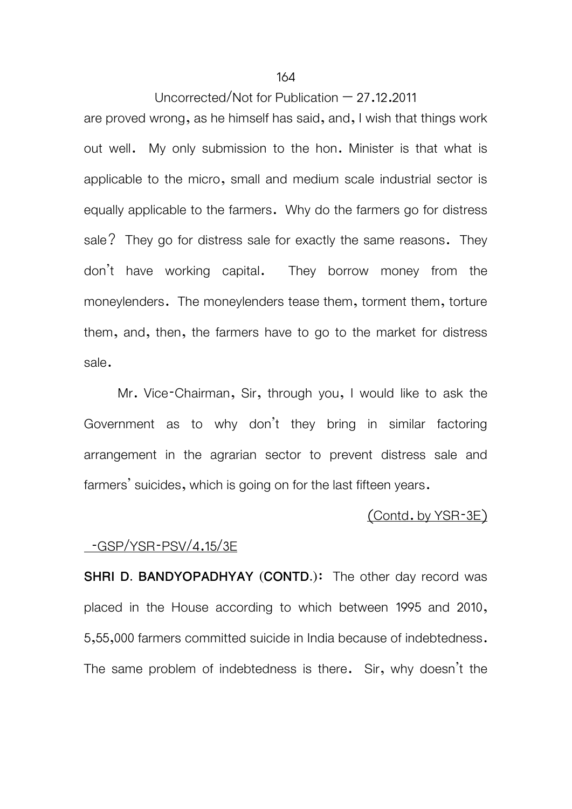#### 164

## Uncorrected/Not for Publication  $-27.12.2011$

are proved wrong, as he himself has said, and, I wish that things work out well. My only submission to the hon. Minister is that what is applicable to the micro, small and medium scale industrial sector is equally applicable to the farmers. Why do the farmers go for distress sale? They go for distress sale for exactly the same reasons. They don't have working capital. They borrow money from the moneylenders. The moneylenders tease them, torment them, torture them, and, then, the farmers have to go to the market for distress sale.

Mr. Vice-Chairman, Sir, through you, I would like to ask the Government as to why don't they bring in similar factoring arrangement in the agrarian sector to prevent distress sale and farmers' suicides, which is going on for the last fifteen years.

#### (Contd. by YSR-3E)

#### -GSP/YSR-PSV/4.15/3E

**SHRI D. BANDYOPADHYAY (CONTD.)**: The other day record was placed in the House according to which between 1995 and 2010, 5,55,000 farmers committed suicide in India because of indebtedness. The same problem of indebtedness is there. Sir, why doesn't the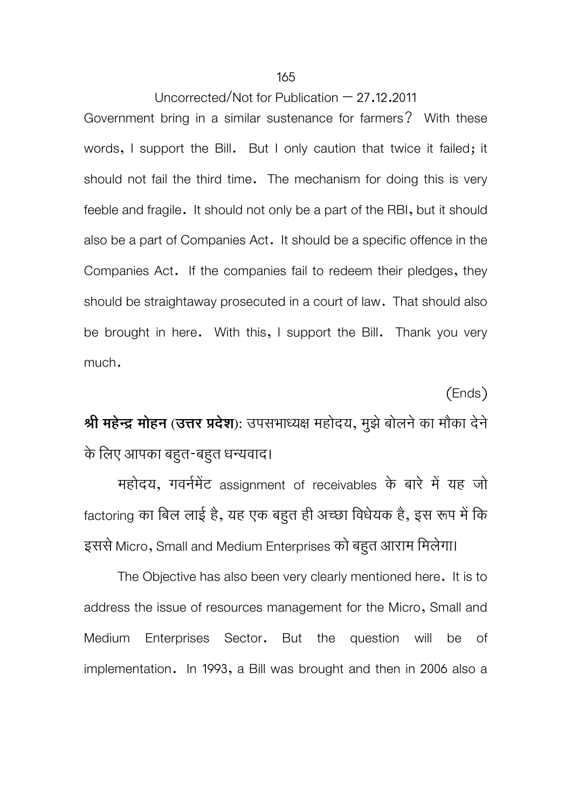Government bring in a similar sustenance for farmers? With these words, I support the Bill. But I only caution that twice it failed; it should not fail the third time. The mechanism for doing this is very feeble and fragile. It should not only be a part of the RBI, but it should also be a part of Companies Act. It should be a specific offence in the Companies Act. If the companies fail to redeem their pledges, they should be straightaway prosecuted in a court of law. That should also be brought in here. With this, I support the Bill. Thank you very much.

(Ends) **Ǜी महेन्दर् मोहन (उDŽर Ģदेश):** उपसभाध्यक्ष महोदय, मुझेबोलनेका मौका देने के िलए आपका बहुत-बहुत धन्यवाद।

महोदय, गवर्नमेंट assignment of receivables के बारे में यह जो factoring का बिल लाई है, यह एक बहुत ही अच्छा विधेयक है, इस रूप में कि इससे Micro, Small and Medium Enterprises को बहुत आराम िमलेगा।

The Objective has also been very clearly mentioned here. It is to address the issue of resources management for the Micro, Small and Medium Enterprises Sector. But the question will be of implementation. In 1993, a Bill was brought and then in 2006 also a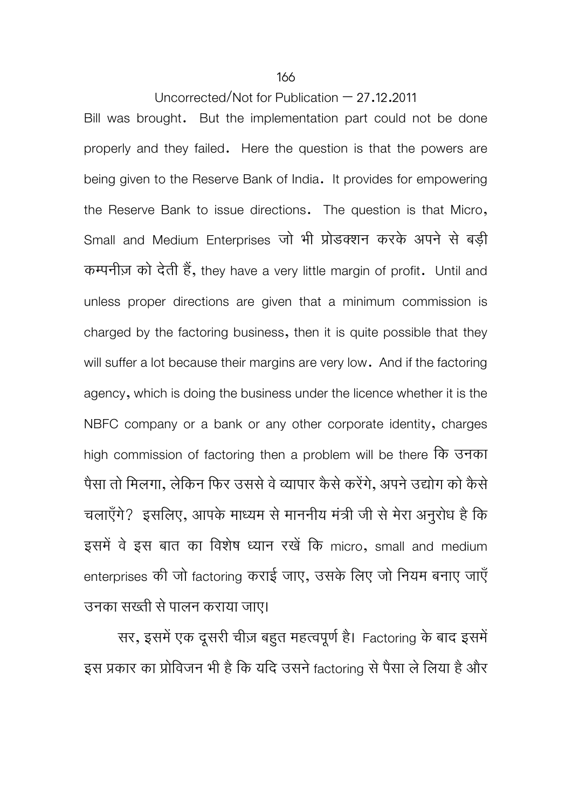Bill was brought. But the implementation part could not be done properly and they failed. Here the question is that the powers are being given to the Reserve Bank of India. It provides for empowering the Reserve Bank to issue directions. The question is that Micro, Small and Medium Enterprises जो भी प्रोडक्शन करके अपने से बड़ी कम्पनीज़ को देती हैं, they have a very little margin of profit. Until and unless proper directions are given that a minimum commission is charged by the factoring business, then it is quite possible that they will suffer a lot because their margins are very low. And if the factoring agency, which is doing the business under the licence whether it is the NBFC company or a bank or any other corporate identity, charges high commission of factoring then a problem will be there िक उनका पैसा तो मिलगा, लेकिन फिर उससे वे व्यापार कैसे करेंगे, अपने उद्योग को कैसे चलाएँगे? इसलिए, आपके माध्यम से माननीय मंत्री जी से मेरा अनुरोध है कि इसमें वे इस बात का विशेष ध्यान रखें कि micro, small and medium enterprises की जो factoring कराई जाए, उसके िलए जो िनयम बनाए जाएँ उनका सख्ती सेपालन कराया जाए।

सर, इसमें एक दूसरी चीज़ बहुत महत्वपूर्ण है। Factoring के बाद इसमें इस प्रकार का प्रोविजन भी है कि यदि उसने factoring से पैसा ले लिया है और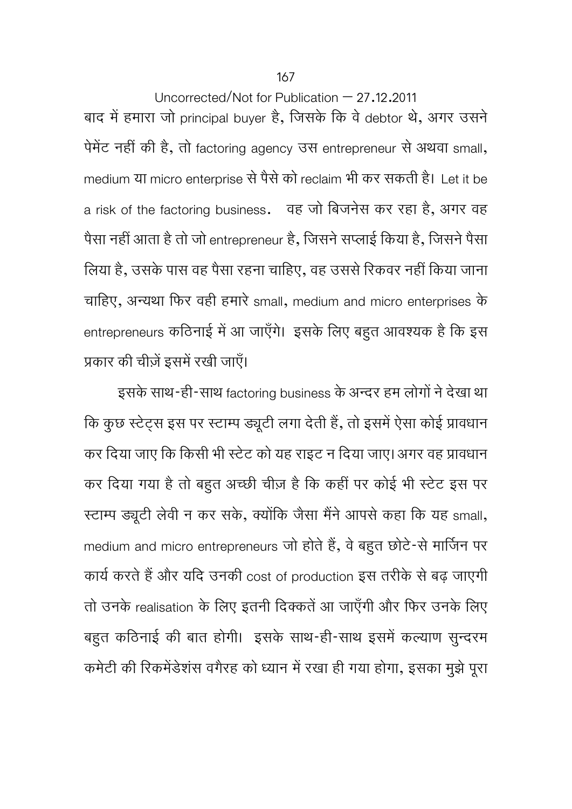167

Uncorrected/Not for Publication – 27.12.2011 बाद में हमारा जो principal buyer है, जिसके कि वे debtor थे, अगर उसने पेमेंट नहीं की है, तो factoring agency उस entrepreneur से अथवा small, medium या micro enterprise सेपैसेको reclaim भी कर सकती है। Let it be a risk of the factoring business. वह जो िबजनेस कर रहा है, अगर वह पैसा नहीं आता है तो जो entrepreneur है, जिसने सप्लाई किया है, जिसने पैसा लिया है, उसके पास वह पैसा रहना चाहिए, वह उससे रिकवर नहीं किया जाना चािहए, अन्यथा िफर वही हमारे small, medium and micro enterprises के entrepreneurs कठिनाई में आ जाएँगे। इसके लिए बहुत आवश्यक है कि इस प्रकार की चीज़ें इसमें रखी जाएँ।

इसके साथ-ही-साथ factoring business के अन्दर हम लोगों ने देखा था कि कुछ स्टेट्स इस पर स्टाम्प ड्यूटी लगा देती हैं, तो इसमें ऐसा कोई प्रावधान कर दिया जाए कि किसी भी स्टेट को यह राइट न दिया जाए। अगर वह प्रावधान कर दिया गया है तो बहुत अच्छी चीज़ है कि कहीं पर कोई भी स्टेट इस पर स्टाम्प ड्यूटी लेवी न कर सके, क्योंकि जैसा मैंने आपसे कहा कि यह small, medium and micro entrepreneurs जो होते हैं, वे बहुत छोटे-से मार्जिन पर कार्य करते हैं और यदि उनकी cost of production इस तरीके से बढ़ जाएगी तो उनके realisation के लिए इतनी दिक्कतें आ जाएँगी और फिर उनके लिए बहुत कठिनाई की बात होगी। इसके साथ-ही-साथ इसमें कल्याण सुन्दरम कमेटी की रिकमेंडेशंस वगैरह को ध्यान में रखा ही गया होगा, इसका मुझे पूरा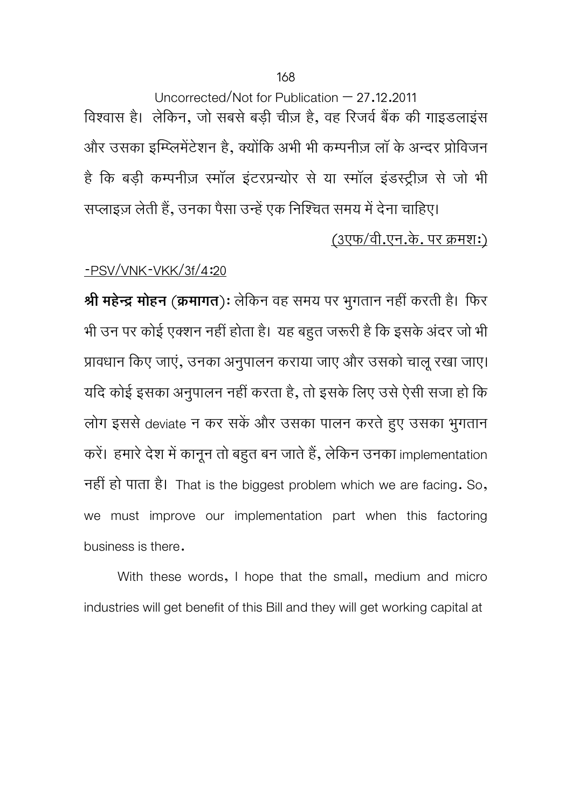Uncorrected/Not for Publication  $-27.12.2011$ विश्वास है। लेकिन, जो सबसे बड़ी चीज़ है, वह रिजर्व बैंक की गाइडलाइंस और उसका इम्प्लिमेंटेशन है, क्योंकि अभी भी कम्पनीज़ लॉ के अन्दर प्रोविजन है कि बड़ी कम्पनीज़ स्मॉल इंटरप्रन्योर से या स्मॉल इंडस्ट्रीज़ से जो भी सप्लाइज़ लेती हैं, उनका पैसा उन्हें एक निश्चित समय में देना चाहिए।

# (3एफ/वी.एन.के. पर कर्मश:)

# -PSV/VNK-VKK/3f/4:20

**Ǜी महेन्दर् मोहन** (**कर्मागत**): लेिकन वह समय पर भगतान ु नहीं करती है। िफर भी उन पर कोई एक्शन नहीं होता है। यह बहुत जरूरी है कि इसके अंदर जो भी प्रावधान किए जाएं, उनका अनुपालन कराया जाए और उसको चालू रखा जाए। यदि कोई इसका अनुपालन नहीं करता है, तो इसके लिए उसे ऐसी सजा हो कि लोग इससे deviate न कर सकें और उसका पालन करते हुए उसका भुगतान करें। हमारे देश में कानून तो बहुत बन जाते हैं, लेकिन उनका implementation नहीं हो पाता है। That is the biggest problem which we are facing. So, we must improve our implementation part when this factoring business is there.

With these words, I hope that the small, medium and micro industries will get benefit of this Bill and they will get working capital at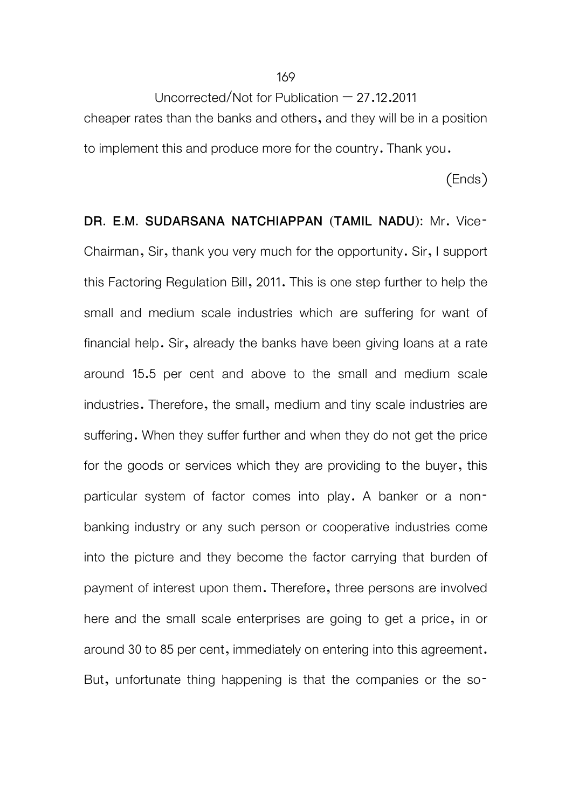cheaper rates than the banks and others, and they will be in a position to implement this and produce more for the country. Thank you.

(Ends)

**DR. E.M. SUDARSANA NATCHIAPPAN (TAMIL NADU):** Mr. Vice-Chairman, Sir, thank you very much for the opportunity. Sir, I support this Factoring Regulation Bill, 2011. This is one step further to help the small and medium scale industries which are suffering for want of financial help. Sir, already the banks have been giving loans at a rate around 15.5 per cent and above to the small and medium scale industries. Therefore, the small, medium and tiny scale industries are suffering. When they suffer further and when they do not get the price for the goods or services which they are providing to the buyer, this particular system of factor comes into play. A banker or a nonbanking industry or any such person or cooperative industries come into the picture and they become the factor carrying that burden of payment of interest upon them. Therefore, three persons are involved here and the small scale enterprises are going to get a price, in or around 30 to 85 per cent, immediately on entering into this agreement. But, unfortunate thing happening is that the companies or the so-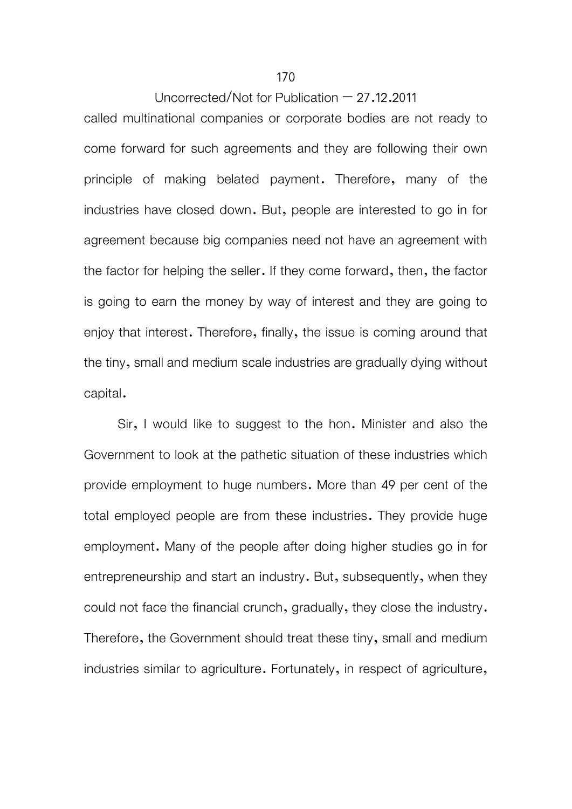called multinational companies or corporate bodies are not ready to come forward for such agreements and they are following their own principle of making belated payment. Therefore, many of the industries have closed down. But, people are interested to go in for agreement because big companies need not have an agreement with the factor for helping the seller. If they come forward, then, the factor is going to earn the money by way of interest and they are going to enjoy that interest. Therefore, finally, the issue is coming around that the tiny, small and medium scale industries are gradually dying without capital.

 Sir, I would like to suggest to the hon. Minister and also the Government to look at the pathetic situation of these industries which provide employment to huge numbers. More than 49 per cent of the total employed people are from these industries. They provide huge employment. Many of the people after doing higher studies go in for entrepreneurship and start an industry. But, subsequently, when they could not face the financial crunch, gradually, they close the industry. Therefore, the Government should treat these tiny, small and medium industries similar to agriculture. Fortunately, in respect of agriculture,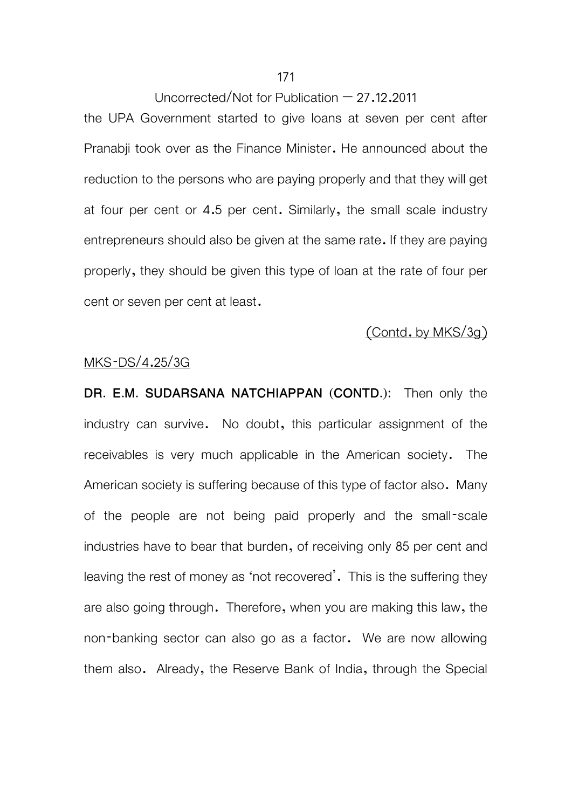the UPA Government started to give loans at seven per cent after Pranabji took over as the Finance Minister. He announced about the reduction to the persons who are paying properly and that they will get at four per cent or 4.5 per cent. Similarly, the small scale industry entrepreneurs should also be given at the same rate. If they are paying properly, they should be given this type of loan at the rate of four per cent or seven per cent at least.

# (Contd. by MKS/3g)

#### MKS-DS/4.25/3G

**DR. E.M. SUDARSANA NATCHIAPPAN (CONTD.):** Then only the industry can survive. No doubt, this particular assignment of the receivables is very much applicable in the American society. The American society is suffering because of this type of factor also. Many of the people are not being paid properly and the small-scale industries have to bear that burden, of receiving only 85 per cent and leaving the rest of money as 'not recovered'. This is the suffering they are also going through. Therefore, when you are making this law, the non-banking sector can also go as a factor. We are now allowing them also. Already, the Reserve Bank of India, through the Special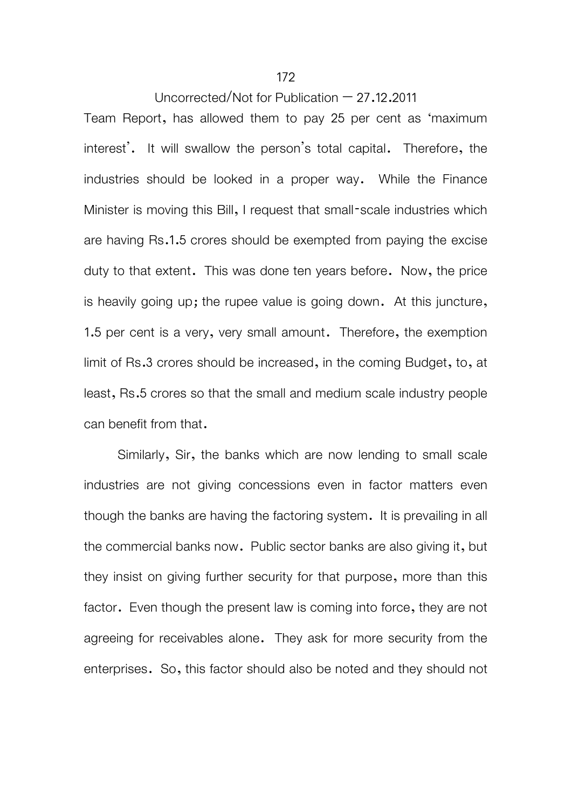#### 172

Uncorrected/Not for Publication – 27.12.2011

Team Report, has allowed them to pay 25 per cent as 'maximum interest'. It will swallow the person's total capital. Therefore, the industries should be looked in a proper way. While the Finance Minister is moving this Bill, I request that small-scale industries which are having Rs.1.5 crores should be exempted from paying the excise duty to that extent. This was done ten years before. Now, the price is heavily going up; the rupee value is going down. At this juncture, 1.5 per cent is a very, very small amount. Therefore, the exemption limit of Rs.3 crores should be increased, in the coming Budget, to, at least, Rs.5 crores so that the small and medium scale industry people can benefit from that.

 Similarly, Sir, the banks which are now lending to small scale industries are not giving concessions even in factor matters even though the banks are having the factoring system. It is prevailing in all the commercial banks now. Public sector banks are also giving it, but they insist on giving further security for that purpose, more than this factor. Even though the present law is coming into force, they are not agreeing for receivables alone. They ask for more security from the enterprises. So, this factor should also be noted and they should not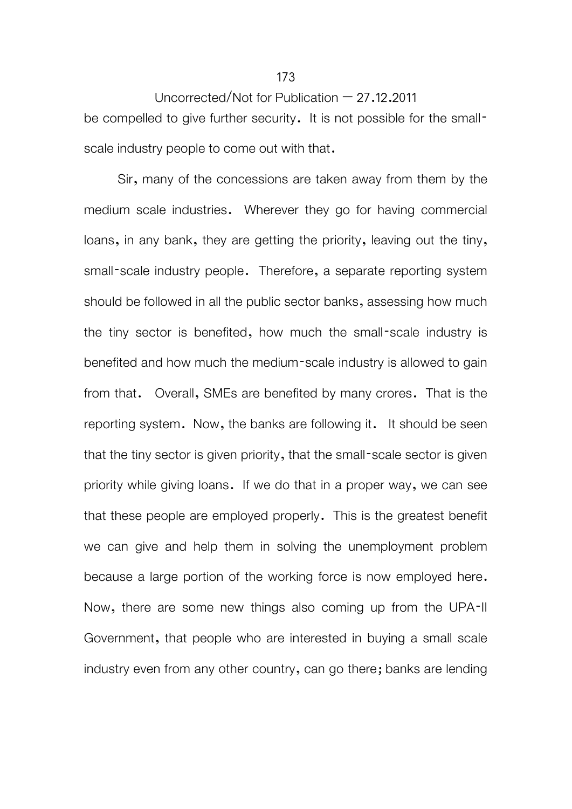Uncorrected/Not for Publication  $-27.12.2011$ be compelled to give further security. It is not possible for the smallscale industry people to come out with that.

 Sir, many of the concessions are taken away from them by the medium scale industries. Wherever they go for having commercial loans, in any bank, they are getting the priority, leaving out the tiny, small-scale industry people. Therefore, a separate reporting system should be followed in all the public sector banks, assessing how much the tiny sector is benefited, how much the small-scale industry is benefited and how much the medium-scale industry is allowed to gain from that. Overall, SMEs are benefited by many crores. That is the reporting system. Now, the banks are following it. It should be seen that the tiny sector is given priority, that the small-scale sector is given priority while giving loans. If we do that in a proper way, we can see that these people are employed properly. This is the greatest benefit we can give and help them in solving the unemployment problem because a large portion of the working force is now employed here. Now, there are some new things also coming up from the UPA-II Government, that people who are interested in buying a small scale industry even from any other country, can go there; banks are lending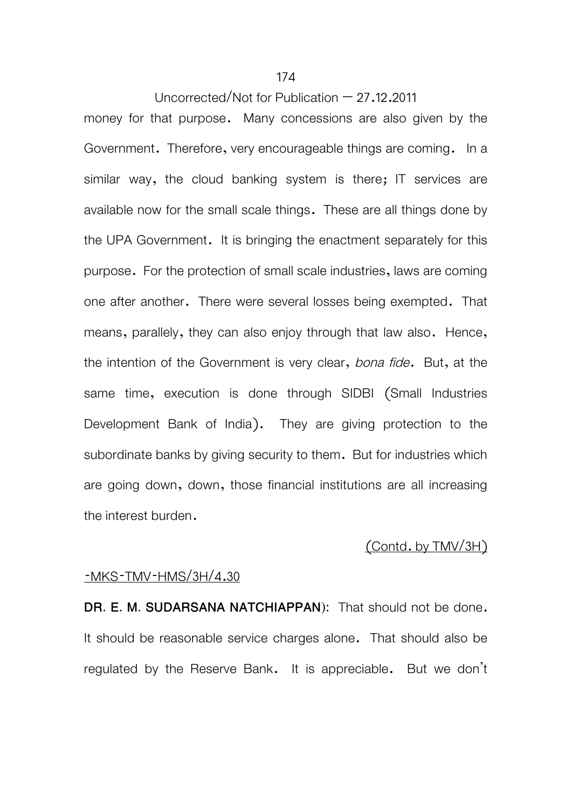money for that purpose. Many concessions are also given by the Government. Therefore, very encourageable things are coming. In a similar way, the cloud banking system is there; IT services are available now for the small scale things. These are all things done by the UPA Government. It is bringing the enactment separately for this purpose. For the protection of small scale industries, laws are coming one after another. There were several losses being exempted. That means, parallely, they can also enjoy through that law also. Hence, the intention of the Government is very clear, *bona fide.* But, at the same time, execution is done through SIDBI (Small Industries Development Bank of India). They are giving protection to the subordinate banks by giving security to them. But for industries which are going down, down, those financial institutions are all increasing the interest burden.

## (Contd. by TMV/3H)

## -MKS-TMV-HMS/3H/4.30

**DR. E. M. SUDARSANA NATCHIAPPAN):** That should not be done. It should be reasonable service charges alone. That should also be regulated by the Reserve Bank. It is appreciable. But we don't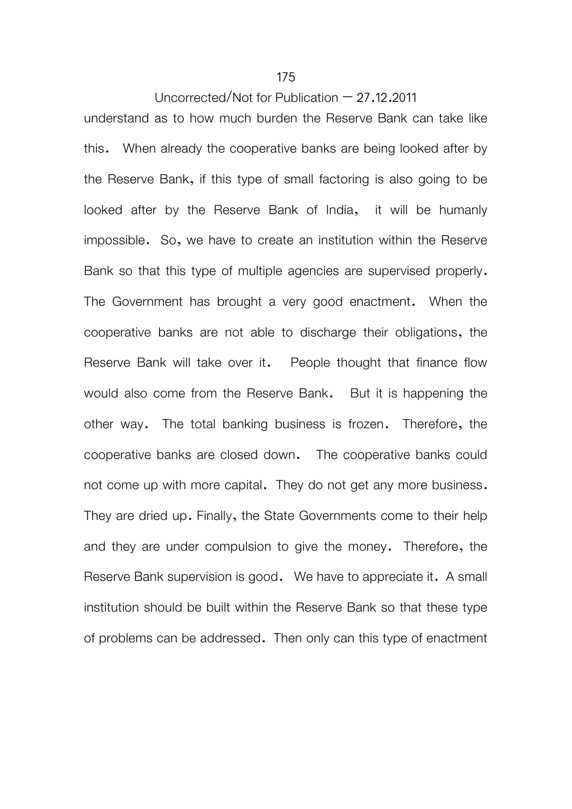#### 175

## Uncorrected/Not for Publication  $-27.12.2011$

understand as to how much burden the Reserve Bank can take like this. When already the cooperative banks are being looked after by the Reserve Bank, if this type of small factoring is also going to be looked after by the Reserve Bank of India, it will be humanly impossible. So, we have to create an institution within the Reserve Bank so that this type of multiple agencies are supervised properly. The Government has brought a very good enactment. When the cooperative banks are not able to discharge their obligations, the Reserve Bank will take over it. People thought that finance flow would also come from the Reserve Bank. But it is happening the other way. The total banking business is frozen. Therefore, the cooperative banks are closed down. The cooperative banks could not come up with more capital. They do not get any more business. They are dried up. Finally, the State Governments come to their help and they are under compulsion to give the money. Therefore, the Reserve Bank supervision is good. We have to appreciate it. A small institution should be built within the Reserve Bank so that these type of problems can be addressed. Then only can this type of enactment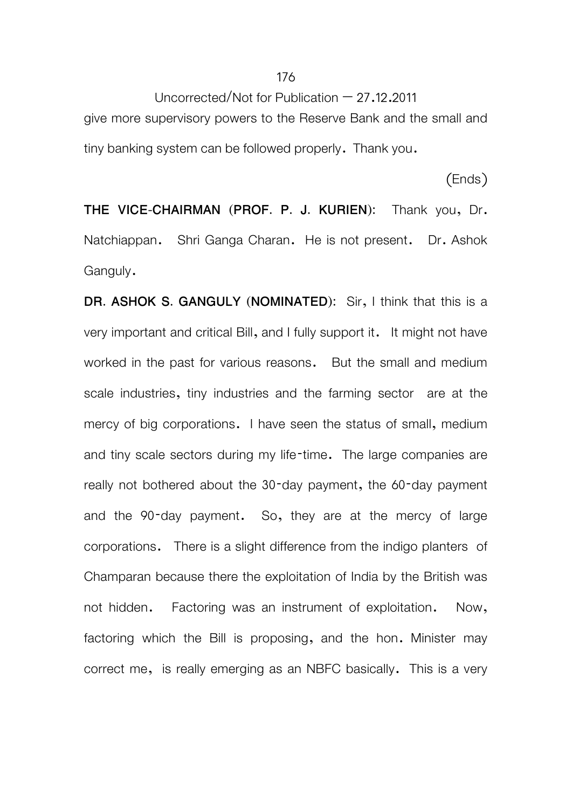Uncorrected/Not for Publication  $-27.12.2011$ give more supervisory powers to the Reserve Bank and the small and tiny banking system can be followed properly. Thank you.

(Ends)

**THE VICE-CHAIRMAN (PROF. P. J. KURIEN):** Thank you, Dr. Natchiappan. Shri Ganga Charan. He is not present. Dr. Ashok Ganguly.

**DR. ASHOK S. GANGULY (NOMINATED):** Sir, I think that this is a very important and critical Bill, and I fully support it. It might not have worked in the past for various reasons. But the small and medium scale industries, tiny industries and the farming sector are at the mercy of big corporations. I have seen the status of small, medium and tiny scale sectors during my life-time. The large companies are really not bothered about the 30-day payment, the 60-day payment and the 90-day payment. So, they are at the mercy of large corporations. There is a slight difference from the indigo planters of Champaran because there the exploitation of India by the British was not hidden. Factoring was an instrument of exploitation. Now, factoring which the Bill is proposing, and the hon. Minister may correct me, is really emerging as an NBFC basically. This is a very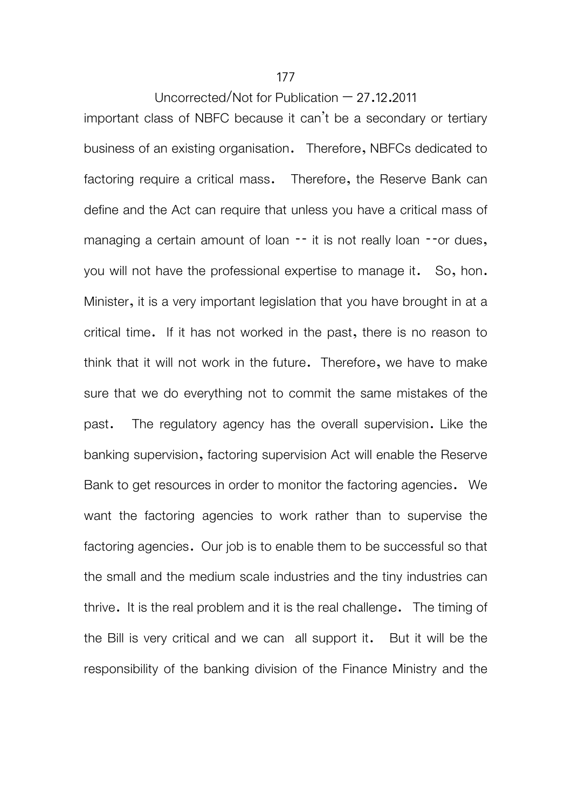important class of NBFC because it can't be a secondary or tertiary business of an existing organisation. Therefore, NBFCs dedicated to factoring require a critical mass. Therefore, the Reserve Bank can define and the Act can require that unless you have a critical mass of managing a certain amount of loan -- it is not really loan --or dues, you will not have the professional expertise to manage it. So, hon. Minister, it is a very important legislation that you have brought in at a critical time. If it has not worked in the past, there is no reason to think that it will not work in the future. Therefore, we have to make sure that we do everything not to commit the same mistakes of the past. The regulatory agency has the overall supervision. Like the banking supervision, factoring supervision Act will enable the Reserve Bank to get resources in order to monitor the factoring agencies. We want the factoring agencies to work rather than to supervise the factoring agencies. Our job is to enable them to be successful so that the small and the medium scale industries and the tiny industries can thrive. It is the real problem and it is the real challenge. The timing of the Bill is very critical and we can all support it. But it will be the responsibility of the banking division of the Finance Ministry and the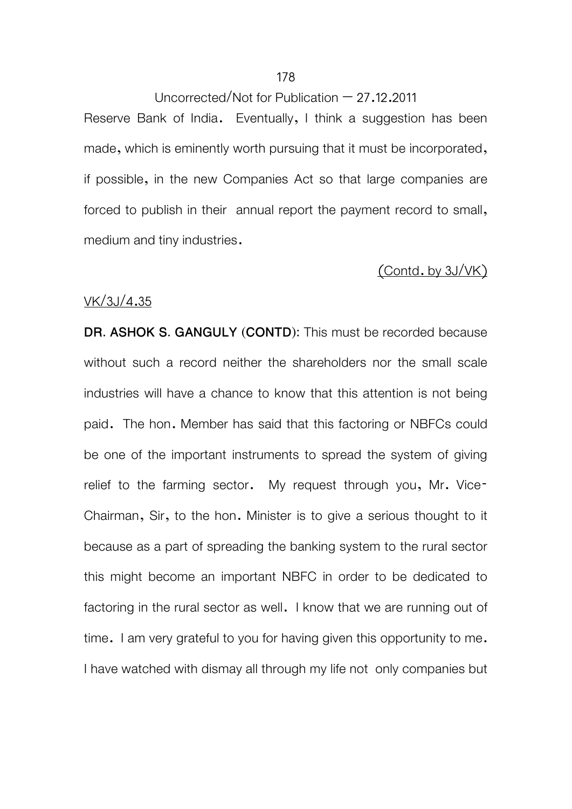Reserve Bank of India. Eventually, I think a suggestion has been made, which is eminently worth pursuing that it must be incorporated, if possible, in the new Companies Act so that large companies are forced to publish in their annual report the payment record to small, medium and tiny industries.

# (Contd. by 3J/VK)

#### VK/3J/4.35

**DR. ASHOK S. GANGULY (CONTD):** This must be recorded because without such a record neither the shareholders nor the small scale industries will have a chance to know that this attention is not being paid. The hon. Member has said that this factoring or NBFCs could be one of the important instruments to spread the system of giving relief to the farming sector. My request through you, Mr. Vice-Chairman, Sir, to the hon. Minister is to give a serious thought to it because as a part of spreading the banking system to the rural sector this might become an important NBFC in order to be dedicated to factoring in the rural sector as well. I know that we are running out of time. I am very grateful to you for having given this opportunity to me. I have watched with dismay all through my life not only companies but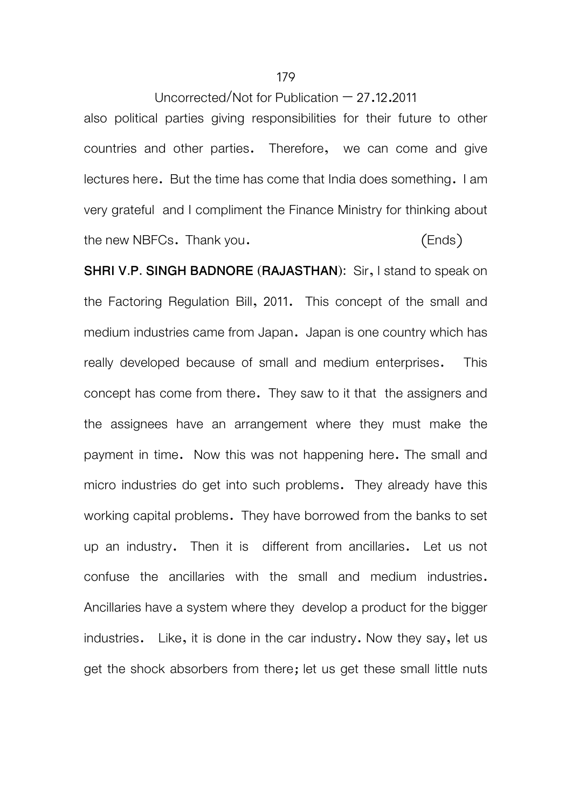also political parties giving responsibilities for their future to other countries and other parties. Therefore, we can come and give lectures here. But the time has come that India does something. I am very grateful and I compliment the Finance Ministry for thinking about the new NBFCs. Thank you. (Ends)

**SHRI V.P. SINGH BADNORE (RAJASTHAN):** Sir, I stand to speak on the Factoring Regulation Bill, 2011. This concept of the small and medium industries came from Japan. Japan is one country which has really developed because of small and medium enterprises. This concept has come from there. They saw to it that the assigners and the assignees have an arrangement where they must make the payment in time. Now this was not happening here. The small and micro industries do get into such problems. They already have this working capital problems. They have borrowed from the banks to set up an industry. Then it is different from ancillaries. Let us not confuse the ancillaries with the small and medium industries. Ancillaries have a system where they develop a product for the bigger industries. Like, it is done in the car industry. Now they say, let us get the shock absorbers from there; let us get these small little nuts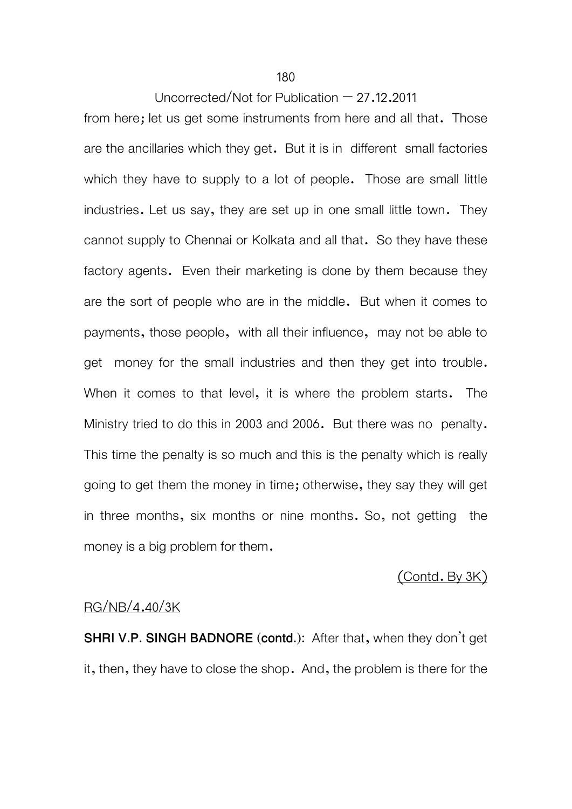from here; let us get some instruments from here and all that. Those are the ancillaries which they get. But it is in different small factories which they have to supply to a lot of people. Those are small little industries. Let us say, they are set up in one small little town. They cannot supply to Chennai or Kolkata and all that. So they have these factory agents. Even their marketing is done by them because they are the sort of people who are in the middle. But when it comes to payments, those people, with all their influence, may not be able to get money for the small industries and then they get into trouble. When it comes to that level, it is where the problem starts. The Ministry tried to do this in 2003 and 2006. But there was no penalty. This time the penalty is so much and this is the penalty which is really going to get them the money in time; otherwise, they say they will get in three months, six months or nine months. So, not getting the money is a big problem for them.

# (Contd. By 3K)

# RG/NB/4.40/3K

**SHRI V.P. SINGH BADNORE (contd.):** After that, when they don't get it, then, they have to close the shop. And, the problem is there for the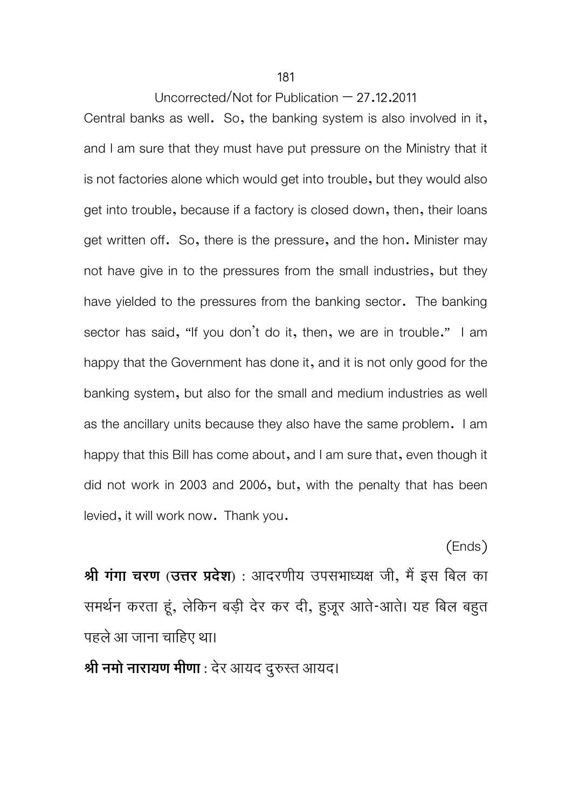#### Uncorrected/Not for Publication  $-27.12.2011$

Central banks as well. So, the banking system is also involved in it, and I am sure that they must have put pressure on the Ministry that it is not factories alone which would get into trouble, but they would also get into trouble, because if a factory is closed down, then, their loans get written off. So, there is the pressure, and the hon. Minister may not have give in to the pressures from the small industries, but they have yielded to the pressures from the banking sector. The banking sector has said, "If you don't do it, then, we are in trouble." I am happy that the Government has done it, and it is not only good for the banking system, but also for the small and medium industries as well as the ancillary units because they also have the same problem. I am happy that this Bill has come about, and I am sure that, even though it did not work in 2003 and 2006, but, with the penalty that has been levied, it will work now. Thank you.

**Ǜी गंगा चरण (उDŽर Ģदेश) :** आदरणीय उपसभाध्यक्ष जी, मȅइस िबल का समथर्न करता हूं, लेिकन बड़ी देर कर दी, हुज़रू आते-आते। यह िबल बहुत पहलेआ जाना चािहए था।

(Ends)

**Ǜी नमो नारायण मीणा :** देर आयद दुरुÎत आयद।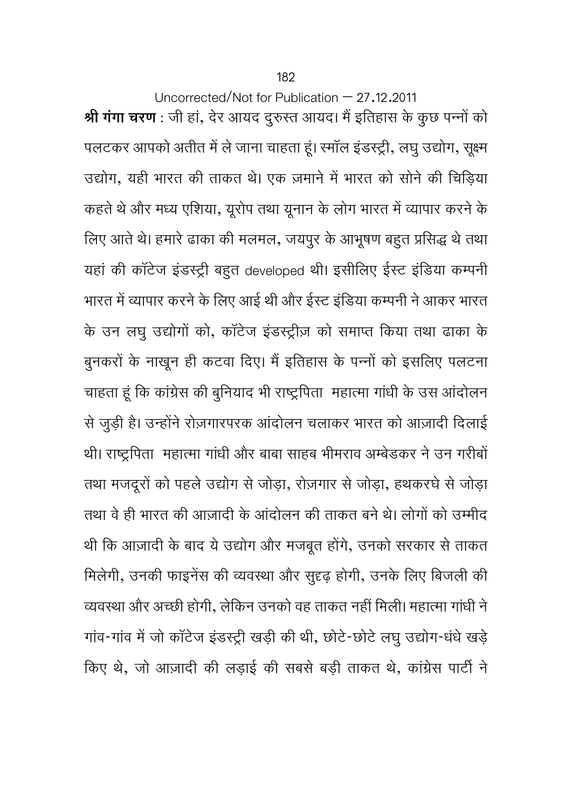Uncorrected/Not for Publication – 27.12.2011 **श्री गंगा चरण** : जी हां, देर आयद दुरुस्त आयद। मैं इतिहास के कुछ पन्नों को पलटकर आपको अतीत में ले जाना चाहता हूं। रमॉल इंडस्ट्री, लघु उद्योग, सूक्ष्म उद्योग, यही भारत की ताकत थे। एक ज़माने में भारत को सोने की चिड़िया कहते थे और मध्य एशिया, यूरोप तथा यूनान के लोग भारत में व्यापार करने के लिए आते थे। हमारे ढाका की मलमल, जयपुर के आभूषण बहुत प्रसिद्ध थे तथा यहां की कॉटेज इंडस्ट्री बहुत developed थी। इसीलिए ईस्ट इंडिया कम्पनी भारत में व्यापार करने के लिए आई थी और ईस्ट इंडिया कम्पनी ने आकर भारत के उन लघु उद्योगों को, कॉटेज इंडस्ट्रीज़ को समाप्त किया तथा ढाका के बुनकरों के नाखून ही कटवा दिए। मैं इतिहास के पन्नों को इसलिए पलटना चाहता हूं कि कांग्रेस की बुनियाद भी राष्ट्रपिता) महात्मा गांधी के उस आंदोलन से जुड़ी है। उन्होंने रोज़गारपरक आंदोलन चलाकर भारत को आज़ादी दिलाई थी। राष्ट्रपिता महात्मा गांधी और बाबा साहब भीमराव अम्बेडकर ने उन गरीबों तथा मजदूरों को पहले उद्योग से जोड़ा, रोज़गार से जोड़ा, हथकरघे से जोड़ा तथा वे ही भारत की आज़ादी के आंदोलन की ताकत बने थे। लोगों को उम्मीद थी कि आज़ादी के बाद ये उद्योग और मजबूत होंगे, उनको सरकार से ताकत मिलेगी, उनकी फाइनेंस की व्यवस्था और सुदृढ़ होगी, उनके लिए बिजली की व्यवस्था और अच्छी होगी, लेकिन उनको वह ताकत नहीं मिली। महात्मा गांधी ने गांव-गांव में जो कॉटेज इंडस्ट्री खड़ी की थी, छोटे-छोटे लघु उद्योग-धंधे खड़े किए थे, जो आज़ादी की लड़ाई की सबसे बड़ी ताकत थे, कांग्रेस पार्टी ने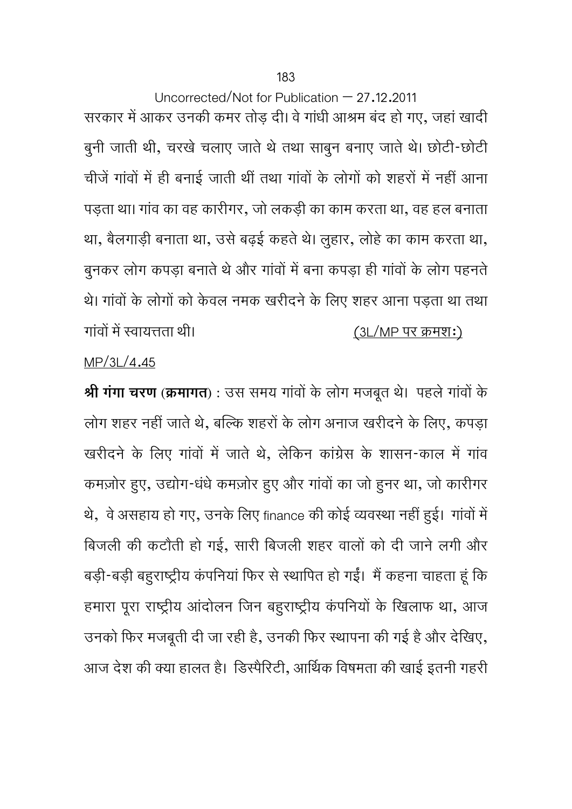Uncorrected/Not for Publication  $-27.12.2011$ सरकार में आकर उनकी कमर तोड़ दी। वे गांधी आश्रम बंद हो गए, जहां खादी बुनी जाती थी, चरखेचलाए जातेथेतथा साबुन बनाए जातेथे। छोटी-छोटी चीजें गांवों में ही बनाई जाती थीं तथा गांवों के लोगों को शहरों में नहीं आना पड़ता था। गावं का वह कारीगर, जो लकड़ी का काम करता था, वह हल बनाता था, बैलगाड़ी बनाता था, उसे बढ़ई कहते थे। लुहार, लोहे का काम करता था, बुनकर लोग कपड़ा बनाते थे और गांवों में बना कपड़ा ही गांवों के लोग पहनते थे। गांवों के लोगों को केवल नमक खरीदने के लिए शहर आना पड़ता था तथा गांवों में स्वायत्तता थी।  $(3L/MP)$  पर क्रमश:)

## MP/3L/4.45

**Ǜी गंगा चरण (कर्मागत) :** उस समय गावȗ ं के लोग मजबूत थे। पहलेगावȗ ं के लोग शहर नहीं जाते थे, बल्कि शहरों के लोग अनाज खरीदने के लिए, कपड़ा खरीदने के लिए गांवों में जाते थे, लेकिन कांग्रेस के शासन-काल में गांव कमज़ोर हुए, उद्योग-धंधे कमज़ोर हुए और गांवों का जो हुनर था, जो कारीगर थे, वे असहाय हो गए, उनके लिए finance की कोई व्यवस्था नहीं हुई। गांवों में बिजली की कटौती हो गई, सारी बिजली शहर वालों को दी जाने लगी और बड़ी-बड़ी बहुराष्ट्रीय कंपनियां फिर से स्थापित हो गईं। मैं कहना चाहता हूं कि हमारा पूरा राष्ट्रीय आंदोलन जिन बहुराष्ट्रीय कंपनियों के खिलाफ था, आज उनको फिर मजबूती दी जा रही है, उनकी फिर स्थापना की गई है और देखिए, आज देश की क्या हालत है। डिस्पैरिटी, आर्थिक विषमता की खाई इतनी गहरी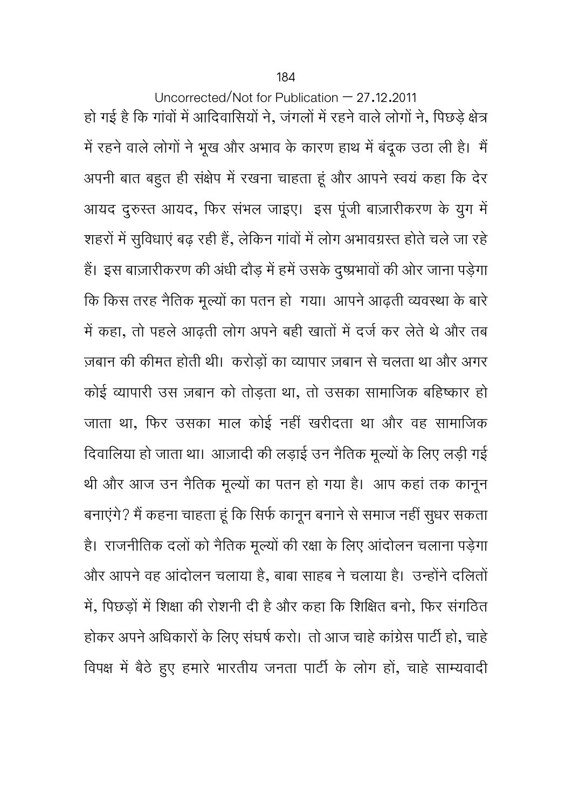Uncorrected/Not for Publication – 27.12.2011 हो गई है कि गांवों में आदिवासियों ने, जंगलों में रहने वाले लोगों ने, पिछड़े क्षेत्र में रहने वाले लोगों ने भूख और अभाव के कारण हाथ में बंदूक उठा ली है। मैं अपनी बात बहुत ही संक्षेप में रखना चाहता हूं और आपने स्वयं कहा कि देर आयद दुरुस्त आयद, फिर संभल जाइए। इस पूंजी बाज़ारीकरण के युग में शहरों में सुविधाएं बढ़ रही हैं, लेकिन गांवों में लोग अभावग्रस्त होते चले जा रहे हैं। इस बाज़ारीकरण की अंधी दौड़ में हमें उसके दुष्प्रभावों की ओर जाना पड़ेगा कि किस तरह नैतिक मूल्यों का पतन हो गया। आपने आढ़ती व्यवस्था के बारे में कहा, तो पहले आढ़ती लोग अपने बही खातों में दर्ज कर लेते थे और तब ज़बान की कीमत होती थी। करोड़ों का व्यापार ज़बान से चलता था और अगर कोई व्यापारी उस ज़बान को तोड़ता था, तो उसका सामाजिक बहिष्कार हो जाता था, िफर उसका माल कोई नहीं खरीदता था और वह सामािजक दिवालिया हो जाता था। आज़ादी की लड़ाई उन नैतिक मूल्यों के लिए लड़ी गई थी और आज उन नैतिक मूल्यों का पतन हो गया है। आप कहां तक कानून बनाएंगे? मैं कहना चाहता हूं कि सिर्फ कानून बनाने से समाज नहीं सुधर सकता है। राजनीतिक दलों को नैतिक मूल्यों की रक्षा के लिए आंदोलन चलाना पड़ेगा और आपने वह आंदोलन चलाया है, बाबा साहब ने चलाया है। उन्होंने दलितों में, पिछड़ों में शिक्षा की रोशनी दी है और कहा कि शिक्षित बनो, फिर संगठित होकर अपने अधिकारों के लिए संघर्ष करो। तो आज चाहे कांग्रेस पार्टी हो, चाहे विपक्ष में बैठे हुए हमारे भारतीय जनता पार्टी के लोग हों, चाहे साम्यवादी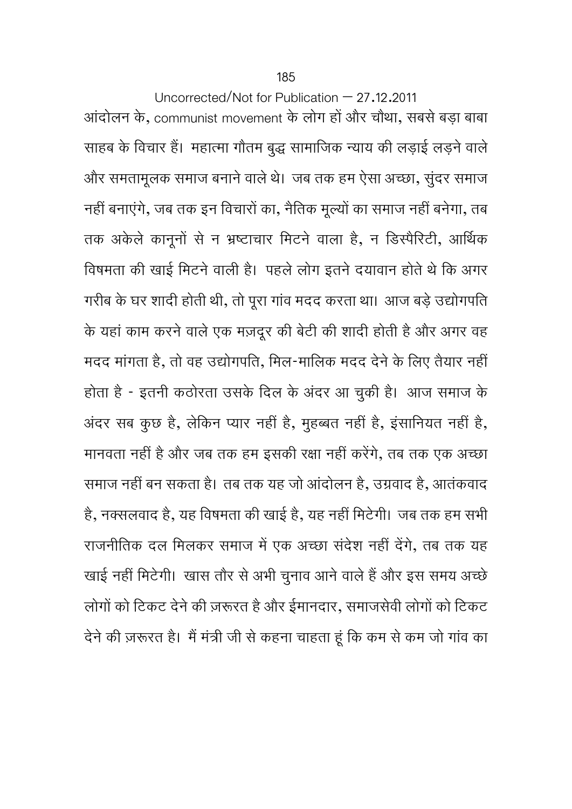Uncorrected/Not for Publication – 27.12.2011 आंदोलन के, communist movement के लोग हों और चौथा, सबसे बड़ा बाबा साहब के विचार हैं। महात्मा गौतम बुद्ध सामाजिक न्याय की लड़ाई लड़ने वाले और समतामूलक समाज बनानेवालेथे। जब तक हम ऐसा अच्छा, सुंदर समाज नहीं बनाएंगे, जब तक इन विचारों का, नैतिक मूल्यों का समाज नहीं बनेगा, तब तक अकेले कानूनों से न भ्रष्टाचार मिटने वाला है, न डिस्पैरिटी, आर्थिक विषमता की खाई मिटने वाली है। पहले लोग इतने दयावान होते थे कि अगर गरीब के घर शादी होती थी, तो पूरा गांव मदद करता था। आज बड़े उद्योगपति के यहां काम करनेवालेएक मज़दूर की बेटी की शादी होती हैऔर अगर वह मदद मांगता है, तो वह उद्योगपति, मिल-मालिक मदद देने के लिए तैयार नहीं होता है - इतना केठोरता उसके दिल के अंदर आ चुकी है। आज समाज के अंदर सब कुछ है, लेकिन प्यार नहीं है, मुहब्बत नहीं है, इंसानियत नहीं है, मानवता नहीं है और जब तक हम इसकी रक्षा नहीं करेंगे, तब तक एक अच्छा समाज नहीं बन सकता है। तब तक यह जो आंदोलन है, उगर्वाद है, आतंकवाद है, नक्सलवाद है, यह िवषमता की खाई है, यह नहीं िमटेगी। जब तक हम सभी राजनीतिक दल मिलकर समाज में एक अच्छा संदेश नहीं देंगे, तब तक यह खाई नहीं मिटेगी। खास तौर से अभी चुनाव आने वाले हैं और इस समय अच्छे लोगों को टिकट देने की ज़रूरत है और ईमानदार, समाजसेवी लोगों को टिकट देने की ज़रूरत है। मैं मंत्री जी से कहना चाहता हूं कि कम से कम जो गांव का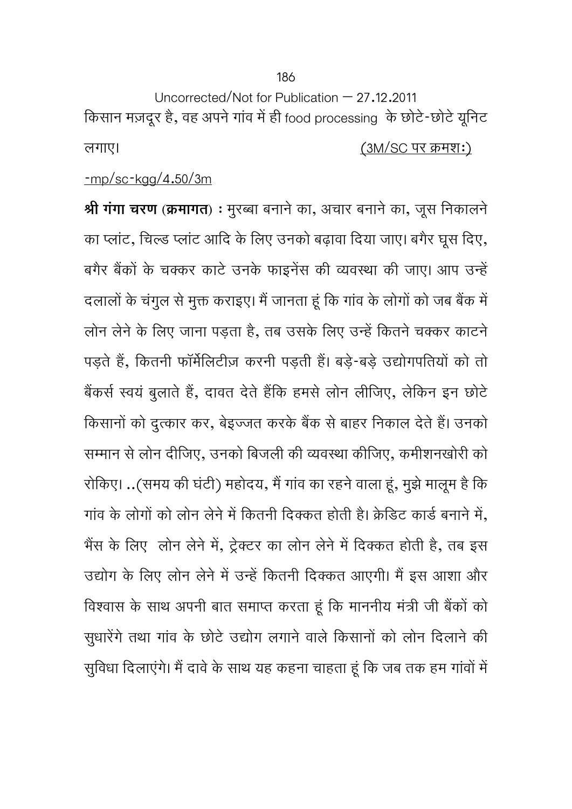Uncorrected/Not for Publication – 27.12.2011 किसान मज़दूर है, वह अपने गांव में ही food processing के छोटे-छोटे यूनिट लगाए। (3M/SC पर कर्मश:)

## -mp/sc-kgg/4.50/3m

**Ǜी गंगा चरण (कर्मागत)** : मुरÅबा बनानेका, अचार बनानेका, जूस िनकालने का प्लांट, चिल्ड प्लांट आदि के लिए उनको बढ़ावा दिया जाए। बगैर घूस दिए, बगैर बैंकों के चक्कर काटे उनके फाइनेंस की व्यवस्था की जाए। आप उन्हें दलालों के चंगुल से मुक्त कराइए। मैं जानता हूं कि गांव के लोगों को जब बैंक में लोन लेने के लिए जाना पड़ता है, तब उसके लिए उन्हें कितने चक्कर काटने पड़ते हैं, कितनी फॉर्मेलिटीज़ करनी पड़ती हैं। बड़े-बड़े उद्योगपतियों को तो बैंकर्स स्वयं बुलाते हैं, दावत देते हैंकि हमसे लोन लीजिए, लेकिन इन छोटे किसानों को दुत्कार कर, बेइज्जत करके बैंक से बाहर निकाल देते हैं। उनको सम्मान से लोन दीजिए, उनको बिजली की व्यवस्था कीजिए, कमीशनखोरी को रोकिए। ..(समय की घंटी) महोदय, मैं गांव का रहने वाला हूं, मुझे मालूम है कि गांव के लोगों को लोन लेने में कितनी दिक्कत होती है। क्रेडिट कार्ड बनाने में, भैंस के लिए लोन लेने में, ट्रेक्टर का लोन लेने में दिक्कत होती है, तब इस उद्योग के लिए लोन लेने में उन्हें कितनी दिक्कत आएगी। मैं इस आशा और विश्वास के साथ अपनी बात समाप्त करता हूं कि माननीय मंत्री जी बैंकों को सुधारेंगे तथा गांव के छोटे उद्योग लगाने वाले किसानों को लोन दिलाने की सुविधा दिलाएंगे। मैं दावे के साथ यह कहना चाहता हूं कि जब तक हम गांवों में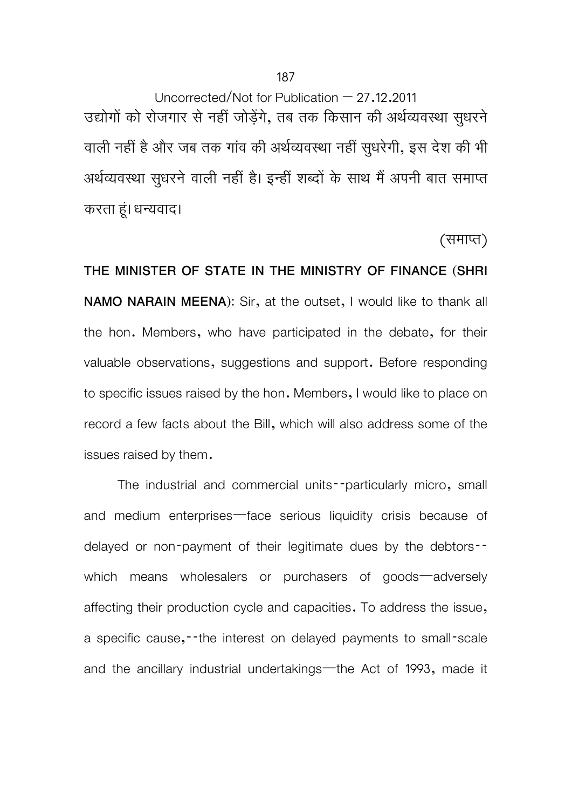187

Uncorrected/Not for Publication – 27.12.2011 उद्योगों को रोजगार से नहीं जोड़ेंगे, तब तक किसान की अर्थव्यवस्था सुधरने वाली नहीं है और जब तक गांव की अर्थव्यवस्था नहीं सुधरेगी, इस देश की भी अर्थव्यवस्था सुधरने वाली नहीं है। इन्हीं शब्दों के साथ मैं अपनी बात समाप्त करता हूं। धन्यवाद।

(समाप्त)

**THE MINISTER OF STATE IN THE MINISTRY OF FINANCE (SHRI NAMO NARAIN MEENA):** Sir, at the outset, I would like to thank all the hon. Members, who have participated in the debate, for their valuable observations, suggestions and support. Before responding to specific issues raised by the hon. Members, I would like to place on record a few facts about the Bill, which will also address some of the issues raised by them.

 The industrial and commercial units--particularly micro, small and medium enterprises—face serious liquidity crisis because of delayed or non-payment of their legitimate dues by the debtors- which means wholesalers or purchasers of goods—adversely affecting their production cycle and capacities. To address the issue, a specific cause,--the interest on delayed payments to small-scale and the ancillary industrial undertakings—the Act of 1993, made it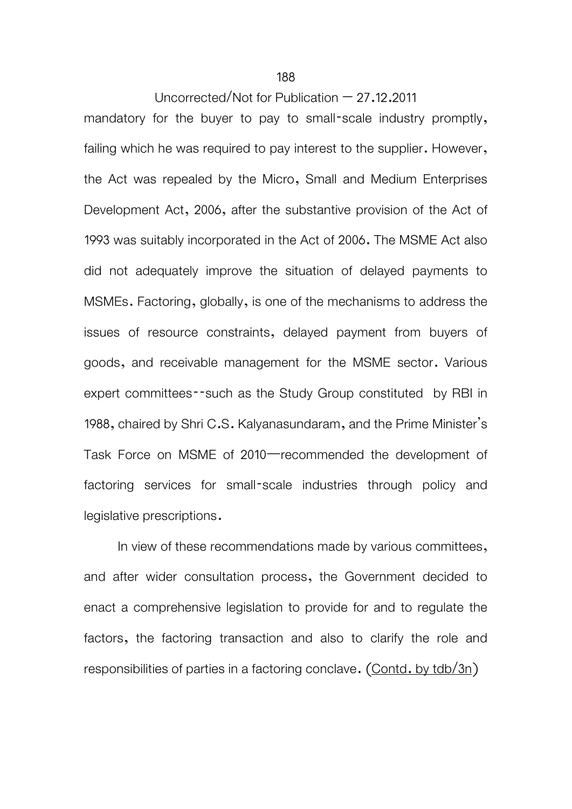Uncorrected/Not for Publication – 27.12.2011

mandatory for the buyer to pay to small-scale industry promptly, failing which he was required to pay interest to the supplier. However, the Act was repealed by the Micro, Small and Medium Enterprises Development Act, 2006, after the substantive provision of the Act of 1993 was suitably incorporated in the Act of 2006. The MSME Act also did not adequately improve the situation of delayed payments to MSMEs. Factoring, globally, is one of the mechanisms to address the issues of resource constraints, delayed payment from buyers of goods, and receivable management for the MSME sector. Various expert committees--such as the Study Group constituted by RBI in 1988, chaired by Shri C.S. Kalyanasundaram, and the Prime Minister's Task Force on MSME of 2010—recommended the development of factoring services for small-scale industries through policy and legislative prescriptions.

In view of these recommendations made by various committees, and after wider consultation process, the Government decided to enact a comprehensive legislation to provide for and to regulate the factors, the factoring transaction and also to clarify the role and responsibilities of parties in a factoring conclave. (Contd. by tdb/3n)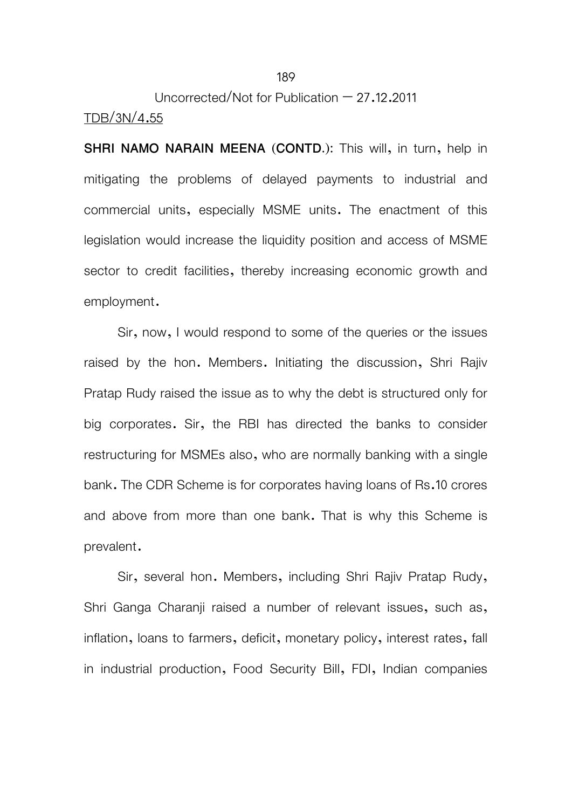# Uncorrected/Not for Publication – 27.12.2011 TDB/3N/4.55

**SHRI NAMO NARAIN MEENA (CONTD.):** This will, in turn, help in mitigating the problems of delayed payments to industrial and commercial units, especially MSME units. The enactment of this legislation would increase the liquidity position and access of MSME sector to credit facilities, thereby increasing economic growth and employment.

 Sir, now, I would respond to some of the queries or the issues raised by the hon. Members. Initiating the discussion, Shri Rajiv Pratap Rudy raised the issue as to why the debt is structured only for big corporates. Sir, the RBI has directed the banks to consider restructuring for MSMEs also, who are normally banking with a single bank. The CDR Scheme is for corporates having loans of Rs.10 crores and above from more than one bank. That is why this Scheme is prevalent.

 Sir, several hon. Members, including Shri Rajiv Pratap Rudy, Shri Ganga Charanji raised a number of relevant issues, such as, inflation, loans to farmers, deficit, monetary policy, interest rates, fall in industrial production, Food Security Bill, FDI, Indian companies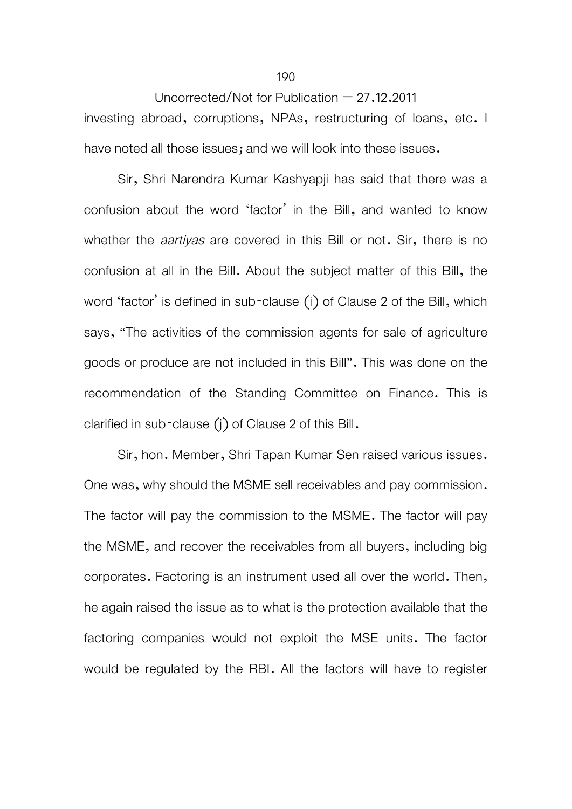#### Uncorrected/Not for Publication – 27.12.2011

investing abroad, corruptions, NPAs, restructuring of loans, etc. I have noted all those issues; and we will look into these issues.

 Sir, Shri Narendra Kumar Kashyapji has said that there was a confusion about the word 'factor' in the Bill, and wanted to know whether the *aartiyas* are covered in this Bill or not. Sir, there is no confusion at all in the Bill. About the subject matter of this Bill, the word 'factor' is defined in sub-clause (i) of Clause 2 of the Bill, which says, "The activities of the commission agents for sale of agriculture goods or produce are not included in this Bill". This was done on the recommendation of the Standing Committee on Finance. This is clarified in sub-clause (j) of Clause 2 of this Bill.

 Sir, hon. Member, Shri Tapan Kumar Sen raised various issues. One was, why should the MSME sell receivables and pay commission. The factor will pay the commission to the MSME. The factor will pay the MSME, and recover the receivables from all buyers, including big corporates. Factoring is an instrument used all over the world. Then, he again raised the issue as to what is the protection available that the factoring companies would not exploit the MSE units. The factor would be regulated by the RBI. All the factors will have to register

#### 190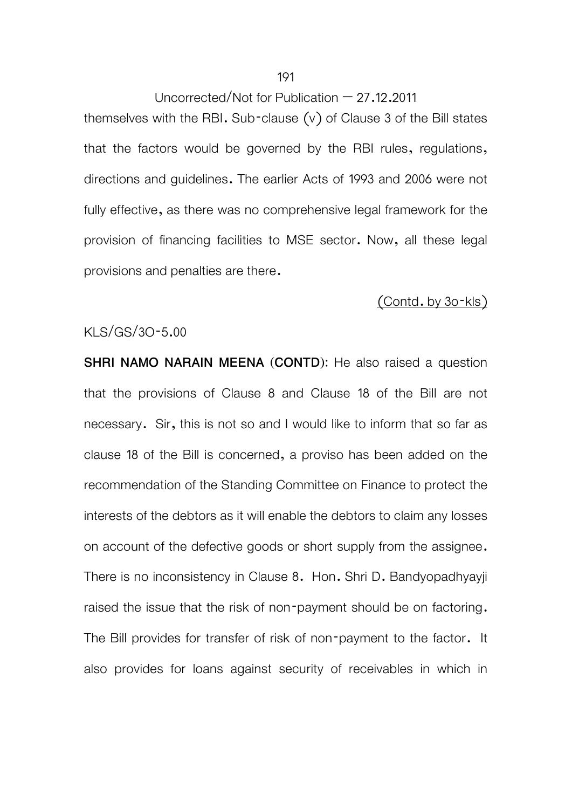#### Uncorrected/Not for Publication  $-27.12.2011$

themselves with the RBI. Sub-clause  $(v)$  of Clause 3 of the Bill states that the factors would be governed by the RBI rules, regulations, directions and guidelines. The earlier Acts of 1993 and 2006 were not fully effective, as there was no comprehensive legal framework for the provision of financing facilities to MSE sector. Now, all these legal provisions and penalties are there.

### (Contd. by 3o-kls)

#### KLS/GS/3O-5.00

**SHRI NAMO NARAIN MEENA (CONTD):** He also raised a question that the provisions of Clause 8 and Clause 18 of the Bill are not necessary. Sir, this is not so and I would like to inform that so far as clause 18 of the Bill is concerned, a proviso has been added on the recommendation of the Standing Committee on Finance to protect the interests of the debtors as it will enable the debtors to claim any losses on account of the defective goods or short supply from the assignee. There is no inconsistency in Clause 8. Hon. Shri D. Bandyopadhyayji raised the issue that the risk of non-payment should be on factoring. The Bill provides for transfer of risk of non-payment to the factor. It also provides for loans against security of receivables in which in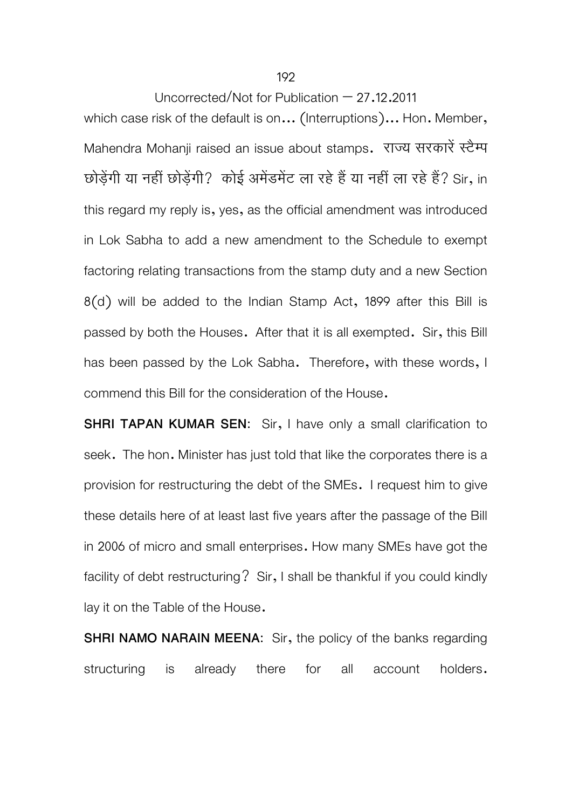192

Uncorrected/Not for Publication – 27.12.2011

which case risk of the default is on... (Interruptions)... Hon. Member, Mahendra Mohanji raised an issue about stamps. राज्य सरकारें स्टैम्प छोड़ेंगी या नहीं छोड़ेंगी? कोई अमेंडमेंट ला रहे हैं या नहीं ला रहे हैं? Sir, in this regard my reply is, yes, as the official amendment was introduced in Lok Sabha to add a new amendment to the Schedule to exempt factoring relating transactions from the stamp duty and a new Section 8(d) will be added to the Indian Stamp Act, 1899 after this Bill is passed by both the Houses. After that it is all exempted. Sir, this Bill has been passed by the Lok Sabha. Therefore, with these words, I commend this Bill for the consideration of the House.

**SHRI TAPAN KUMAR SEN:** Sir, I have only a small clarification to seek. The hon. Minister has just told that like the corporates there is a provision for restructuring the debt of the SMEs. I request him to give these details here of at least last five years after the passage of the Bill in 2006 of micro and small enterprises. How many SMEs have got the facility of debt restructuring? Sir, I shall be thankful if you could kindly lay it on the Table of the House.

**SHRI NAMO NARAIN MEENA:** Sir, the policy of the banks regarding structuring is already there for all account holders.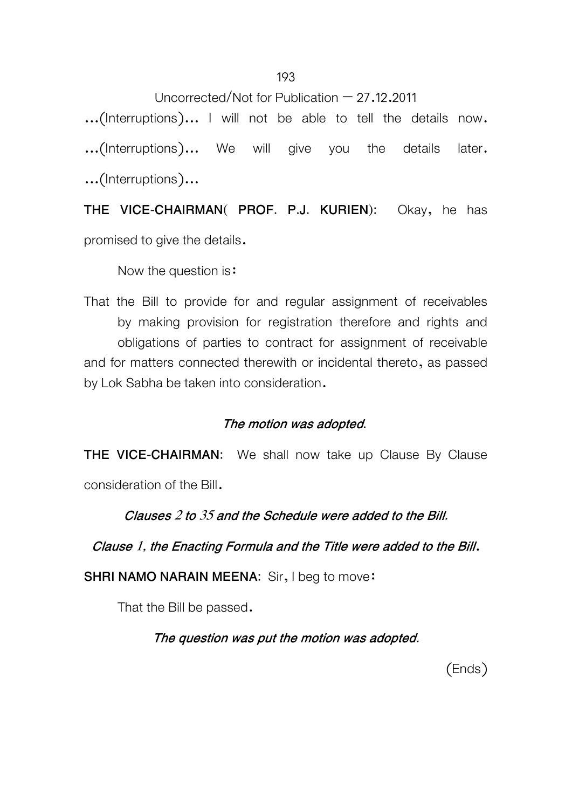Uncorrected/Not for Publication – 27.12.2011

...(Interruptions)... I will not be able to tell the details now. ...(Interruptions)... We will give you the details later. ...(Interruptions)...

**THE VICE-CHAIRMAN( PROF. P.J. KURIEN):** Okay, he has

promised to give the details.

Now the question is:

 That the Bill to provide for and regular assignment of receivables by making provision for registration therefore and rights and obligations of parties to contract for assignment of receivable and for matters connected therewith or incidental thereto, as passed by Lok Sabha be taken into consideration.

## **The motion was adopted.**

**THE VICE-CHAIRMAN:** We shall now take up Clause By Clause

consideration of the Bill.

**Clauses 2 to 35 and the Schedule were added to the Bill.** 

**Clause 1, the Enacting Formula and the Title were added to the Bill**.

**SHRI NAMO NARAIN MEENA:** Sir, I beg to move:

That the Bill be passed.

**The question was put the motion was adopted.** 

(Ends)

193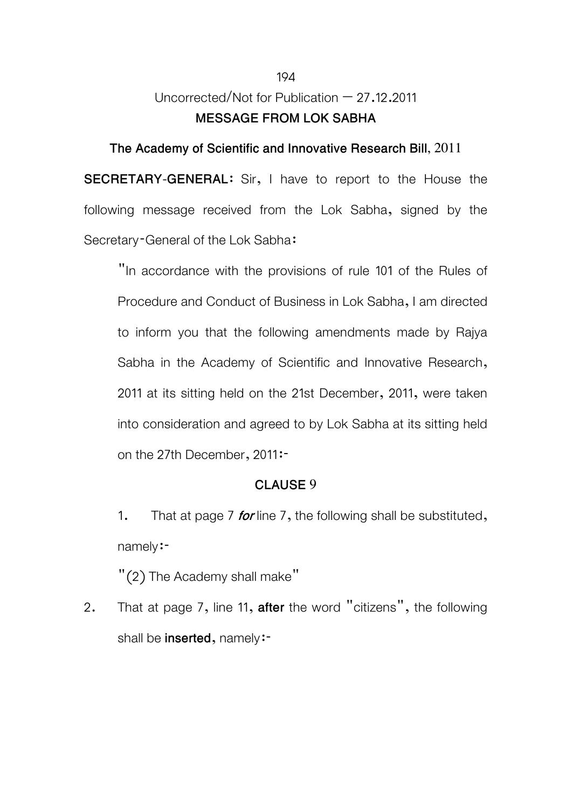# Uncorrected/Not for Publication  $-27.12.2011$ **MESSAGE FROM LOK SABHA**

#### **The Academy of Scientific and Innovative Research Bill, 2011**

**SECRETARY-GENERAL**: Sir, I have to report to the House the following message received from the Lok Sabha, signed by the Secretary-General of the Lok Sabha:

 "In accordance with the provisions of rule 101 of the Rules of Procedure and Conduct of Business in Lok Sabha, I am directed to inform you that the following amendments made by Rajya Sabha in the Academy of Scientific and Innovative Research, 2011 at its sitting held on the 21st December, 2011, were taken into consideration and agreed to by Lok Sabha at its sitting held on the 27th December, 2011:-

#### **CLAUSE 9**

 1. That at page 7 **for** line 7, the following shall be substituted, namely:-

"(2) The Academy shall make"

2. That at page 7, line 11, **after** the word "citizens", the following shall be **inserted**, namely:-

#### 194